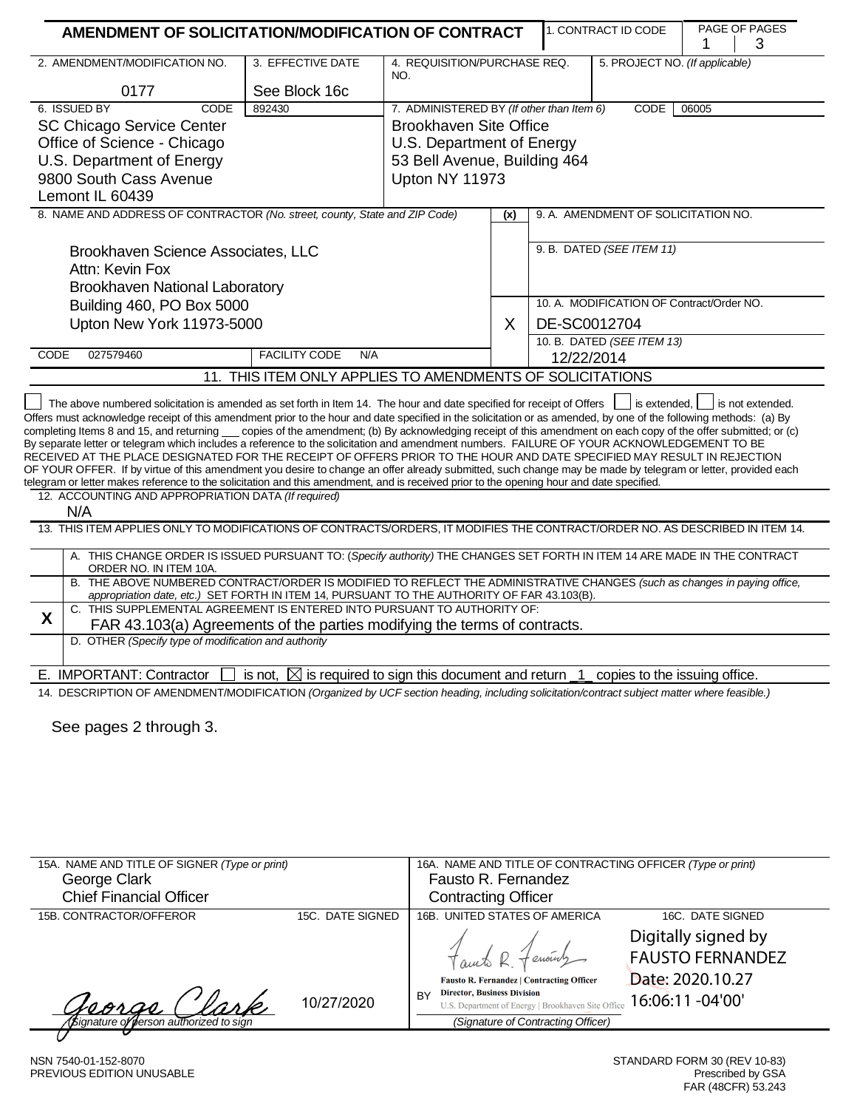| AMENDMENT OF SOLICITATION/MODIFICATION OF CONTRACT                                                                                                                                                                                                                                                                                                                                                                                                                                                                                                                                                                                                                                                                                                                                                                                                                                                                                                                                                                                                |                                                                                                                                              | 1. CONTRACT ID CODE                               | 1   | PAGE OF PAGES<br>3         |                                           |       |                  |
|---------------------------------------------------------------------------------------------------------------------------------------------------------------------------------------------------------------------------------------------------------------------------------------------------------------------------------------------------------------------------------------------------------------------------------------------------------------------------------------------------------------------------------------------------------------------------------------------------------------------------------------------------------------------------------------------------------------------------------------------------------------------------------------------------------------------------------------------------------------------------------------------------------------------------------------------------------------------------------------------------------------------------------------------------|----------------------------------------------------------------------------------------------------------------------------------------------|---------------------------------------------------|-----|----------------------------|-------------------------------------------|-------|------------------|
| 2. AMENDMENT/MODIFICATION NO.                                                                                                                                                                                                                                                                                                                                                                                                                                                                                                                                                                                                                                                                                                                                                                                                                                                                                                                                                                                                                     | 3. EFFECTIVE DATE                                                                                                                            | 4. REQUISITION/PURCHASE REQ.                      |     |                            | 5. PROJECT NO. (If applicable)            |       |                  |
|                                                                                                                                                                                                                                                                                                                                                                                                                                                                                                                                                                                                                                                                                                                                                                                                                                                                                                                                                                                                                                                   |                                                                                                                                              | NO.                                               |     |                            |                                           |       |                  |
| 0177                                                                                                                                                                                                                                                                                                                                                                                                                                                                                                                                                                                                                                                                                                                                                                                                                                                                                                                                                                                                                                              | See Block 16c                                                                                                                                | 7. ADMINISTERED BY (If other than Item 6)<br>CODE |     |                            |                                           |       |                  |
| 6. ISSUED BY<br>CODE                                                                                                                                                                                                                                                                                                                                                                                                                                                                                                                                                                                                                                                                                                                                                                                                                                                                                                                                                                                                                              | 892430<br><b>Brookhaven Site Office</b>                                                                                                      |                                                   |     |                            |                                           | 06005 |                  |
|                                                                                                                                                                                                                                                                                                                                                                                                                                                                                                                                                                                                                                                                                                                                                                                                                                                                                                                                                                                                                                                   | <b>SC Chicago Service Center</b>                                                                                                             |                                                   |     |                            |                                           |       |                  |
| Office of Science - Chicago                                                                                                                                                                                                                                                                                                                                                                                                                                                                                                                                                                                                                                                                                                                                                                                                                                                                                                                                                                                                                       |                                                                                                                                              | U.S. Department of Energy                         |     |                            |                                           |       |                  |
| U.S. Department of Energy                                                                                                                                                                                                                                                                                                                                                                                                                                                                                                                                                                                                                                                                                                                                                                                                                                                                                                                                                                                                                         |                                                                                                                                              | 53 Bell Avenue, Building 464                      |     |                            |                                           |       |                  |
| 9800 South Cass Avenue                                                                                                                                                                                                                                                                                                                                                                                                                                                                                                                                                                                                                                                                                                                                                                                                                                                                                                                                                                                                                            |                                                                                                                                              | Upton NY 11973                                    |     |                            |                                           |       |                  |
|                                                                                                                                                                                                                                                                                                                                                                                                                                                                                                                                                                                                                                                                                                                                                                                                                                                                                                                                                                                                                                                   | Lemont IL 60439                                                                                                                              |                                                   |     |                            |                                           |       |                  |
| 8. NAME AND ADDRESS OF CONTRACTOR (No. street, county, State and ZIP Code)                                                                                                                                                                                                                                                                                                                                                                                                                                                                                                                                                                                                                                                                                                                                                                                                                                                                                                                                                                        |                                                                                                                                              |                                                   | (x) |                            | 9. A. AMENDMENT OF SOLICITATION NO.       |       |                  |
| Brookhaven Science Associates, LLC                                                                                                                                                                                                                                                                                                                                                                                                                                                                                                                                                                                                                                                                                                                                                                                                                                                                                                                                                                                                                |                                                                                                                                              |                                                   |     |                            | 9. B. DATED (SEE ITEM 11)                 |       |                  |
| Attn: Kevin Fox                                                                                                                                                                                                                                                                                                                                                                                                                                                                                                                                                                                                                                                                                                                                                                                                                                                                                                                                                                                                                                   |                                                                                                                                              |                                                   |     |                            |                                           |       |                  |
| <b>Brookhaven National Laboratory</b>                                                                                                                                                                                                                                                                                                                                                                                                                                                                                                                                                                                                                                                                                                                                                                                                                                                                                                                                                                                                             |                                                                                                                                              |                                                   |     |                            |                                           |       |                  |
| Building 460, PO Box 5000                                                                                                                                                                                                                                                                                                                                                                                                                                                                                                                                                                                                                                                                                                                                                                                                                                                                                                                                                                                                                         |                                                                                                                                              |                                                   |     |                            | 10. A. MODIFICATION OF Contract/Order NO. |       |                  |
| Upton New York 11973-5000                                                                                                                                                                                                                                                                                                                                                                                                                                                                                                                                                                                                                                                                                                                                                                                                                                                                                                                                                                                                                         |                                                                                                                                              | X                                                 |     | DE-SC0012704               |                                           |       |                  |
|                                                                                                                                                                                                                                                                                                                                                                                                                                                                                                                                                                                                                                                                                                                                                                                                                                                                                                                                                                                                                                                   |                                                                                                                                              |                                                   |     | 10. B. DATED (SEE ITEM 13) |                                           |       |                  |
| CODE<br>027579460                                                                                                                                                                                                                                                                                                                                                                                                                                                                                                                                                                                                                                                                                                                                                                                                                                                                                                                                                                                                                                 | <b>FACILITY CODE</b><br>N/A                                                                                                                  |                                                   |     | 12/22/2014                 |                                           |       |                  |
|                                                                                                                                                                                                                                                                                                                                                                                                                                                                                                                                                                                                                                                                                                                                                                                                                                                                                                                                                                                                                                                   | 11. THIS ITEM ONLY APPLIES TO AMENDMENTS OF SOLICITATIONS                                                                                    |                                                   |     |                            |                                           |       |                  |
| The above numbered solicitation is amended as set forth in Item 14. The hour and date specified for receipt of Offers<br>Offers must acknowledge receipt of this amendment prior to the hour and date specified in the solicitation or as amended, by one of the following methods: (a) By<br>completing Items 8 and 15, and returning ___ copies of the amendment; (b) By acknowledging receipt of this amendment on each copy of the offer submitted; or (c)<br>By separate letter or telegram which includes a reference to the solicitation and amendment numbers. FAILURE OF YOUR ACKNOWLEDGEMENT TO BE<br>RECEIVED AT THE PLACE DESIGNATED FOR THE RECEIPT OF OFFERS PRIOR TO THE HOUR AND DATE SPECIFIED MAY RESULT IN REJECTION<br>OF YOUR OFFER. If by virtue of this amendment you desire to change an offer already submitted, such change may be made by telegram or letter, provided each<br>telegram or letter makes reference to the solicitation and this amendment, and is received prior to the opening hour and date specified |                                                                                                                                              |                                                   |     |                            | is extended.                              |       | is not extended. |
| 12. ACCOUNTING AND APPROPRIATION DATA (If required)                                                                                                                                                                                                                                                                                                                                                                                                                                                                                                                                                                                                                                                                                                                                                                                                                                                                                                                                                                                               |                                                                                                                                              |                                                   |     |                            |                                           |       |                  |
| N/A                                                                                                                                                                                                                                                                                                                                                                                                                                                                                                                                                                                                                                                                                                                                                                                                                                                                                                                                                                                                                                               |                                                                                                                                              |                                                   |     |                            |                                           |       |                  |
| 13. THIS ITEM APPLIES ONLY TO MODIFICATIONS OF CONTRACTS/ORDERS, IT MODIFIES THE CONTRACT/ORDER NO. AS DESCRIBED IN ITEM 14.                                                                                                                                                                                                                                                                                                                                                                                                                                                                                                                                                                                                                                                                                                                                                                                                                                                                                                                      |                                                                                                                                              |                                                   |     |                            |                                           |       |                  |
| A. THIS CHANGE ORDER IS ISSUED PURSUANT TO: (Specify authority) THE CHANGES SET FORTH IN ITEM 14 ARE MADE IN THE CONTRACT<br>ORDER NO. IN ITEM 10A.                                                                                                                                                                                                                                                                                                                                                                                                                                                                                                                                                                                                                                                                                                                                                                                                                                                                                               |                                                                                                                                              |                                                   |     |                            |                                           |       |                  |
| B. THE ABOVE NUMBERED CONTRACT/ORDER IS MODIFIED TO REFLECT THE ADMINISTRATIVE CHANGES (such as changes in paying office,                                                                                                                                                                                                                                                                                                                                                                                                                                                                                                                                                                                                                                                                                                                                                                                                                                                                                                                         |                                                                                                                                              |                                                   |     |                            |                                           |       |                  |
| appropriation date, etc.) SET FORTH IN ITEM 14, PURSUANT TO THE AUTHORITY OF FAR 43.103(B)<br>C. THIS SUPPLEMENTAL AGREEMENT IS ENTERED INTO PURSUANT TO AUTHORITY OF:                                                                                                                                                                                                                                                                                                                                                                                                                                                                                                                                                                                                                                                                                                                                                                                                                                                                            |                                                                                                                                              |                                                   |     |                            |                                           |       |                  |
| X<br>FAR 43.103(a) Agreements of the parties modifying the terms of contracts.                                                                                                                                                                                                                                                                                                                                                                                                                                                                                                                                                                                                                                                                                                                                                                                                                                                                                                                                                                    |                                                                                                                                              |                                                   |     |                            |                                           |       |                  |
| D. OTHER (Specify type of modification and authority                                                                                                                                                                                                                                                                                                                                                                                                                                                                                                                                                                                                                                                                                                                                                                                                                                                                                                                                                                                              |                                                                                                                                              |                                                   |     |                            |                                           |       |                  |
| E. IMPORTANT: Contractor                                                                                                                                                                                                                                                                                                                                                                                                                                                                                                                                                                                                                                                                                                                                                                                                                                                                                                                                                                                                                          | is not, $\boxtimes$ is required to sign this document and return $1$ copies to the issuing office.                                           |                                                   |     |                            |                                           |       |                  |
|                                                                                                                                                                                                                                                                                                                                                                                                                                                                                                                                                                                                                                                                                                                                                                                                                                                                                                                                                                                                                                                   | 14. DESCRIPTION OF AMENDMENT/MODIFICATION (Organized by UCF section heading, including solicitation/contract subject matter where feasible.) |                                                   |     |                            |                                           |       |                  |
| See pages 2 through 3.                                                                                                                                                                                                                                                                                                                                                                                                                                                                                                                                                                                                                                                                                                                                                                                                                                                                                                                                                                                                                            |                                                                                                                                              |                                                   |     |                            |                                           |       |                  |

| 15A. NAME AND TITLE OF SIGNER (Type or print) |                  |           | 16A. NAME AND TITLE OF CONTRACTING OFFICER (Type or print)                               |                         |
|-----------------------------------------------|------------------|-----------|------------------------------------------------------------------------------------------|-------------------------|
| George Clark                                  |                  |           | Fausto R. Fernandez                                                                      |                         |
| <b>Chief Financial Officer</b>                |                  |           | <b>Contracting Officer</b>                                                               |                         |
| 15B. CONTRACTOR/OFFEROR                       | 15C. DATE SIGNED | 16B.      | UNITED STATES OF AMERICA                                                                 | 16C. DATE SIGNED        |
|                                               |                  |           |                                                                                          | Digitally signed by     |
|                                               |                  |           | Faurt R. Fenounts                                                                        | <b>FAUSTO FERNANDEZ</b> |
|                                               |                  |           | Fausto R. Fernandez   Contracting Officer                                                | Date: 2020.10.27        |
|                                               | 10/27/2020       | <b>BY</b> | <b>Director, Business Division</b><br>U.S. Department of Energy   Brookhaven Site Office | 16:06:11 -04'00'        |
| "Signature of person authorized to sign       |                  |           | (Signature of Contracting Officer)                                                       |                         |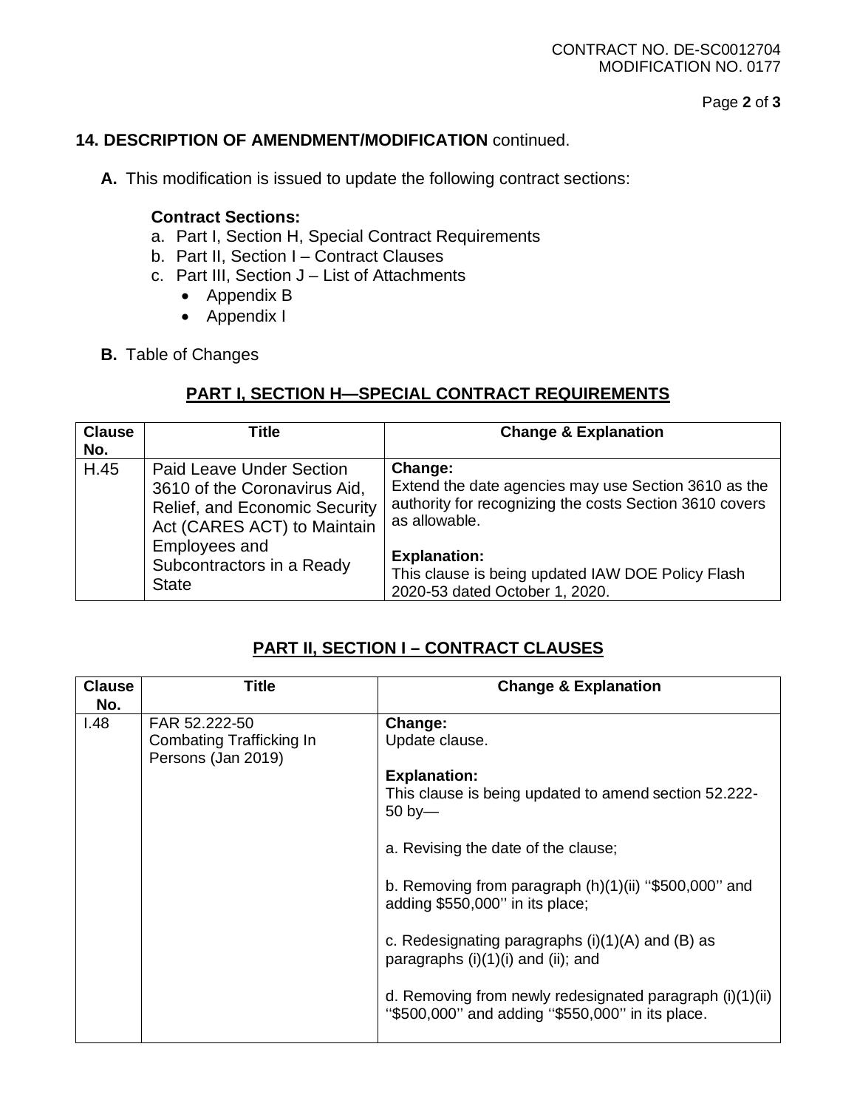Page **2** of **3**

## **14. DESCRIPTION OF AMENDMENT/MODIFICATION** continued.

**A.** This modification is issued to update the following contract sections:

### **Contract Sections:**

- a. Part I, Section H, Special Contract Requirements
- b. Part II, Section I Contract Clauses
- c. Part III, Section J List of Attachments
	- Appendix B
	- Appendix I
- **B.** Table of Changes

## **PART I, SECTION H—SPECIAL CONTRACT REQUIREMENTS**

| <b>Clause</b><br>No. | Title                                                                                                                                                                                         | <b>Change &amp; Explanation</b>                                                                                                                                                                                                                           |
|----------------------|-----------------------------------------------------------------------------------------------------------------------------------------------------------------------------------------------|-----------------------------------------------------------------------------------------------------------------------------------------------------------------------------------------------------------------------------------------------------------|
| H.45                 | <b>Paid Leave Under Section</b><br>3610 of the Coronavirus Aid.<br>Relief, and Economic Security<br>Act (CARES ACT) to Maintain<br>Employees and<br>Subcontractors in a Ready<br><b>State</b> | Change:<br>Extend the date agencies may use Section 3610 as the<br>authority for recognizing the costs Section 3610 covers<br>as allowable.<br><b>Explanation:</b><br>This clause is being updated IAW DOE Policy Flash<br>2020-53 dated October 1, 2020. |

## **PART II, SECTION I – CONTRACT CLAUSES**

| <b>Clause</b><br>No. | <b>Title</b>                                                    | <b>Change &amp; Explanation</b>                                                                              |
|----------------------|-----------------------------------------------------------------|--------------------------------------------------------------------------------------------------------------|
| 1.48                 | FAR 52.222-50<br>Combating Trafficking In<br>Persons (Jan 2019) | Change:<br>Update clause.                                                                                    |
|                      |                                                                 | <b>Explanation:</b><br>This clause is being updated to amend section 52.222-<br>$50 b$ y-                    |
|                      |                                                                 | a. Revising the date of the clause;                                                                          |
|                      |                                                                 | b. Removing from paragraph $(h)(1)(ii)$ "\$500,000" and<br>adding \$550,000" in its place;                   |
|                      |                                                                 | c. Redesignating paragraphs $(i)(1)(A)$ and $(B)$ as<br>paragraphs $(i)(1)(i)$ and $(ii)$ ; and              |
|                      |                                                                 | d. Removing from newly redesignated paragraph (i)(1)(ii)<br>"\$500,000" and adding "\$550,000" in its place. |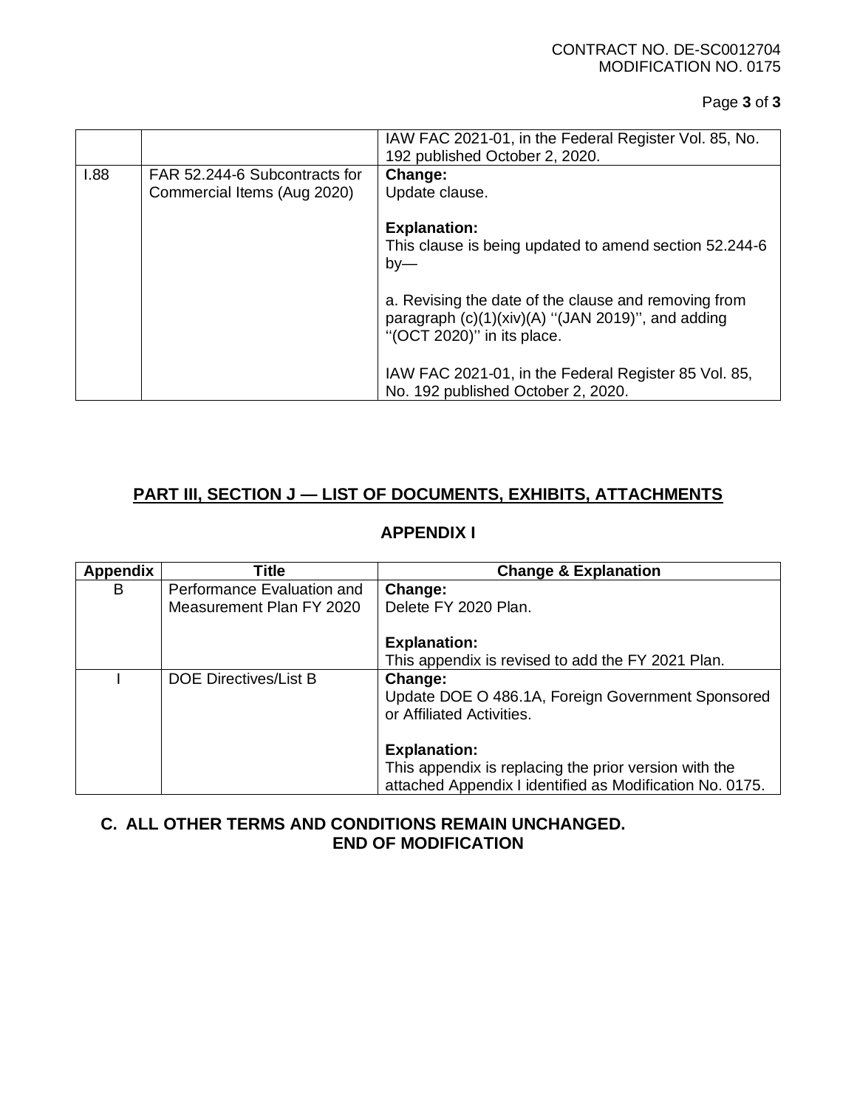### Page **3** of **3**

|      |                               | IAW FAC 2021-01, in the Federal Register Vol. 85, No.<br>192 published October 2, 2020.                                                       |
|------|-------------------------------|-----------------------------------------------------------------------------------------------------------------------------------------------|
| 1.88 | FAR 52.244-6 Subcontracts for | Change:                                                                                                                                       |
|      | Commercial Items (Aug 2020)   | Update clause.                                                                                                                                |
|      |                               | <b>Explanation:</b>                                                                                                                           |
|      |                               | This clause is being updated to amend section 52.244-6<br>by—                                                                                 |
|      |                               | a. Revising the date of the clause and removing from<br>paragraph $(c)(1)(xiv)(A)$ "(JAN 2019)", and adding<br>" $(OCT 2020)$ " in its place. |
|      |                               | IAW FAC 2021-01, in the Federal Register 85 Vol. 85,<br>No. 192 published October 2, 2020.                                                    |

## **PART III, SECTION J — LIST OF DOCUMENTS, EXHIBITS, ATTACHMENTS**

## **APPENDIX I**

| Appendix | Title                        | <b>Change &amp; Explanation</b>                                                                                                          |
|----------|------------------------------|------------------------------------------------------------------------------------------------------------------------------------------|
| B        | Performance Evaluation and   | Change:                                                                                                                                  |
|          | Measurement Plan FY 2020     | Delete FY 2020 Plan.                                                                                                                     |
|          |                              | <b>Explanation:</b>                                                                                                                      |
|          |                              | This appendix is revised to add the FY 2021 Plan.                                                                                        |
|          | <b>DOE Directives/List B</b> | Change:<br>Update DOE O 486.1A, Foreign Government Sponsored<br>or Affiliated Activities.                                                |
|          |                              | <b>Explanation:</b><br>This appendix is replacing the prior version with the<br>attached Appendix I identified as Modification No. 0175. |

### **C. ALL OTHER TERMS AND CONDITIONS REMAIN UNCHANGED. END OF MODIFICATION**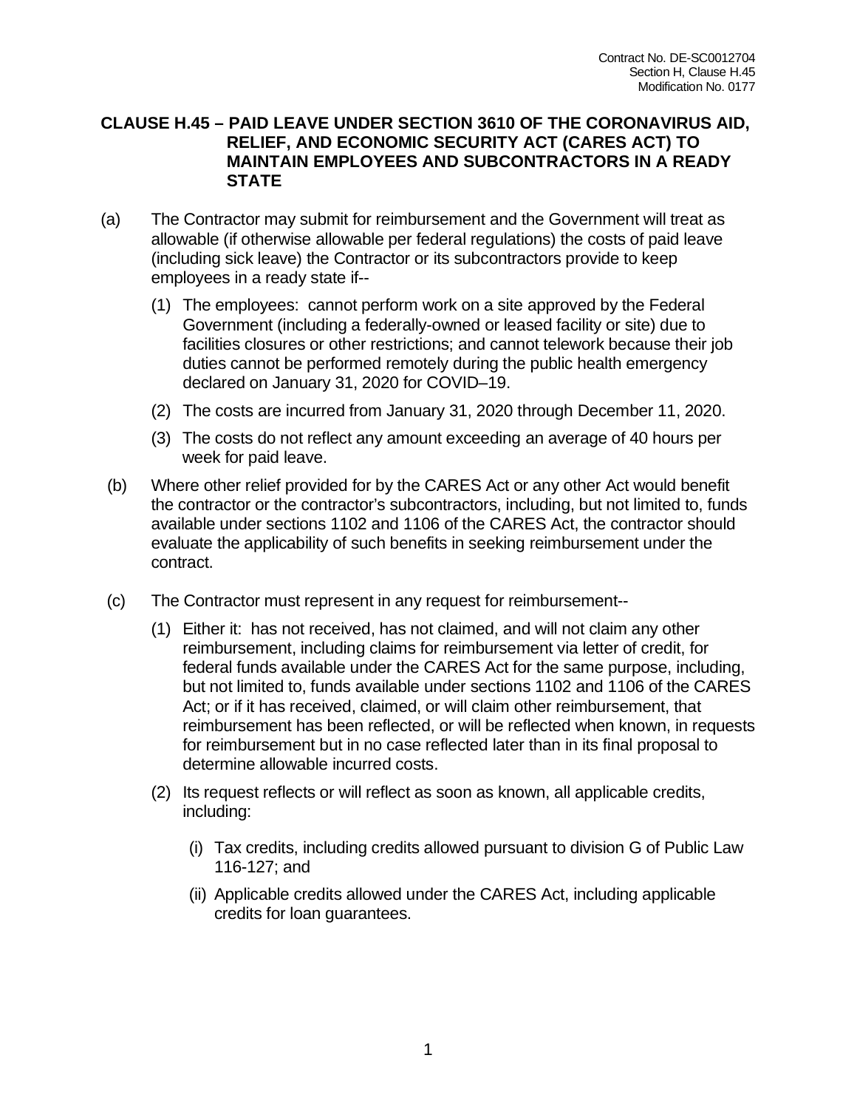## **CLAUSE H.45 – PAID LEAVE UNDER SECTION 3610 OF THE CORONAVIRUS AID, RELIEF, AND ECONOMIC SECURITY ACT (CARES ACT) TO MAINTAIN EMPLOYEES AND SUBCONTRACTORS IN A READY STATE**

- (a) The Contractor may submit for reimbursement and the Government will treat as allowable (if otherwise allowable per federal regulations) the costs of paid leave (including sick leave) the Contractor or its subcontractors provide to keep employees in a ready state if--
	- (1) The employees: cannot perform work on a site approved by the Federal Government (including a federally-owned or leased facility or site) due to facilities closures or other restrictions; and cannot telework because their job duties cannot be performed remotely during the public health emergency declared on January 31, 2020 for COVID–19.
	- (2) The costs are incurred from January 31, 2020 through December 11, 2020.
	- (3) The costs do not reflect any amount exceeding an average of 40 hours per week for paid leave.
- (b) Where other relief provided for by the CARES Act or any other Act would benefit the contractor or the contractor's subcontractors, including, but not limited to, funds available under sections 1102 and 1106 of the CARES Act, the contractor should evaluate the applicability of such benefits in seeking reimbursement under the contract.
- (c) The Contractor must represent in any request for reimbursement--
	- (1) Either it: has not received, has not claimed, and will not claim any other reimbursement, including claims for reimbursement via letter of credit, for federal funds available under the CARES Act for the same purpose, including, but not limited to, funds available under sections 1102 and 1106 of the CARES Act; or if it has received, claimed, or will claim other reimbursement, that reimbursement has been reflected, or will be reflected when known, in requests for reimbursement but in no case reflected later than in its final proposal to determine allowable incurred costs.
	- (2) Its request reflects or will reflect as soon as known, all applicable credits, including:
		- (i) Tax credits, including credits allowed pursuant to division G of Public Law 116-127; and
		- (ii) Applicable credits allowed under the CARES Act, including applicable credits for loan guarantees.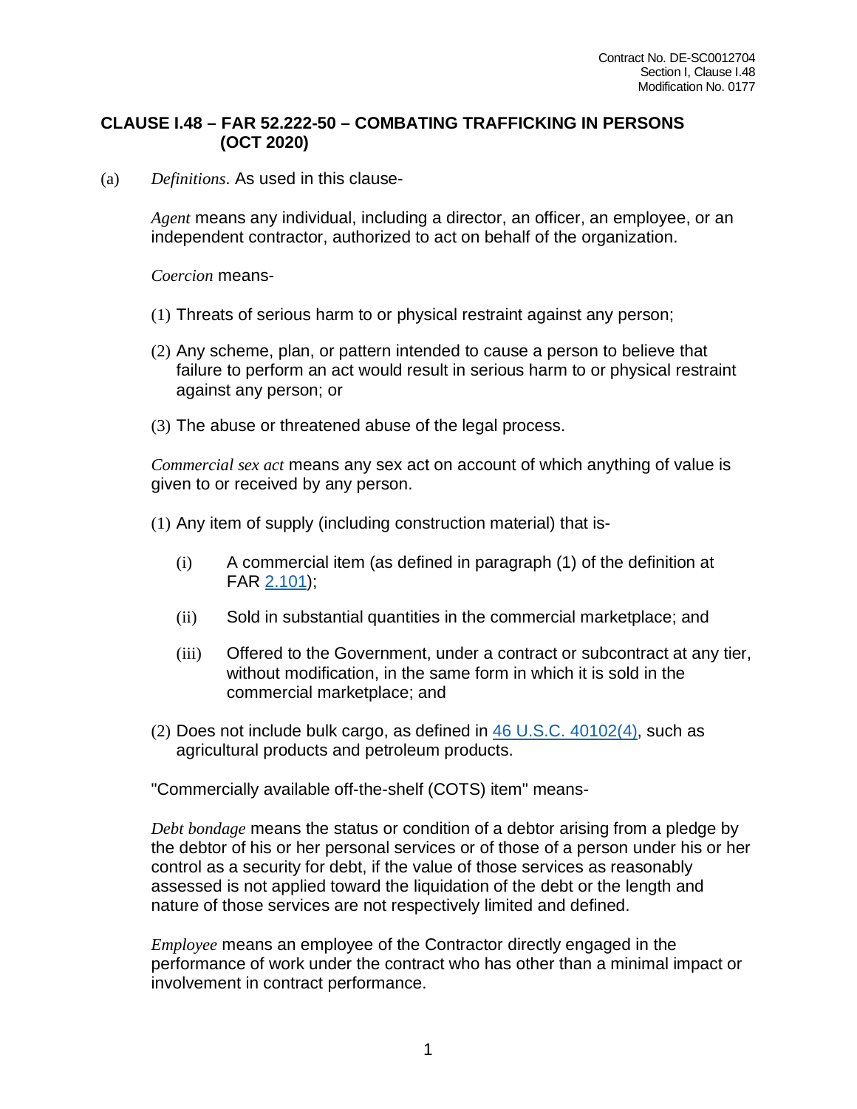## **CLAUSE I.48 – FAR 52.222-50 – COMBATING TRAFFICKING IN PERSONS (OCT 2020)**

(a) *Definitions*. As used in this clause-

*Agent* means any individual, including a director, an officer, an employee, or an independent contractor, authorized to act on behalf of the organization.

*Coercion* means-

- (1) Threats of serious harm to or physical restraint against any person;
- (2) Any scheme, plan, or pattern intended to cause a person to believe that failure to perform an act would result in serious harm to or physical restraint against any person; or
- (3) The abuse or threatened abuse of the legal process.

*Commercial sex act* means any sex act on account of which anything of value is given to or received by any person.

(1) Any item of supply (including construction material) that is-

- (i) A commercial item (as defined in paragraph (1) of the definition at FAR [2.101\)](https://www.acquisition.gov/far/part-2#FAR_2_101);
- (ii) Sold in substantial quantities in the commercial marketplace; and
- (iii) Offered to the Government, under a contract or subcontract at any tier, without modification, in the same form in which it is sold in the commercial marketplace; and
- (2) Does not include bulk cargo, as defined in  $46$  U.S.C.  $40102(4)$ , such as agricultural products and petroleum products.

"Commercially available off-the-shelf (COTS) item" means-

*Debt bondage* means the status or condition of a debtor arising from a pledge by the debtor of his or her personal services or of those of a person under his or her control as a security for debt, if the value of those services as reasonably assessed is not applied toward the liquidation of the debt or the length and nature of those services are not respectively limited and defined.

*Employee* means an employee of the Contractor directly engaged in the performance of work under the contract who has other than a minimal impact or involvement in contract performance.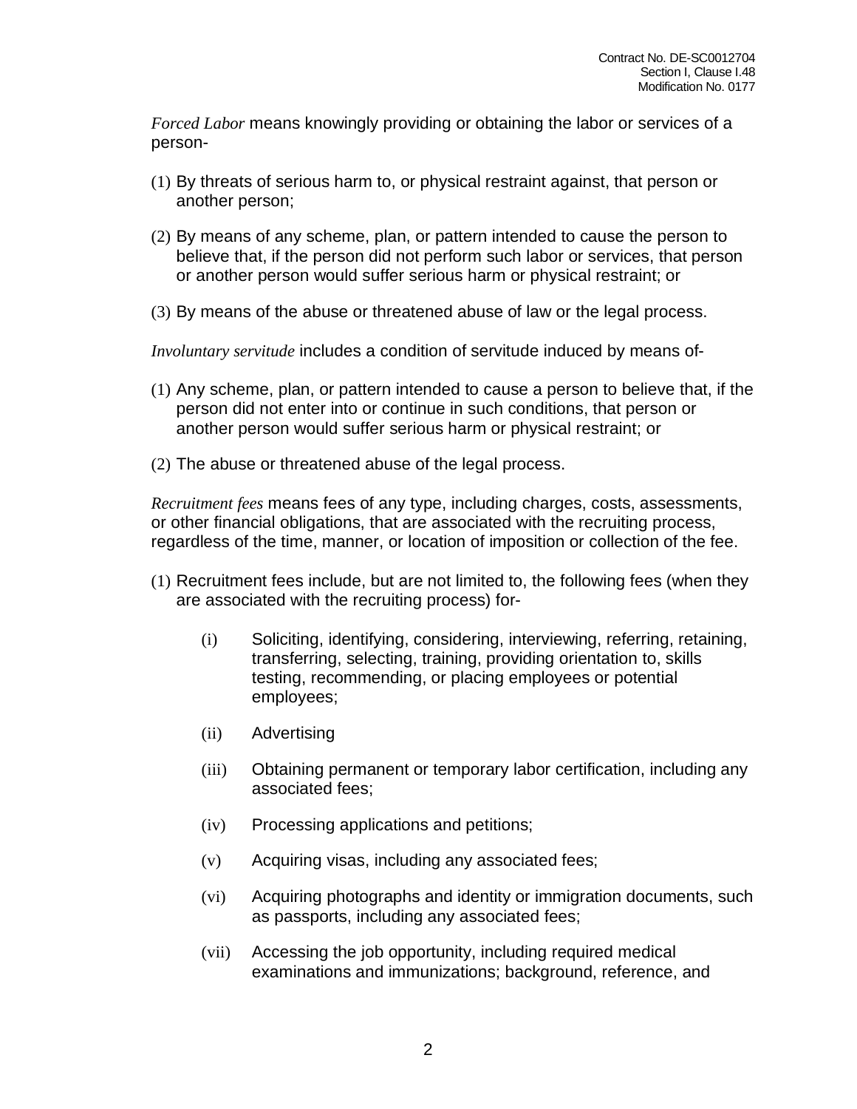*Forced Labor* means knowingly providing or obtaining the labor or services of a person-

- (1) By threats of serious harm to, or physical restraint against, that person or another person;
- (2) By means of any scheme, plan, or pattern intended to cause the person to believe that, if the person did not perform such labor or services, that person or another person would suffer serious harm or physical restraint; or
- (3) By means of the abuse or threatened abuse of law or the legal process.

*Involuntary servitude* includes a condition of servitude induced by means of-

- (1) Any scheme, plan, or pattern intended to cause a person to believe that, if the person did not enter into or continue in such conditions, that person or another person would suffer serious harm or physical restraint; or
- (2) The abuse or threatened abuse of the legal process.

*Recruitment fees* means fees of any type, including charges, costs, assessments, or other financial obligations, that are associated with the recruiting process, regardless of the time, manner, or location of imposition or collection of the fee.

- (1) Recruitment fees include, but are not limited to, the following fees (when they are associated with the recruiting process) for-
	- (i) Soliciting, identifying, considering, interviewing, referring, retaining, transferring, selecting, training, providing orientation to, skills testing, recommending, or placing employees or potential employees;
	- (ii) Advertising
	- (iii) Obtaining permanent or temporary labor certification, including any associated fees;
	- (iv) Processing applications and petitions;
	- (v) Acquiring visas, including any associated fees;
	- (vi) Acquiring photographs and identity or immigration documents, such as passports, including any associated fees;
	- (vii) Accessing the job opportunity, including required medical examinations and immunizations; background, reference, and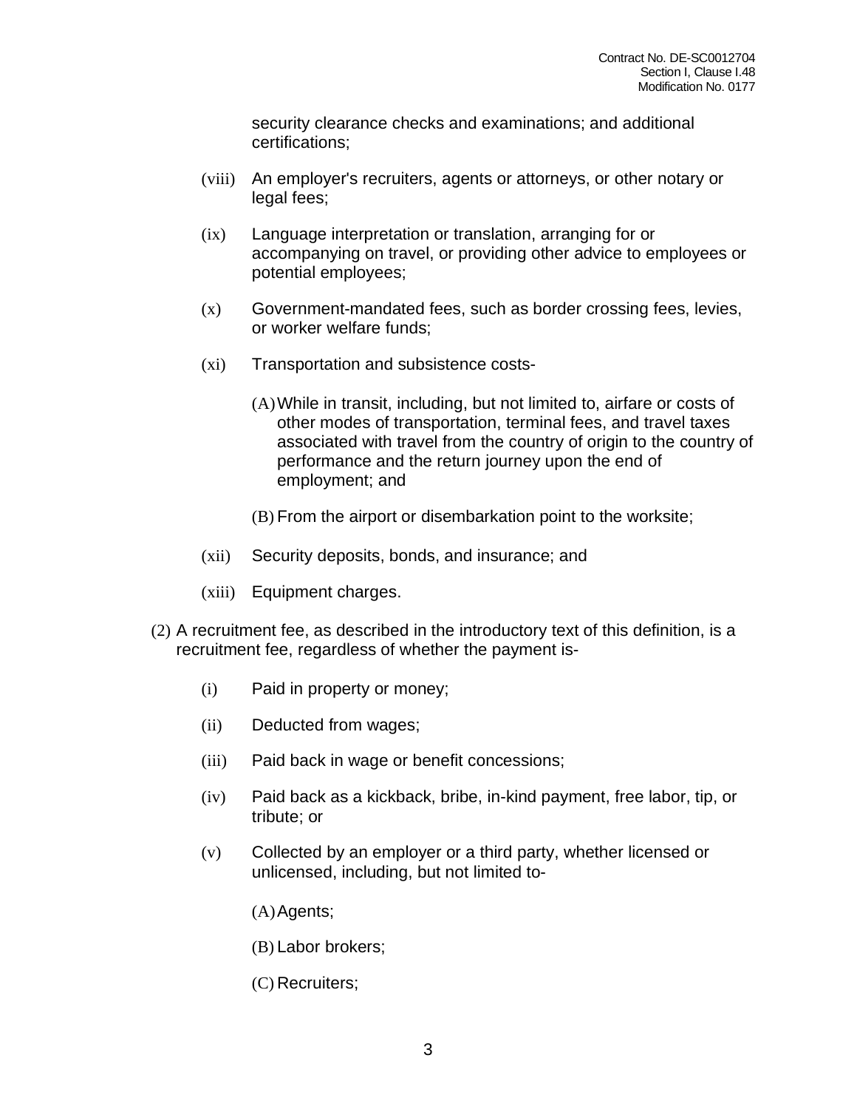security clearance checks and examinations; and additional certifications;

- (viii) An employer's recruiters, agents or attorneys, or other notary or legal fees;
- (ix) Language interpretation or translation, arranging for or accompanying on travel, or providing other advice to employees or potential employees;
- (x) Government-mandated fees, such as border crossing fees, levies, or worker welfare funds;
- (xi) Transportation and subsistence costs-
	- (A)While in transit, including, but not limited to, airfare or costs of other modes of transportation, terminal fees, and travel taxes associated with travel from the country of origin to the country of performance and the return journey upon the end of employment; and
	- (B) From the airport or disembarkation point to the worksite;
- (xii) Security deposits, bonds, and insurance; and
- (xiii) Equipment charges.
- (2) A recruitment fee, as described in the introductory text of this definition, is a recruitment fee, regardless of whether the payment is-
	- (i) Paid in property or money;
	- (ii) Deducted from wages;
	- (iii) Paid back in wage or benefit concessions;
	- (iv) Paid back as a kickback, bribe, in-kind payment, free labor, tip, or tribute; or
	- (v) Collected by an employer or a third party, whether licensed or unlicensed, including, but not limited to-
		- (A)Agents;
		- (B) Labor brokers;
		- (C) Recruiters;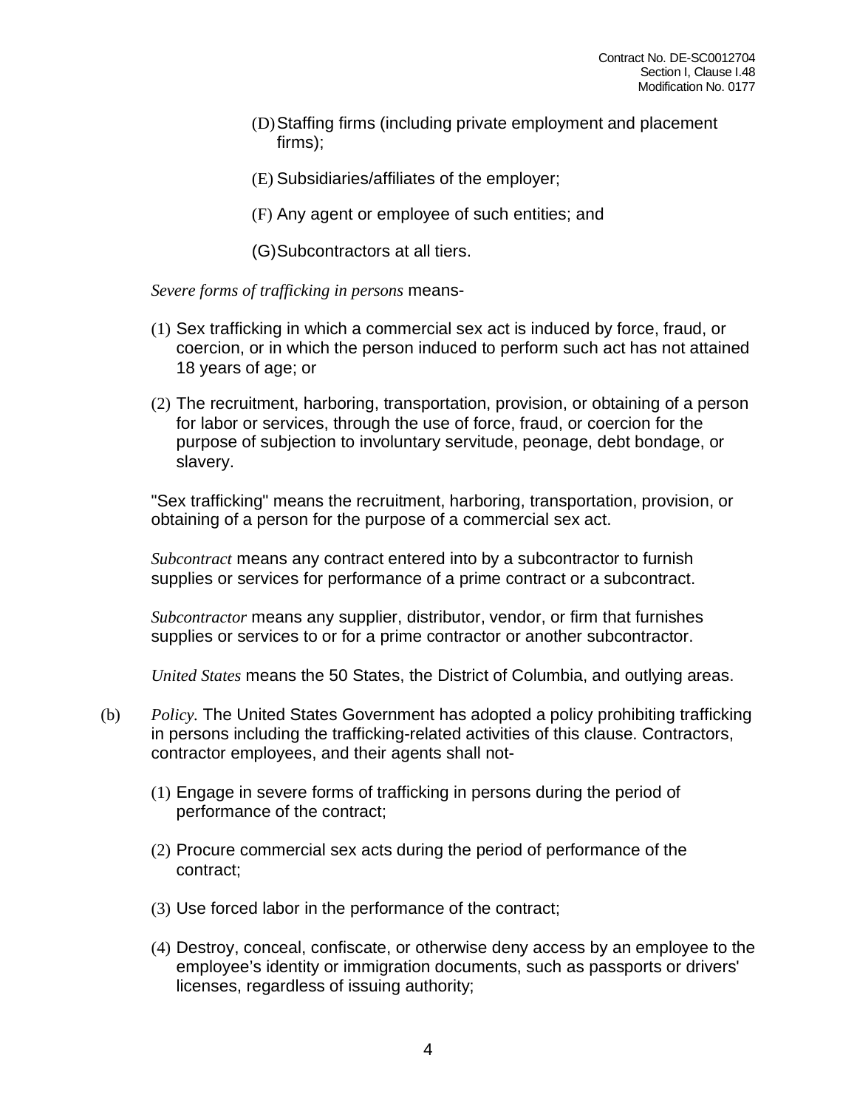- (D)Staffing firms (including private employment and placement firms);
- (E) Subsidiaries/affiliates of the employer;
- (F) Any agent or employee of such entities; and
- (G)Subcontractors at all tiers.

### *Severe forms of trafficking in persons* means-

- (1) Sex trafficking in which a commercial sex act is induced by force, fraud, or coercion, or in which the person induced to perform such act has not attained 18 years of age; or
- (2) The recruitment, harboring, transportation, provision, or obtaining of a person for labor or services, through the use of force, fraud, or coercion for the purpose of subjection to involuntary servitude, peonage, debt bondage, or slavery.

"Sex trafficking" means the recruitment, harboring, transportation, provision, or obtaining of a person for the purpose of a commercial sex act.

*Subcontract* means any contract entered into by a subcontractor to furnish supplies or services for performance of a prime contract or a subcontract.

*Subcontractor* means any supplier, distributor, vendor, or firm that furnishes supplies or services to or for a prime contractor or another subcontractor.

*United States* means the 50 States, the District of Columbia, and outlying areas.

- (b) *Policy.* The United States Government has adopted a policy prohibiting trafficking in persons including the trafficking-related activities of this clause. Contractors, contractor employees, and their agents shall not-
	- (1) Engage in severe forms of trafficking in persons during the period of performance of the contract;
	- (2) Procure commercial sex acts during the period of performance of the contract;
	- (3) Use forced labor in the performance of the contract;
	- (4) Destroy, conceal, confiscate, or otherwise deny access by an employee to the employee's identity or immigration documents, such as passports or drivers' licenses, regardless of issuing authority;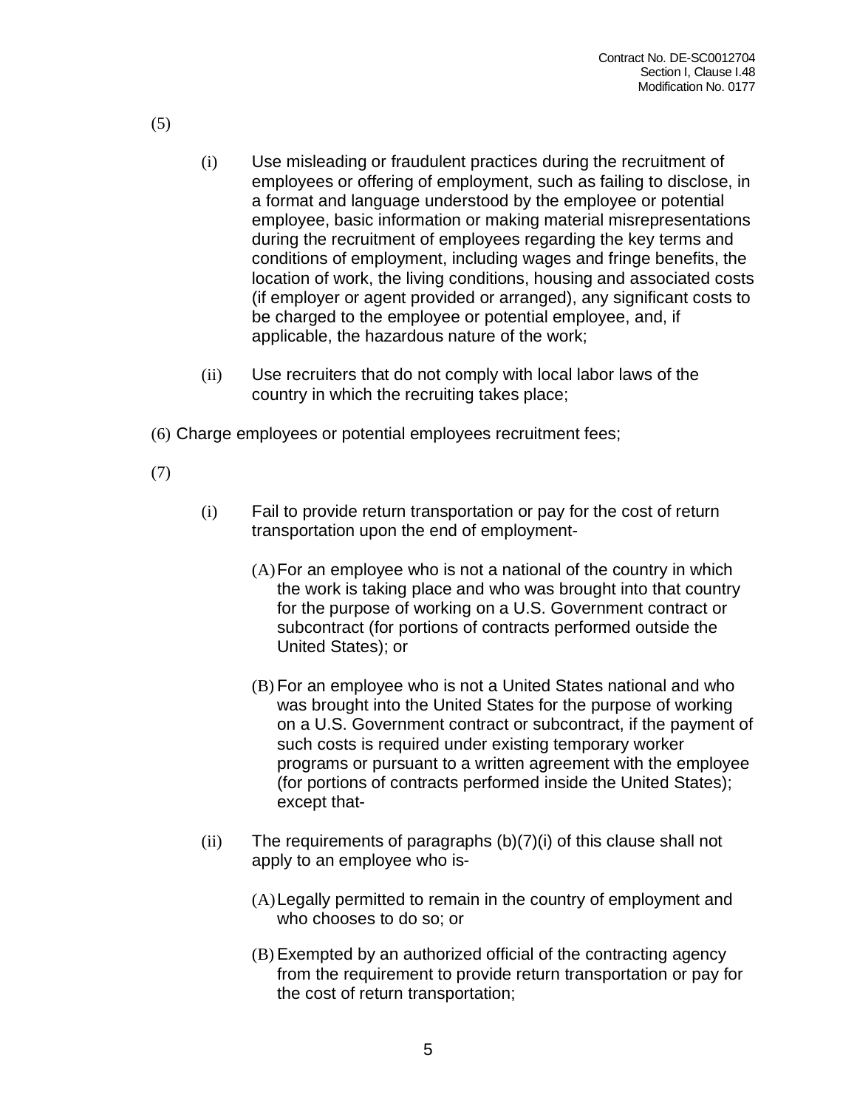- (i) Use misleading or fraudulent practices during the recruitment of employees or offering of employment, such as failing to disclose, in a format and language understood by the employee or potential employee, basic information or making material misrepresentations during the recruitment of employees regarding the key terms and conditions of employment, including wages and fringe benefits, the location of work, the living conditions, housing and associated costs (if employer or agent provided or arranged), any significant costs to be charged to the employee or potential employee, and, if applicable, the hazardous nature of the work;
- (ii) Use recruiters that do not comply with local labor laws of the country in which the recruiting takes place;
- (6) Charge employees or potential employees recruitment fees;
- (7)
- (i) Fail to provide return transportation or pay for the cost of return transportation upon the end of employment-
	- (A)For an employee who is not a national of the country in which the work is taking place and who was brought into that country for the purpose of working on a U.S. Government contract or subcontract (for portions of contracts performed outside the United States); or
	- (B) For an employee who is not a United States national and who was brought into the United States for the purpose of working on a U.S. Government contract or subcontract, if the payment of such costs is required under existing temporary worker programs or pursuant to a written agreement with the employee (for portions of contracts performed inside the United States); except that-
- $(ii)$  The requirements of paragraphs  $(b)(7)(i)$  of this clause shall not apply to an employee who is-
	- (A)Legally permitted to remain in the country of employment and who chooses to do so; or
	- (B) Exempted by an authorized official of the contracting agency from the requirement to provide return transportation or pay for the cost of return transportation;

(5)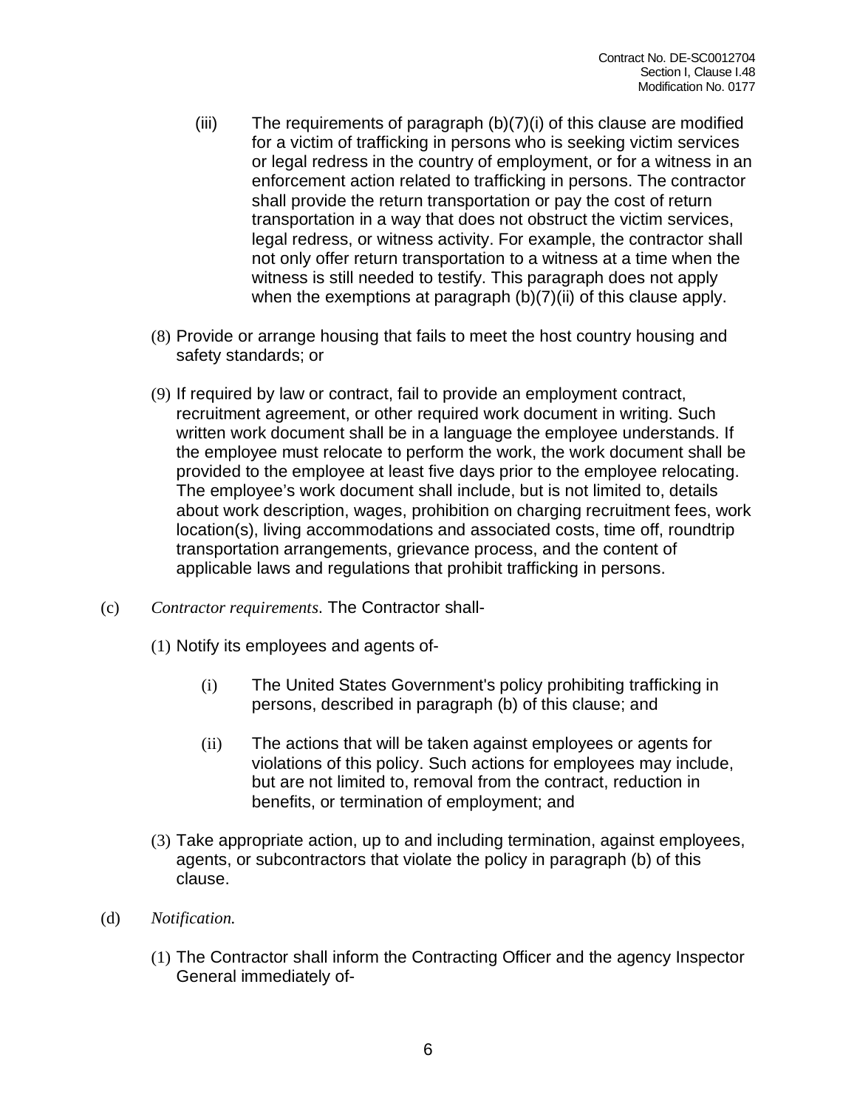- (iii) The requirements of paragraph (b)(7)(i) of this clause are modified for a victim of trafficking in persons who is seeking victim services or legal redress in the country of employment, or for a witness in an enforcement action related to trafficking in persons. The contractor shall provide the return transportation or pay the cost of return transportation in a way that does not obstruct the victim services, legal redress, or witness activity. For example, the contractor shall not only offer return transportation to a witness at a time when the witness is still needed to testify. This paragraph does not apply when the exemptions at paragraph (b)(7)(ii) of this clause apply.
- (8) Provide or arrange housing that fails to meet the host country housing and safety standards; or
- (9) If required by law or contract, fail to provide an employment contract, recruitment agreement, or other required work document in writing. Such written work document shall be in a language the employee understands. If the employee must relocate to perform the work, the work document shall be provided to the employee at least five days prior to the employee relocating. The employee's work document shall include, but is not limited to, details about work description, wages, prohibition on charging recruitment fees, work location(s), living accommodations and associated costs, time off, roundtrip transportation arrangements, grievance process, and the content of applicable laws and regulations that prohibit trafficking in persons.
- (c) *Contractor requirements*. The Contractor shall-
	- (1) Notify its employees and agents of-
		- (i) The United States Government's policy prohibiting trafficking in persons, described in paragraph (b) of this clause; and
		- (ii) The actions that will be taken against employees or agents for violations of this policy. Such actions for employees may include, but are not limited to, removal from the contract, reduction in benefits, or termination of employment; and
	- (3) Take appropriate action, up to and including termination, against employees, agents, or subcontractors that violate the policy in paragraph (b) of this clause.
- (d) *Notification.*
	- (1) The Contractor shall inform the Contracting Officer and the agency Inspector General immediately of-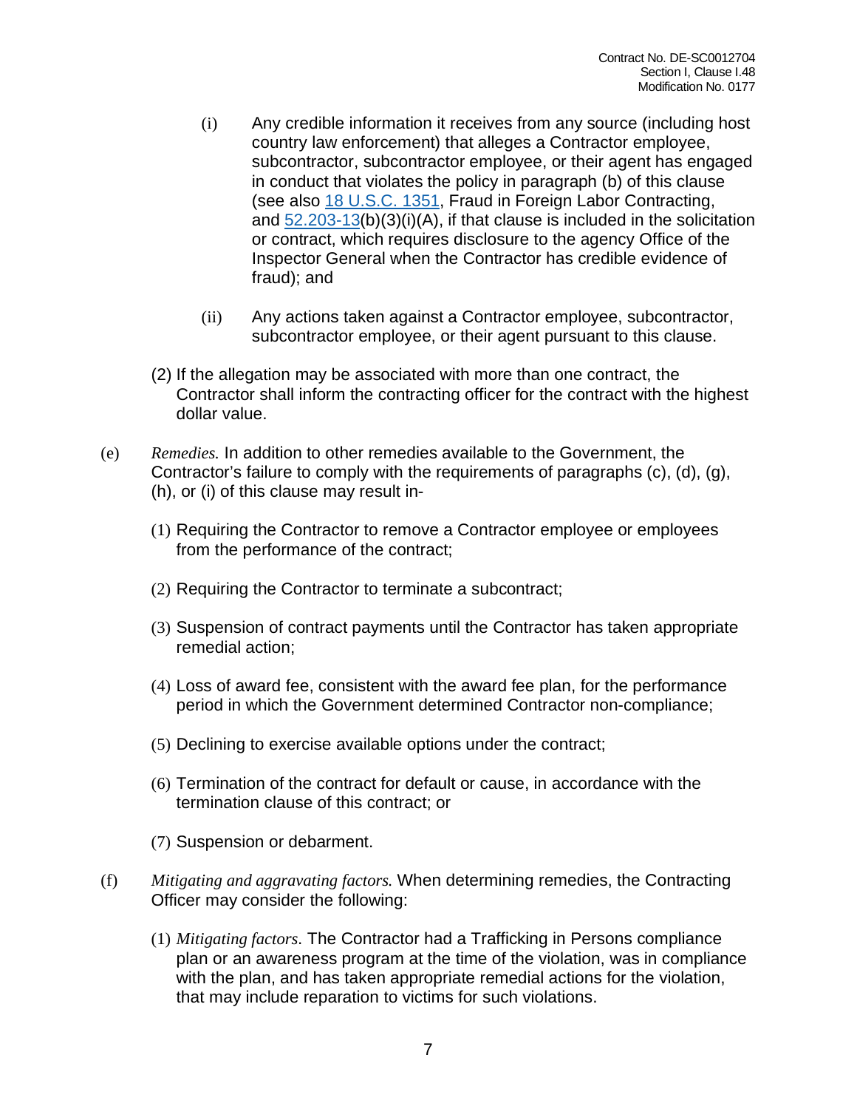- (i) Any credible information it receives from any source (including host country law enforcement) that alleges a Contractor employee, subcontractor, subcontractor employee, or their agent has engaged in conduct that violates the policy in paragraph (b) of this clause (see also 18 [U.S.C.](http://uscode.house.gov/browse.xhtml;jsessionid=114A3287C7B3359E597506A31FC855B3) 1351, Fraud in Foreign Labor Contracting, and [52.203-13\(](https://www.acquisition.gov/far/part-52#FAR_52_203_13)b)(3)(i)(A), if that clause is included in the solicitation or contract, which requires disclosure to the agency Office of the Inspector General when the Contractor has credible evidence of fraud); and
- (ii) Any actions taken against a Contractor employee, subcontractor, subcontractor employee, or their agent pursuant to this clause.
- (2) If the allegation may be associated with more than one contract, the Contractor shall inform the contracting officer for the contract with the highest dollar value.
- (e) *Remedies.* In addition to other remedies available to the Government, the Contractor's failure to comply with the requirements of paragraphs (c), (d), (g), (h), or (i) of this clause may result in-
	- (1) Requiring the Contractor to remove a Contractor employee or employees from the performance of the contract;
	- (2) Requiring the Contractor to terminate a subcontract;
	- (3) Suspension of contract payments until the Contractor has taken appropriate remedial action;
	- (4) Loss of award fee, consistent with the award fee plan, for the performance period in which the Government determined Contractor non-compliance;
	- (5) Declining to exercise available options under the contract;
	- (6) Termination of the contract for default or cause, in accordance with the termination clause of this contract; or
	- (7) Suspension or debarment.
- (f) *Mitigating and aggravating factors.* When determining remedies, the Contracting Officer may consider the following:
	- (1) *Mitigating factors*. The Contractor had a Trafficking in Persons compliance plan or an awareness program at the time of the violation, was in compliance with the plan, and has taken appropriate remedial actions for the violation, that may include reparation to victims for such violations.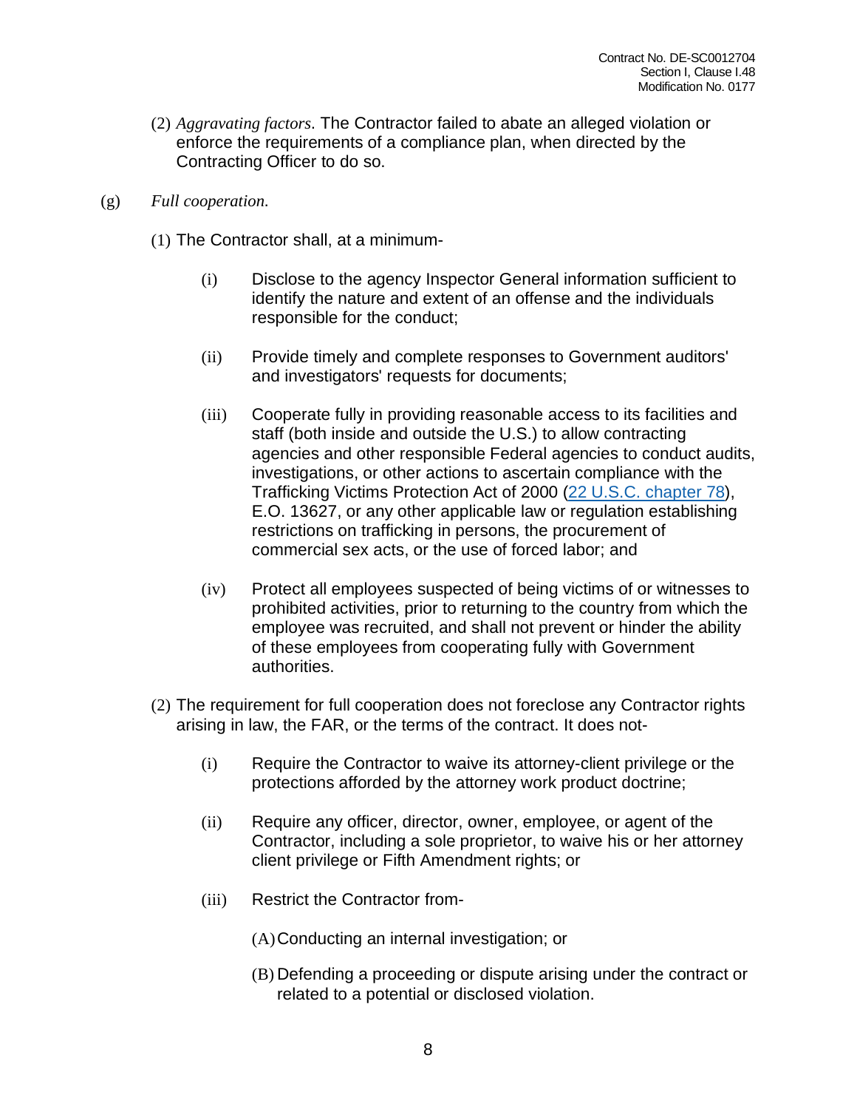- (2) *Aggravating factors*. The Contractor failed to abate an alleged violation or enforce the requirements of a compliance plan, when directed by the Contracting Officer to do so.
- (g) *Full cooperation*.
	- (1) The Contractor shall, at a minimum-
		- (i) Disclose to the agency Inspector General information sufficient to identify the nature and extent of an offense and the individuals responsible for the conduct;
		- (ii) Provide timely and complete responses to Government auditors' and investigators' requests for documents;
		- (iii) Cooperate fully in providing reasonable access to its facilities and staff (both inside and outside the U.S.) to allow contracting agencies and other responsible Federal agencies to conduct audits, investigations, or other actions to ascertain compliance with the Trafficking Victims Protection Act of 2000 (22 U.S.C. [chapter](http://uscode.house.gov/browse.xhtml;jsessionid=114A3287C7B3359E597506A31FC855B3) 78), E.O. 13627, or any other applicable law or regulation establishing restrictions on trafficking in persons, the procurement of commercial sex acts, or the use of forced labor; and
		- (iv) Protect all employees suspected of being victims of or witnesses to prohibited activities, prior to returning to the country from which the employee was recruited, and shall not prevent or hinder the ability of these employees from cooperating fully with Government authorities.
	- (2) The requirement for full cooperation does not foreclose any Contractor rights arising in law, the FAR, or the terms of the contract. It does not-
		- (i) Require the Contractor to waive its attorney-client privilege or the protections afforded by the attorney work product doctrine;
		- (ii) Require any officer, director, owner, employee, or agent of the Contractor, including a sole proprietor, to waive his or her attorney client privilege or Fifth Amendment rights; or
		- (iii) Restrict the Contractor from-
			- (A)Conducting an internal investigation; or
			- (B) Defending a proceeding or dispute arising under the contract or related to a potential or disclosed violation.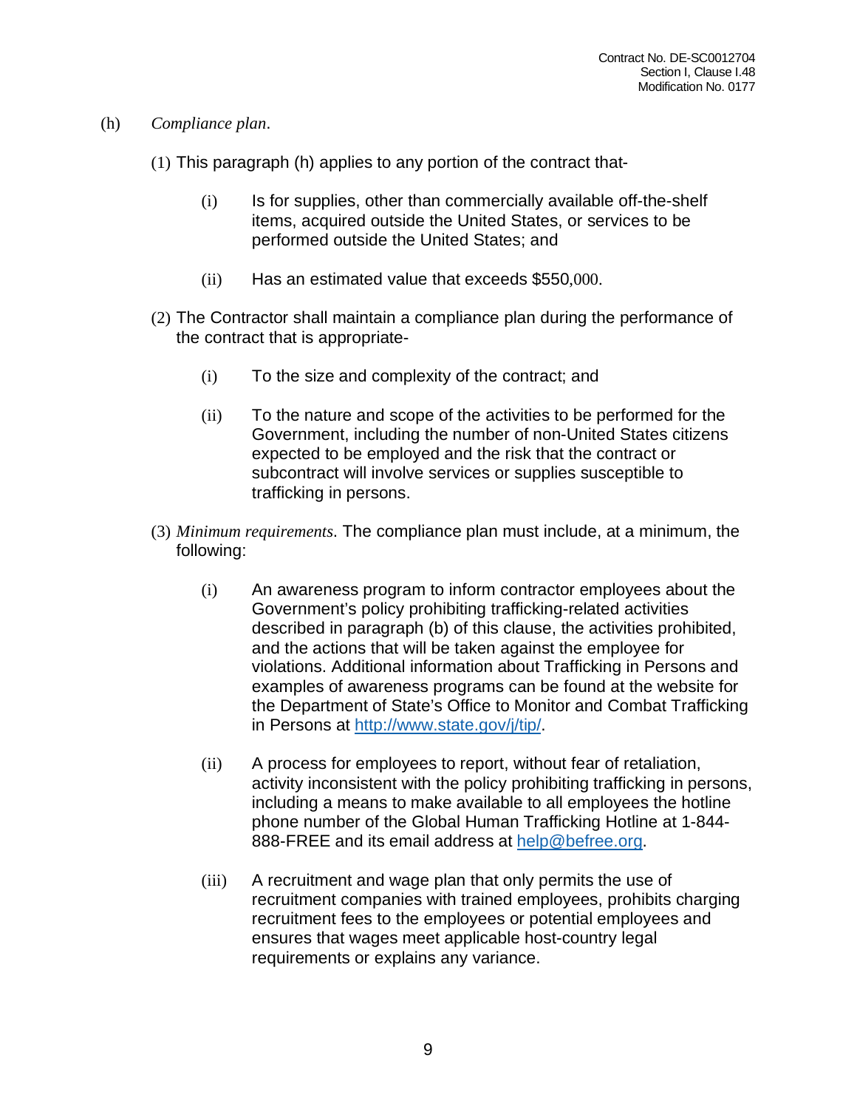## (h) *Compliance plan*.

- (1) This paragraph (h) applies to any portion of the contract that-
	- (i) Is for supplies, other than commercially available off-the-shelf items, acquired outside the United States, or services to be performed outside the United States; and
	- (ii) Has an estimated value that exceeds \$550,000.
- (2) The Contractor shall maintain a compliance plan during the performance of the contract that is appropriate-
	- (i) To the size and complexity of the contract; and
	- (ii) To the nature and scope of the activities to be performed for the Government, including the number of non-United States citizens expected to be employed and the risk that the contract or subcontract will involve services or supplies susceptible to trafficking in persons.
- (3) *Minimum requirements*. The compliance plan must include, at a minimum, the following:
	- (i) An awareness program to inform contractor employees about the Government's policy prohibiting trafficking-related activities described in paragraph (b) of this clause, the activities prohibited, and the actions that will be taken against the employee for violations. Additional information about Trafficking in Persons and examples of awareness programs can be found at the website for the Department of State's Office to Monitor and Combat Trafficking in Persons at [http://www.state.gov/j/tip/.](http://www.state.gov/j/tip/)
	- (ii) A process for employees to report, without fear of retaliation, activity inconsistent with the policy prohibiting trafficking in persons, including a means to make available to all employees the hotline phone number of the Global Human Trafficking Hotline at 1-844- 888-FREE and its email address at [help@befree.org.](mailto:help@befree.org)
	- (iii) A recruitment and wage plan that only permits the use of recruitment companies with trained employees, prohibits charging recruitment fees to the employees or potential employees and ensures that wages meet applicable host-country legal requirements or explains any variance.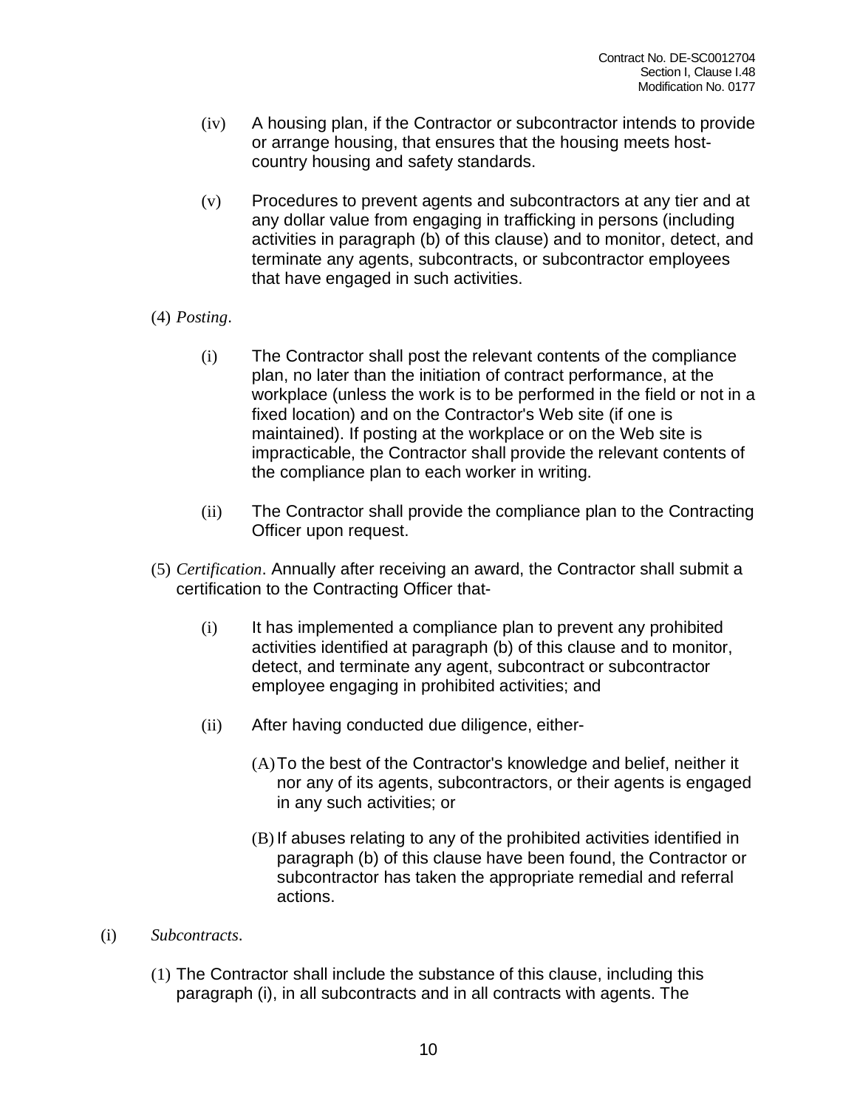- (iv) A housing plan, if the Contractor or subcontractor intends to provide or arrange housing, that ensures that the housing meets hostcountry housing and safety standards.
- (v) Procedures to prevent agents and subcontractors at any tier and at any dollar value from engaging in trafficking in persons (including activities in paragraph (b) of this clause) and to monitor, detect, and terminate any agents, subcontracts, or subcontractor employees that have engaged in such activities.
- (4) *Posting*.
	- (i) The Contractor shall post the relevant contents of the compliance plan, no later than the initiation of contract performance, at the workplace (unless the work is to be performed in the field or not in a fixed location) and on the Contractor's Web site (if one is maintained). If posting at the workplace or on the Web site is impracticable, the Contractor shall provide the relevant contents of the compliance plan to each worker in writing.
	- (ii) The Contractor shall provide the compliance plan to the Contracting Officer upon request.
- (5) *Certification*. Annually after receiving an award, the Contractor shall submit a certification to the Contracting Officer that-
	- (i) It has implemented a compliance plan to prevent any prohibited activities identified at paragraph (b) of this clause and to monitor, detect, and terminate any agent, subcontract or subcontractor employee engaging in prohibited activities; and
	- (ii) After having conducted due diligence, either-
		- (A)To the best of the Contractor's knowledge and belief, neither it nor any of its agents, subcontractors, or their agents is engaged in any such activities; or
		- (B) If abuses relating to any of the prohibited activities identified in paragraph (b) of this clause have been found, the Contractor or subcontractor has taken the appropriate remedial and referral actions.
- (i) *Subcontracts*.
	- (1) The Contractor shall include the substance of this clause, including this paragraph (i), in all subcontracts and in all contracts with agents. The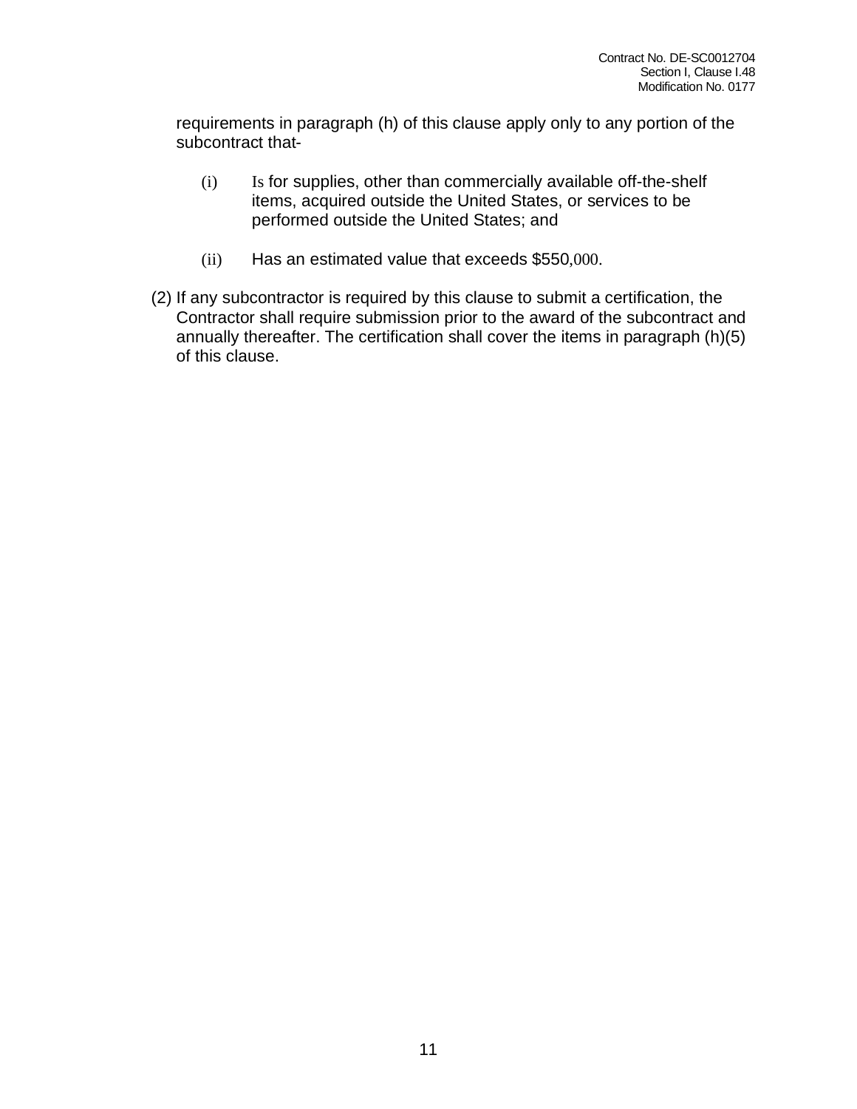requirements in paragraph (h) of this clause apply only to any portion of the subcontract that-

- (i) Is for supplies, other than commercially available off-the-shelf items, acquired outside the United States, or services to be performed outside the United States; and
- (ii) Has an estimated value that exceeds \$550,000.
- (2) If any subcontractor is required by this clause to submit a certification, the Contractor shall require submission prior to the award of the subcontract and annually thereafter. The certification shall cover the items in paragraph (h)(5) of this clause.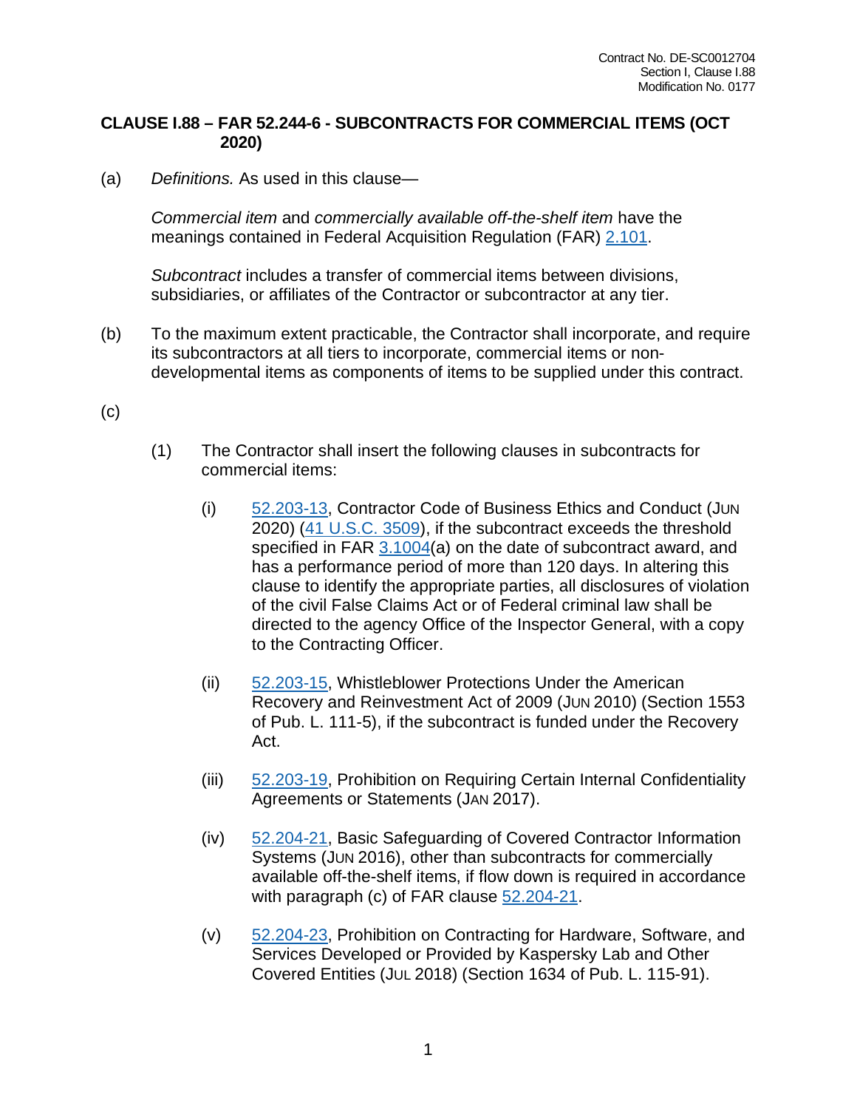## **CLAUSE I.88 – FAR 52.244-6 - SUBCONTRACTS FOR COMMERCIAL ITEMS (OCT 2020)**

(a) *Definitions.* As used in this clause—

*Commercial item* and *commercially available off-the-shelf item* have the meanings contained in Federal Acquisition Regulation (FAR) [2.101.](https://www.acquisition.gov/far/part-2#FAR_2_101)

*Subcontract* includes a transfer of commercial items between divisions, subsidiaries, or affiliates of the Contractor or subcontractor at any tier.

- (b) To the maximum extent practicable, the Contractor shall incorporate, and require its subcontractors at all tiers to incorporate, commercial items or nondevelopmental items as components of items to be supplied under this contract.
- (c)
- (1) The Contractor shall insert the following clauses in subcontracts for commercial items:
	- (i) [52.203-13,](https://www.acquisition.gov/far/part-52#FAR_52_203_13) Contractor Code of Business Ethics and Conduct (JUN 2020) (41 [U.S.C.](http://uscode.house.gov/browse.xhtml;jsessionid=114A3287C7B3359E597506A31FC855B3) 3509), if the subcontract exceeds the threshold specified in FAR [3.1004\(](https://www.acquisition.gov/far/part-3#FAR_3_1004)a) on the date of subcontract award, and has a performance period of more than 120 days. In altering this clause to identify the appropriate parties, all disclosures of violation of the civil False Claims Act or of Federal criminal law shall be directed to the agency Office of the Inspector General, with a copy to the Contracting Officer.
	- (ii) [52.203-15,](https://www.acquisition.gov/far/part-52#FAR_52_203_15) Whistleblower Protections Under the American Recovery and Reinvestment Act of 2009 (JUN 2010) (Section 1553 of Pub. L. 111-5), if the subcontract is funded under the Recovery Act.
	- (iii) [52.203-19,](https://www.acquisition.gov/far/part-52#FAR_52_203_19) Prohibition on Requiring Certain Internal Confidentiality Agreements or Statements (JAN 2017).
	- (iv) [52.204-21,](https://www.acquisition.gov/far/part-52#FAR_52_204_21) Basic Safeguarding of Covered Contractor Information Systems (JUN 2016), other than subcontracts for commercially available off-the-shelf items, if flow down is required in accordance with paragraph (c) of FAR clause [52.204-21.](https://www.acquisition.gov/far/part-52#FAR_52_204_21)
	- (v) [52.204-23,](https://www.acquisition.gov/far/part-52#FAR_52_204_23) Prohibition on Contracting for Hardware, Software, and Services Developed or Provided by Kaspersky Lab and Other Covered Entities (JUL 2018) (Section 1634 of Pub. L. 115-91).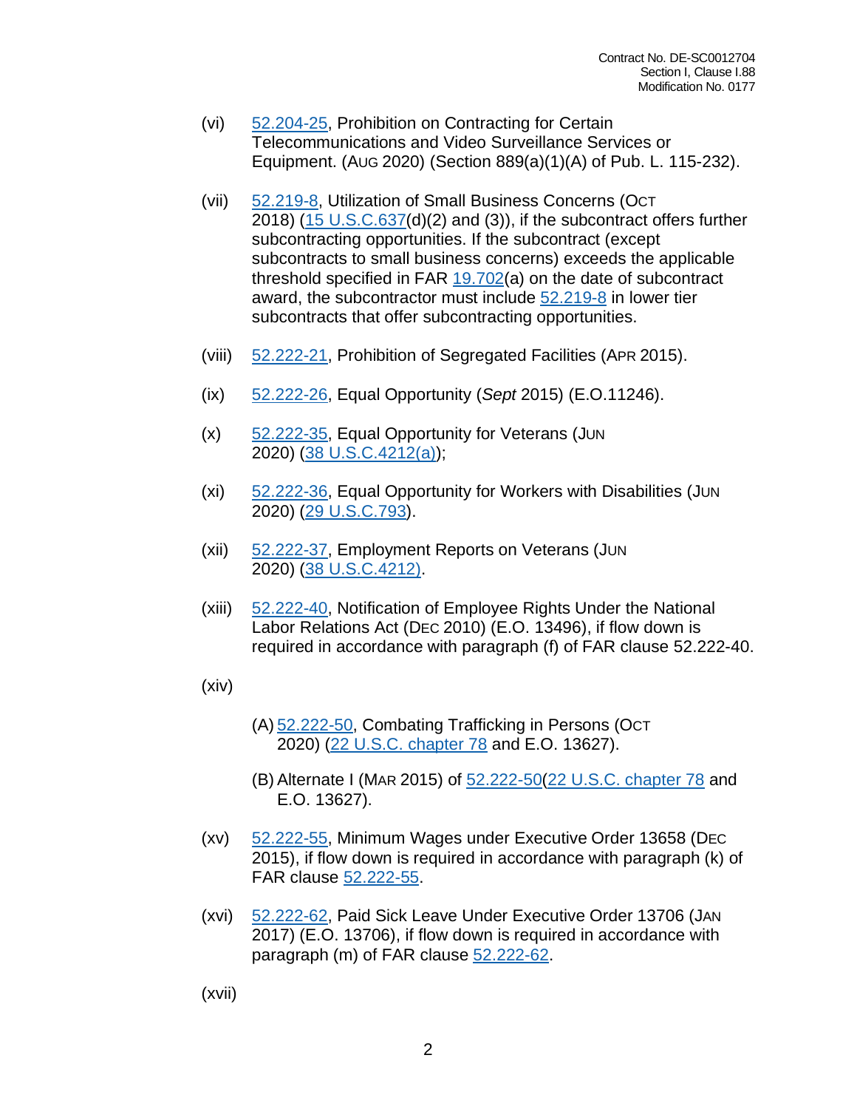- (vi) [52.204-25,](https://www.acquisition.gov/far/part-52#FAR_52_204_25) Prohibition on Contracting for Certain Telecommunications and Video Surveillance Services or Equipment. (AUG 2020) (Section 889(a)(1)(A) of Pub. L. 115-232).
- (vii) [52.219-8,](https://www.acquisition.gov/far/part-52#FAR_52_219_8) Utilization of Small Business Concerns (OCT 2018)  $(15 U.S.C.637(d)(2)$  $(15 U.S.C.637(d)(2)$  $(15 U.S.C.637(d)(2)$  and (3)), if the subcontract offers further subcontracting opportunities. If the subcontract (except subcontracts to small business concerns) exceeds the applicable threshold specified in FAR [19.702\(](https://www.acquisition.gov/far/part-19#FAR_19_702)a) on the date of subcontract award, the subcontractor must include [52.219-8](https://www.acquisition.gov/far/part-52#FAR_52_219_8) in lower tier subcontracts that offer subcontracting opportunities.
- (viii) [52.222-21,](https://www.acquisition.gov/far/part-52#FAR_52_222_21) Prohibition of Segregated Facilities (APR 2015).
- (ix) [52.222-26,](https://www.acquisition.gov/far/part-52#FAR_52_222_26) Equal Opportunity (*Sept* 2015) (E.O.11246).
- (x) [52.222-35,](https://www.acquisition.gov/far/part-52#FAR_52_222_35) Equal Opportunity for Veterans (JUN 2020) (38 [U.S.C.4212\(a\)\)](http://uscode.house.gov/browse.xhtml;jsessionid=114A3287C7B3359E597506A31FC855B3);
- (xi) [52.222-36,](https://www.acquisition.gov/far/part-52#FAR_52_222_36) Equal Opportunity for Workers with Disabilities (JUN 2020) (29 [U.S.C.793\)](http://uscode.house.gov/browse.xhtml;jsessionid=114A3287C7B3359E597506A31FC855B3).
- (xii) [52.222-37,](https://www.acquisition.gov/far/part-52#FAR_52_222_37) Employment Reports on Veterans (JUN 2020) (38 [U.S.C.4212\).](http://uscode.house.gov/browse.xhtml;jsessionid=114A3287C7B3359E597506A31FC855B3)
- (xiii) [52.222-40,](https://www.acquisition.gov/far/part-52#FAR_52_222_40) Notification of Employee Rights Under the National Labor Relations Act (DEC 2010) (E.O. 13496), if flow down is required in accordance with paragraph (f) of FAR clause 52.222-40.
- (xiv)
- (A) [52.222-50,](https://www.acquisition.gov/far/part-52#FAR_52_222_50) Combating Trafficking in Persons (OCT 2020) (22 U.S.C. [chapter](http://uscode.house.gov/browse.xhtml;jsessionid=114A3287C7B3359E597506A31FC855B3) 78 and E.O. 13627).
- (B) Alternate I (MAR 2015) of [52.222-50\(](https://www.acquisition.gov/far/part-52#FAR_52_222_50)22 U.S.C. [chapter](http://uscode.house.gov/browse.xhtml;jsessionid=114A3287C7B3359E597506A31FC855B3) 78 and E.O. 13627).
- (xv) [52.222-55,](https://www.acquisition.gov/far/part-52#FAR_52_222_55) Minimum Wages under Executive Order 13658 (DEC 2015), if flow down is required in accordance with paragraph (k) of FAR clause [52.222-55.](https://www.acquisition.gov/far/part-52#FAR_52_222_55)
- (xvi) [52.222-62,](https://www.acquisition.gov/far/part-52#FAR_52_222_62) Paid Sick Leave Under Executive Order 13706 (JAN 2017) (E.O. 13706), if flow down is required in accordance with paragraph (m) of FAR clause [52.222-62.](https://www.acquisition.gov/far/part-52#FAR_52_222_62)

(xvii)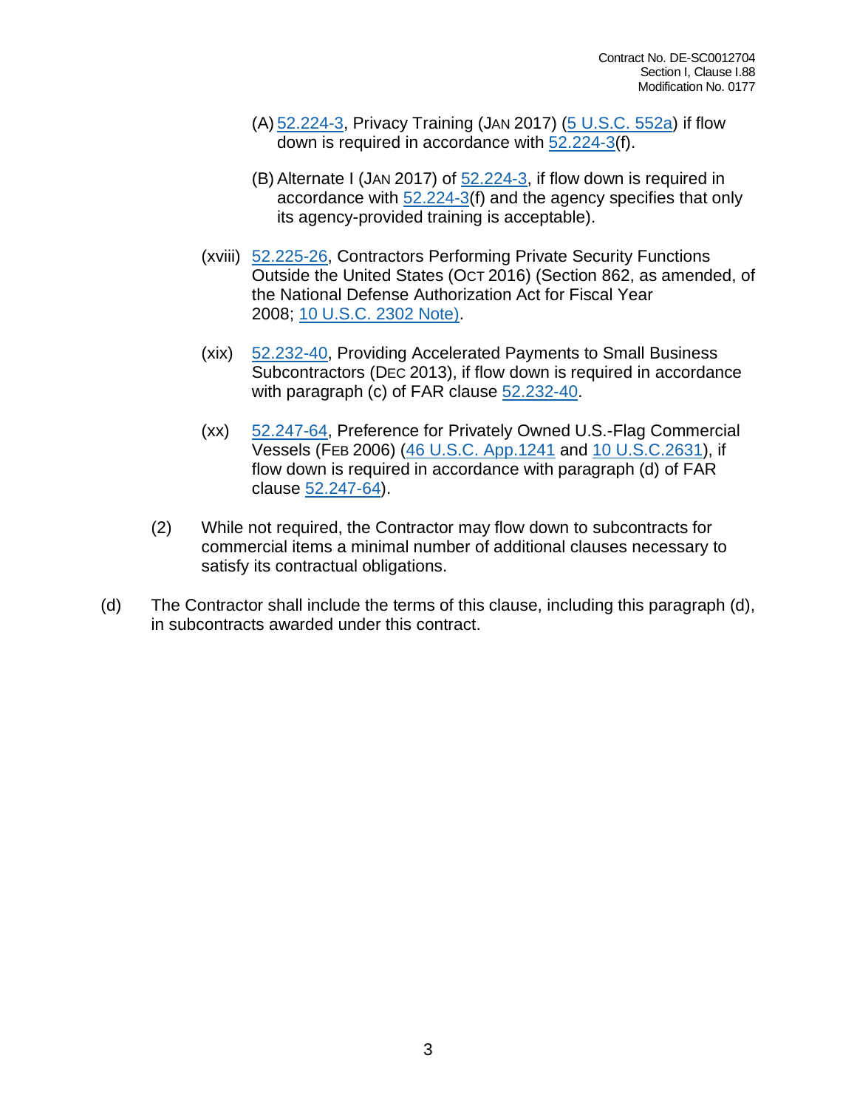- (A) [52.224-3,](https://www.acquisition.gov/far/part-52#FAR_52_224_3) Privacy Training (JAN 2017) (5 [U.S.C.](http://uscode.house.gov/view.xhtml?req=granuleid:USC-prelim-title5-section552a&num=0&edition=prelim) 552a) if flow down is required in accordance with [52.224-3\(](https://www.acquisition.gov/far/part-52#FAR_52_224_3)f).
- (B) Alternate I (JAN 2017) of [52.224-3,](https://www.acquisition.gov/far/part-52#FAR_52_224_3) if flow down is required in accordance with [52.224-3\(](https://www.acquisition.gov/far/part-52#FAR_52_224_3)f) and the agency specifies that only its agency-provided training is acceptable).
- (xviii) [52.225-26,](https://www.acquisition.gov/far/part-52#FAR_52_225_26) Contractors Performing Private Security Functions Outside the United States (OCT 2016) (Section 862, as amended, of the National Defense Authorization Act for Fiscal Year 2008; 10 [U.S.C.](http://uscode.house.gov/browse.xhtml;jsessionid=114A3287C7B3359E597506A31FC855B3) 2302 Note).
- (xix) [52.232-40,](https://www.acquisition.gov/far/part-52#FAR_52_232_40) Providing Accelerated Payments to Small Business Subcontractors (DEC 2013), if flow down is required in accordance with paragraph (c) of FAR clause [52.232-40.](https://www.acquisition.gov/far/part-52#FAR_52_232_40)
- (xx) [52.247-64,](https://www.acquisition.gov/far/part-52#FAR_52_247_64) Preference for Privately Owned U.S.-Flag Commercial Vessels (FEB 2006) (46 U.S.C. [App.1241](http://uscode.house.gov/browse.xhtml;jsessionid=114A3287C7B3359E597506A31FC855B3) and 10 [U.S.C.2631\)](http://uscode.house.gov/browse.xhtml;jsessionid=114A3287C7B3359E597506A31FC855B3), if flow down is required in accordance with paragraph (d) of FAR clause [52.247-64\)](https://www.acquisition.gov/far/part-52#FAR_52_247_64).
- (2) While not required, the Contractor may flow down to subcontracts for commercial items a minimal number of additional clauses necessary to satisfy its contractual obligations.
- (d) The Contractor shall include the terms of this clause, including this paragraph (d), in subcontracts awarded under this contract.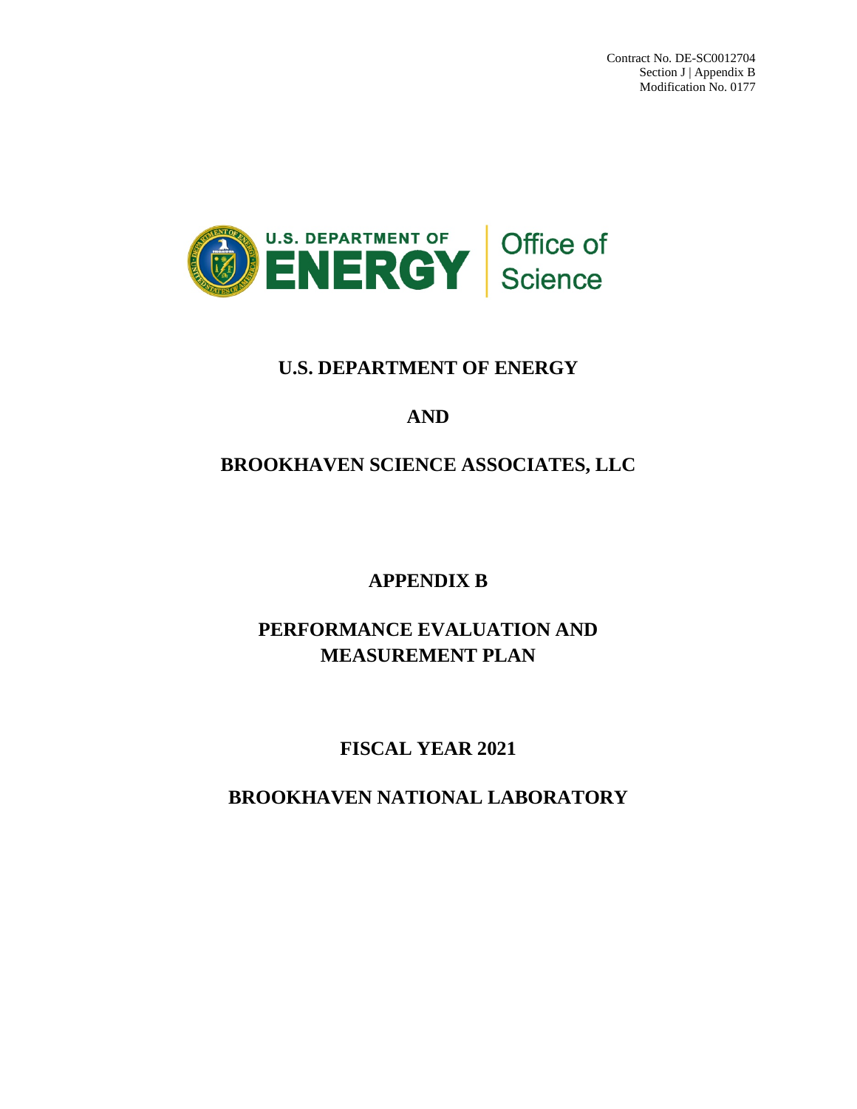Contract No. DE-SC0012704 Section J | Appendix B Modification No. 0177



## **U.S. DEPARTMENT OF ENERGY**

# **AND**

# **BROOKHAVEN SCIENCE ASSOCIATES, LLC**

# **APPENDIX B**

# **PERFORMANCE EVALUATION AND MEASUREMENT PLAN**

# **FISCAL YEAR 2021**

## **BROOKHAVEN NATIONAL LABORATORY**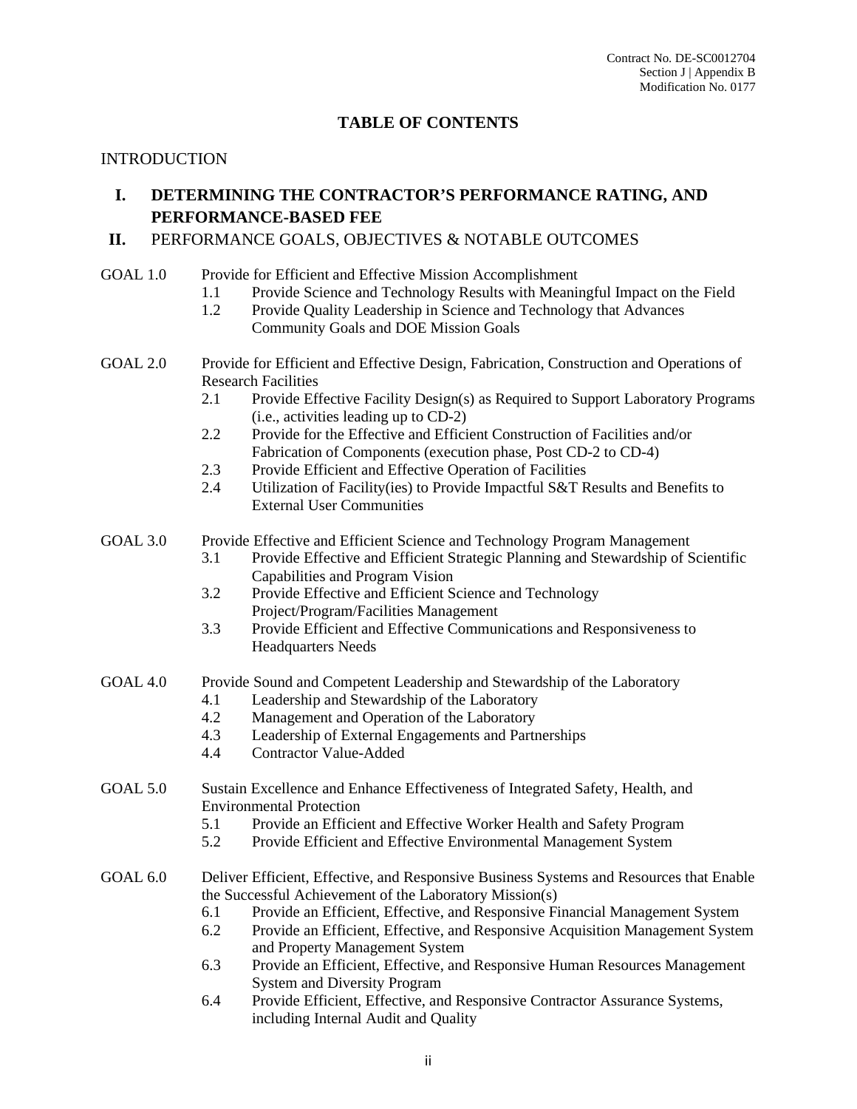## **TABLE OF CONTENTS**

#### INTRODUCTION

## **I. DETERMINING THE CONTRACTOR'S PERFORMANCE RATING, AND PERFORMANCE-BASED FEE**

#### **II.** PERFORMANCE GOALS, OBJECTIVES & NOTABLE OUTCOMES

- GOAL 1.0 Provide for Efficient and Effective Mission Accomplishment
	- 1.1 Provide Science and Technology Results with Meaningful Impact on the Field
	- 1.2 Provide Quality Leadership in Science and Technology that Advances Community Goals and DOE Mission Goals

GOAL 2.0 Provide for Efficient and Effective Design, Fabrication, Construction and Operations of Research Facilities

- 2.1 Provide Effective Facility Design(s) as Required to Support Laboratory Programs (i.e., activities leading up to CD-2)
- 2.2 Provide for the Effective and Efficient Construction of Facilities and/or Fabrication of Components (execution phase, Post CD-2 to CD-4)
- 2.3 Provide Efficient and Effective Operation of Facilities<br>2.4 Utilization of Facility ies it of Provide Impactful S&T R
- Utilization of Facility(ies) to Provide Impactful S&T Results and Benefits to External User Communities
- GOAL 3.0 Provide Effective and Efficient Science and Technology Program Management
	- 3.1 Provide Effective and Efficient Strategic Planning and Stewardship of Scientific Capabilities and Program Vision
	- 3.2 Provide Effective and Efficient Science and Technology Project/Program/Facilities Management
	- 3.3 Provide Efficient and Effective Communications and Responsiveness to Headquarters Needs
- GOAL 4.0 Provide Sound and Competent Leadership and Stewardship of the Laboratory
	- 4.1 Leadership and Stewardship of the Laboratory<br>4.2 Management and Operation of the Laboratory
	- 4.2 Management and Operation of the Laboratory<br>4.3 Leadership of External Engagements and Partr
	- Leadership of External Engagements and Partnerships
	- 4.4 Contractor Value-Added
- GOAL 5.0 Sustain Excellence and Enhance Effectiveness of Integrated Safety, Health, and Environmental Protection
	- 5.1 Provide an Efficient and Effective Worker Health and Safety Program
	- 5.2 Provide Efficient and Effective Environmental Management System
- GOAL 6.0 Deliver Efficient, Effective, and Responsive Business Systems and Resources that Enable the Successful Achievement of the Laboratory Mission(s)
	- 6.1 Provide an Efficient, Effective, and Responsive Financial Management System
	- 6.2 Provide an Efficient, Effective, and Responsive Acquisition Management System and Property Management System
	- 6.3 Provide an Efficient, Effective, and Responsive Human Resources Management System and Diversity Program
	- 6.4 Provide Efficient, Effective, and Responsive Contractor Assurance Systems, including Internal Audit and Quality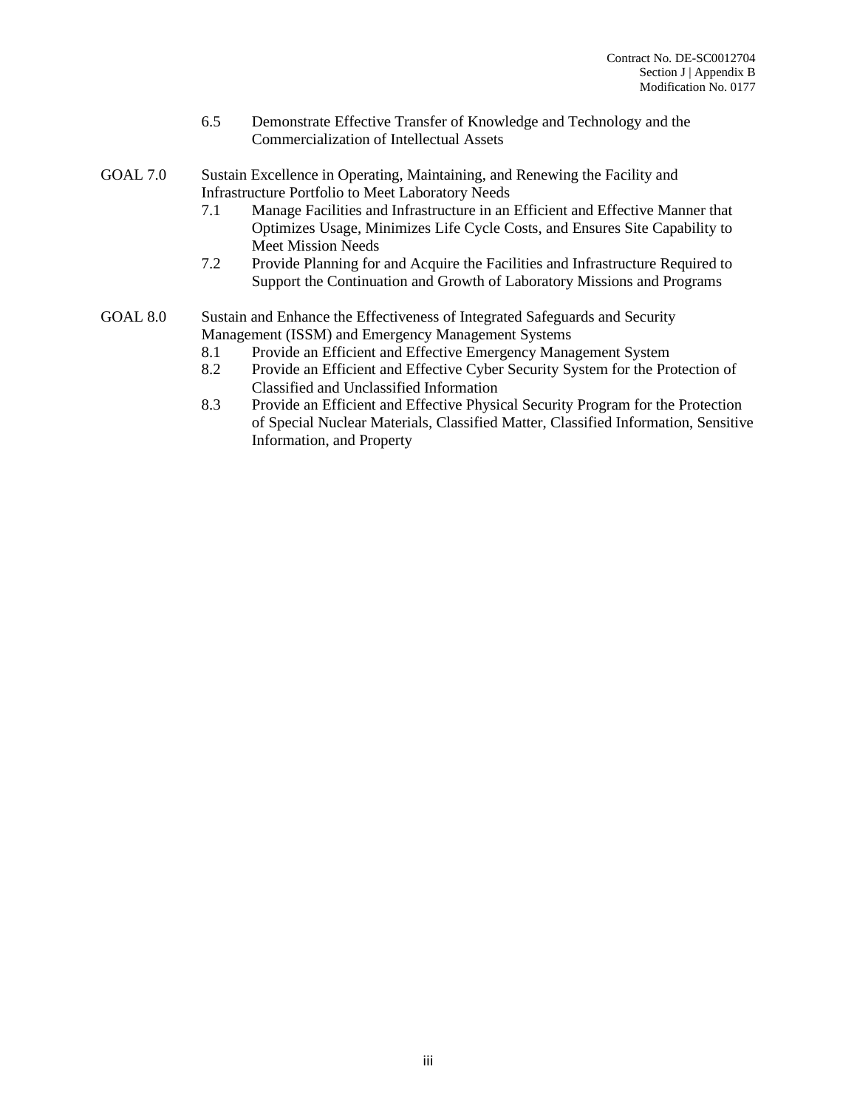- 6.5 Demonstrate Effective Transfer of Knowledge and Technology and the Commercialization of Intellectual Assets
- GOAL 7.0 Sustain Excellence in Operating, Maintaining, and Renewing the Facility and Infrastructure Portfolio to Meet Laboratory Needs
	- 7.1 Manage Facilities and Infrastructure in an Efficient and Effective Manner that Optimizes Usage, Minimizes Life Cycle Costs, and Ensures Site Capability to Meet Mission Needs
	- 7.2 Provide Planning for and Acquire the Facilities and Infrastructure Required to Support the Continuation and Growth of Laboratory Missions and Programs
- GOAL 8.0 Sustain and Enhance the Effectiveness of Integrated Safeguards and Security Management (ISSM) and Emergency Management Systems
	-
	- 8.1 Provide an Efficient and Effective Emergency Management System<br>8.2 Provide an Efficient and Effective Cyber Security System for the Pro 8.2 Provide an Efficient and Effective Cyber Security System for the Protection of Classified and Unclassified Information
	- 8.3 Provide an Efficient and Effective Physical Security Program for the Protection of Special Nuclear Materials, Classified Matter, Classified Information, Sensitive Information, and Property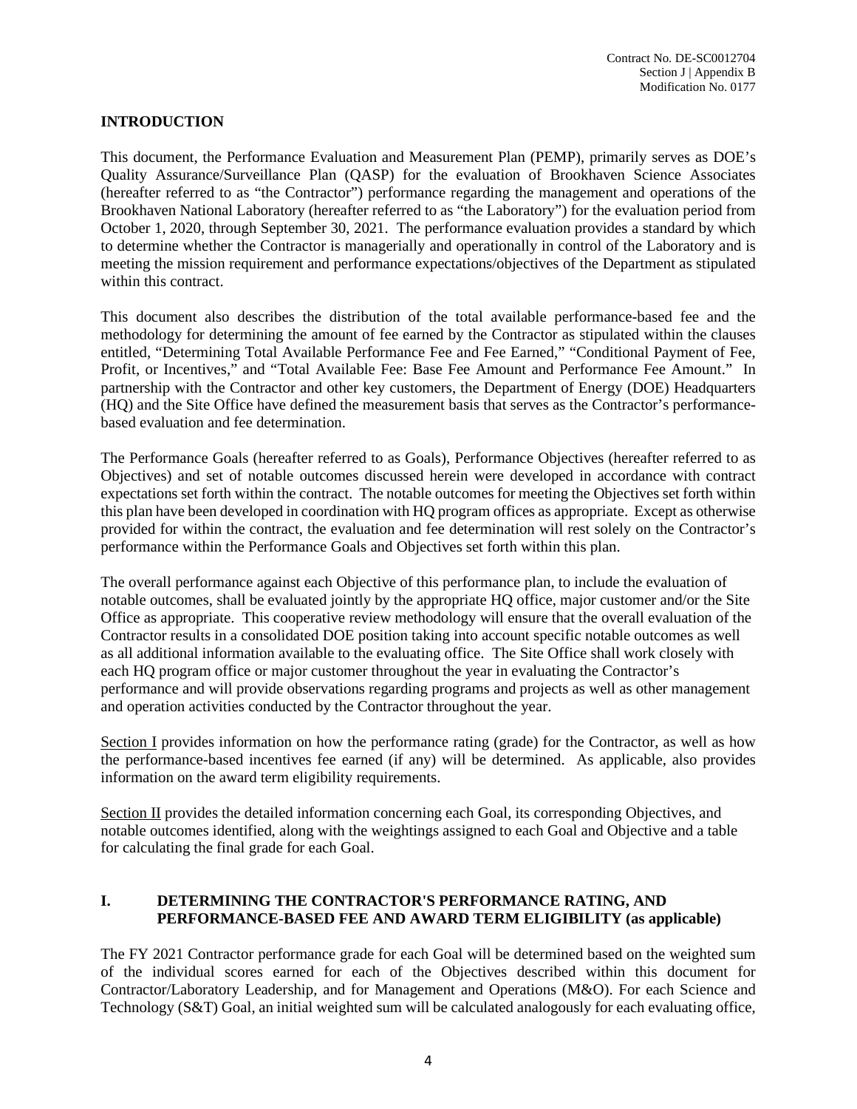#### **INTRODUCTION**

This document, the Performance Evaluation and Measurement Plan (PEMP), primarily serves as DOE's Quality Assurance/Surveillance Plan (QASP) for the evaluation of Brookhaven Science Associates (hereafter referred to as "the Contractor") performance regarding the management and operations of the Brookhaven National Laboratory (hereafter referred to as "the Laboratory") for the evaluation period from October 1, 2020, through September 30, 2021. The performance evaluation provides a standard by which to determine whether the Contractor is managerially and operationally in control of the Laboratory and is meeting the mission requirement and performance expectations/objectives of the Department as stipulated within this contract.

This document also describes the distribution of the total available performance-based fee and the methodology for determining the amount of fee earned by the Contractor as stipulated within the clauses entitled, "Determining Total Available Performance Fee and Fee Earned," "Conditional Payment of Fee, Profit, or Incentives," and "Total Available Fee: Base Fee Amount and Performance Fee Amount." In partnership with the Contractor and other key customers, the Department of Energy (DOE) Headquarters (HQ) and the Site Office have defined the measurement basis that serves as the Contractor's performancebased evaluation and fee determination.

The Performance Goals (hereafter referred to as Goals), Performance Objectives (hereafter referred to as Objectives) and set of notable outcomes discussed herein were developed in accordance with contract expectations set forth within the contract. The notable outcomes for meeting the Objectives set forth within this plan have been developed in coordination with HQ program offices as appropriate. Except as otherwise provided for within the contract, the evaluation and fee determination will rest solely on the Contractor's performance within the Performance Goals and Objectives set forth within this plan.

The overall performance against each Objective of this performance plan, to include the evaluation of notable outcomes, shall be evaluated jointly by the appropriate HQ office, major customer and/or the Site Office as appropriate. This cooperative review methodology will ensure that the overall evaluation of the Contractor results in a consolidated DOE position taking into account specific notable outcomes as well as all additional information available to the evaluating office. The Site Office shall work closely with each HQ program office or major customer throughout the year in evaluating the Contractor's performance and will provide observations regarding programs and projects as well as other management and operation activities conducted by the Contractor throughout the year.

Section I provides information on how the performance rating (grade) for the Contractor, as well as how the performance-based incentives fee earned (if any) will be determined. As applicable, also provides information on the award term eligibility requirements.

Section II provides the detailed information concerning each Goal, its corresponding Objectives, and notable outcomes identified, along with the weightings assigned to each Goal and Objective and a table for calculating the final grade for each Goal.

#### **I. DETERMINING THE CONTRACTOR'S PERFORMANCE RATING, AND PERFORMANCE-BASED FEE AND AWARD TERM ELIGIBILITY (as applicable)**

The FY 2021 Contractor performance grade for each Goal will be determined based on the weighted sum of the individual scores earned for each of the Objectives described within this document for Contractor/Laboratory Leadership, and for Management and Operations (M&O). For each Science and Technology (S&T) Goal, an initial weighted sum will be calculated analogously for each evaluating office,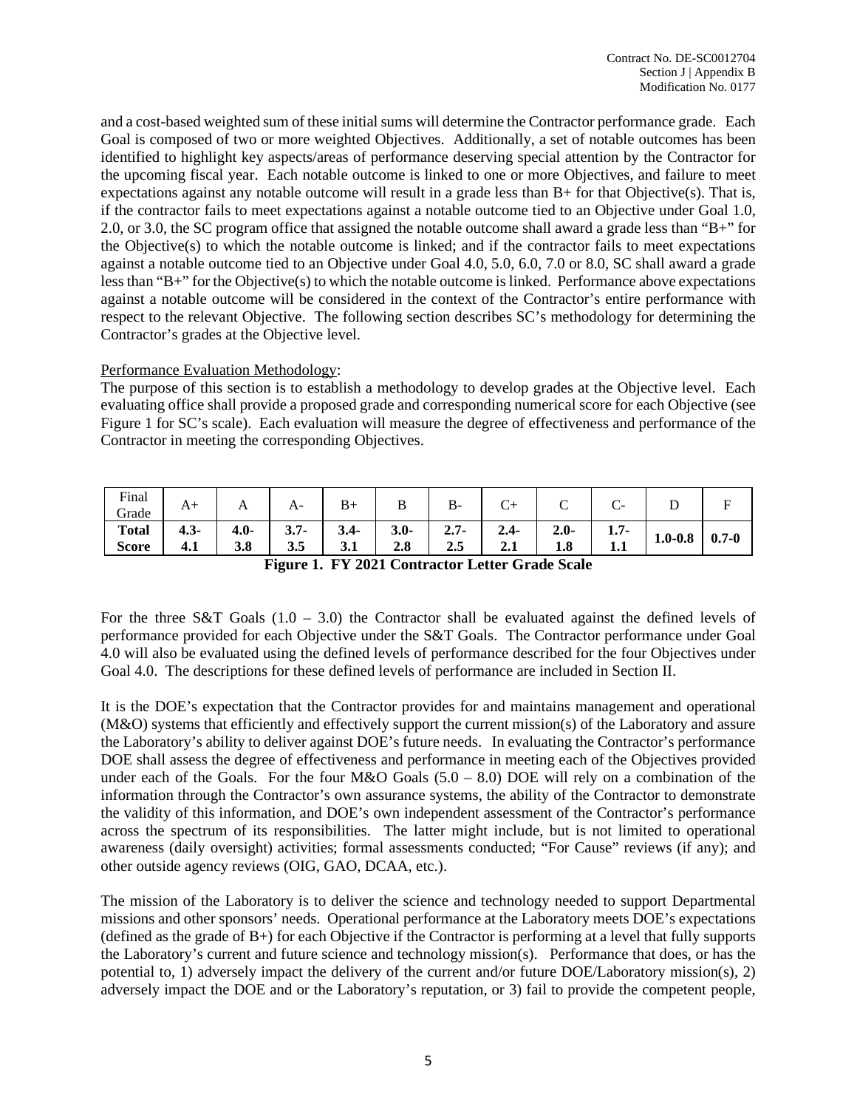and a cost-based weighted sum of these initial sums will determine the Contractor performance grade. Each Goal is composed of two or more weighted Objectives. Additionally, a set of notable outcomes has been identified to highlight key aspects/areas of performance deserving special attention by the Contractor for the upcoming fiscal year. Each notable outcome is linked to one or more Objectives, and failure to meet expectations against any notable outcome will result in a grade less than B+ for that Objective(s). That is, if the contractor fails to meet expectations against a notable outcome tied to an Objective under Goal 1.0, 2.0, or 3.0, the SC program office that assigned the notable outcome shall award a grade less than "B+" for the Objective(s) to which the notable outcome is linked; and if the contractor fails to meet expectations against a notable outcome tied to an Objective under Goal 4.0, 5.0, 6.0, 7.0 or 8.0, SC shall award a grade less than "B+" for the Objective(s) to which the notable outcome is linked. Performance above expectations against a notable outcome will be considered in the context of the Contractor's entire performance with respect to the relevant Objective. The following section describes SC's methodology for determining the Contractor's grades at the Objective level.

#### Performance Evaluation Methodology:

The purpose of this section is to establish a methodology to develop grades at the Objective level. Each evaluating office shall provide a proposed grade and corresponding numerical score for each Objective (see Figure 1 for SC's scale). Each evaluation will measure the degree of effectiveness and performance of the Contractor in meeting the corresponding Objectives.

| Final<br>Grade               | A+             | $\Gamma$      | $A-$                 | $B+$                              | D<br>≖         | В-             |                                                     | ֊              | -                         |             |           |
|------------------------------|----------------|---------------|----------------------|-----------------------------------|----------------|----------------|-----------------------------------------------------|----------------|---------------------------|-------------|-----------|
| <b>Total</b><br><b>Score</b> | $4.3 -$<br>4.1 | $4.0-$<br>3.8 | 27<br>$3.1 -$<br>3.5 | $3.4 -$                           | $3.0 -$<br>2.8 | $2.7 -$<br>2.5 | $2.4 -$                                             | $2.0 -$<br>1.8 | $\overline{ }$<br>$1.1 -$ | $1.0 - 0.8$ | $0.7 - 0$ |
|                              |                |               | $\blacksquare$       | J.L<br>$\overline{A}$ TITT ACALLO |                | $\sim$         | 4. L<br>$\mathbf{r}$ $\alpha$ $\mathbf{r}$ $\alpha$ |                | 1.1                       |             |           |

**Figure 1. FY 2021 Contractor Letter Grade Scale**

For the three S&T Goals  $(1.0 - 3.0)$  the Contractor shall be evaluated against the defined levels of performance provided for each Objective under the S&T Goals. The Contractor performance under Goal 4.0 will also be evaluated using the defined levels of performance described for the four Objectives under Goal 4.0. The descriptions for these defined levels of performance are included in Section II.

It is the DOE's expectation that the Contractor provides for and maintains management and operational (M&O) systems that efficiently and effectively support the current mission(s) of the Laboratory and assure the Laboratory's ability to deliver against DOE's future needs. In evaluating the Contractor's performance DOE shall assess the degree of effectiveness and performance in meeting each of the Objectives provided under each of the Goals. For the four M&O Goals  $(5.0 - 8.0)$  DOE will rely on a combination of the information through the Contractor's own assurance systems, the ability of the Contractor to demonstrate the validity of this information, and DOE's own independent assessment of the Contractor's performance across the spectrum of its responsibilities. The latter might include, but is not limited to operational awareness (daily oversight) activities; formal assessments conducted; "For Cause" reviews (if any); and other outside agency reviews (OIG, GAO, DCAA, etc.).

The mission of the Laboratory is to deliver the science and technology needed to support Departmental missions and other sponsors' needs. Operational performance at the Laboratory meets DOE's expectations (defined as the grade of B+) for each Objective if the Contractor is performing at a level that fully supports the Laboratory's current and future science and technology mission(s). Performance that does, or has the potential to, 1) adversely impact the delivery of the current and/or future DOE/Laboratory mission(s), 2) adversely impact the DOE and or the Laboratory's reputation, or 3) fail to provide the competent people,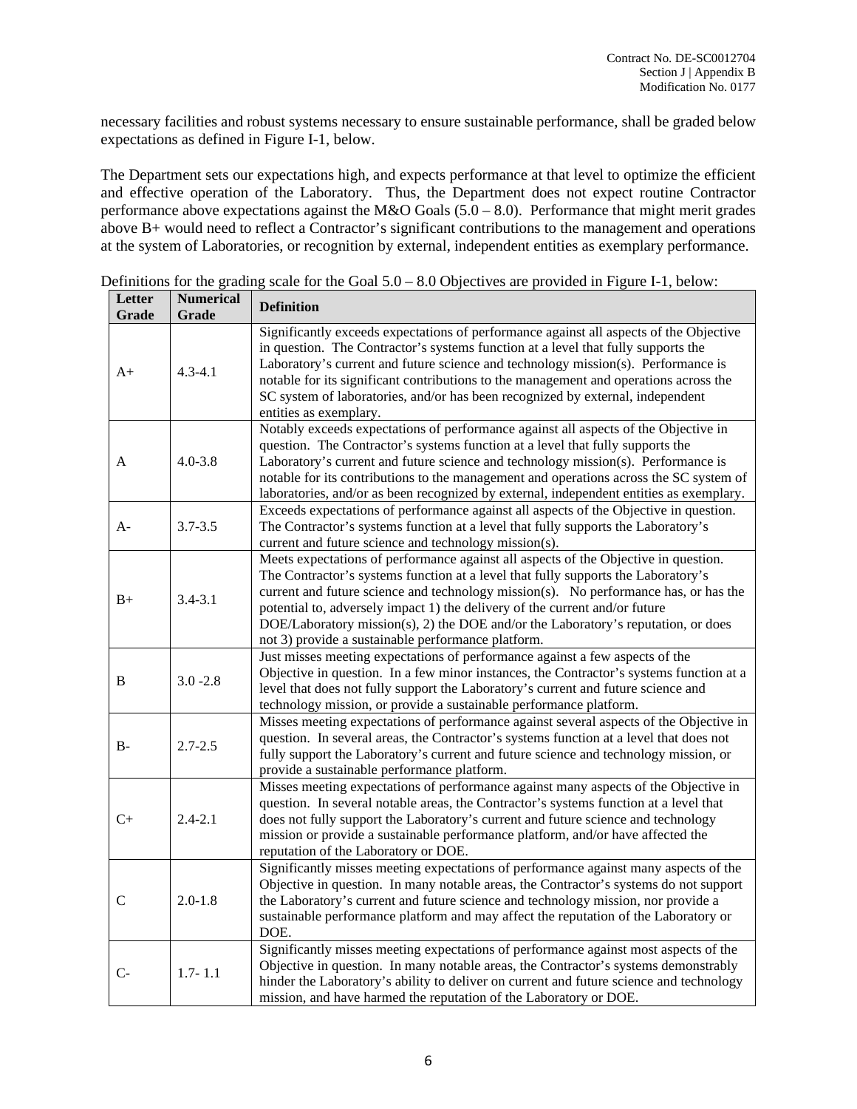necessary facilities and robust systems necessary to ensure sustainable performance, shall be graded below expectations as defined in Figure I-1, below.

The Department sets our expectations high, and expects performance at that level to optimize the efficient and effective operation of the Laboratory. Thus, the Department does not expect routine Contractor performance above expectations against the M&O Goals  $(5.0 - 8.0)$ . Performance that might merit grades above B+ would need to reflect a Contractor's significant contributions to the management and operations at the system of Laboratories, or recognition by external, independent entities as exemplary performance.

Definitions for the grading scale for the Goal 5.0 – 8.0 Objectives are provided in Figure I-1, below:

| Letter<br>Grade | <b>Numerical</b><br>Grade | <b>Definition</b>                                                                                                                                                                                                                                                                                                                                                                                                                                                                          |
|-----------------|---------------------------|--------------------------------------------------------------------------------------------------------------------------------------------------------------------------------------------------------------------------------------------------------------------------------------------------------------------------------------------------------------------------------------------------------------------------------------------------------------------------------------------|
| A+              | $4.3 - 4.1$               | Significantly exceeds expectations of performance against all aspects of the Objective<br>in question. The Contractor's systems function at a level that fully supports the<br>Laboratory's current and future science and technology mission(s). Performance is<br>notable for its significant contributions to the management and operations across the<br>SC system of laboratories, and/or has been recognized by external, independent<br>entities as exemplary.                      |
| A               | $4.0 - 3.8$               | Notably exceeds expectations of performance against all aspects of the Objective in<br>question. The Contractor's systems function at a level that fully supports the<br>Laboratory's current and future science and technology mission(s). Performance is<br>notable for its contributions to the management and operations across the SC system of<br>laboratories, and/or as been recognized by external, independent entities as exemplary.                                            |
| A-              | $3.7 - 3.5$               | Exceeds expectations of performance against all aspects of the Objective in question.<br>The Contractor's systems function at a level that fully supports the Laboratory's<br>current and future science and technology mission(s).                                                                                                                                                                                                                                                        |
| $B+$            | $3.4 - 3.1$               | Meets expectations of performance against all aspects of the Objective in question.<br>The Contractor's systems function at a level that fully supports the Laboratory's<br>current and future science and technology mission(s). No performance has, or has the<br>potential to, adversely impact 1) the delivery of the current and/or future<br>DOE/Laboratory mission(s), 2) the DOE and/or the Laboratory's reputation, or does<br>not 3) provide a sustainable performance platform. |
| B               | $3.0 - 2.8$               | Just misses meeting expectations of performance against a few aspects of the<br>Objective in question. In a few minor instances, the Contractor's systems function at a<br>level that does not fully support the Laboratory's current and future science and<br>technology mission, or provide a sustainable performance platform.                                                                                                                                                         |
| $B-$            | $2.7 - 2.5$               | Misses meeting expectations of performance against several aspects of the Objective in<br>question. In several areas, the Contractor's systems function at a level that does not<br>fully support the Laboratory's current and future science and technology mission, or<br>provide a sustainable performance platform.                                                                                                                                                                    |
| $C+$            | $2.4 - 2.1$               | Misses meeting expectations of performance against many aspects of the Objective in<br>question. In several notable areas, the Contractor's systems function at a level that<br>does not fully support the Laboratory's current and future science and technology<br>mission or provide a sustainable performance platform, and/or have affected the<br>reputation of the Laboratory or DOE.                                                                                               |
| $\mathsf C$     | $2.0 - 1.8$               | Significantly misses meeting expectations of performance against many aspects of the<br>Objective in question. In many notable areas, the Contractor's systems do not support<br>the Laboratory's current and future science and technology mission, nor provide a<br>sustainable performance platform and may affect the reputation of the Laboratory or<br>DOE.                                                                                                                          |
| $C -$           | $1.7 - 1.1$               | Significantly misses meeting expectations of performance against most aspects of the<br>Objective in question. In many notable areas, the Contractor's systems demonstrably<br>hinder the Laboratory's ability to deliver on current and future science and technology<br>mission, and have harmed the reputation of the Laboratory or DOE.                                                                                                                                                |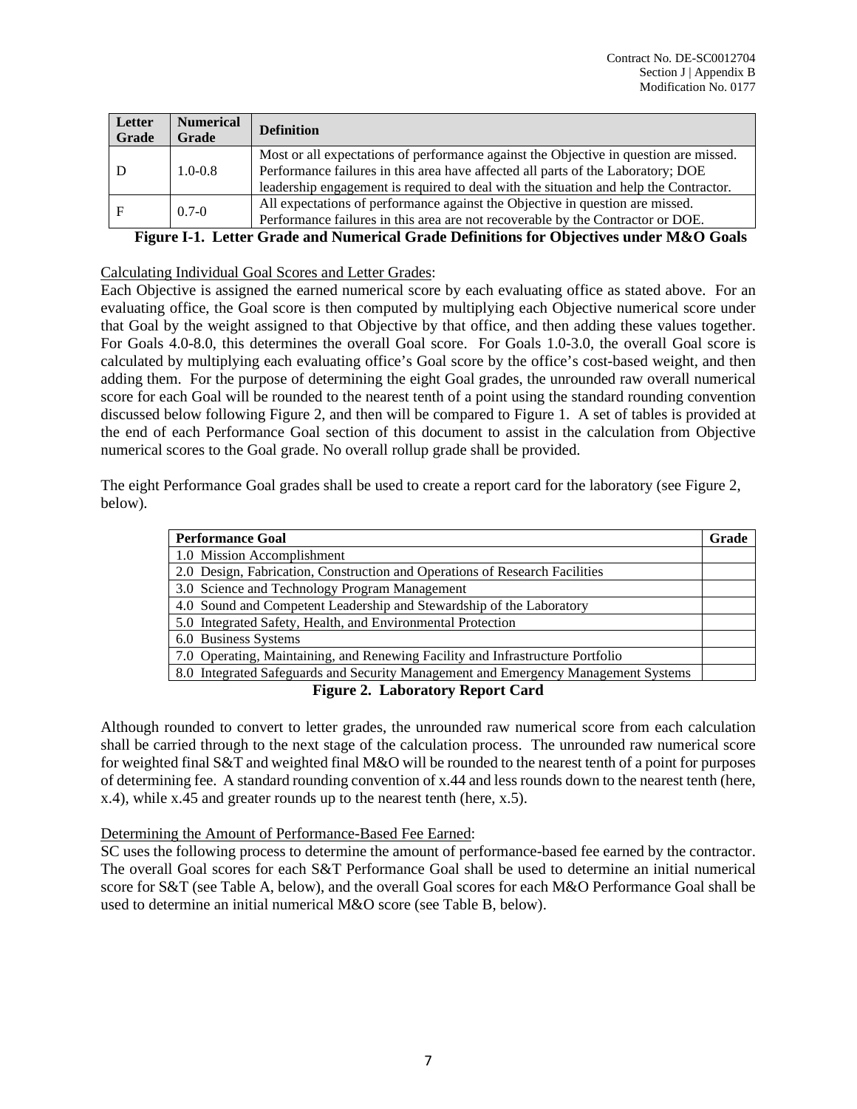| Letter<br>Grade | <b>Numerical</b><br>Grade | <b>Definition</b>                                                                                                                                                         |
|-----------------|---------------------------|---------------------------------------------------------------------------------------------------------------------------------------------------------------------------|
|                 | $1.0 - 0.8$               | Most or all expectations of performance against the Objective in question are missed.<br>Performance failures in this area have affected all parts of the Laboratory; DOE |
|                 |                           | leadership engagement is required to deal with the situation and help the Contractor.                                                                                     |
| $\mathbf{F}$    | $0.7-0$                   | All expectations of performance against the Objective in question are missed.                                                                                             |
|                 |                           | Performance failures in this area are not recoverable by the Contractor or DOE.                                                                                           |

**Figure I-1. Letter Grade and Numerical Grade Definitions for Objectives under M&O Goals**

Calculating Individual Goal Scores and Letter Grades:

Each Objective is assigned the earned numerical score by each evaluating office as stated above. For an evaluating office, the Goal score is then computed by multiplying each Objective numerical score under that Goal by the weight assigned to that Objective by that office, and then adding these values together. For Goals 4.0-8.0, this determines the overall Goal score. For Goals 1.0-3.0, the overall Goal score is calculated by multiplying each evaluating office's Goal score by the office's cost-based weight, and then adding them. For the purpose of determining the eight Goal grades, the unrounded raw overall numerical score for each Goal will be rounded to the nearest tenth of a point using the standard rounding convention discussed below following Figure 2, and then will be compared to Figure 1. A set of tables is provided at the end of each Performance Goal section of this document to assist in the calculation from Objective numerical scores to the Goal grade. No overall rollup grade shall be provided.

The eight Performance Goal grades shall be used to create a report card for the laboratory (see Figure 2, below).

| <b>Performance Goal</b>                                                            | Grade |
|------------------------------------------------------------------------------------|-------|
| 1.0 Mission Accomplishment                                                         |       |
| 2.0 Design, Fabrication, Construction and Operations of Research Facilities        |       |
| 3.0 Science and Technology Program Management                                      |       |
| 4.0 Sound and Competent Leadership and Stewardship of the Laboratory               |       |
| 5.0 Integrated Safety, Health, and Environmental Protection                        |       |
| 6.0 Business Systems                                                               |       |
| 7.0 Operating, Maintaining, and Renewing Facility and Infrastructure Portfolio     |       |
| 8.0 Integrated Safeguards and Security Management and Emergency Management Systems |       |

**Figure 2. Laboratory Report Card**

Although rounded to convert to letter grades, the unrounded raw numerical score from each calculation shall be carried through to the next stage of the calculation process. The unrounded raw numerical score for weighted final S&T and weighted final M&O will be rounded to the nearest tenth of a point for purposes of determining fee. A standard rounding convention of x.44 and less rounds down to the nearest tenth (here, x.4), while x.45 and greater rounds up to the nearest tenth (here, x.5).

Determining the Amount of Performance-Based Fee Earned:

SC uses the following process to determine the amount of performance-based fee earned by the contractor. The overall Goal scores for each S&T Performance Goal shall be used to determine an initial numerical score for S&T (see Table A, below), and the overall Goal scores for each M&O Performance Goal shall be used to determine an initial numerical M&O score (see Table B, below).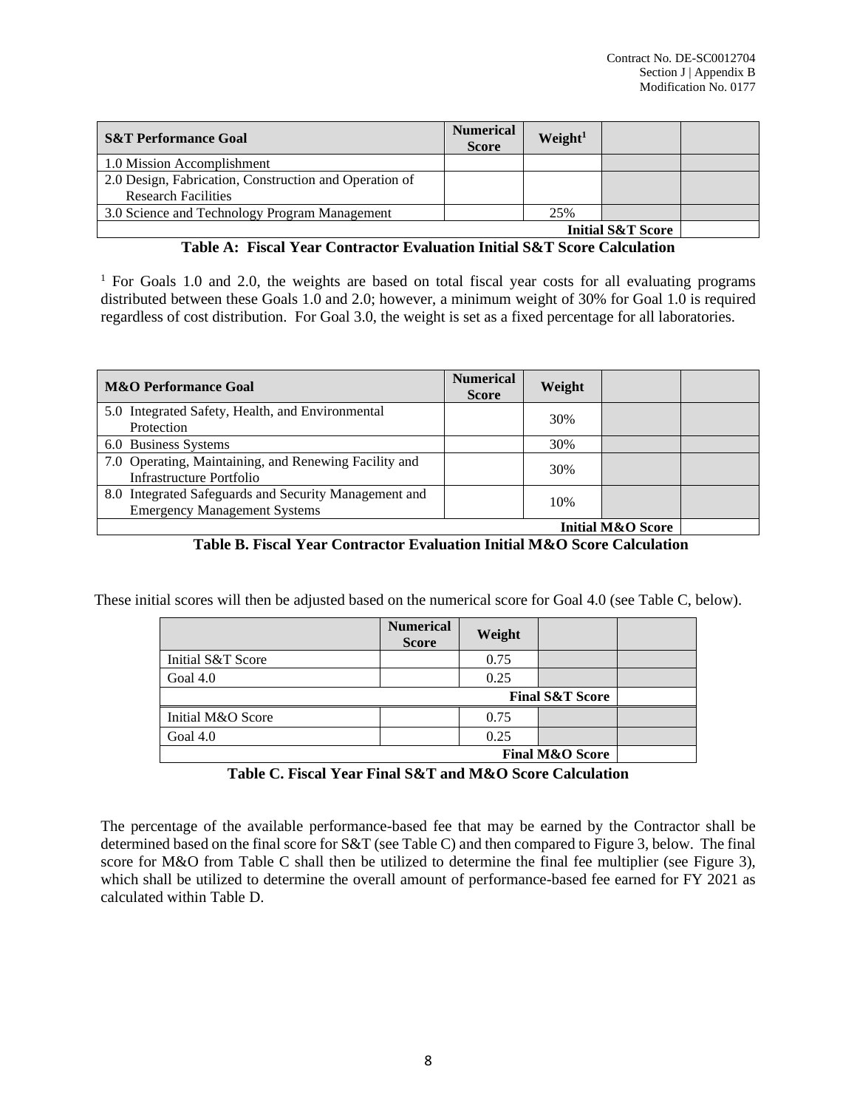| <b>S&amp;T Performance Goal</b>                        | <b>Numerical</b><br><b>Score</b> | Weight <sup>1</sup> |                              |  |
|--------------------------------------------------------|----------------------------------|---------------------|------------------------------|--|
| 1.0 Mission Accomplishment                             |                                  |                     |                              |  |
| 2.0 Design, Fabrication, Construction and Operation of |                                  |                     |                              |  |
| <b>Research Facilities</b>                             |                                  |                     |                              |  |
| 3.0 Science and Technology Program Management          |                                  | 25%                 |                              |  |
|                                                        |                                  |                     | <b>Initial S&amp;T Score</b> |  |

#### **Table A: Fiscal Year Contractor Evaluation Initial S&T Score Calculation**

<sup>1</sup> For Goals 1.0 and 2.0, the weights are based on total fiscal year costs for all evaluating programs distributed between these Goals 1.0 and 2.0; however, a minimum weight of 30% for Goal 1.0 is required regardless of cost distribution. For Goal 3.0, the weight is set as a fixed percentage for all laboratories.

| <b>M&amp;O Performance Goal</b>                                                              | <b>Numerical</b><br><b>Score</b> | Weight |                              |  |
|----------------------------------------------------------------------------------------------|----------------------------------|--------|------------------------------|--|
| 5.0 Integrated Safety, Health, and Environmental<br>Protection                               |                                  | 30%    |                              |  |
| 6.0 Business Systems                                                                         |                                  | 30%    |                              |  |
| 7.0 Operating, Maintaining, and Renewing Facility and<br>Infrastructure Portfolio            |                                  | 30%    |                              |  |
| 8.0 Integrated Safeguards and Security Management and<br><b>Emergency Management Systems</b> |                                  | 10%    |                              |  |
|                                                                                              |                                  |        | <b>Initial M&amp;O Score</b> |  |

**Table B. Fiscal Year Contractor Evaluation Initial M&O Score Calculation**

These initial scores will then be adjusted based on the numerical score for Goal 4.0 (see Table C, below).

|                            | <b>Numerical</b><br><b>Score</b> | Weight |  |  |
|----------------------------|----------------------------------|--------|--|--|
| Initial S&T Score          |                                  | 0.75   |  |  |
| Goal 4.0                   |                                  | 0.25   |  |  |
|                            | <b>Final S&amp;T Score</b>       |        |  |  |
| Initial M&O Score          |                                  | 0.75   |  |  |
| Goal 4.0                   |                                  | 0.25   |  |  |
| <b>Final M&amp;O Score</b> |                                  |        |  |  |

**Table C. Fiscal Year Final S&T and M&O Score Calculation**

The percentage of the available performance-based fee that may be earned by the Contractor shall be determined based on the final score for S&T (see Table C) and then compared to Figure 3, below. The final score for M&O from Table C shall then be utilized to determine the final fee multiplier (see Figure 3), which shall be utilized to determine the overall amount of performance-based fee earned for FY 2021 as calculated within Table D.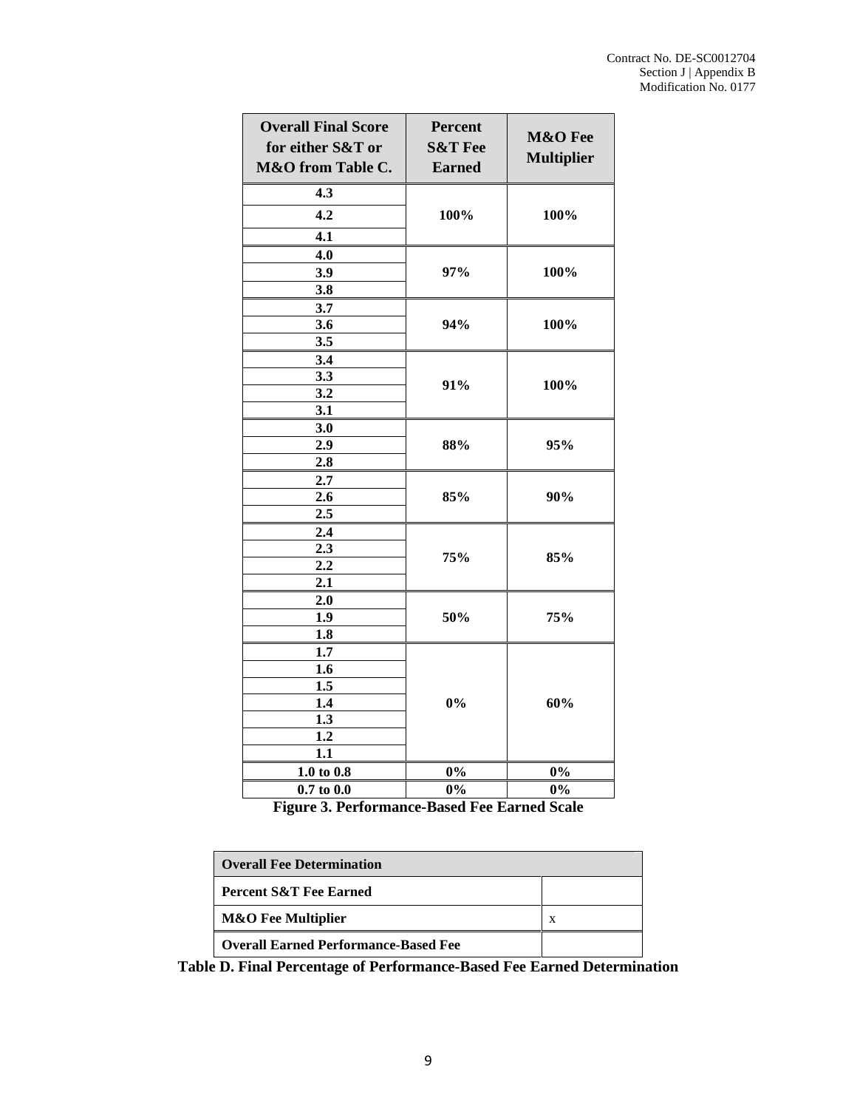| <b>Overall Final Score</b><br>for either S&T or<br>M&O from Table C. | <b>Percent</b><br><b>S&amp;T</b> Fee<br><b>Earned</b> | M&O Fee<br><b>Multiplier</b> |  |
|----------------------------------------------------------------------|-------------------------------------------------------|------------------------------|--|
| 4.3                                                                  |                                                       |                              |  |
| 4.2                                                                  | 100%                                                  | 100%                         |  |
| 4.1                                                                  |                                                       |                              |  |
| 4.0                                                                  |                                                       |                              |  |
| 3.9                                                                  | 97%                                                   | 100%                         |  |
| 3.8                                                                  |                                                       |                              |  |
| 3.7                                                                  |                                                       |                              |  |
| 3.6                                                                  | 94%                                                   | 100%                         |  |
| 3.5                                                                  |                                                       |                              |  |
| 3.4                                                                  |                                                       |                              |  |
| 3.3                                                                  | 91%                                                   | 100%                         |  |
| 3.2                                                                  |                                                       |                              |  |
| 3.1                                                                  |                                                       |                              |  |
| 3.0                                                                  |                                                       | 95%                          |  |
| 2.9                                                                  | 88%                                                   |                              |  |
| 2.8                                                                  |                                                       |                              |  |
| 2.7                                                                  |                                                       |                              |  |
| 2.6                                                                  | 85%                                                   | 90%                          |  |
| 2.5                                                                  |                                                       |                              |  |
| 2.4<br>2.3                                                           |                                                       |                              |  |
| 2.2                                                                  | 75%<br>85%                                            |                              |  |
| 2.1                                                                  |                                                       |                              |  |
| 2.0                                                                  |                                                       |                              |  |
| 1.9                                                                  | 50%                                                   | 75%                          |  |
| 1.8                                                                  |                                                       |                              |  |
| 1.7                                                                  |                                                       |                              |  |
| 1.6                                                                  |                                                       |                              |  |
| 1.5                                                                  |                                                       |                              |  |
| 1.4                                                                  | $0\%$                                                 | 60%                          |  |
| 1.3                                                                  |                                                       |                              |  |
| 1.2                                                                  |                                                       |                              |  |
| 1.1                                                                  |                                                       |                              |  |
| $1.0$ to $0.8$                                                       | $0\%$                                                 | $0\%$                        |  |
| $0.7$ to $0.0\,$                                                     | $0\%$                                                 | $0\%$                        |  |

**Figure 3. Performance-Based Fee Earned Scale**

| <b>Overall Fee Determination</b>            |   |
|---------------------------------------------|---|
| <b>Percent S&amp;T Fee Earned</b>           |   |
| <b>M&amp;O</b> Fee Multiplier               | X |
| <b>Overall Earned Performance-Based Fee</b> |   |

**Table D. Final Percentage of Performance-Based Fee Earned Determination**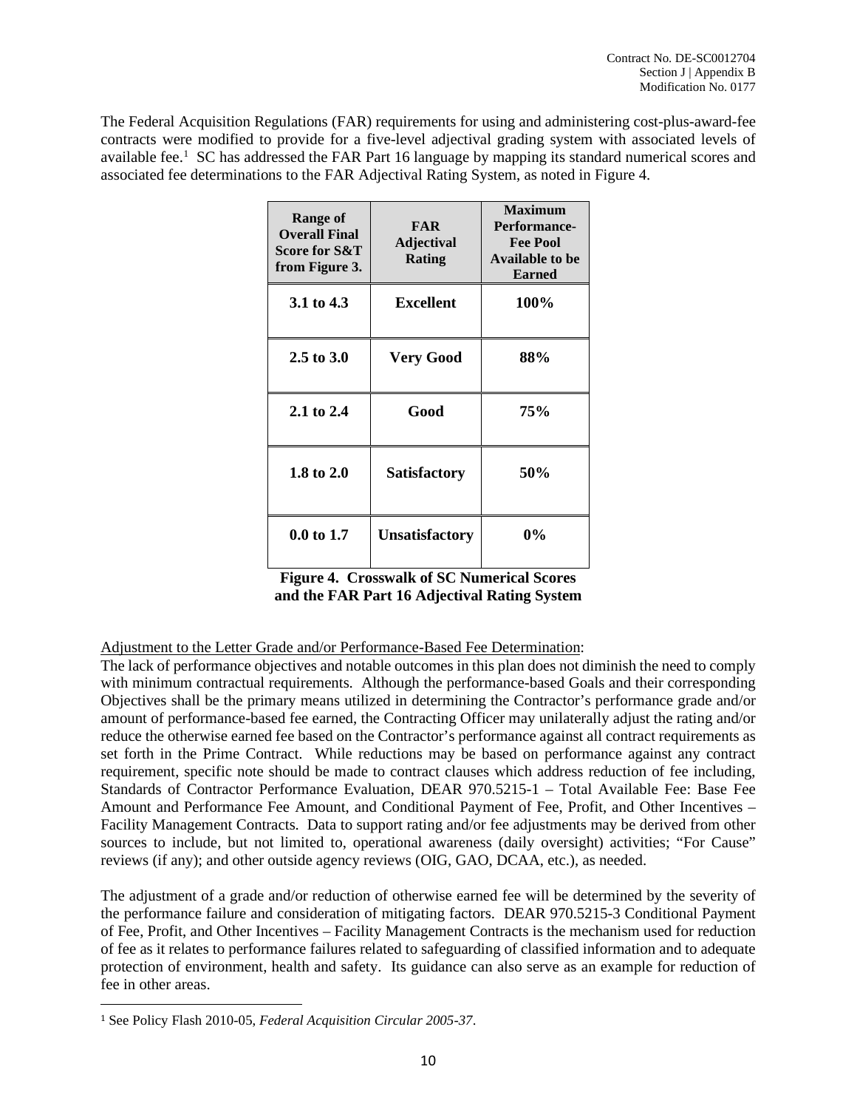The Federal Acquisition Regulations (FAR) requirements for using and administering cost-plus-award-fee contracts were modified to provide for a five-level adjectival grading system with associated levels of available fee.<sup>[1](#page-27-0)</sup> SC has addressed the FAR Part 16 language by mapping its standard numerical scores and associated fee determinations to the FAR Adjectival Rating System, as noted in Figure 4.

| Range of<br><b>Overall Final</b><br>Score for S&T<br>from Figure 3. | <b>FAR</b><br><b>Adjectival</b><br>Rating | <b>Maximum</b><br><b>Performance-</b><br><b>Fee Pool</b><br>Available to be<br><b>Earned</b> |
|---------------------------------------------------------------------|-------------------------------------------|----------------------------------------------------------------------------------------------|
| 3.1 to 4.3                                                          | <b>Excellent</b>                          | 100%                                                                                         |
| $2.5 \text{ to } 3.0$                                               | <b>Very Good</b>                          | 88%                                                                                          |
| 2.1 to 2.4                                                          | Good                                      | 75%                                                                                          |
| 1.8 to 2.0                                                          | <b>Satisfactory</b>                       | 50%                                                                                          |
| $0.0 \text{ to } 1.7$                                               | <b>Unsatisfactory</b>                     | $0\%$                                                                                        |

**Figure 4. Crosswalk of SC Numerical Scores and the FAR Part 16 Adjectival Rating System**

Adjustment to the Letter Grade and/or Performance-Based Fee Determination:

The lack of performance objectives and notable outcomes in this plan does not diminish the need to comply with minimum contractual requirements. Although the performance-based Goals and their corresponding Objectives shall be the primary means utilized in determining the Contractor's performance grade and/or amount of performance-based fee earned, the Contracting Officer may unilaterally adjust the rating and/or reduce the otherwise earned fee based on the Contractor's performance against all contract requirements as set forth in the Prime Contract. While reductions may be based on performance against any contract requirement, specific note should be made to contract clauses which address reduction of fee including, Standards of Contractor Performance Evaluation, DEAR 970.5215-1 – Total Available Fee: Base Fee Amount and Performance Fee Amount, and Conditional Payment of Fee, Profit, and Other Incentives – Facility Management Contracts. Data to support rating and/or fee adjustments may be derived from other sources to include, but not limited to, operational awareness (daily oversight) activities; "For Cause" reviews (if any); and other outside agency reviews (OIG, GAO, DCAA, etc.), as needed.

The adjustment of a grade and/or reduction of otherwise earned fee will be determined by the severity of the performance failure and consideration of mitigating factors. DEAR 970.5215-3 Conditional Payment of Fee, Profit, and Other Incentives – Facility Management Contracts is the mechanism used for reduction of fee as it relates to performance failures related to safeguarding of classified information and to adequate protection of environment, health and safety. Its guidance can also serve as an example for reduction of fee in other areas.

<span id="page-27-0"></span><sup>1</sup> See Policy Flash 2010-05, *Federal Acquisition Circular 2005-37*.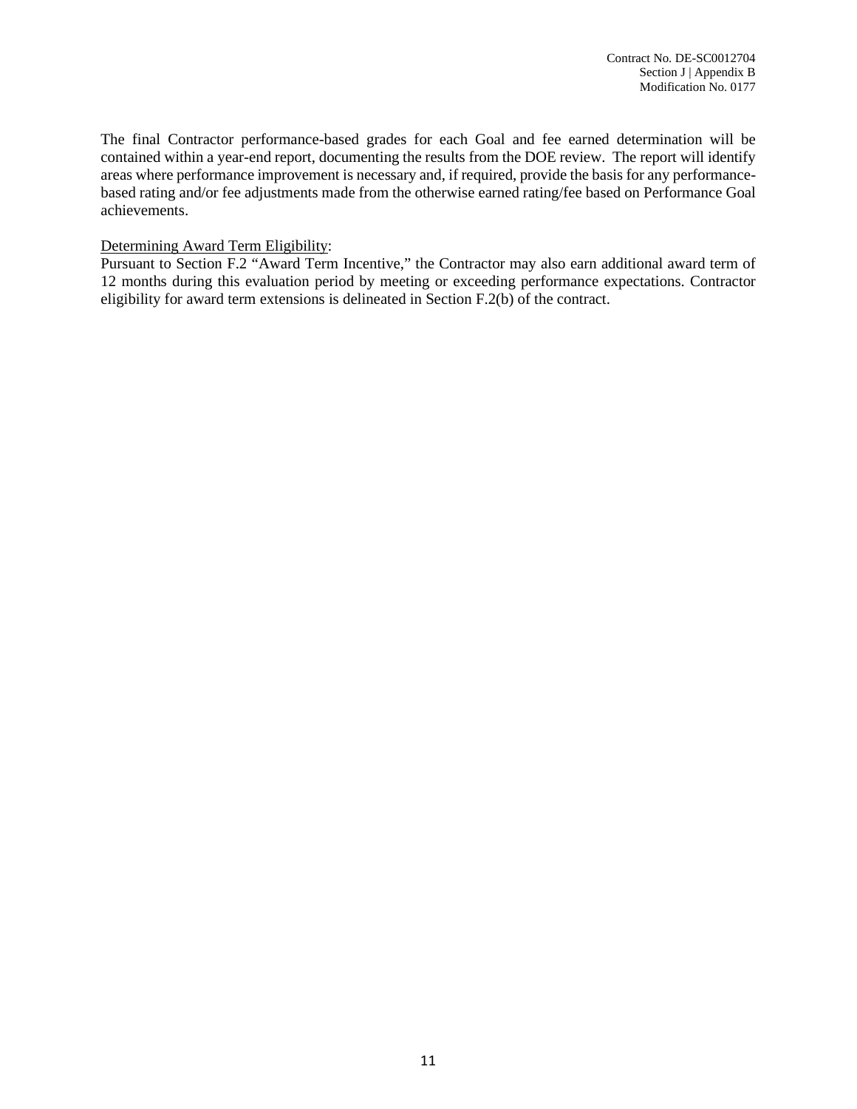The final Contractor performance-based grades for each Goal and fee earned determination will be contained within a year-end report, documenting the results from the DOE review. The report will identify areas where performance improvement is necessary and, if required, provide the basis for any performancebased rating and/or fee adjustments made from the otherwise earned rating/fee based on Performance Goal achievements.

#### Determining Award Term Eligibility:

Pursuant to Section F.2 "Award Term Incentive," the Contractor may also earn additional award term of 12 months during this evaluation period by meeting or exceeding performance expectations. Contractor eligibility for award term extensions is delineated in Section F.2(b) of the contract.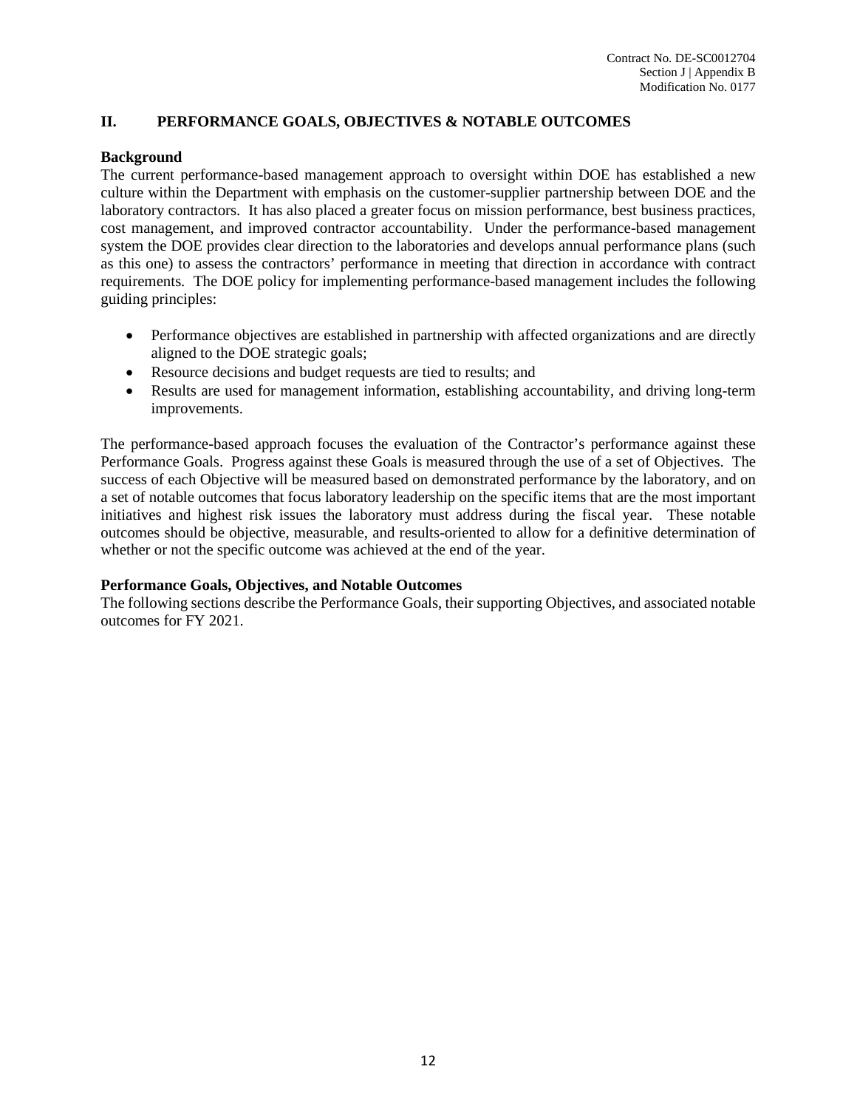#### **II. PERFORMANCE GOALS, OBJECTIVES & NOTABLE OUTCOMES**

#### **Background**

The current performance-based management approach to oversight within DOE has established a new culture within the Department with emphasis on the customer-supplier partnership between DOE and the laboratory contractors. It has also placed a greater focus on mission performance, best business practices, cost management, and improved contractor accountability. Under the performance-based management system the DOE provides clear direction to the laboratories and develops annual performance plans (such as this one) to assess the contractors' performance in meeting that direction in accordance with contract requirements. The DOE policy for implementing performance-based management includes the following guiding principles:

- Performance objectives are established in partnership with affected organizations and are directly aligned to the DOE strategic goals;
- Resource decisions and budget requests are tied to results; and
- Results are used for management information, establishing accountability, and driving long-term improvements.

The performance-based approach focuses the evaluation of the Contractor's performance against these Performance Goals. Progress against these Goals is measured through the use of a set of Objectives. The success of each Objective will be measured based on demonstrated performance by the laboratory, and on a set of notable outcomes that focus laboratory leadership on the specific items that are the most important initiatives and highest risk issues the laboratory must address during the fiscal year. These notable outcomes should be objective, measurable, and results-oriented to allow for a definitive determination of whether or not the specific outcome was achieved at the end of the year.

#### **Performance Goals, Objectives, and Notable Outcomes**

The following sections describe the Performance Goals, their supporting Objectives, and associated notable outcomes for FY 2021.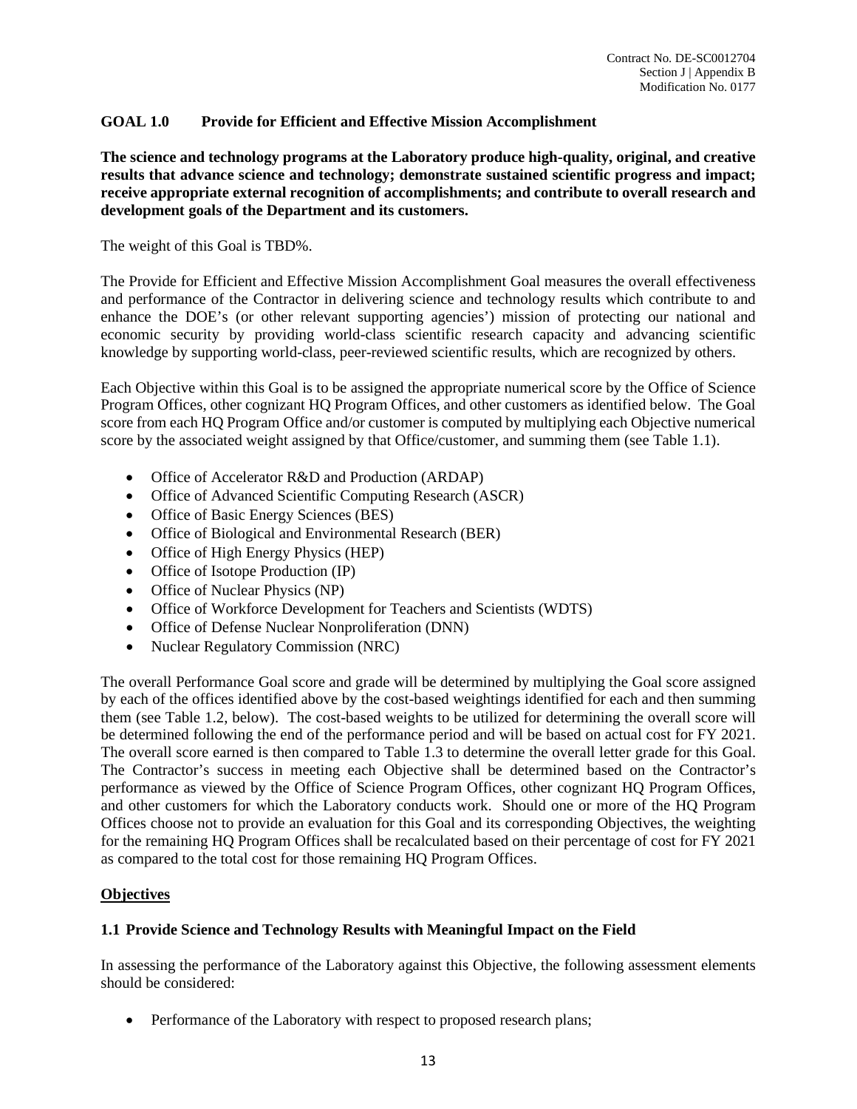### **GOAL 1.0 Provide for Efficient and Effective Mission Accomplishment**

**The science and technology programs at the Laboratory produce high-quality, original, and creative results that advance science and technology; demonstrate sustained scientific progress and impact; receive appropriate external recognition of accomplishments; and contribute to overall research and development goals of the Department and its customers.**

The weight of this Goal is TBD%.

The Provide for Efficient and Effective Mission Accomplishment Goal measures the overall effectiveness and performance of the Contractor in delivering science and technology results which contribute to and enhance the DOE's (or other relevant supporting agencies') mission of protecting our national and economic security by providing world-class scientific research capacity and advancing scientific knowledge by supporting world-class, peer-reviewed scientific results, which are recognized by others.

Each Objective within this Goal is to be assigned the appropriate numerical score by the Office of Science Program Offices, other cognizant HQ Program Offices, and other customers as identified below. The Goal score from each HQ Program Office and/or customer is computed by multiplying each Objective numerical score by the associated weight assigned by that Office/customer, and summing them (see Table 1.1).

- Office of Accelerator R&D and Production (ARDAP)
- Office of Advanced Scientific Computing Research (ASCR)
- Office of Basic Energy Sciences (BES)
- Office of Biological and Environmental Research (BER)
- Office of High Energy Physics (HEP)
- Office of Isotope Production (IP)
- Office of Nuclear Physics (NP)
- Office of Workforce Development for Teachers and Scientists (WDTS)
- Office of Defense Nuclear Nonproliferation (DNN)
- Nuclear Regulatory Commission (NRC)

The overall Performance Goal score and grade will be determined by multiplying the Goal score assigned by each of the offices identified above by the cost-based weightings identified for each and then summing them (see Table 1.2, below). The cost-based weights to be utilized for determining the overall score will be determined following the end of the performance period and will be based on actual cost for FY 2021. The overall score earned is then compared to Table 1.3 to determine the overall letter grade for this Goal. The Contractor's success in meeting each Objective shall be determined based on the Contractor's performance as viewed by the Office of Science Program Offices, other cognizant HQ Program Offices, and other customers for which the Laboratory conducts work.Should one or more of the HQ Program Offices choose not to provide an evaluation for this Goal and its corresponding Objectives, the weighting for the remaining HQ Program Offices shall be recalculated based on their percentage of cost for FY 2021 as compared to the total cost for those remaining HQ Program Offices.

### **Objectives**

### **1.1 Provide Science and Technology Results with Meaningful Impact on the Field**

In assessing the performance of the Laboratory against this Objective, the following assessment elements should be considered:

• Performance of the Laboratory with respect to proposed research plans;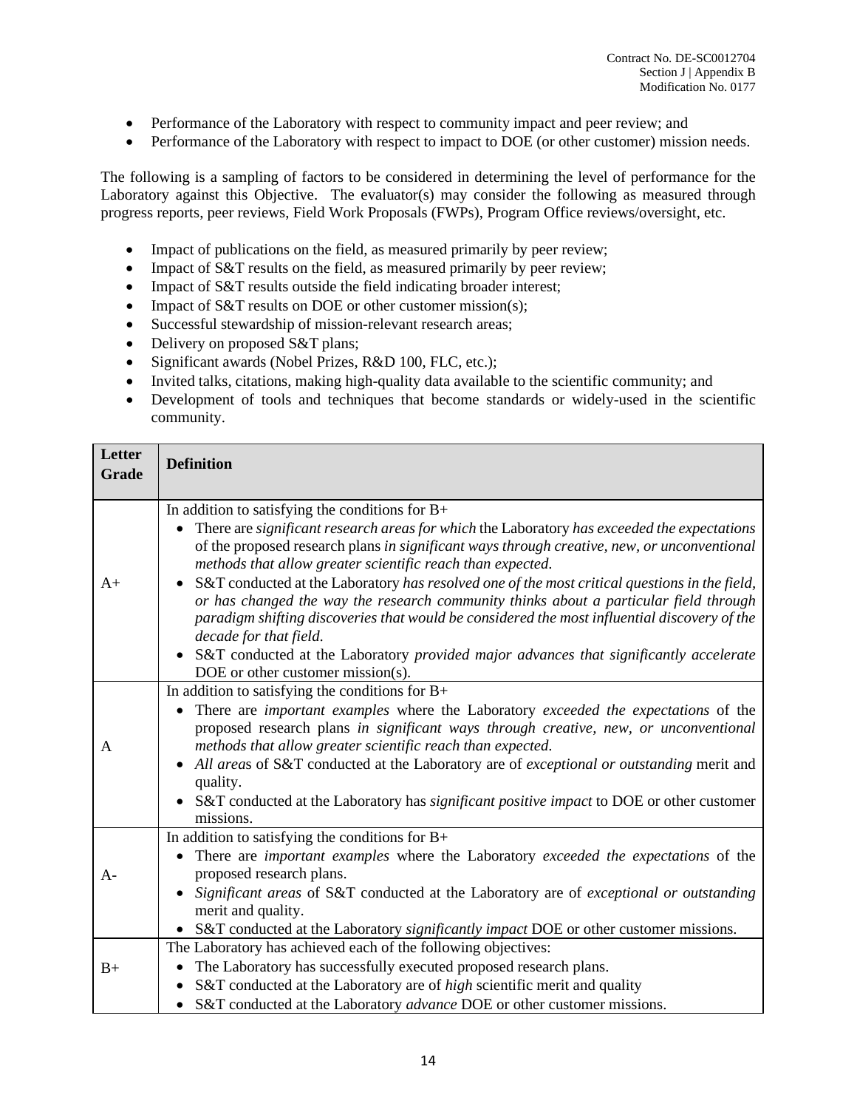- Performance of the Laboratory with respect to community impact and peer review; and
- Performance of the Laboratory with respect to impact to DOE (or other customer) mission needs.

The following is a sampling of factors to be considered in determining the level of performance for the Laboratory against this Objective. The evaluator(s) may consider the following as measured through progress reports, peer reviews, Field Work Proposals (FWPs), Program Office reviews/oversight, etc.

- Impact of publications on the field, as measured primarily by peer review;
- Impact of S&T results on the field, as measured primarily by peer review;
- Impact of S&T results outside the field indicating broader interest;
- Impact of S&T results on DOE or other customer mission(s);
- Successful stewardship of mission-relevant research areas;
- Delivery on proposed S&T plans;
- Significant awards (Nobel Prizes, R&D 100, FLC, etc.);
- Invited talks, citations, making high-quality data available to the scientific community; and
- Development of tools and techniques that become standards or widely-used in the scientific community.

| Letter<br>Grade | <b>Definition</b>                                                                                                                                                                                                                                                                                                |
|-----------------|------------------------------------------------------------------------------------------------------------------------------------------------------------------------------------------------------------------------------------------------------------------------------------------------------------------|
|                 | In addition to satisfying the conditions for $B+$                                                                                                                                                                                                                                                                |
|                 | There are significant research areas for which the Laboratory has exceeded the expectations<br>of the proposed research plans in significant ways through creative, new, or unconventional<br>methods that allow greater scientific reach than expected.                                                         |
| $A+$            | S&T conducted at the Laboratory has resolved one of the most critical questions in the field,<br>or has changed the way the research community thinks about a particular field through<br>paradigm shifting discoveries that would be considered the most influential discovery of the<br>decade for that field. |
|                 | S&T conducted at the Laboratory provided major advances that significantly accelerate                                                                                                                                                                                                                            |
|                 | DOE or other customer mission(s).                                                                                                                                                                                                                                                                                |
|                 | In addition to satisfying the conditions for $B+$                                                                                                                                                                                                                                                                |
| A               | There are <i>important examples</i> where the Laboratory exceeded the expectations of the<br>$\bullet$<br>proposed research plans in significant ways through creative, new, or unconventional<br>methods that allow greater scientific reach than expected.                                                     |
|                 | All areas of S&T conducted at the Laboratory are of <i>exceptional or outstanding</i> merit and<br>quality.                                                                                                                                                                                                      |
|                 | S&T conducted at the Laboratory has <i>significant positive impact</i> to DOE or other customer<br>missions.                                                                                                                                                                                                     |
|                 | In addition to satisfying the conditions for $B+$                                                                                                                                                                                                                                                                |
|                 | There are <i>important examples</i> where the Laboratory exceeded the expectations of the                                                                                                                                                                                                                        |
| $A-$            | proposed research plans.<br>Significant areas of S&T conducted at the Laboratory are of exceptional or outstanding                                                                                                                                                                                               |
|                 | merit and quality.                                                                                                                                                                                                                                                                                               |
|                 | S&T conducted at the Laboratory significantly impact DOE or other customer missions.<br>$\bullet$                                                                                                                                                                                                                |
|                 | The Laboratory has achieved each of the following objectives:                                                                                                                                                                                                                                                    |
| $B+$            | The Laboratory has successfully executed proposed research plans.<br>$\bullet$                                                                                                                                                                                                                                   |
|                 | S&T conducted at the Laboratory are of high scientific merit and quality                                                                                                                                                                                                                                         |
|                 | S&T conducted at the Laboratory <i>advance</i> DOE or other customer missions.<br>$\bullet$                                                                                                                                                                                                                      |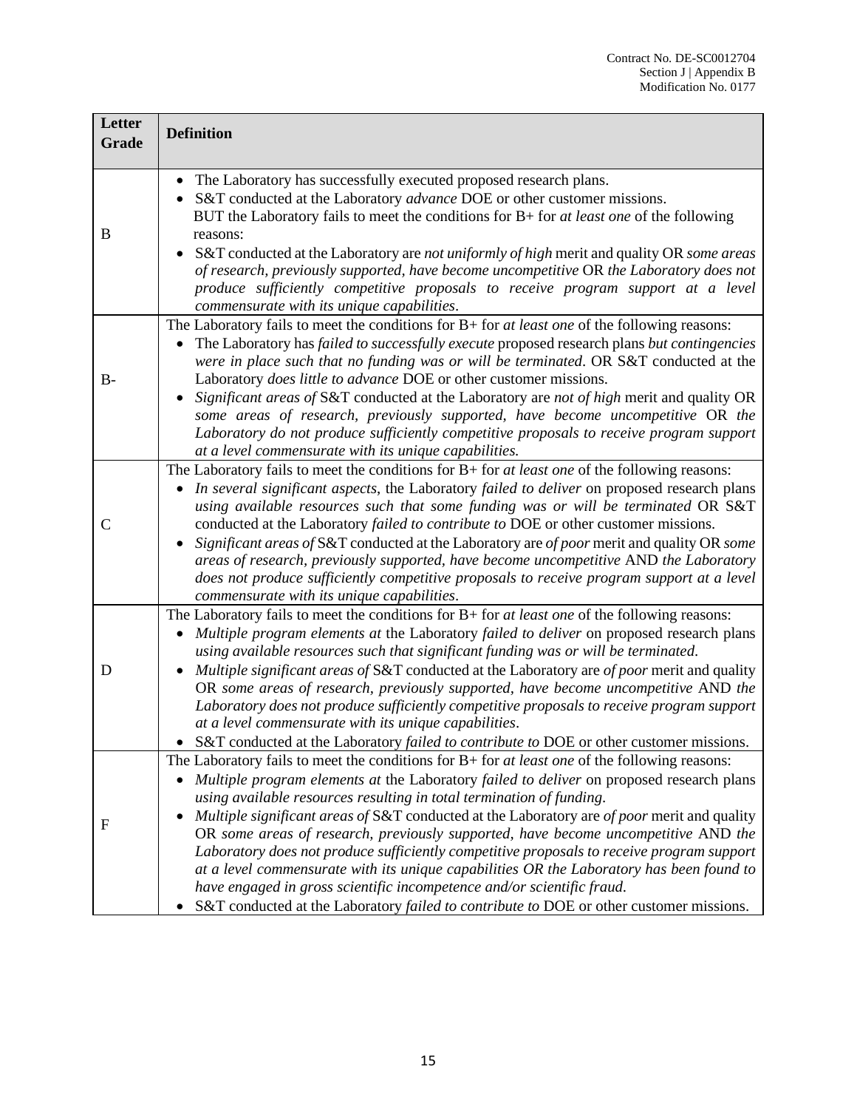| Letter<br>Grade | <b>Definition</b>                                                                                                                                                                           |
|-----------------|---------------------------------------------------------------------------------------------------------------------------------------------------------------------------------------------|
|                 | The Laboratory has successfully executed proposed research plans.                                                                                                                           |
|                 | S&T conducted at the Laboratory <i>advance</i> DOE or other customer missions.                                                                                                              |
|                 | BUT the Laboratory fails to meet the conditions for $B+$ for <i>at least one</i> of the following                                                                                           |
| B               | reasons:                                                                                                                                                                                    |
|                 | S&T conducted at the Laboratory are not uniformly of high merit and quality OR some areas                                                                                                   |
|                 | of research, previously supported, have become uncompetitive OR the Laboratory does not                                                                                                     |
|                 | produce sufficiently competitive proposals to receive program support at a level<br>commensurate with its unique capabilities.                                                              |
|                 | The Laboratory fails to meet the conditions for $B+$ for <i>at least one</i> of the following reasons:                                                                                      |
|                 | The Laboratory has failed to successfully execute proposed research plans but contingencies                                                                                                 |
|                 | were in place such that no funding was or will be terminated. OR S&T conducted at the                                                                                                       |
| $B-$            | Laboratory does little to advance DOE or other customer missions.                                                                                                                           |
|                 | Significant areas of S&T conducted at the Laboratory are not of high merit and quality OR                                                                                                   |
|                 | some areas of research, previously supported, have become uncompetitive OR the                                                                                                              |
|                 | Laboratory do not produce sufficiently competitive proposals to receive program support<br>at a level commensurate with its unique capabilities.                                            |
|                 | The Laboratory fails to meet the conditions for $B+$ for <i>at least one</i> of the following reasons:                                                                                      |
|                 | In several significant aspects, the Laboratory failed to deliver on proposed research plans<br>$\bullet$                                                                                    |
|                 | using available resources such that some funding was or will be terminated OR S&T                                                                                                           |
| $\mathsf{C}$    | conducted at the Laboratory failed to contribute to DOE or other customer missions.                                                                                                         |
|                 | Significant areas of S&T conducted at the Laboratory are of poor merit and quality OR some                                                                                                  |
|                 | areas of research, previously supported, have become uncompetitive AND the Laboratory                                                                                                       |
|                 | does not produce sufficiently competitive proposals to receive program support at a level                                                                                                   |
|                 | commensurate with its unique capabilities.                                                                                                                                                  |
| D               | The Laboratory fails to meet the conditions for B+ for <i>at least one</i> of the following reasons:                                                                                        |
|                 | Multiple program elements at the Laboratory failed to deliver on proposed research plans<br>$\bullet$<br>using available resources such that significant funding was or will be terminated. |
|                 | Multiple significant areas of S&T conducted at the Laboratory are of poor merit and quality                                                                                                 |
|                 | OR some areas of research, previously supported, have become uncompetitive AND the                                                                                                          |
|                 | Laboratory does not produce sufficiently competitive proposals to receive program support                                                                                                   |
|                 | at a level commensurate with its unique capabilities.                                                                                                                                       |
|                 | S&T conducted at the Laboratory <i>failed to contribute to</i> DOE or other customer missions.                                                                                              |
|                 | The Laboratory fails to meet the conditions for B+ for <i>at least one</i> of the following reasons:                                                                                        |
| F               | Multiple program elements at the Laboratory failed to deliver on proposed research plans                                                                                                    |
|                 | using available resources resulting in total termination of funding.                                                                                                                        |
|                 | Multiple significant areas of S&T conducted at the Laboratory are of poor merit and quality                                                                                                 |
|                 | OR some areas of research, previously supported, have become uncompetitive AND the                                                                                                          |
|                 | Laboratory does not produce sufficiently competitive proposals to receive program support<br>at a level commensurate with its unique capabilities OR the Laboratory has been found to       |
|                 | have engaged in gross scientific incompetence and/or scientific fraud.                                                                                                                      |
|                 | S&T conducted at the Laboratory <i>failed to contribute to</i> DOE or other customer missions.                                                                                              |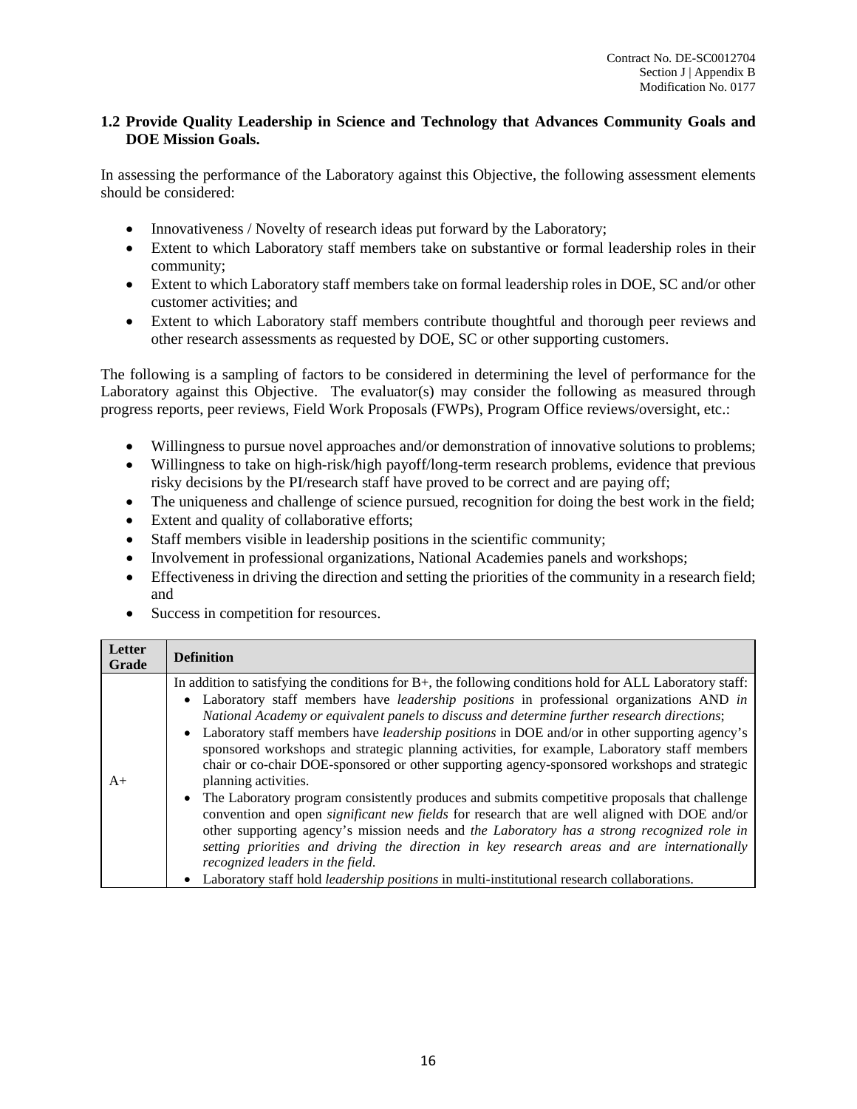#### **1.2 Provide Quality Leadership in Science and Technology that Advances Community Goals and DOE Mission Goals.**

In assessing the performance of the Laboratory against this Objective, the following assessment elements should be considered:

- Innovativeness / Novelty of research ideas put forward by the Laboratory;
- Extent to which Laboratory staff members take on substantive or formal leadership roles in their community;
- Extent to which Laboratory staff members take on formal leadership roles in DOE, SC and/or other customer activities; and
- Extent to which Laboratory staff members contribute thoughtful and thorough peer reviews and other research assessments as requested by DOE, SC or other supporting customers.

The following is a sampling of factors to be considered in determining the level of performance for the Laboratory against this Objective. The evaluator(s) may consider the following as measured through progress reports, peer reviews, Field Work Proposals (FWPs), Program Office reviews/oversight, etc.:

- Willingness to pursue novel approaches and/or demonstration of innovative solutions to problems;
- Willingness to take on high-risk/high payoff/long-term research problems, evidence that previous risky decisions by the PI/research staff have proved to be correct and are paying off;
- The uniqueness and challenge of science pursued, recognition for doing the best work in the field;
- Extent and quality of collaborative efforts;
- Staff members visible in leadership positions in the scientific community;
- Involvement in professional organizations, National Academies panels and workshops;
- Effectiveness in driving the direction and setting the priorities of the community in a research field; and
- Success in competition for resources.

| <b>Letter</b><br>Grade | <b>Definition</b>                                                                                                                                                                                                                                                                                                                                                                                                                                                                                                                                                                                                                                                                                                                                                                                                                                                                                                                                                                                                                                                                                                                                                                         |
|------------------------|-------------------------------------------------------------------------------------------------------------------------------------------------------------------------------------------------------------------------------------------------------------------------------------------------------------------------------------------------------------------------------------------------------------------------------------------------------------------------------------------------------------------------------------------------------------------------------------------------------------------------------------------------------------------------------------------------------------------------------------------------------------------------------------------------------------------------------------------------------------------------------------------------------------------------------------------------------------------------------------------------------------------------------------------------------------------------------------------------------------------------------------------------------------------------------------------|
| $A+$                   | In addition to satisfying the conditions for $B+$ , the following conditions hold for ALL Laboratory staff:<br>• Laboratory staff members have leadership positions in professional organizations AND in<br>National Academy or equivalent panels to discuss and determine further research directions;<br>• Laboratory staff members have <i>leadership positions</i> in DOE and/or in other supporting agency's<br>sponsored workshops and strategic planning activities, for example, Laboratory staff members<br>chair or co-chair DOE-sponsored or other supporting agency-sponsored workshops and strategic<br>planning activities.<br>• The Laboratory program consistently produces and submits competitive proposals that challenge<br>convention and open <i>significant new fields</i> for research that are well aligned with DOE and/or<br>other supporting agency's mission needs and the Laboratory has a strong recognized role in<br>setting priorities and driving the direction in key research areas and are internationally<br>recognized leaders in the field.<br>Laboratory staff hold <i>leadership positions</i> in multi-institutional research collaborations. |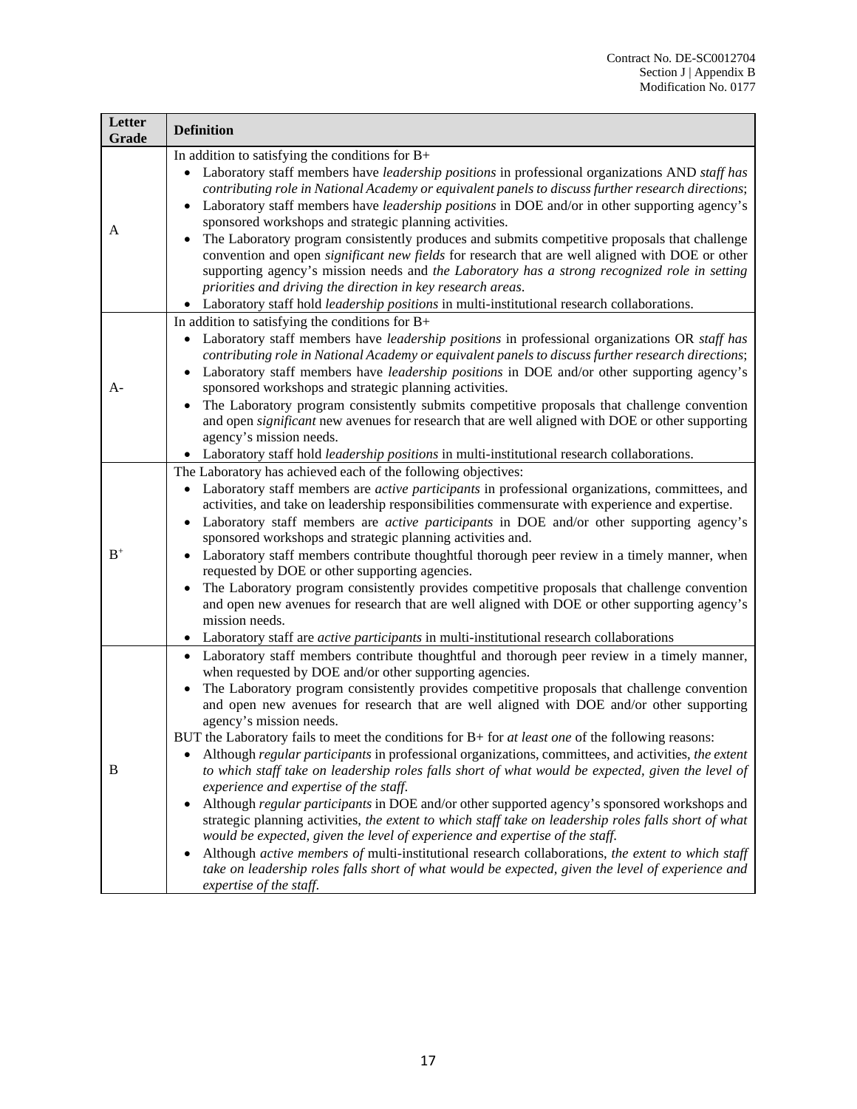| Letter<br>Grade | <b>Definition</b>                                                                                                                                                                                                                                                                                                                                                                                                                                                                                                                                                                                                                                                                                                                                                                                                                                                                                                                                                                                                                                                                                                                                                                                                                                                                            |
|-----------------|----------------------------------------------------------------------------------------------------------------------------------------------------------------------------------------------------------------------------------------------------------------------------------------------------------------------------------------------------------------------------------------------------------------------------------------------------------------------------------------------------------------------------------------------------------------------------------------------------------------------------------------------------------------------------------------------------------------------------------------------------------------------------------------------------------------------------------------------------------------------------------------------------------------------------------------------------------------------------------------------------------------------------------------------------------------------------------------------------------------------------------------------------------------------------------------------------------------------------------------------------------------------------------------------|
| A               | In addition to satisfying the conditions for $B+$<br>Laboratory staff members have <i>leadership positions</i> in professional organizations AND <i>staff has</i><br>$\bullet$<br>contributing role in National Academy or equivalent panels to discuss further research directions;<br>Laboratory staff members have <i>leadership positions</i> in DOE and/or in other supporting agency's<br>sponsored workshops and strategic planning activities.<br>The Laboratory program consistently produces and submits competitive proposals that challenge<br>convention and open <i>significant new fields</i> for research that are well aligned with DOE or other<br>supporting agency's mission needs and the Laboratory has a strong recognized role in setting<br>priorities and driving the direction in key research areas.<br>• Laboratory staff hold leadership positions in multi-institutional research collaborations.                                                                                                                                                                                                                                                                                                                                                             |
| A-              | In addition to satisfying the conditions for $B+$<br>Laboratory staff members have leadership positions in professional organizations OR staff has<br>$\bullet$<br>contributing role in National Academy or equivalent panels to discuss further research directions;<br>Laboratory staff members have <i>leadership positions</i> in DOE and/or other supporting agency's<br>sponsored workshops and strategic planning activities.<br>The Laboratory program consistently submits competitive proposals that challenge convention<br>and open <i>significant</i> new avenues for research that are well aligned with DOE or other supporting<br>agency's mission needs.<br>• Laboratory staff hold <i>leadership positions</i> in multi-institutional research collaborations.                                                                                                                                                                                                                                                                                                                                                                                                                                                                                                             |
| $\mathbf{B}^+$  | The Laboratory has achieved each of the following objectives:<br>Laboratory staff members are <i>active participants</i> in professional organizations, committees, and<br>$\bullet$<br>activities, and take on leadership responsibilities commensurate with experience and expertise.<br>Laboratory staff members are <i>active participants</i> in DOE and/or other supporting agency's<br>sponsored workshops and strategic planning activities and.<br>Laboratory staff members contribute thoughtful thorough peer review in a timely manner, when<br>requested by DOE or other supporting agencies.<br>The Laboratory program consistently provides competitive proposals that challenge convention<br>and open new avenues for research that are well aligned with DOE or other supporting agency's<br>mission needs.<br>Laboratory staff are <i>active participants</i> in multi-institutional research collaborations                                                                                                                                                                                                                                                                                                                                                              |
| B               | Laboratory staff members contribute thoughtful and thorough peer review in a timely manner,<br>$\bullet$<br>when requested by DOE and/or other supporting agencies.<br>The Laboratory program consistently provides competitive proposals that challenge convention<br>and open new avenues for research that are well aligned with DOE and/or other supporting<br>agency's mission needs.<br>BUT the Laboratory fails to meet the conditions for $B+$ for <i>at least one</i> of the following reasons:<br>Although regular participants in professional organizations, committees, and activities, the extent<br>to which staff take on leadership roles falls short of what would be expected, given the level of<br>experience and expertise of the staff.<br>Although regular participants in DOE and/or other supported agency's sponsored workshops and<br>strategic planning activities, the extent to which staff take on leadership roles falls short of what<br>would be expected, given the level of experience and expertise of the staff.<br>Although active members of multi-institutional research collaborations, the extent to which staff<br>take on leadership roles falls short of what would be expected, given the level of experience and<br>expertise of the staff. |

r

┱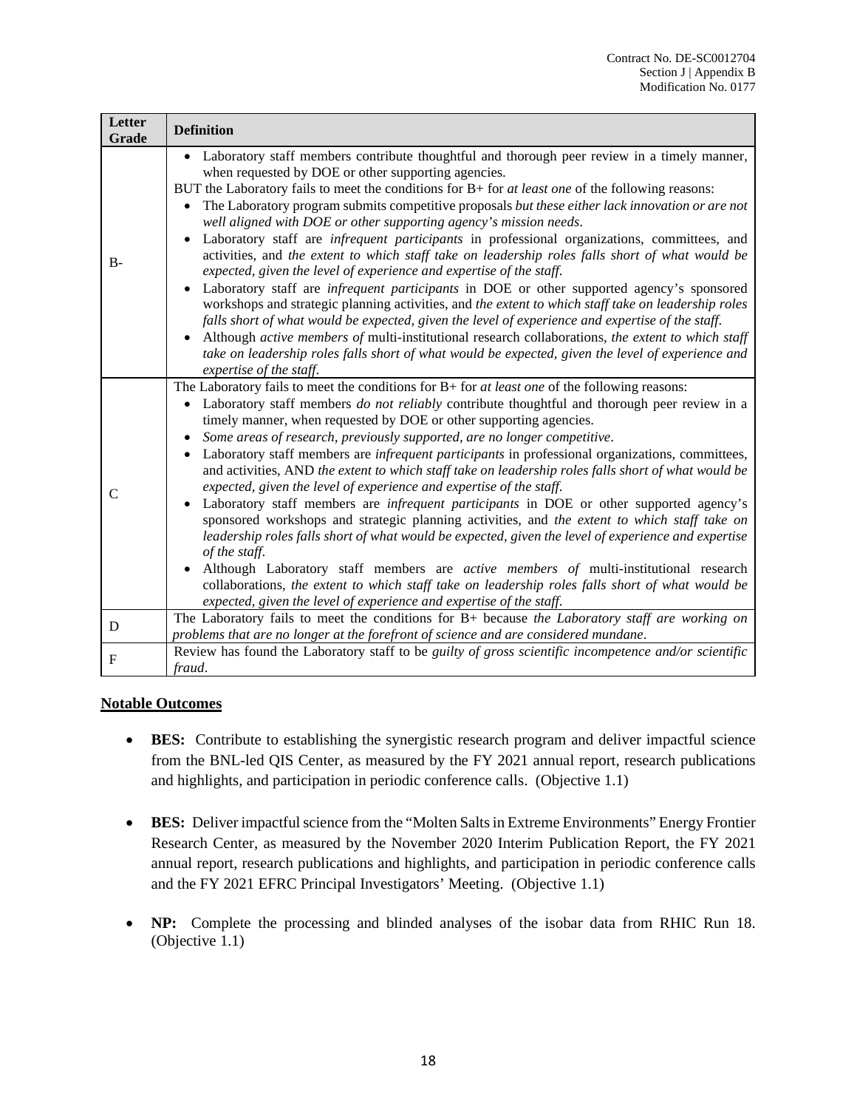| Letter<br>Grade | <b>Definition</b>                                                                                                                                                                                                                                                                                                                                                                                                                                                                                                                                                                                                                                                                                                                                                                                                                                                                                                                                                                                                                                                                                                                                                                                                                                                                                        |
|-----------------|----------------------------------------------------------------------------------------------------------------------------------------------------------------------------------------------------------------------------------------------------------------------------------------------------------------------------------------------------------------------------------------------------------------------------------------------------------------------------------------------------------------------------------------------------------------------------------------------------------------------------------------------------------------------------------------------------------------------------------------------------------------------------------------------------------------------------------------------------------------------------------------------------------------------------------------------------------------------------------------------------------------------------------------------------------------------------------------------------------------------------------------------------------------------------------------------------------------------------------------------------------------------------------------------------------|
| $B -$           | Laboratory staff members contribute thoughtful and thorough peer review in a timely manner,<br>when requested by DOE or other supporting agencies.<br>BUT the Laboratory fails to meet the conditions for $B$ + for <i>at least one</i> of the following reasons:<br>The Laboratory program submits competitive proposals but these either lack innovation or are not<br>well aligned with DOE or other supporting agency's mission needs.<br>Laboratory staff are <i>infrequent participants</i> in professional organizations, committees, and<br>$\bullet$<br>activities, and the extent to which staff take on leadership roles falls short of what would be<br>expected, given the level of experience and expertise of the staff.<br>Laboratory staff are <i>infrequent participants</i> in DOE or other supported agency's sponsored<br>workshops and strategic planning activities, and the extent to which staff take on leadership roles<br>falls short of what would be expected, given the level of experience and expertise of the staff.<br>Although active members of multi-institutional research collaborations, the extent to which staff<br>$\bullet$<br>take on leadership roles falls short of what would be expected, given the level of experience and<br>expertise of the staff. |
| C               | The Laboratory fails to meet the conditions for B+ for at least one of the following reasons:<br>Laboratory staff members <i>do not reliably</i> contribute thoughtful and thorough peer review in a<br>$\bullet$<br>timely manner, when requested by DOE or other supporting agencies.<br>Some areas of research, previously supported, are no longer competitive.<br>Laboratory staff members are infrequent participants in professional organizations, committees,<br>and activities, AND the extent to which staff take on leadership roles falls short of what would be<br>expected, given the level of experience and expertise of the staff.<br>Laboratory staff members are <i>infrequent participants</i> in DOE or other supported agency's<br>sponsored workshops and strategic planning activities, and the extent to which staff take on<br>leadership roles falls short of what would be expected, given the level of experience and expertise<br>of the staff.<br>Although Laboratory staff members are active members of multi-institutional research<br>collaborations, the extent to which staff take on leadership roles falls short of what would be<br>expected, given the level of experience and expertise of the staff.                                                         |
| D               | The Laboratory fails to meet the conditions for $B+$ because the Laboratory staff are working on<br>problems that are no longer at the forefront of science and are considered mundane.                                                                                                                                                                                                                                                                                                                                                                                                                                                                                                                                                                                                                                                                                                                                                                                                                                                                                                                                                                                                                                                                                                                  |
| $\mathbf{F}$    | Review has found the Laboratory staff to be <i>guilty of gross scientific incompetence and/or scientific</i><br>fraud.                                                                                                                                                                                                                                                                                                                                                                                                                                                                                                                                                                                                                                                                                                                                                                                                                                                                                                                                                                                                                                                                                                                                                                                   |

#### **Notable Outcomes**

- **BES:** Contribute to establishing the synergistic research program and deliver impactful science from the BNL-led QIS Center, as measured by the FY 2021 annual report, research publications and highlights, and participation in periodic conference calls. (Objective 1.1)
- **BES:** Deliver impactful science from the "Molten Salts in Extreme Environments" Energy Frontier Research Center, as measured by the November 2020 Interim Publication Report, the FY 2021 annual report, research publications and highlights, and participation in periodic conference calls and the FY 2021 EFRC Principal Investigators' Meeting. (Objective 1.1)
- **NP:** Complete the processing and blinded analyses of the isobar data from RHIC Run 18. (Objective 1.1)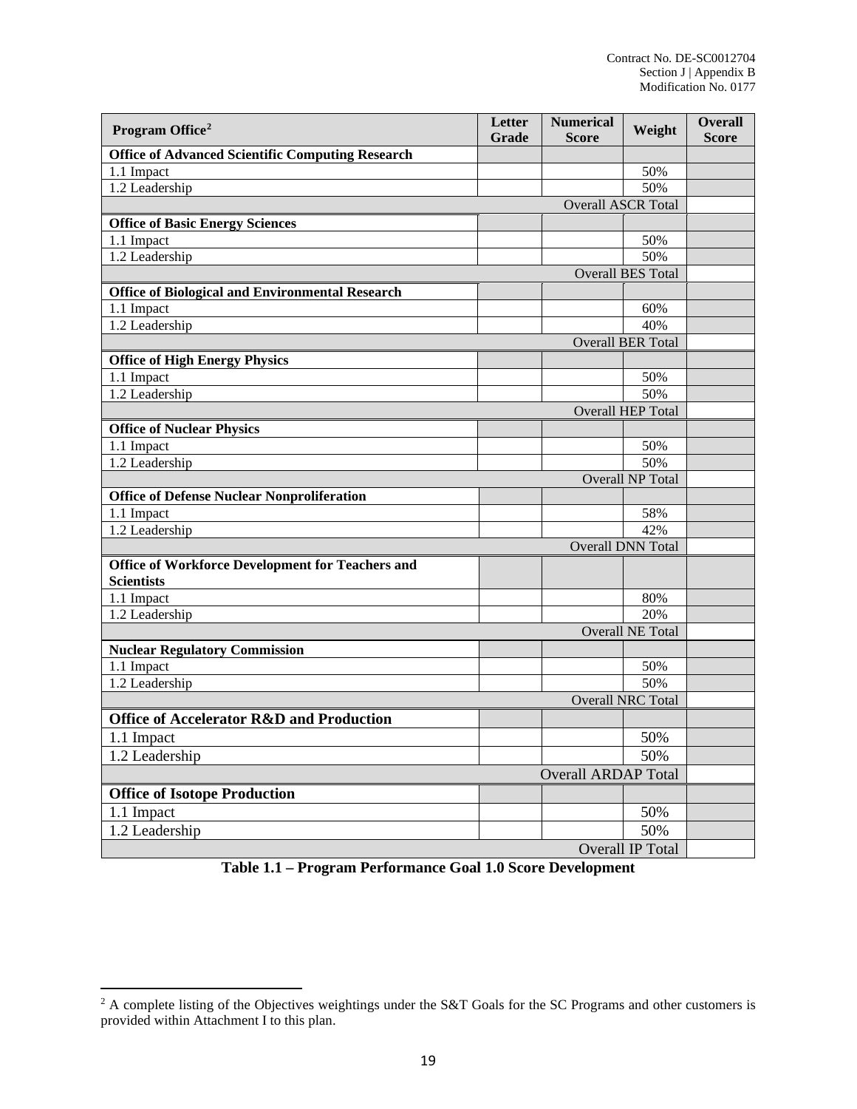| Program Office <sup>2</sup>                             | Letter<br>Grade | <b>Numerical</b><br><b>Score</b> | Weight                         | <b>Overall</b><br><b>Score</b> |
|---------------------------------------------------------|-----------------|----------------------------------|--------------------------------|--------------------------------|
| <b>Office of Advanced Scientific Computing Research</b> |                 |                                  |                                |                                |
| 1.1 Impact                                              |                 |                                  | 50%                            |                                |
| 1.2 Leadership                                          |                 |                                  | 50%                            |                                |
|                                                         |                 | <b>Overall ASCR Total</b>        |                                |                                |
| <b>Office of Basic Energy Sciences</b>                  |                 |                                  |                                |                                |
| 1.1 Impact                                              |                 |                                  | 50%                            |                                |
| 1.2 Leadership                                          |                 |                                  | 50%                            |                                |
|                                                         |                 |                                  | <b>Overall BES Total</b>       |                                |
| <b>Office of Biological and Environmental Research</b>  |                 |                                  |                                |                                |
| 1.1 Impact                                              |                 |                                  | 60%                            |                                |
| 1.2 Leadership                                          |                 |                                  | 40%                            |                                |
|                                                         |                 |                                  | <b>Overall BER Total</b>       |                                |
| <b>Office of High Energy Physics</b>                    |                 |                                  |                                |                                |
| 1.1 Impact                                              |                 |                                  | 50%                            |                                |
| 1.2 Leadership                                          |                 |                                  | 50%                            |                                |
|                                                         |                 |                                  | <b>Overall HEP Total</b>       |                                |
| <b>Office of Nuclear Physics</b>                        |                 |                                  |                                |                                |
| 1.1 Impact                                              |                 |                                  | 50%                            |                                |
| 1.2 Leadership                                          |                 |                                  | 50%                            |                                |
|                                                         |                 |                                  | <b>Overall NP Total</b>        |                                |
| <b>Office of Defense Nuclear Nonproliferation</b>       |                 |                                  |                                |                                |
| 1.1 Impact                                              |                 |                                  | 58%                            |                                |
| 1.2 Leadership                                          |                 |                                  | 42%                            |                                |
|                                                         |                 |                                  | <b>Overall DNN Total</b>       |                                |
| <b>Office of Workforce Development for Teachers and</b> |                 |                                  |                                |                                |
| <b>Scientists</b>                                       |                 |                                  |                                |                                |
| 1.1 Impact                                              |                 |                                  | 80%                            |                                |
| 1.2 Leadership                                          |                 |                                  | 20%<br><b>Overall NE Total</b> |                                |
|                                                         |                 |                                  |                                |                                |
| <b>Nuclear Regulatory Commission</b>                    |                 |                                  |                                |                                |
| 1.1 Impact<br>1.2 Leadership                            |                 |                                  | 50%<br>50%                     |                                |
|                                                         |                 |                                  | <b>Overall NRC Total</b>       |                                |
|                                                         |                 |                                  |                                |                                |
| <b>Office of Accelerator R&amp;D and Production</b>     |                 |                                  |                                |                                |
| 1.1 Impact                                              |                 |                                  | 50%                            |                                |
| 1.2 Leadership                                          |                 |                                  | 50%                            |                                |
|                                                         |                 | <b>Overall ARDAP Total</b>       |                                |                                |
| <b>Office of Isotope Production</b>                     |                 |                                  |                                |                                |
| 1.1 Impact                                              |                 |                                  | 50%                            |                                |
| 1.2 Leadership                                          |                 |                                  | 50%                            |                                |
|                                                         |                 |                                  | Overall IP Total               |                                |

**Table 1.1 – Program Performance Goal 1.0 Score Development**

<span id="page-36-0"></span><sup>&</sup>lt;sup>2</sup> A complete listing of the Objectives weightings under the S&T Goals for the SC Programs and other customers is provided within Attachment I to this plan.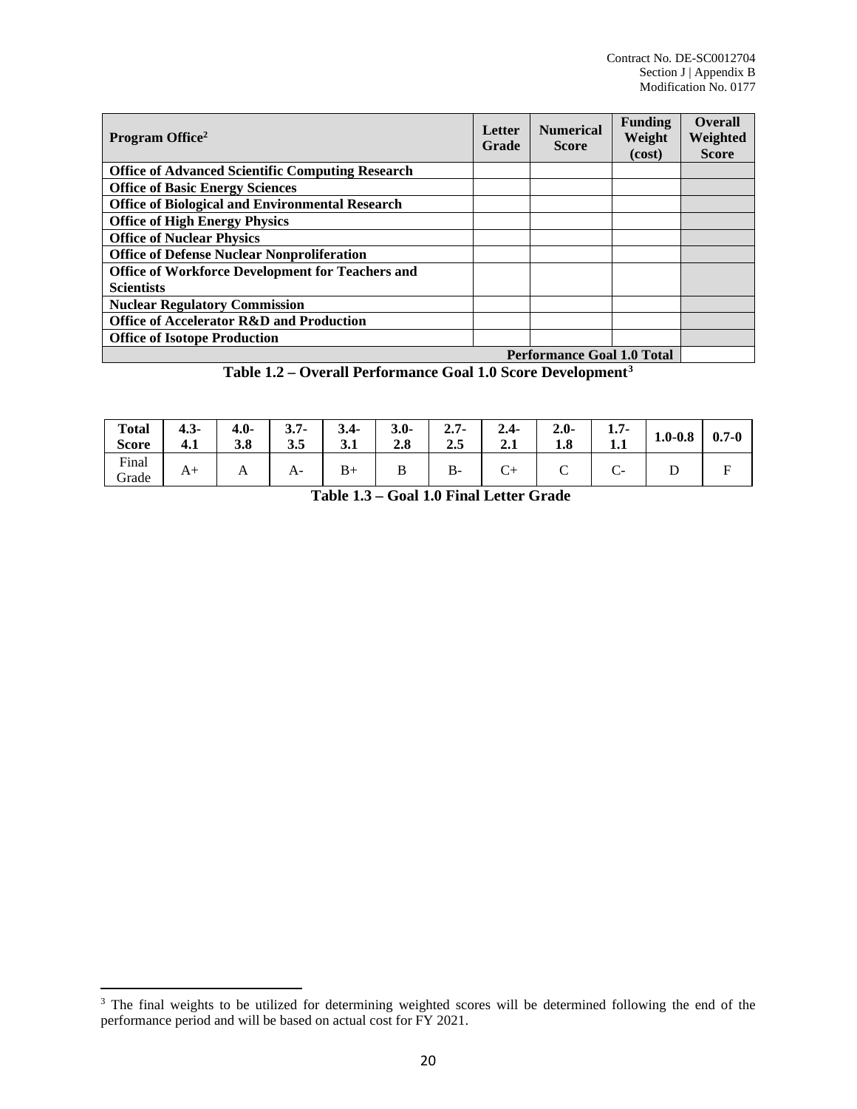| Program Office <sup>2</sup>                             |  | <b>Numerical</b><br><b>Score</b> | <b>Funding</b><br>Weight<br>(cost) | <b>Overall</b><br>Weighted<br><b>Score</b> |
|---------------------------------------------------------|--|----------------------------------|------------------------------------|--------------------------------------------|
| <b>Office of Advanced Scientific Computing Research</b> |  |                                  |                                    |                                            |
| <b>Office of Basic Energy Sciences</b>                  |  |                                  |                                    |                                            |
| <b>Office of Biological and Environmental Research</b>  |  |                                  |                                    |                                            |
| <b>Office of High Energy Physics</b>                    |  |                                  |                                    |                                            |
| <b>Office of Nuclear Physics</b>                        |  |                                  |                                    |                                            |
| <b>Office of Defense Nuclear Nonproliferation</b>       |  |                                  |                                    |                                            |
| Office of Workforce Development for Teachers and        |  |                                  |                                    |                                            |
| <b>Scientists</b>                                       |  |                                  |                                    |                                            |
| <b>Nuclear Regulatory Commission</b>                    |  |                                  |                                    |                                            |
| <b>Office of Accelerator R&amp;D and Production</b>     |  |                                  |                                    |                                            |
| <b>Office of Isotope Production</b>                     |  |                                  |                                    |                                            |
| <b>Performance Goal 1.0 Total</b>                       |  |                                  |                                    |                                            |

|  |  |  | Table 1.2 - Overall Performance Goal 1.0 Score Development <sup>3</sup> |  |  |  |  |  |
|--|--|--|-------------------------------------------------------------------------|--|--|--|--|--|
|--|--|--|-------------------------------------------------------------------------|--|--|--|--|--|

| <b>Total</b><br><b>Score</b> | $4.3 -$<br>4.1 | $4.0-$<br>ാ െ<br>J.O | $3.7 -$<br>3.5 | $3.4 -$<br>J.L | $3.0 -$<br>2.8 | $2.7 -$<br>2.5 | $2.4 -$<br>4.L | $2.0 -$<br>1.0 | $\overline{ }$<br>$\blacksquare$ . $\blacksquare$<br>1.1 | $1.0 - 0.8$ | $0.7 - 0$ |
|------------------------------|----------------|----------------------|----------------|----------------|----------------|----------------|----------------|----------------|----------------------------------------------------------|-------------|-----------|
| Final<br>Grade               | $A+$           | $\mathbf{L}$         | $A^-$          | $\mathbf{D}^+$ | Ψ              | В-             |                |                |                                                          |             |           |

**Table 1.3 – Goal 1.0 Final Letter Grade**

<span id="page-37-0"></span><sup>&</sup>lt;sup>3</sup> The final weights to be utilized for determining weighted scores will be determined following the end of the performance period and will be based on actual cost for FY 2021.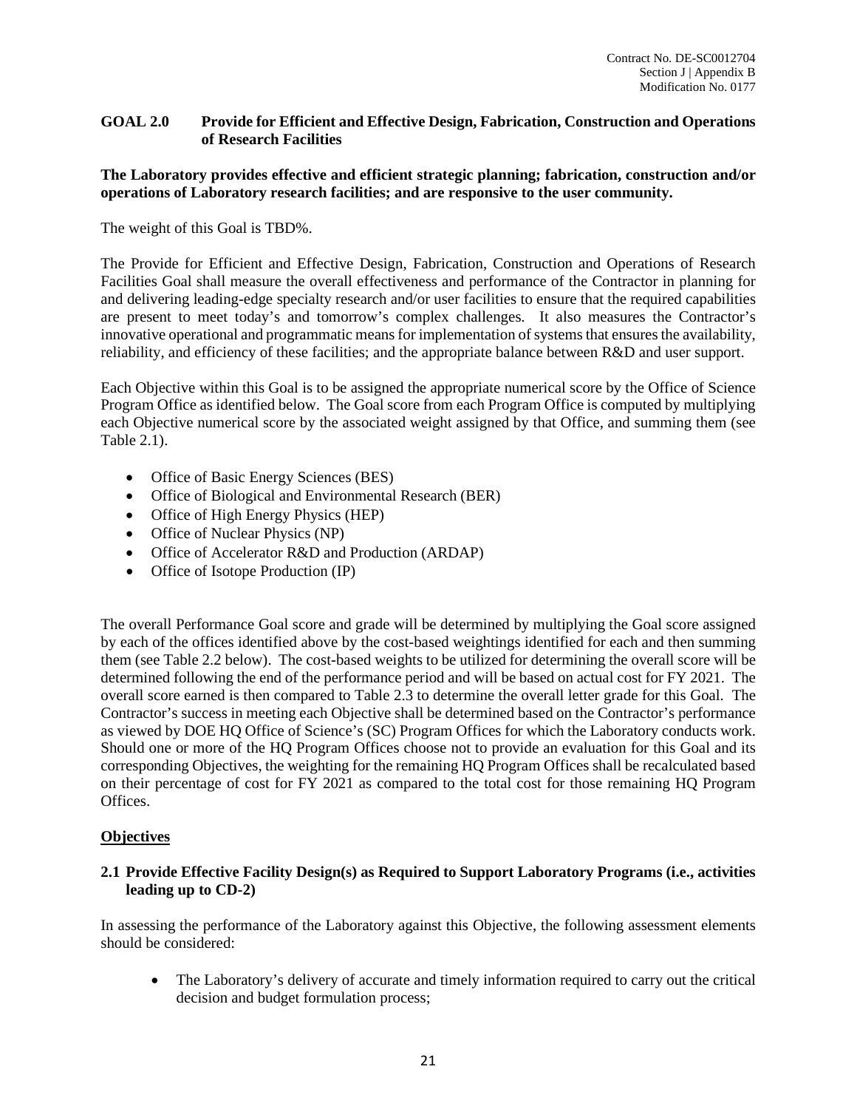# **GOAL 2.0 Provide for Efficient and Effective Design, Fabrication, Construction and Operations of Research Facilities**

# **The Laboratory provides effective and efficient strategic planning; fabrication, construction and/or operations of Laboratory research facilities; and are responsive to the user community.**

The weight of this Goal is TBD%.

The Provide for Efficient and Effective Design, Fabrication, Construction and Operations of Research Facilities Goal shall measure the overall effectiveness and performance of the Contractor in planning for and delivering leading-edge specialty research and/or user facilities to ensure that the required capabilities are present to meet today's and tomorrow's complex challenges. It also measures the Contractor's innovative operational and programmatic means for implementation of systems that ensures the availability, reliability, and efficiency of these facilities; and the appropriate balance between R&D and user support.

Each Objective within this Goal is to be assigned the appropriate numerical score by the Office of Science Program Office as identified below. The Goal score from each Program Office is computed by multiplying each Objective numerical score by the associated weight assigned by that Office, and summing them (see Table 2.1).

- Office of Basic Energy Sciences (BES)
- Office of Biological and Environmental Research (BER)
- Office of High Energy Physics (HEP)
- Office of Nuclear Physics (NP)
- Office of Accelerator R&D and Production (ARDAP)
- Office of Isotope Production (IP)

The overall Performance Goal score and grade will be determined by multiplying the Goal score assigned by each of the offices identified above by the cost-based weightings identified for each and then summing them (see Table 2.2 below). The cost-based weights to be utilized for determining the overall score will be determined following the end of the performance period and will be based on actual cost for FY 2021. The overall score earned is then compared to Table 2.3 to determine the overall letter grade for this Goal. The Contractor's success in meeting each Objective shall be determined based on the Contractor's performance as viewed by DOE HQ Office of Science's (SC) Program Offices for which the Laboratory conducts work. Should one or more of the HQ Program Offices choose not to provide an evaluation for this Goal and its corresponding Objectives, the weighting for the remaining HQ Program Offices shall be recalculated based on their percentage of cost for FY 2021 as compared to the total cost for those remaining HQ Program Offices.

# **Objectives**

# **2.1 Provide Effective Facility Design(s) as Required to Support Laboratory Programs (i.e., activities leading up to CD-2)**

In assessing the performance of the Laboratory against this Objective, the following assessment elements should be considered:

• The Laboratory's delivery of accurate and timely information required to carry out the critical decision and budget formulation process;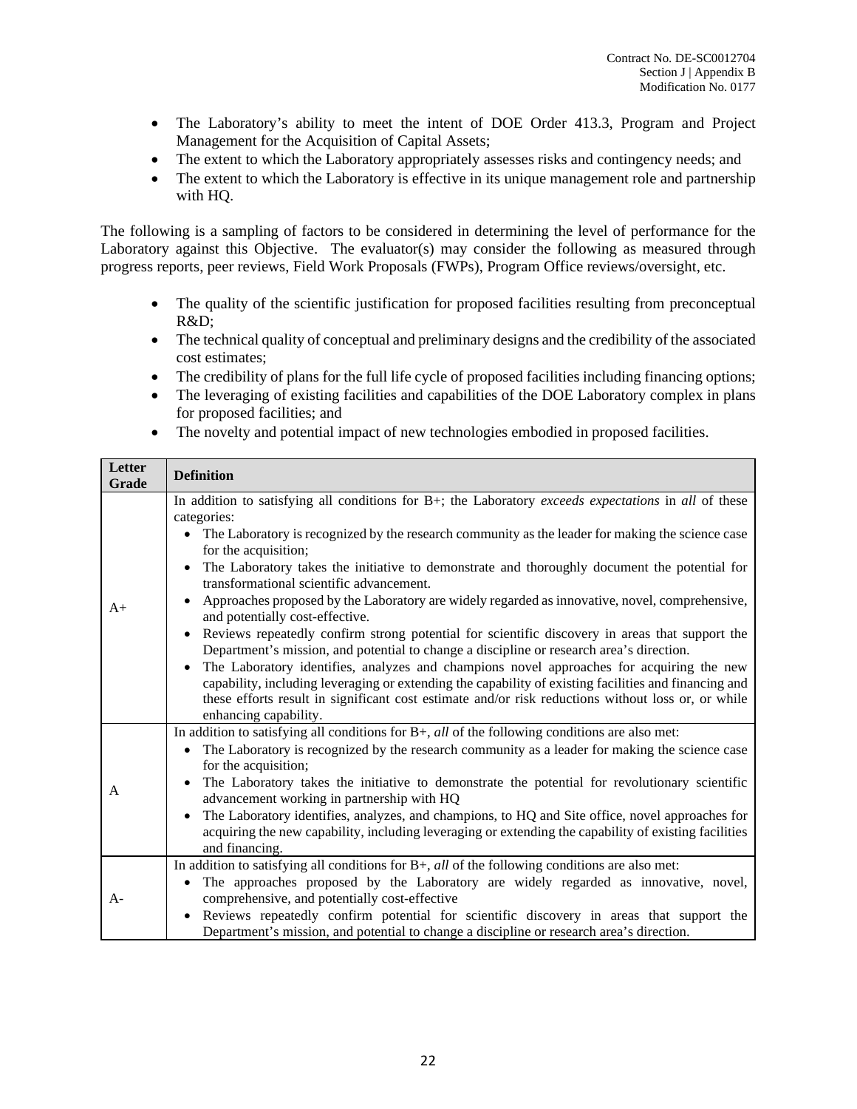- The Laboratory's ability to meet the intent of DOE Order 413.3, Program and Project Management for the Acquisition of Capital Assets;
- The extent to which the Laboratory appropriately assesses risks and contingency needs; and
- The extent to which the Laboratory is effective in its unique management role and partnership with HQ.

The following is a sampling of factors to be considered in determining the level of performance for the Laboratory against this Objective. The evaluator(s) may consider the following as measured through progress reports, peer reviews, Field Work Proposals (FWPs), Program Office reviews/oversight, etc.

- The quality of the scientific justification for proposed facilities resulting from preconceptual R&D;
- The technical quality of conceptual and preliminary designs and the credibility of the associated cost estimates;
- The credibility of plans for the full life cycle of proposed facilities including financing options;
- The leveraging of existing facilities and capabilities of the DOE Laboratory complex in plans for proposed facilities; and
- The novelty and potential impact of new technologies embodied in proposed facilities.

| Letter<br>Grade | <b>Definition</b>                                                                                                                                                                                                                                                                                                                                                                                                                                                                                                                                                                                                                                                                                                                                                                                                                                                                                                                                                                                                                                                               |
|-----------------|---------------------------------------------------------------------------------------------------------------------------------------------------------------------------------------------------------------------------------------------------------------------------------------------------------------------------------------------------------------------------------------------------------------------------------------------------------------------------------------------------------------------------------------------------------------------------------------------------------------------------------------------------------------------------------------------------------------------------------------------------------------------------------------------------------------------------------------------------------------------------------------------------------------------------------------------------------------------------------------------------------------------------------------------------------------------------------|
| $A+$            | In addition to satisfying all conditions for B+; the Laboratory exceeds expectations in all of these<br>categories:<br>The Laboratory is recognized by the research community as the leader for making the science case<br>for the acquisition;<br>The Laboratory takes the initiative to demonstrate and thoroughly document the potential for<br>$\bullet$<br>transformational scientific advancement.<br>Approaches proposed by the Laboratory are widely regarded as innovative, novel, comprehensive,<br>and potentially cost-effective.<br>Reviews repeatedly confirm strong potential for scientific discovery in areas that support the<br>Department's mission, and potential to change a discipline or research area's direction.<br>The Laboratory identifies, analyzes and champions novel approaches for acquiring the new<br>capability, including leveraging or extending the capability of existing facilities and financing and<br>these efforts result in significant cost estimate and/or risk reductions without loss or, or while<br>enhancing capability. |
| A               | In addition to satisfying all conditions for $B+$ , all of the following conditions are also met:<br>The Laboratory is recognized by the research community as a leader for making the science case<br>for the acquisition;<br>The Laboratory takes the initiative to demonstrate the potential for revolutionary scientific<br>advancement working in partnership with HQ<br>The Laboratory identifies, analyzes, and champions, to HQ and Site office, novel approaches for<br>acquiring the new capability, including leveraging or extending the capability of existing facilities<br>and financing.                                                                                                                                                                                                                                                                                                                                                                                                                                                                        |
| $A-$            | In addition to satisfying all conditions for $B+$ , all of the following conditions are also met:<br>The approaches proposed by the Laboratory are widely regarded as innovative, novel,<br>comprehensive, and potentially cost-effective<br>Reviews repeatedly confirm potential for scientific discovery in areas that support the<br>Department's mission, and potential to change a discipline or research area's direction.                                                                                                                                                                                                                                                                                                                                                                                                                                                                                                                                                                                                                                                |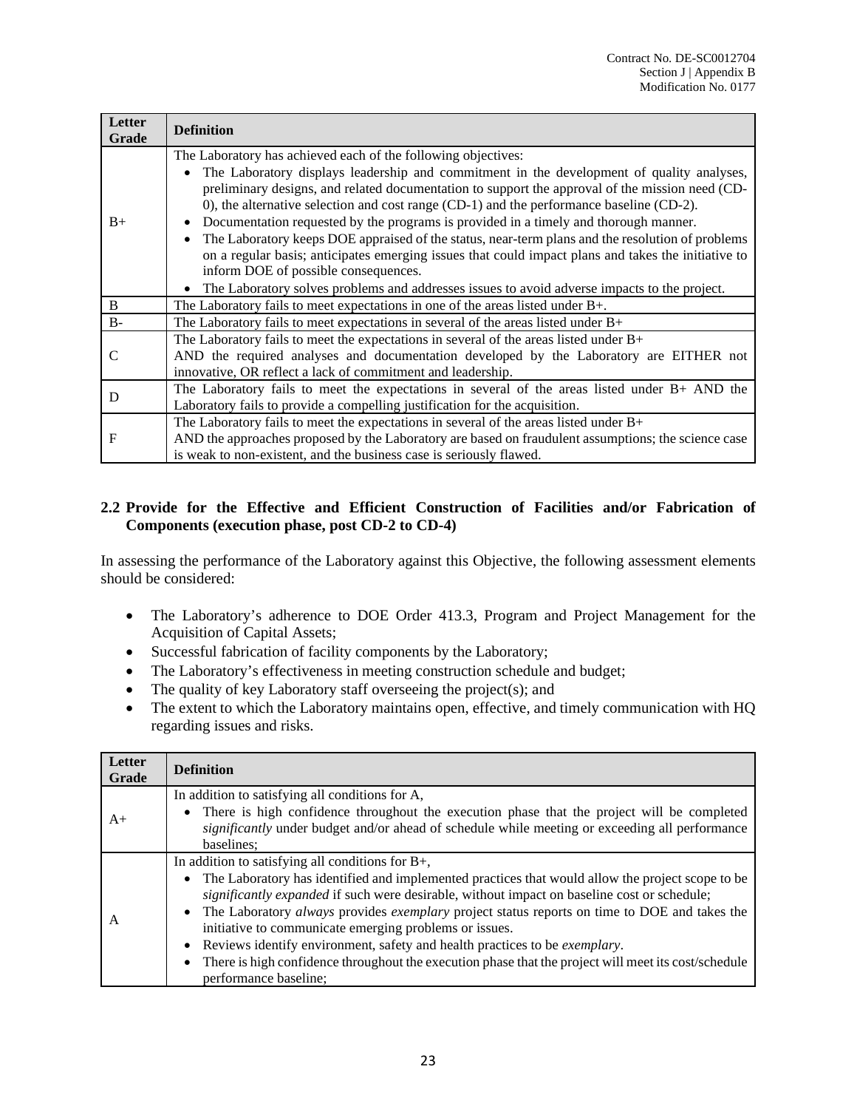| Letter<br>Grade | <b>Definition</b>                                                                                                                                                                                                                                                                                                                                                                     |
|-----------------|---------------------------------------------------------------------------------------------------------------------------------------------------------------------------------------------------------------------------------------------------------------------------------------------------------------------------------------------------------------------------------------|
|                 | The Laboratory has achieved each of the following objectives:                                                                                                                                                                                                                                                                                                                         |
| $B+$            | The Laboratory displays leadership and commitment in the development of quality analyses,<br>preliminary designs, and related documentation to support the approval of the mission need (CD-<br>0), the alternative selection and cost range $(CD-1)$ and the performance baseline $(CD-2)$ .<br>Documentation requested by the programs is provided in a timely and thorough manner. |
|                 | The Laboratory keeps DOE appraised of the status, near-term plans and the resolution of problems<br>on a regular basis; anticipates emerging issues that could impact plans and takes the initiative to<br>inform DOE of possible consequences.                                                                                                                                       |
|                 | The Laboratory solves problems and addresses issues to avoid adverse impacts to the project.                                                                                                                                                                                                                                                                                          |
| B               | The Laboratory fails to meet expectations in one of the areas listed under $B_{+}$ .                                                                                                                                                                                                                                                                                                  |
| $B-$            | The Laboratory fails to meet expectations in several of the areas listed under B+                                                                                                                                                                                                                                                                                                     |
| C               | The Laboratory fails to meet the expectations in several of the areas listed under B+<br>AND the required analyses and documentation developed by the Laboratory are EITHER not<br>innovative, OR reflect a lack of commitment and leadership.                                                                                                                                        |
| D               | The Laboratory fails to meet the expectations in several of the areas listed under $B+$ AND the<br>Laboratory fails to provide a compelling justification for the acquisition.                                                                                                                                                                                                        |
| F               | The Laboratory fails to meet the expectations in several of the areas listed under B+<br>AND the approaches proposed by the Laboratory are based on fraudulent assumptions; the science case<br>is weak to non-existent, and the business case is seriously flawed.                                                                                                                   |

# **2.2 Provide for the Effective and Efficient Construction of Facilities and/or Fabrication of Components (execution phase, post CD-2 to CD-4)**

In assessing the performance of the Laboratory against this Objective, the following assessment elements should be considered:

- The Laboratory's adherence to DOE Order 413.3, Program and Project Management for the Acquisition of Capital Assets;
- Successful fabrication of facility components by the Laboratory;
- The Laboratory's effectiveness in meeting construction schedule and budget;
- The quality of key Laboratory staff overseeing the project(s); and
- The extent to which the Laboratory maintains open, effective, and timely communication with HQ regarding issues and risks.

| Letter<br>Grade | <b>Definition</b>                                                                                                                                                                                                                                                                                                                                                                                                                                                                                                                                                                                                                                   |
|-----------------|-----------------------------------------------------------------------------------------------------------------------------------------------------------------------------------------------------------------------------------------------------------------------------------------------------------------------------------------------------------------------------------------------------------------------------------------------------------------------------------------------------------------------------------------------------------------------------------------------------------------------------------------------------|
| $A+$            | In addition to satisfying all conditions for A,<br>• There is high confidence throughout the execution phase that the project will be completed<br>significantly under budget and/or ahead of schedule while meeting or exceeding all performance<br>baselines:                                                                                                                                                                                                                                                                                                                                                                                     |
| A               | In addition to satisfying all conditions for $B_{+}$ ,<br>• The Laboratory has identified and implemented practices that would allow the project scope to be<br>significantly expanded if such were desirable, without impact on baseline cost or schedule;<br>• The Laboratory always provides exemplary project status reports on time to DOE and takes the<br>initiative to communicate emerging problems or issues.<br>Reviews identify environment, safety and health practices to be exemplary.<br>There is high confidence throughout the execution phase that the project will meet its cost/schedule<br>$\bullet$<br>performance baseline; |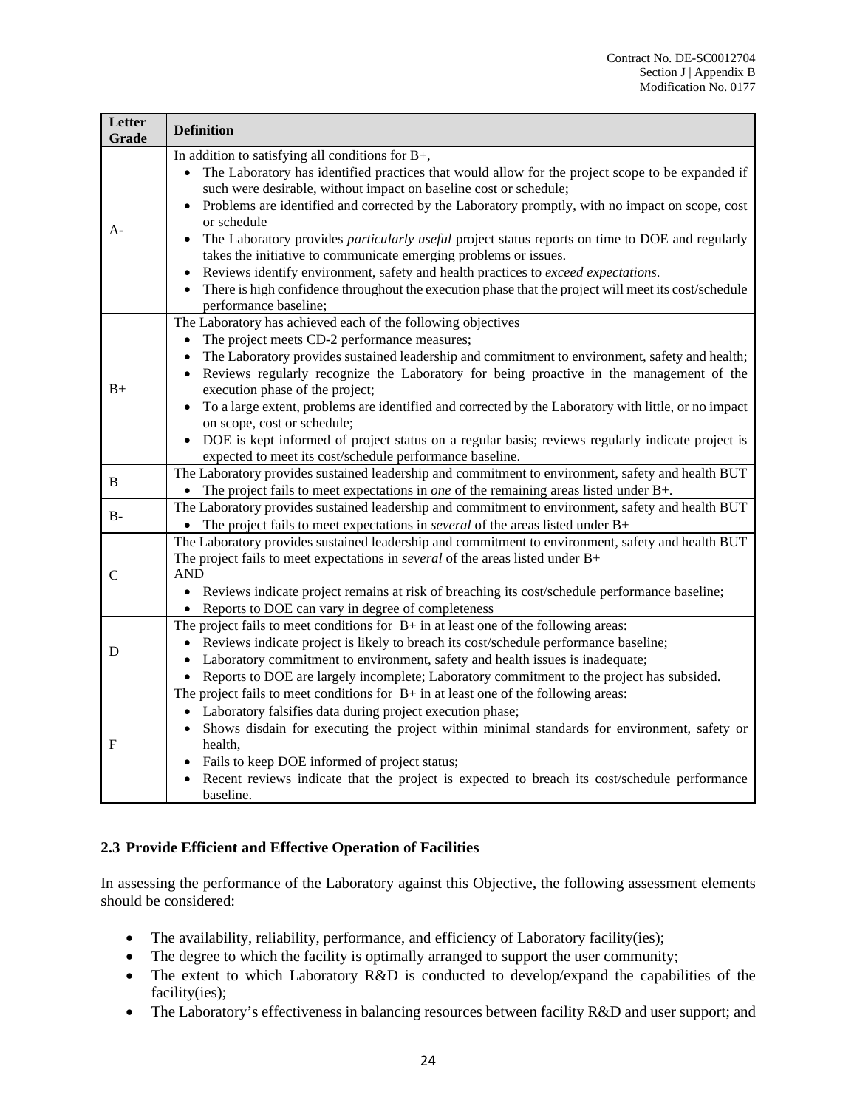| Letter<br>Grade | <b>Definition</b>                                                                                                                                                          |
|-----------------|----------------------------------------------------------------------------------------------------------------------------------------------------------------------------|
|                 | In addition to satisfying all conditions for $B^+$ ,                                                                                                                       |
| $A -$           | The Laboratory has identified practices that would allow for the project scope to be expanded if                                                                           |
|                 | such were desirable, without impact on baseline cost or schedule;                                                                                                          |
|                 | Problems are identified and corrected by the Laboratory promptly, with no impact on scope, cost<br>or schedule                                                             |
|                 | The Laboratory provides <i>particularly useful</i> project status reports on time to DOE and regularly<br>takes the initiative to communicate emerging problems or issues. |
|                 | Reviews identify environment, safety and health practices to exceed expectations.<br>٠                                                                                     |
|                 | There is high confidence throughout the execution phase that the project will meet its cost/schedule<br>$\bullet$<br>performance baseline;                                 |
|                 | The Laboratory has achieved each of the following objectives                                                                                                               |
|                 | The project meets CD-2 performance measures;<br>$\bullet$                                                                                                                  |
|                 | The Laboratory provides sustained leadership and commitment to environment, safety and health;                                                                             |
|                 | Reviews regularly recognize the Laboratory for being proactive in the management of the                                                                                    |
| $B+$            | execution phase of the project;                                                                                                                                            |
|                 | To a large extent, problems are identified and corrected by the Laboratory with little, or no impact                                                                       |
|                 | on scope, cost or schedule;                                                                                                                                                |
|                 | DOE is kept informed of project status on a regular basis; reviews regularly indicate project is                                                                           |
|                 | expected to meet its cost/schedule performance baseline.                                                                                                                   |
| B               | The Laboratory provides sustained leadership and commitment to environment, safety and health BUT                                                                          |
|                 | • The project fails to meet expectations in one of the remaining areas listed under $B_{+}$ .                                                                              |
| $B-$            | The Laboratory provides sustained leadership and commitment to environment, safety and health BUT                                                                          |
|                 | The project fails to meet expectations in <i>several</i> of the areas listed under $B+$<br>$\bullet$                                                                       |
|                 | The Laboratory provides sustained leadership and commitment to environment, safety and health BUT                                                                          |
| $\mathcal{C}$   | The project fails to meet expectations in <i>several</i> of the areas listed under $B+$<br>AND                                                                             |
|                 | • Reviews indicate project remains at risk of breaching its cost/schedule performance baseline;                                                                            |
|                 | • Reports to DOE can vary in degree of completeness                                                                                                                        |
|                 | The project fails to meet conditions for $B+$ in at least one of the following areas:                                                                                      |
|                 | Reviews indicate project is likely to breach its cost/schedule performance baseline;<br>$\bullet$                                                                          |
| D               | Laboratory commitment to environment, safety and health issues is inadequate;                                                                                              |
|                 | Reports to DOE are largely incomplete; Laboratory commitment to the project has subsided.                                                                                  |
|                 | The project fails to meet conditions for $B+$ in at least one of the following areas:                                                                                      |
|                 | • Laboratory falsifies data during project execution phase;                                                                                                                |
|                 | Shows disdain for executing the project within minimal standards for environment, safety or<br>$\bullet$                                                                   |
| F               | health,                                                                                                                                                                    |
|                 | Fails to keep DOE informed of project status;<br>٠                                                                                                                         |
|                 | Recent reviews indicate that the project is expected to breach its cost/schedule performance                                                                               |
|                 | baseline.                                                                                                                                                                  |

# **2.3 Provide Efficient and Effective Operation of Facilities**

In assessing the performance of the Laboratory against this Objective, the following assessment elements should be considered:

- The availability, reliability, performance, and efficiency of Laboratory facility(ies);
- The degree to which the facility is optimally arranged to support the user community;
- The extent to which Laboratory R&D is conducted to develop/expand the capabilities of the facility(ies);
- The Laboratory's effectiveness in balancing resources between facility R&D and user support; and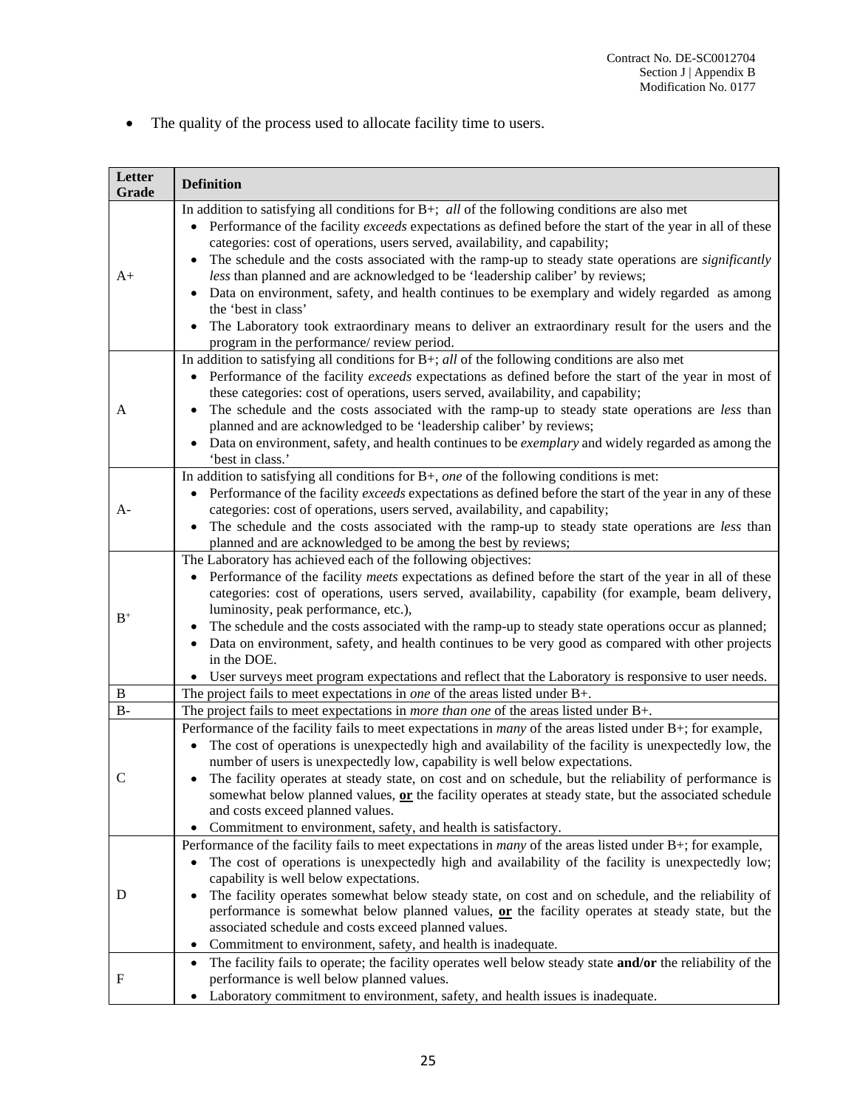• The quality of the process used to allocate facility time to users.

| Letter<br>Grade | <b>Definition</b>                                                                                                                                                                                                                                                                                                                                                                                                                                                                                                                                                                                                                                                                                                                                                                                 |
|-----------------|---------------------------------------------------------------------------------------------------------------------------------------------------------------------------------------------------------------------------------------------------------------------------------------------------------------------------------------------------------------------------------------------------------------------------------------------------------------------------------------------------------------------------------------------------------------------------------------------------------------------------------------------------------------------------------------------------------------------------------------------------------------------------------------------------|
| $A+$            | In addition to satisfying all conditions for $B$ +; all of the following conditions are also met<br>• Performance of the facility exceeds expectations as defined before the start of the year in all of these<br>categories: cost of operations, users served, availability, and capability;<br>The schedule and the costs associated with the ramp-up to steady state operations are <i>significantly</i><br>less than planned and are acknowledged to be 'leadership caliber' by reviews;<br>Data on environment, safety, and health continues to be exemplary and widely regarded as among<br>$\bullet$<br>the 'best in class'<br>The Laboratory took extraordinary means to deliver an extraordinary result for the users and the<br>$\bullet$<br>program in the performance/ review period. |
| A               | In addition to satisfying all conditions for $B+$ ; all of the following conditions are also met<br>• Performance of the facility exceeds expectations as defined before the start of the year in most of<br>these categories: cost of operations, users served, availability, and capability;<br>The schedule and the costs associated with the ramp-up to steady state operations are less than<br>planned and are acknowledged to be 'leadership caliber' by reviews;<br>Data on environment, safety, and health continues to be <i>exemplary</i> and widely regarded as among the<br>$\bullet$<br>'best in class.'                                                                                                                                                                            |
| A-              | In addition to satisfying all conditions for $B+$ , one of the following conditions is met:<br>• Performance of the facility exceeds expectations as defined before the start of the year in any of these<br>categories: cost of operations, users served, availability, and capability;<br>The schedule and the costs associated with the ramp-up to steady state operations are less than<br>$\bullet$<br>planned and are acknowledged to be among the best by reviews;                                                                                                                                                                                                                                                                                                                         |
| $B^+$           | The Laboratory has achieved each of the following objectives:<br>• Performance of the facility <i>meets</i> expectations as defined before the start of the year in all of these<br>categories: cost of operations, users served, availability, capability (for example, beam delivery,<br>luminosity, peak performance, etc.),<br>The schedule and the costs associated with the ramp-up to steady state operations occur as planned;<br>$\bullet$<br>Data on environment, safety, and health continues to be very good as compared with other projects<br>$\bullet$<br>in the DOE.<br>• User surveys meet program expectations and reflect that the Laboratory is responsive to user needs.                                                                                                     |
| $\, {\bf B}$    | The project fails to meet expectations in <i>one</i> of the areas listed under $B_{+}$ .                                                                                                                                                                                                                                                                                                                                                                                                                                                                                                                                                                                                                                                                                                          |
| $B -$           | The project fails to meet expectations in <i>more than one</i> of the areas listed under $B+$ .                                                                                                                                                                                                                                                                                                                                                                                                                                                                                                                                                                                                                                                                                                   |
| $\mathcal{C}$   | Performance of the facility fails to meet expectations in many of the areas listed under B+; for example,<br>The cost of operations is unexpectedly high and availability of the facility is unexpectedly low, the<br>$\bullet$<br>number of users is unexpectedly low, capability is well below expectations.<br>The facility operates at steady state, on cost and on schedule, but the reliability of performance is<br>$\bullet$<br>somewhat below planned values, or the facility operates at steady state, but the associated schedule<br>and costs exceed planned values.<br>Commitment to environment, safety, and health is satisfactory.<br>$\bullet$                                                                                                                                   |
| D               | Performance of the facility fails to meet expectations in many of the areas listed under B+; for example,<br>The cost of operations is unexpectedly high and availability of the facility is unexpectedly low;<br>٠<br>capability is well below expectations.<br>The facility operates somewhat below steady state, on cost and on schedule, and the reliability of<br>٠<br>performance is somewhat below planned values, or the facility operates at steady state, but the<br>associated schedule and costs exceed planned values.<br>Commitment to environment, safety, and health is inadequate.<br>٠                                                                                                                                                                                          |
| F               | The facility fails to operate; the facility operates well below steady state and/or the reliability of the<br>٠<br>performance is well below planned values.<br>Laboratory commitment to environment, safety, and health issues is inadequate.<br>$\bullet$                                                                                                                                                                                                                                                                                                                                                                                                                                                                                                                                       |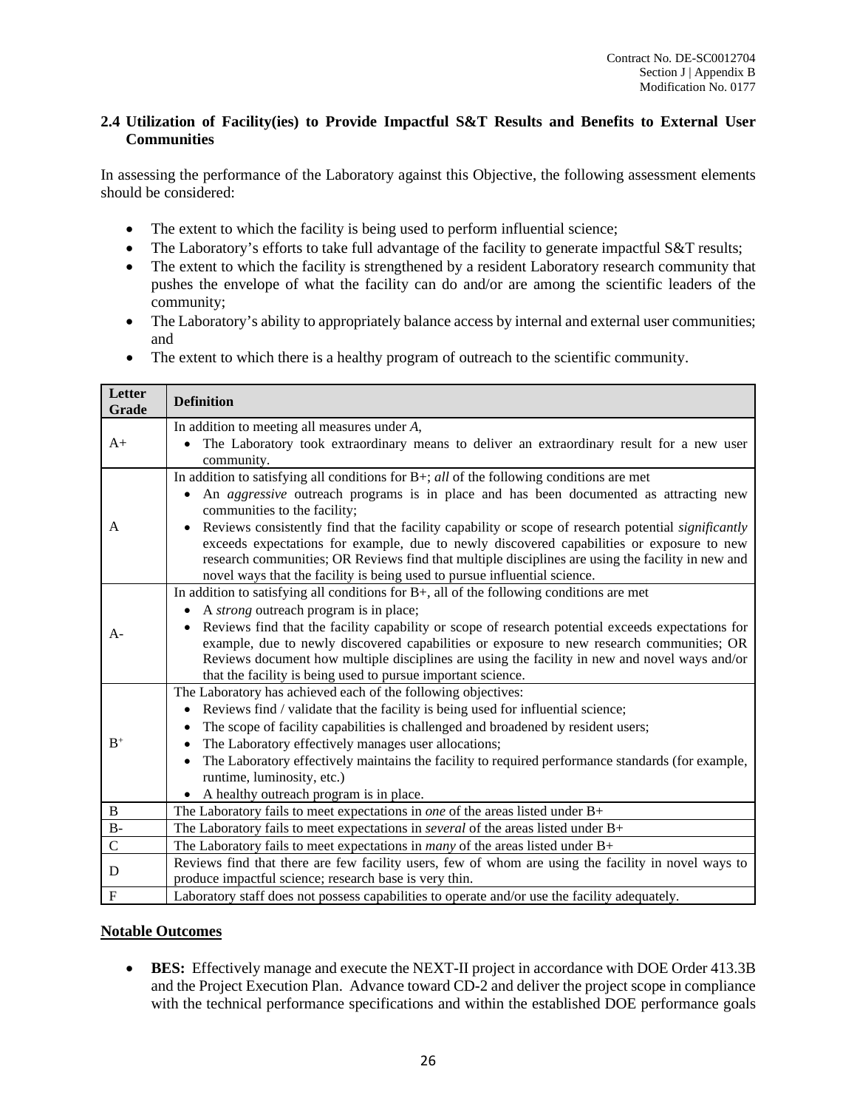# **2.4 Utilization of Facility(ies) to Provide Impactful S&T Results and Benefits to External User Communities**

In assessing the performance of the Laboratory against this Objective, the following assessment elements should be considered:

- The extent to which the facility is being used to perform influential science;
- The Laboratory's efforts to take full advantage of the facility to generate impactful S&T results;
- The extent to which the facility is strengthened by a resident Laboratory research community that pushes the envelope of what the facility can do and/or are among the scientific leaders of the community;
- The Laboratory's ability to appropriately balance access by internal and external user communities; and
- The extent to which there is a healthy program of outreach to the scientific community.

| Letter<br>Grade | <b>Definition</b>                                                                                                                                                                                                                                                                                                                                                                         |
|-----------------|-------------------------------------------------------------------------------------------------------------------------------------------------------------------------------------------------------------------------------------------------------------------------------------------------------------------------------------------------------------------------------------------|
|                 | In addition to meeting all measures under $A$ ,                                                                                                                                                                                                                                                                                                                                           |
| $A+$            | The Laboratory took extraordinary means to deliver an extraordinary result for a new user<br>community.                                                                                                                                                                                                                                                                                   |
|                 | In addition to satisfying all conditions for $B+$ ; all of the following conditions are met                                                                                                                                                                                                                                                                                               |
| A               | An <i>aggressive</i> outreach programs is in place and has been documented as attracting new<br>communities to the facility;                                                                                                                                                                                                                                                              |
|                 | Reviews consistently find that the facility capability or scope of research potential <i>significantly</i><br>exceeds expectations for example, due to newly discovered capabilities or exposure to new<br>research communities; OR Reviews find that multiple disciplines are using the facility in new and<br>novel ways that the facility is being used to pursue influential science. |
|                 | In addition to satisfying all conditions for $B+$ , all of the following conditions are met                                                                                                                                                                                                                                                                                               |
|                 | A <i>strong</i> outreach program is in place;                                                                                                                                                                                                                                                                                                                                             |
| A-              | Reviews find that the facility capability or scope of research potential exceeds expectations for<br>example, due to newly discovered capabilities or exposure to new research communities; OR<br>Reviews document how multiple disciplines are using the facility in new and novel ways and/or<br>that the facility is being used to pursue important science.                           |
|                 | The Laboratory has achieved each of the following objectives:                                                                                                                                                                                                                                                                                                                             |
|                 | Reviews find / validate that the facility is being used for influential science;<br>$\bullet$                                                                                                                                                                                                                                                                                             |
|                 | The scope of facility capabilities is challenged and broadened by resident users;                                                                                                                                                                                                                                                                                                         |
| $B^+$           | The Laboratory effectively manages user allocations;                                                                                                                                                                                                                                                                                                                                      |
|                 | The Laboratory effectively maintains the facility to required performance standards (for example,                                                                                                                                                                                                                                                                                         |
|                 | runtime, luminosity, etc.)                                                                                                                                                                                                                                                                                                                                                                |
|                 | A healthy outreach program is in place.                                                                                                                                                                                                                                                                                                                                                   |
| $\, {\bf B}$    | The Laboratory fails to meet expectations in one of the areas listed under $B+$                                                                                                                                                                                                                                                                                                           |
| $B-$            | The Laboratory fails to meet expectations in <i>several</i> of the areas listed under B+                                                                                                                                                                                                                                                                                                  |
| $\mathcal{C}$   | The Laboratory fails to meet expectations in <i>many</i> of the areas listed under $B+$                                                                                                                                                                                                                                                                                                   |
| D               | Reviews find that there are few facility users, few of whom are using the facility in novel ways to<br>produce impactful science; research base is very thin.                                                                                                                                                                                                                             |
| $\mathbf{F}$    | Laboratory staff does not possess capabilities to operate and/or use the facility adequately.                                                                                                                                                                                                                                                                                             |

# **Notable Outcomes**

• **BES:** Effectively manage and execute the NEXT-II project in accordance with DOE Order 413.3B and the Project Execution Plan. Advance toward CD-2 and deliver the project scope in compliance with the technical performance specifications and within the established DOE performance goals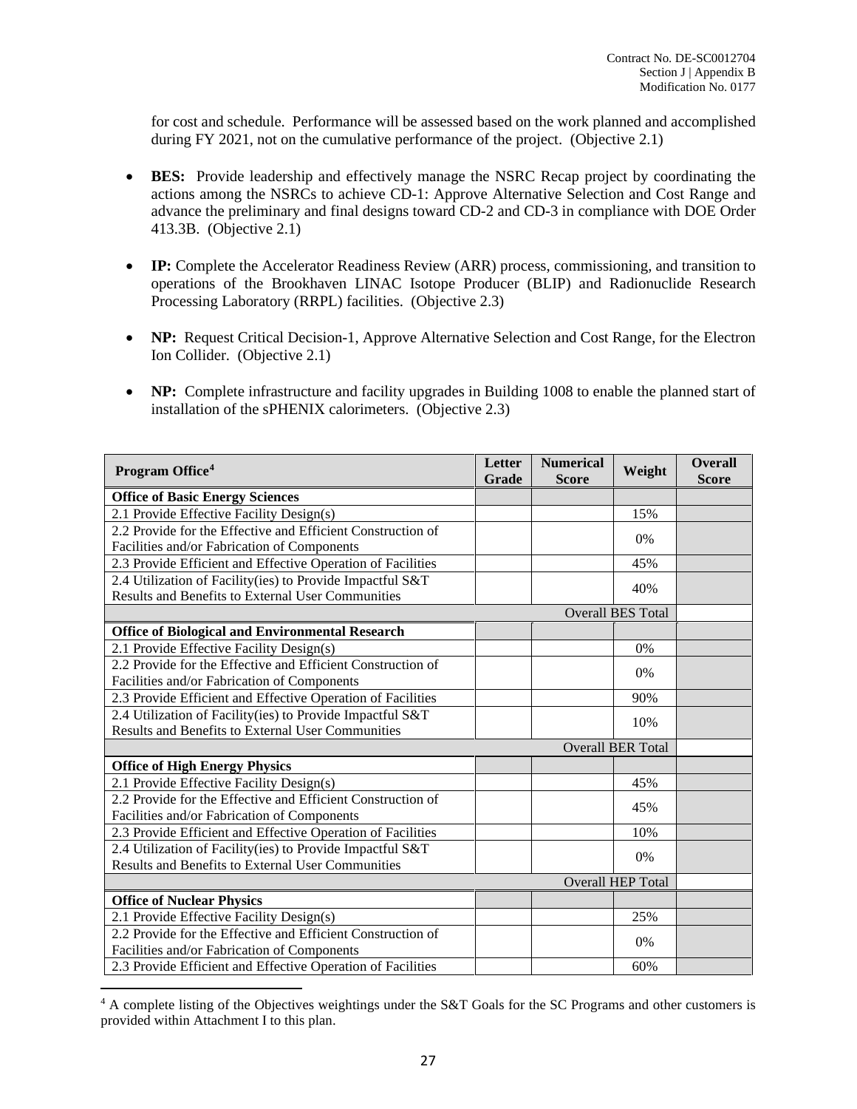for cost and schedule. Performance will be assessed based on the work planned and accomplished during FY 2021, not on the cumulative performance of the project. (Objective 2.1)

- **BES:** Provide leadership and effectively manage the NSRC Recap project by coordinating the actions among the NSRCs to achieve CD-1: Approve Alternative Selection and Cost Range and advance the preliminary and final designs toward CD-2 and CD-3 in compliance with DOE Order 413.3B. (Objective 2.1)
- **IP:** Complete the Accelerator Readiness Review (ARR) process, commissioning, and transition to operations of the Brookhaven LINAC Isotope Producer (BLIP) and Radionuclide Research Processing Laboratory (RRPL) facilities. (Objective 2.3)
- **NP:** Request Critical Decision-1, Approve Alternative Selection and Cost Range, for the Electron Ion Collider. (Objective 2.1)
- **NP:** Complete infrastructure and facility upgrades in Building 1008 to enable the planned start of installation of the sPHENIX calorimeters. (Objective 2.3)

| Program Office <sup>4</sup>                                 | Letter<br>Grade | <b>Numerical</b><br><b>Score</b> | Weight                   | <b>Overall</b><br><b>Score</b> |  |
|-------------------------------------------------------------|-----------------|----------------------------------|--------------------------|--------------------------------|--|
| <b>Office of Basic Energy Sciences</b>                      |                 |                                  |                          |                                |  |
| 2.1 Provide Effective Facility Design(s)                    |                 |                                  | 15%                      |                                |  |
| 2.2 Provide for the Effective and Efficient Construction of |                 |                                  | 0%                       |                                |  |
| Facilities and/or Fabrication of Components                 |                 |                                  |                          |                                |  |
| 2.3 Provide Efficient and Effective Operation of Facilities |                 |                                  | 45%                      |                                |  |
| 2.4 Utilization of Facility(ies) to Provide Impactful S&T   |                 |                                  | 40%                      |                                |  |
| Results and Benefits to External User Communities           |                 |                                  |                          |                                |  |
|                                                             |                 |                                  | <b>Overall BES Total</b> |                                |  |
| <b>Office of Biological and Environmental Research</b>      |                 |                                  |                          |                                |  |
| 2.1 Provide Effective Facility Design(s)                    |                 |                                  | $0\%$                    |                                |  |
| 2.2 Provide for the Effective and Efficient Construction of |                 |                                  | 0%                       |                                |  |
| Facilities and/or Fabrication of Components                 |                 |                                  |                          |                                |  |
| 2.3 Provide Efficient and Effective Operation of Facilities |                 |                                  | 90%                      |                                |  |
| 2.4 Utilization of Facility(ies) to Provide Impactful S&T   |                 |                                  | 10%                      |                                |  |
| <b>Results and Benefits to External User Communities</b>    |                 |                                  |                          |                                |  |
|                                                             |                 |                                  | <b>Overall BER Total</b> |                                |  |
| <b>Office of High Energy Physics</b>                        |                 |                                  |                          |                                |  |
| 2.1 Provide Effective Facility Design(s)                    |                 |                                  | 45%                      |                                |  |
| 2.2 Provide for the Effective and Efficient Construction of |                 |                                  | 45%                      |                                |  |
| Facilities and/or Fabrication of Components                 |                 |                                  |                          |                                |  |
| 2.3 Provide Efficient and Effective Operation of Facilities |                 |                                  | 10%                      |                                |  |
| 2.4 Utilization of Facility(ies) to Provide Impactful S&T   |                 |                                  | $0\%$                    |                                |  |
| <b>Results and Benefits to External User Communities</b>    |                 |                                  |                          |                                |  |
| Overall HEP Total                                           |                 |                                  |                          |                                |  |
| <b>Office of Nuclear Physics</b>                            |                 |                                  |                          |                                |  |
| 2.1 Provide Effective Facility Design(s)                    |                 |                                  | 25%                      |                                |  |
| 2.2 Provide for the Effective and Efficient Construction of |                 |                                  | 0%                       |                                |  |
| Facilities and/or Fabrication of Components                 |                 |                                  |                          |                                |  |
| 2.3 Provide Efficient and Effective Operation of Facilities |                 |                                  | 60%                      |                                |  |

<span id="page-44-0"></span><sup>&</sup>lt;sup>4</sup> A complete listing of the Objectives weightings under the S&T Goals for the SC Programs and other customers is provided within Attachment I to this plan.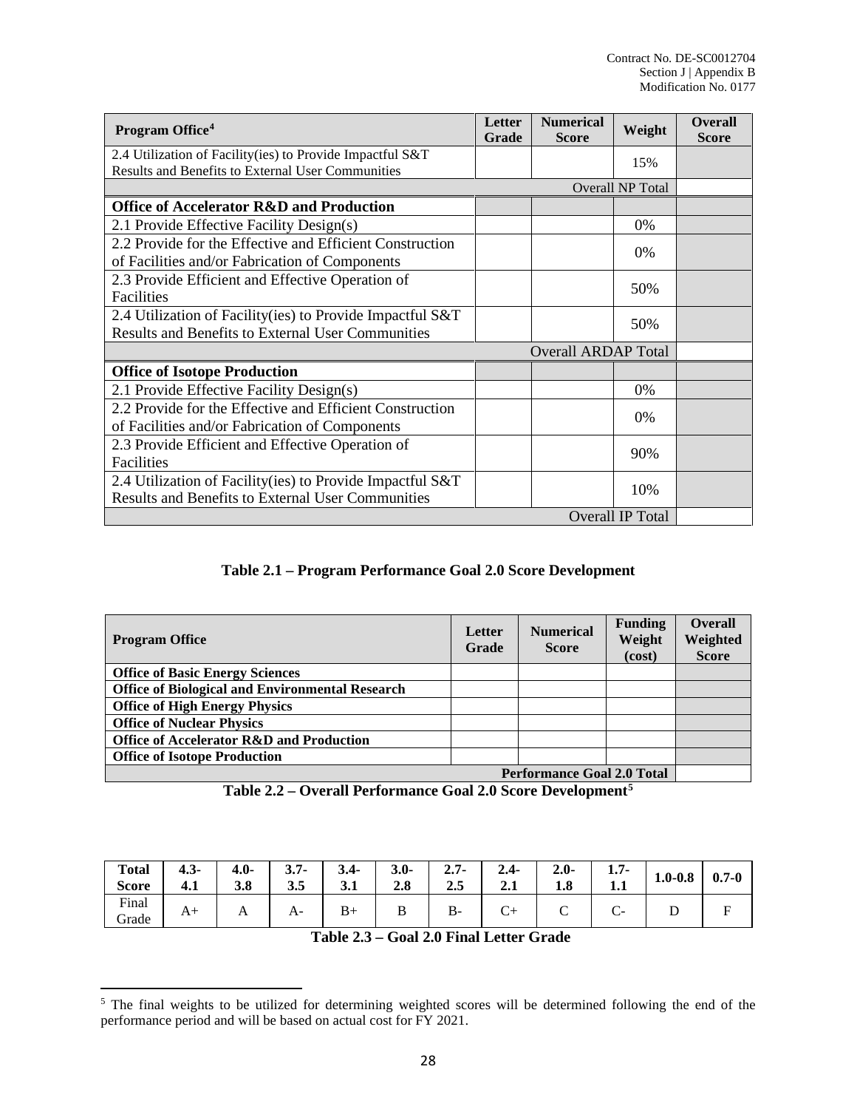| Program Office <sup>4</sup>                               |    | <b>Numerical</b><br><b>Score</b> | Weight                  | <b>Overall</b><br><b>Score</b> |  |
|-----------------------------------------------------------|----|----------------------------------|-------------------------|--------------------------------|--|
| 2.4 Utilization of Facility(ies) to Provide Impactful S&T |    |                                  | 15%                     |                                |  |
| Results and Benefits to External User Communities         |    |                                  |                         |                                |  |
|                                                           |    |                                  | <b>Overall NP Total</b> |                                |  |
| <b>Office of Accelerator R&amp;D and Production</b>       |    |                                  |                         |                                |  |
| 2.1 Provide Effective Facility Design(s)                  |    |                                  | 0%                      |                                |  |
| 2.2 Provide for the Effective and Efficient Construction  |    |                                  |                         |                                |  |
| of Facilities and/or Fabrication of Components            |    |                                  | 0%                      |                                |  |
| 2.3 Provide Efficient and Effective Operation of          |    |                                  | 50%                     |                                |  |
| Facilities                                                |    |                                  |                         |                                |  |
| 2.4 Utilization of Facility(ies) to Provide Impactful S&T |    |                                  | 50%                     |                                |  |
| <b>Results and Benefits to External User Communities</b>  |    |                                  |                         |                                |  |
|                                                           |    | <b>Overall ARDAP Total</b>       |                         |                                |  |
| <b>Office of Isotope Production</b>                       |    |                                  |                         |                                |  |
| 2.1 Provide Effective Facility Design(s)                  |    |                                  | $0\%$                   |                                |  |
| 2.2 Provide for the Effective and Efficient Construction  |    |                                  |                         |                                |  |
| of Facilities and/or Fabrication of Components            | 0% |                                  |                         |                                |  |
| 2.3 Provide Efficient and Effective Operation of          |    |                                  |                         |                                |  |
| Facilities                                                |    |                                  | 90%                     |                                |  |
| 2.4 Utilization of Facility(ies) to Provide Impactful S&T |    |                                  | 10%                     |                                |  |
| <b>Results and Benefits to External User Communities</b>  |    |                                  |                         |                                |  |
| <b>Overall IP Total</b>                                   |    |                                  |                         |                                |  |

# **Table 2.1 – Program Performance Goal 2.0 Score Development**

| <b>Program Office</b>                                  | Letter<br>Grade | <b>Numerical</b><br><b>Score</b> | <b>Funding</b><br>Weight<br>(cost) | <b>Overall</b><br>Weighted<br><b>Score</b> |
|--------------------------------------------------------|-----------------|----------------------------------|------------------------------------|--------------------------------------------|
| <b>Office of Basic Energy Sciences</b>                 |                 |                                  |                                    |                                            |
| <b>Office of Biological and Environmental Research</b> |                 |                                  |                                    |                                            |
| <b>Office of High Energy Physics</b>                   |                 |                                  |                                    |                                            |
| <b>Office of Nuclear Physics</b>                       |                 |                                  |                                    |                                            |
| <b>Office of Accelerator R&amp;D and Production</b>    |                 |                                  |                                    |                                            |
| <b>Office of Isotope Production</b>                    |                 |                                  |                                    |                                            |
| <b>Performance Goal 2.0 Total</b>                      |                 |                                  |                                    |                                            |

**Table 2.2 – Overall Performance Goal 2.0 Score Development[5](#page-45-0)**

| <b>Total</b><br><b>Score</b> | $4.3 -$<br>4.1 | $4.0 -$<br>ാ െ<br>э.о | 2 <sub>7</sub><br>$3.1 -$<br>$\sim$ $\sim$<br>J.J | $3.4 -$<br>J.L | $3.0 -$<br><b>Δ</b><br>4.0 | 27<br>2.1<br>-<br>4.J | $2.4 -$<br>4.L | $2.0 -$<br>1.0 | 1. I<br>1.1 | $1.0 - 0.8$ | $0.7 - 0$ |
|------------------------------|----------------|-----------------------|---------------------------------------------------|----------------|----------------------------|-----------------------|----------------|----------------|-------------|-------------|-----------|
| Final<br>Grade               | A+             | A                     | $\mathbf{A}^-$                                    | $\mathbf{D}^+$ | ◡                          | D-                    |                |                |             |             |           |

**Table 2.3 – Goal 2.0 Final Letter Grade**

<span id="page-45-0"></span> $5$  The final weights to be utilized for determining weighted scores will be determined following the end of the performance period and will be based on actual cost for FY 2021.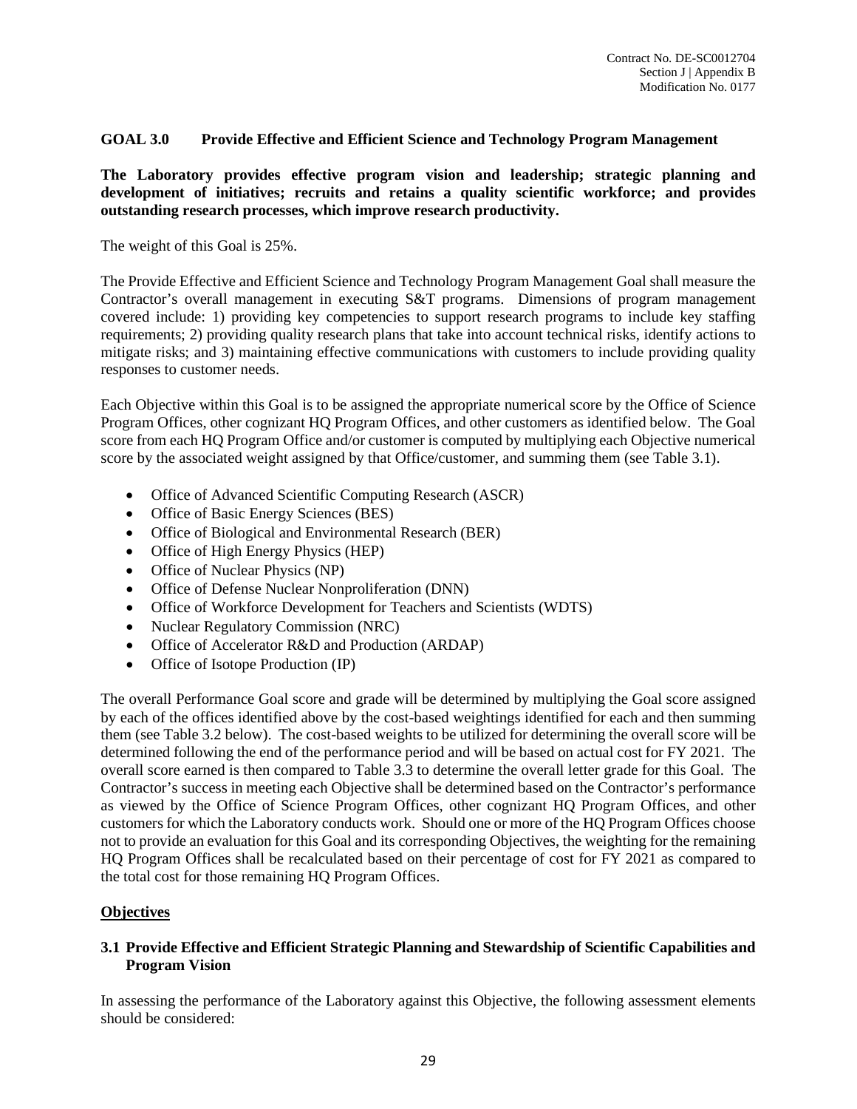# **GOAL 3.0 Provide Effective and Efficient Science and Technology Program Management**

# **The Laboratory provides effective program vision and leadership; strategic planning and development of initiatives; recruits and retains a quality scientific workforce; and provides outstanding research processes, which improve research productivity.**

The weight of this Goal is 25%.

The Provide Effective and Efficient Science and Technology Program Management Goal shall measure the Contractor's overall management in executing S&T programs. Dimensions of program management covered include: 1) providing key competencies to support research programs to include key staffing requirements; 2) providing quality research plans that take into account technical risks, identify actions to mitigate risks; and 3) maintaining effective communications with customers to include providing quality responses to customer needs.

Each Objective within this Goal is to be assigned the appropriate numerical score by the Office of Science Program Offices, other cognizant HQ Program Offices, and other customers as identified below. The Goal score from each HQ Program Office and/or customer is computed by multiplying each Objective numerical score by the associated weight assigned by that Office/customer, and summing them (see Table 3.1).

- Office of Advanced Scientific Computing Research (ASCR)
- Office of Basic Energy Sciences (BES)
- Office of Biological and Environmental Research (BER)
- Office of High Energy Physics (HEP)
- Office of Nuclear Physics (NP)
- Office of Defense Nuclear Nonproliferation (DNN)
- Office of Workforce Development for Teachers and Scientists (WDTS)
- Nuclear Regulatory Commission (NRC)
- Office of Accelerator R&D and Production (ARDAP)
- Office of Isotope Production (IP)

The overall Performance Goal score and grade will be determined by multiplying the Goal score assigned by each of the offices identified above by the cost-based weightings identified for each and then summing them (see Table 3.2 below). The cost-based weights to be utilized for determining the overall score will be determined following the end of the performance period and will be based on actual cost for FY 2021. The overall score earned is then compared to Table 3.3 to determine the overall letter grade for this Goal. The Contractor's success in meeting each Objective shall be determined based on the Contractor's performance as viewed by the Office of Science Program Offices, other cognizant HQ Program Offices, and other customers for which the Laboratory conducts work. Should one or more of the HQ Program Offices choose not to provide an evaluation for this Goal and its corresponding Objectives, the weighting for the remaining HQ Program Offices shall be recalculated based on their percentage of cost for FY 2021 as compared to the total cost for those remaining HQ Program Offices.

# **Objectives**

# **3.1 Provide Effective and Efficient Strategic Planning and Stewardship of Scientific Capabilities and Program Vision**

In assessing the performance of the Laboratory against this Objective, the following assessment elements should be considered: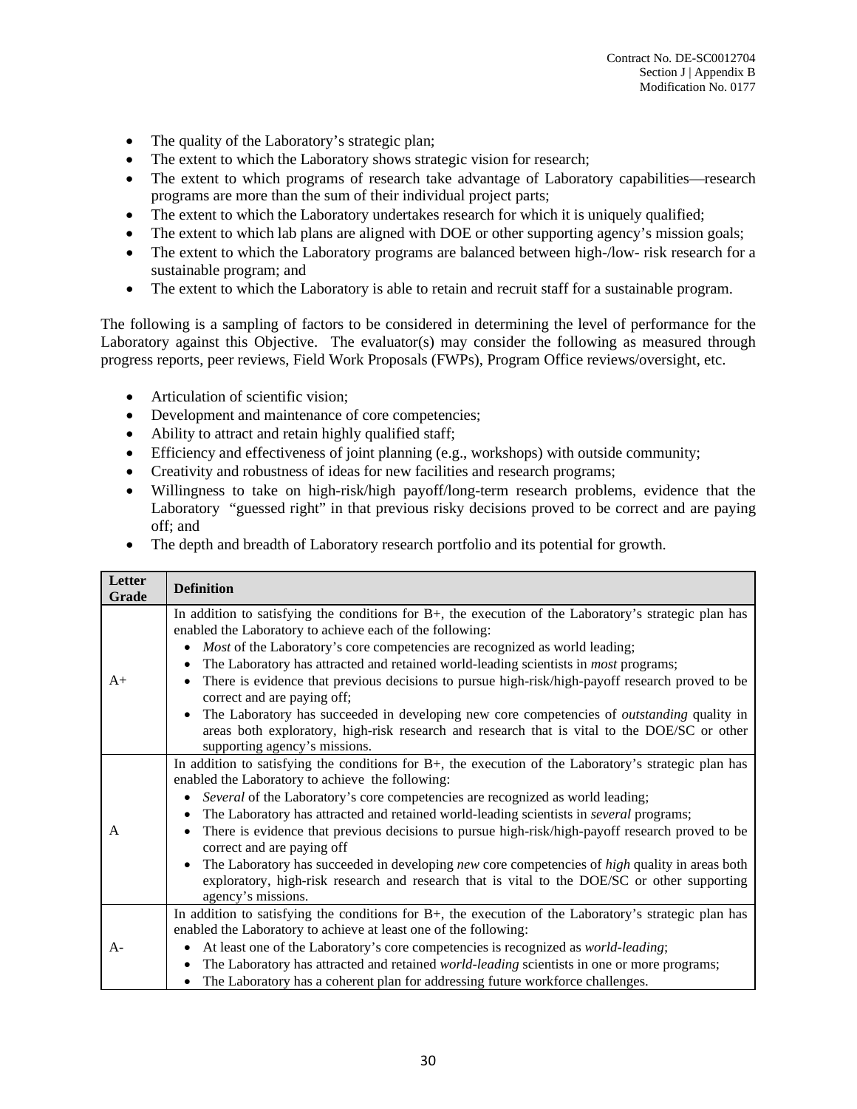- The quality of the Laboratory's strategic plan;
- The extent to which the Laboratory shows strategic vision for research;
- The extent to which programs of research take advantage of Laboratory capabilities—research programs are more than the sum of their individual project parts;
- The extent to which the Laboratory undertakes research for which it is uniquely qualified;
- The extent to which lab plans are aligned with DOE or other supporting agency's mission goals;
- The extent to which the Laboratory programs are balanced between high-/low- risk research for a sustainable program; and
- The extent to which the Laboratory is able to retain and recruit staff for a sustainable program.

The following is a sampling of factors to be considered in determining the level of performance for the Laboratory against this Objective. The evaluator(s) may consider the following as measured through progress reports, peer reviews, Field Work Proposals (FWPs), Program Office reviews/oversight, etc.

- Articulation of scientific vision;
- Development and maintenance of core competencies;
- Ability to attract and retain highly qualified staff;
- Efficiency and effectiveness of joint planning (e.g., workshops) with outside community;
- Creativity and robustness of ideas for new facilities and research programs;
- Willingness to take on high-risk/high payoff/long-term research problems, evidence that the Laboratory "guessed right" in that previous risky decisions proved to be correct and are paying off; and
- The depth and breadth of Laboratory research portfolio and its potential for growth.

| Letter<br>Grade | <b>Definition</b>                                                                                                                                                 |
|-----------------|-------------------------------------------------------------------------------------------------------------------------------------------------------------------|
|                 | In addition to satisfying the conditions for B+, the execution of the Laboratory's strategic plan has<br>enabled the Laboratory to achieve each of the following: |
| $A+$            | Most of the Laboratory's core competencies are recognized as world leading;                                                                                       |
|                 | The Laboratory has attracted and retained world-leading scientists in <i>most</i> programs;                                                                       |
|                 | There is evidence that previous decisions to pursue high-risk/high-payoff research proved to be<br>correct and are paying off;                                    |
|                 | The Laboratory has succeeded in developing new core competencies of <i>outstanding</i> quality in                                                                 |
|                 | areas both exploratory, high-risk research and research that is vital to the DOE/SC or other<br>supporting agency's missions.                                     |
|                 | In addition to satisfying the conditions for B+, the execution of the Laboratory's strategic plan has                                                             |
|                 | enabled the Laboratory to achieve the following:                                                                                                                  |
|                 | Several of the Laboratory's core competencies are recognized as world leading;                                                                                    |
|                 | The Laboratory has attracted and retained world-leading scientists in <i>several</i> programs;                                                                    |
| A               | There is evidence that previous decisions to pursue high-risk/high-payoff research proved to be<br>correct and are paying off                                     |
|                 | The Laboratory has succeeded in developing new core competencies of high quality in areas both                                                                    |
|                 | exploratory, high-risk research and research that is vital to the DOE/SC or other supporting                                                                      |
|                 | agency's missions.                                                                                                                                                |
|                 | In addition to satisfying the conditions for $B+$ , the execution of the Laboratory's strategic plan has                                                          |
|                 | enabled the Laboratory to achieve at least one of the following:                                                                                                  |
| $A-$            | At least one of the Laboratory's core competencies is recognized as world-leading;                                                                                |
|                 | The Laboratory has attracted and retained <i>world-leading</i> scientists in one or more programs;<br>$\bullet$                                                   |
|                 | The Laboratory has a coherent plan for addressing future workforce challenges.                                                                                    |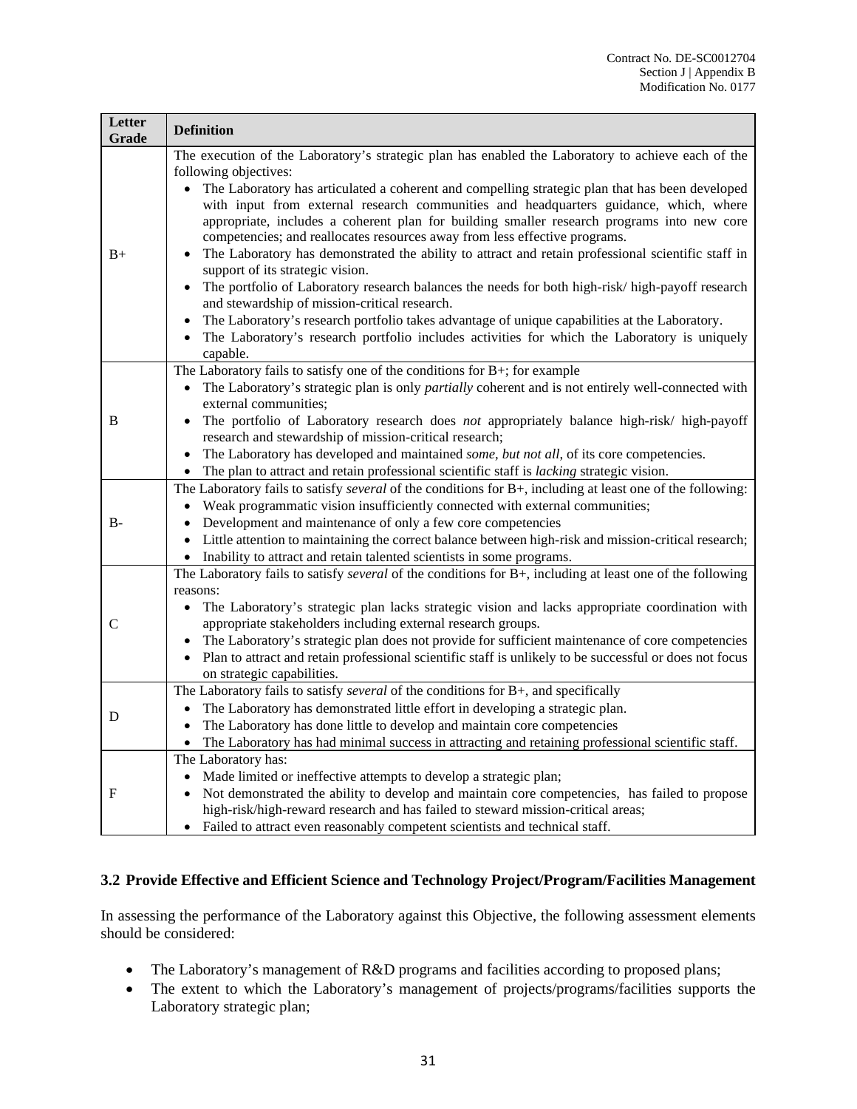| Letter<br>Grade | <b>Definition</b>                                                                                                                                                                                                                                                                                                                                                                 |
|-----------------|-----------------------------------------------------------------------------------------------------------------------------------------------------------------------------------------------------------------------------------------------------------------------------------------------------------------------------------------------------------------------------------|
|                 | The execution of the Laboratory's strategic plan has enabled the Laboratory to achieve each of the<br>following objectives:                                                                                                                                                                                                                                                       |
|                 | The Laboratory has articulated a coherent and compelling strategic plan that has been developed<br>$\bullet$<br>with input from external research communities and headquarters guidance, which, where<br>appropriate, includes a coherent plan for building smaller research programs into new core<br>competencies; and reallocates resources away from less effective programs. |
| $B+$            | The Laboratory has demonstrated the ability to attract and retain professional scientific staff in<br>support of its strategic vision.<br>The portfolio of Laboratory research balances the needs for both high-risk/ high-payoff research                                                                                                                                        |
|                 | and stewardship of mission-critical research.                                                                                                                                                                                                                                                                                                                                     |
|                 | The Laboratory's research portfolio takes advantage of unique capabilities at the Laboratory.<br>The Laboratory's research portfolio includes activities for which the Laboratory is uniquely<br>capable.                                                                                                                                                                         |
|                 | The Laboratory fails to satisfy one of the conditions for B+; for example                                                                                                                                                                                                                                                                                                         |
|                 | The Laboratory's strategic plan is only <i>partially</i> coherent and is not entirely well-connected with<br>$\bullet$<br>external communities;                                                                                                                                                                                                                                   |
| B               | The portfolio of Laboratory research does not appropriately balance high-risk/ high-payoff<br>research and stewardship of mission-critical research;                                                                                                                                                                                                                              |
|                 | The Laboratory has developed and maintained some, but not all, of its core competencies.                                                                                                                                                                                                                                                                                          |
|                 | The plan to attract and retain professional scientific staff is lacking strategic vision.                                                                                                                                                                                                                                                                                         |
|                 | The Laboratory fails to satisfy <i>several</i> of the conditions for B+, including at least one of the following:<br>Weak programmatic vision insufficiently connected with external communities;<br>$\bullet$                                                                                                                                                                    |
| B-              | Development and maintenance of only a few core competencies<br>$\bullet$                                                                                                                                                                                                                                                                                                          |
|                 | Little attention to maintaining the correct balance between high-risk and mission-critical research;                                                                                                                                                                                                                                                                              |
|                 | Inability to attract and retain talented scientists in some programs.<br>$\bullet$                                                                                                                                                                                                                                                                                                |
|                 | The Laboratory fails to satisfy <i>several</i> of the conditions for B+, including at least one of the following                                                                                                                                                                                                                                                                  |
|                 | reasons:<br>$\bullet$                                                                                                                                                                                                                                                                                                                                                             |
| $\mathsf{C}$    | The Laboratory's strategic plan lacks strategic vision and lacks appropriate coordination with<br>appropriate stakeholders including external research groups.                                                                                                                                                                                                                    |
|                 | The Laboratory's strategic plan does not provide for sufficient maintenance of core competencies                                                                                                                                                                                                                                                                                  |
|                 | Plan to attract and retain professional scientific staff is unlikely to be successful or does not focus<br>on strategic capabilities.                                                                                                                                                                                                                                             |
|                 | The Laboratory fails to satisfy <i>several</i> of the conditions for B+, and specifically                                                                                                                                                                                                                                                                                         |
| D               | The Laboratory has demonstrated little effort in developing a strategic plan.<br>$\bullet$                                                                                                                                                                                                                                                                                        |
|                 | The Laboratory has done little to develop and maintain core competencies                                                                                                                                                                                                                                                                                                          |
|                 | The Laboratory has had minimal success in attracting and retaining professional scientific staff.<br>$\bullet$<br>The Laboratory has:                                                                                                                                                                                                                                             |
|                 | Made limited or ineffective attempts to develop a strategic plan;<br>$\bullet$                                                                                                                                                                                                                                                                                                    |
| F               | Not demonstrated the ability to develop and maintain core competencies, has failed to propose                                                                                                                                                                                                                                                                                     |
|                 | high-risk/high-reward research and has failed to steward mission-critical areas;                                                                                                                                                                                                                                                                                                  |
|                 | Failed to attract even reasonably competent scientists and technical staff.                                                                                                                                                                                                                                                                                                       |

# **3.2 Provide Effective and Efficient Science and Technology Project/Program/Facilities Management**

In assessing the performance of the Laboratory against this Objective, the following assessment elements should be considered:

- The Laboratory's management of R&D programs and facilities according to proposed plans;
- The extent to which the Laboratory's management of projects/programs/facilities supports the Laboratory strategic plan;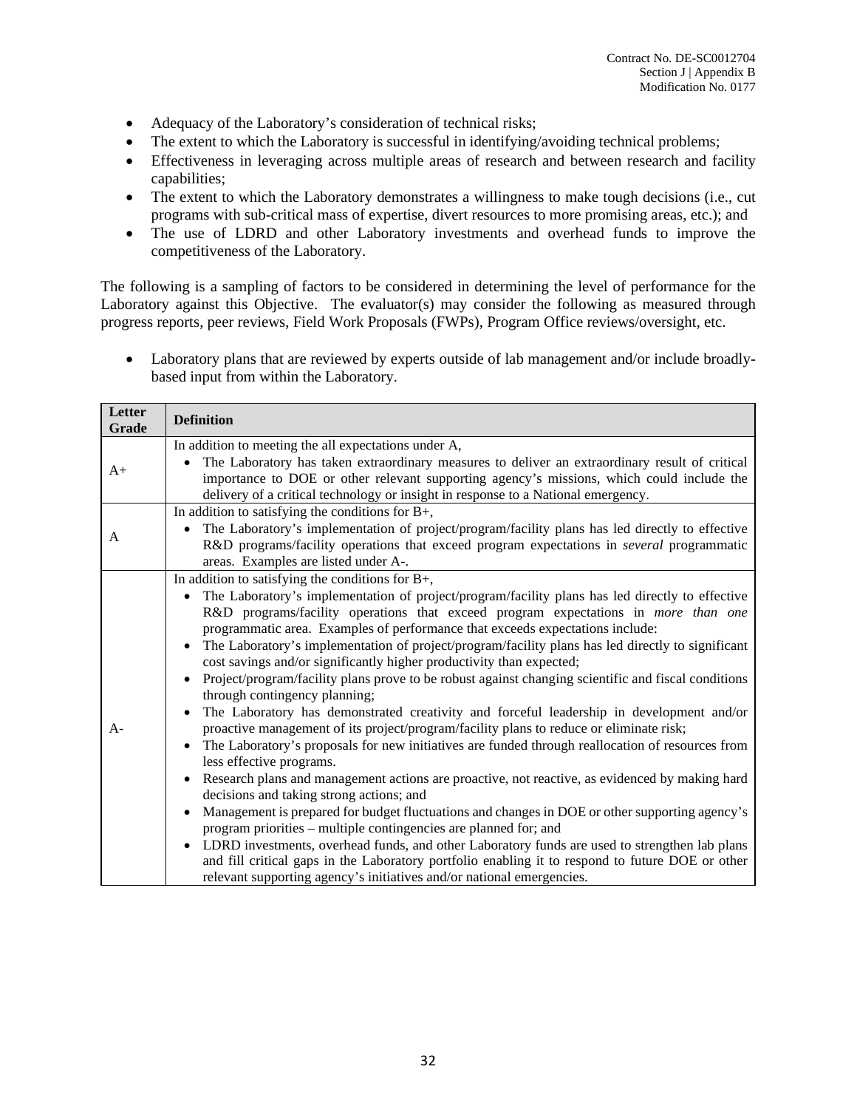- Adequacy of the Laboratory's consideration of technical risks;
- The extent to which the Laboratory is successful in identifying/avoiding technical problems;
- Effectiveness in leveraging across multiple areas of research and between research and facility capabilities;
- The extent to which the Laboratory demonstrates a willingness to make tough decisions (i.e., cut programs with sub-critical mass of expertise, divert resources to more promising areas, etc.); and
- The use of LDRD and other Laboratory investments and overhead funds to improve the competitiveness of the Laboratory.

The following is a sampling of factors to be considered in determining the level of performance for the Laboratory against this Objective. The evaluator(s) may consider the following as measured through progress reports, peer reviews, Field Work Proposals (FWPs), Program Office reviews/oversight, etc.

• Laboratory plans that are reviewed by experts outside of lab management and/or include broadlybased input from within the Laboratory.

| Letter<br>Grade | <b>Definition</b>                                                                                                                                                                                                                                                                                                                                                                                                                                                                                                                                                                                                                                                                                                                                                                                                                                                                                                                                                                                                                                                                                                                                                                                                                                                                                                                                                                                                                                                                                                                                                                                                                  |
|-----------------|------------------------------------------------------------------------------------------------------------------------------------------------------------------------------------------------------------------------------------------------------------------------------------------------------------------------------------------------------------------------------------------------------------------------------------------------------------------------------------------------------------------------------------------------------------------------------------------------------------------------------------------------------------------------------------------------------------------------------------------------------------------------------------------------------------------------------------------------------------------------------------------------------------------------------------------------------------------------------------------------------------------------------------------------------------------------------------------------------------------------------------------------------------------------------------------------------------------------------------------------------------------------------------------------------------------------------------------------------------------------------------------------------------------------------------------------------------------------------------------------------------------------------------------------------------------------------------------------------------------------------------|
| $A+$            | In addition to meeting the all expectations under A,<br>The Laboratory has taken extraordinary measures to deliver an extraordinary result of critical<br>importance to DOE or other relevant supporting agency's missions, which could include the<br>delivery of a critical technology or insight in response to a National emergency.                                                                                                                                                                                                                                                                                                                                                                                                                                                                                                                                                                                                                                                                                                                                                                                                                                                                                                                                                                                                                                                                                                                                                                                                                                                                                           |
| A               | In addition to satisfying the conditions for $B_{+}$ ,<br>The Laboratory's implementation of project/program/facility plans has led directly to effective<br>٠<br>R&D programs/facility operations that exceed program expectations in <i>several</i> programmatic<br>areas. Examples are listed under A-.                                                                                                                                                                                                                                                                                                                                                                                                                                                                                                                                                                                                                                                                                                                                                                                                                                                                                                                                                                                                                                                                                                                                                                                                                                                                                                                         |
| $A-$            | In addition to satisfying the conditions for $B_{+}$ ,<br>The Laboratory's implementation of project/program/facility plans has led directly to effective<br>R&D programs/facility operations that exceed program expectations in more than one<br>programmatic area. Examples of performance that exceeds expectations include:<br>The Laboratory's implementation of project/program/facility plans has led directly to significant<br>$\bullet$<br>cost savings and/or significantly higher productivity than expected;<br>Project/program/facility plans prove to be robust against changing scientific and fiscal conditions<br>through contingency planning;<br>The Laboratory has demonstrated creativity and forceful leadership in development and/or<br>proactive management of its project/program/facility plans to reduce or eliminate risk;<br>The Laboratory's proposals for new initiatives are funded through reallocation of resources from<br>less effective programs.<br>Research plans and management actions are proactive, not reactive, as evidenced by making hard<br>$\bullet$<br>decisions and taking strong actions; and<br>Management is prepared for budget fluctuations and changes in DOE or other supporting agency's<br>$\bullet$<br>program priorities – multiple contingencies are planned for; and<br>LDRD investments, overhead funds, and other Laboratory funds are used to strengthen lab plans<br>$\bullet$<br>and fill critical gaps in the Laboratory portfolio enabling it to respond to future DOE or other<br>relevant supporting agency's initiatives and/or national emergencies. |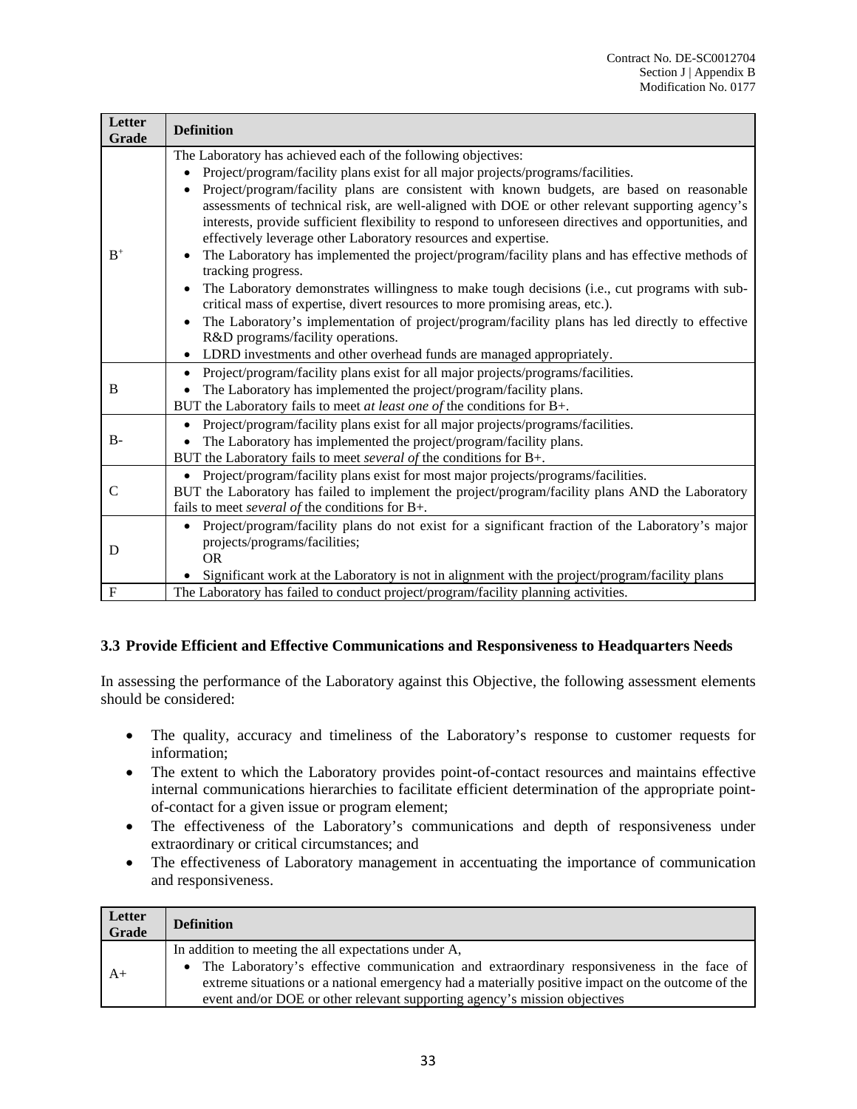| Letter<br>Grade | <b>Definition</b>                                                                                                                                                                                                                                                                                                                                                     |
|-----------------|-----------------------------------------------------------------------------------------------------------------------------------------------------------------------------------------------------------------------------------------------------------------------------------------------------------------------------------------------------------------------|
|                 | The Laboratory has achieved each of the following objectives:                                                                                                                                                                                                                                                                                                         |
|                 | Project/program/facility plans exist for all major projects/programs/facilities.                                                                                                                                                                                                                                                                                      |
|                 | Project/program/facility plans are consistent with known budgets, are based on reasonable<br>assessments of technical risk, are well-aligned with DOE or other relevant supporting agency's<br>interests, provide sufficient flexibility to respond to unforeseen directives and opportunities, and<br>effectively leverage other Laboratory resources and expertise. |
| $B^+$           | The Laboratory has implemented the project/program/facility plans and has effective methods of<br>tracking progress.                                                                                                                                                                                                                                                  |
|                 | The Laboratory demonstrates willingness to make tough decisions (i.e., cut programs with sub-<br>$\bullet$<br>critical mass of expertise, divert resources to more promising areas, etc.).                                                                                                                                                                            |
|                 | The Laboratory's implementation of project/program/facility plans has led directly to effective<br>$\bullet$                                                                                                                                                                                                                                                          |
|                 | R&D programs/facility operations.                                                                                                                                                                                                                                                                                                                                     |
|                 | LDRD investments and other overhead funds are managed appropriately.                                                                                                                                                                                                                                                                                                  |
|                 | Project/program/facility plans exist for all major projects/programs/facilities.<br>$\bullet$                                                                                                                                                                                                                                                                         |
| B               | The Laboratory has implemented the project/program/facility plans.                                                                                                                                                                                                                                                                                                    |
|                 | BUT the Laboratory fails to meet at least one of the conditions for $B+$ .                                                                                                                                                                                                                                                                                            |
|                 | Project/program/facility plans exist for all major projects/programs/facilities.                                                                                                                                                                                                                                                                                      |
| $B -$           | The Laboratory has implemented the project/program/facility plans.                                                                                                                                                                                                                                                                                                    |
|                 | BUT the Laboratory fails to meet several of the conditions for B+.                                                                                                                                                                                                                                                                                                    |
|                 | Project/program/facility plans exist for most major projects/programs/facilities.                                                                                                                                                                                                                                                                                     |
| $\mathsf{C}$    | BUT the Laboratory has failed to implement the project/program/facility plans AND the Laboratory                                                                                                                                                                                                                                                                      |
|                 | fails to meet <i>several of</i> the conditions for $B+$ .                                                                                                                                                                                                                                                                                                             |
|                 | Project/program/facility plans do not exist for a significant fraction of the Laboratory's major<br>projects/programs/facilities;                                                                                                                                                                                                                                     |
| D               | <b>OR</b>                                                                                                                                                                                                                                                                                                                                                             |
|                 | Significant work at the Laboratory is not in alignment with the project/program/facility plans                                                                                                                                                                                                                                                                        |
| $\mathbf{F}$    | The Laboratory has failed to conduct project/program/facility planning activities.                                                                                                                                                                                                                                                                                    |

# **3.3 Provide Efficient and Effective Communications and Responsiveness to Headquarters Needs**

In assessing the performance of the Laboratory against this Objective, the following assessment elements should be considered:

- The quality, accuracy and timeliness of the Laboratory's response to customer requests for information;
- The extent to which the Laboratory provides point-of-contact resources and maintains effective internal communications hierarchies to facilitate efficient determination of the appropriate pointof-contact for a given issue or program element;
- The effectiveness of the Laboratory's communications and depth of responsiveness under extraordinary or critical circumstances; and
- The effectiveness of Laboratory management in accentuating the importance of communication and responsiveness.

| Letter<br>Grade | <b>Definition</b>                                                                                                                                                                                                                                                                                                                    |
|-----------------|--------------------------------------------------------------------------------------------------------------------------------------------------------------------------------------------------------------------------------------------------------------------------------------------------------------------------------------|
| $A+$            | In addition to meeting the all expectations under A,<br>• The Laboratory's effective communication and extraordinary responsiveness in the face of<br>extreme situations or a national emergency had a materially positive impact on the outcome of the<br>event and/or DOE or other relevant supporting agency's mission objectives |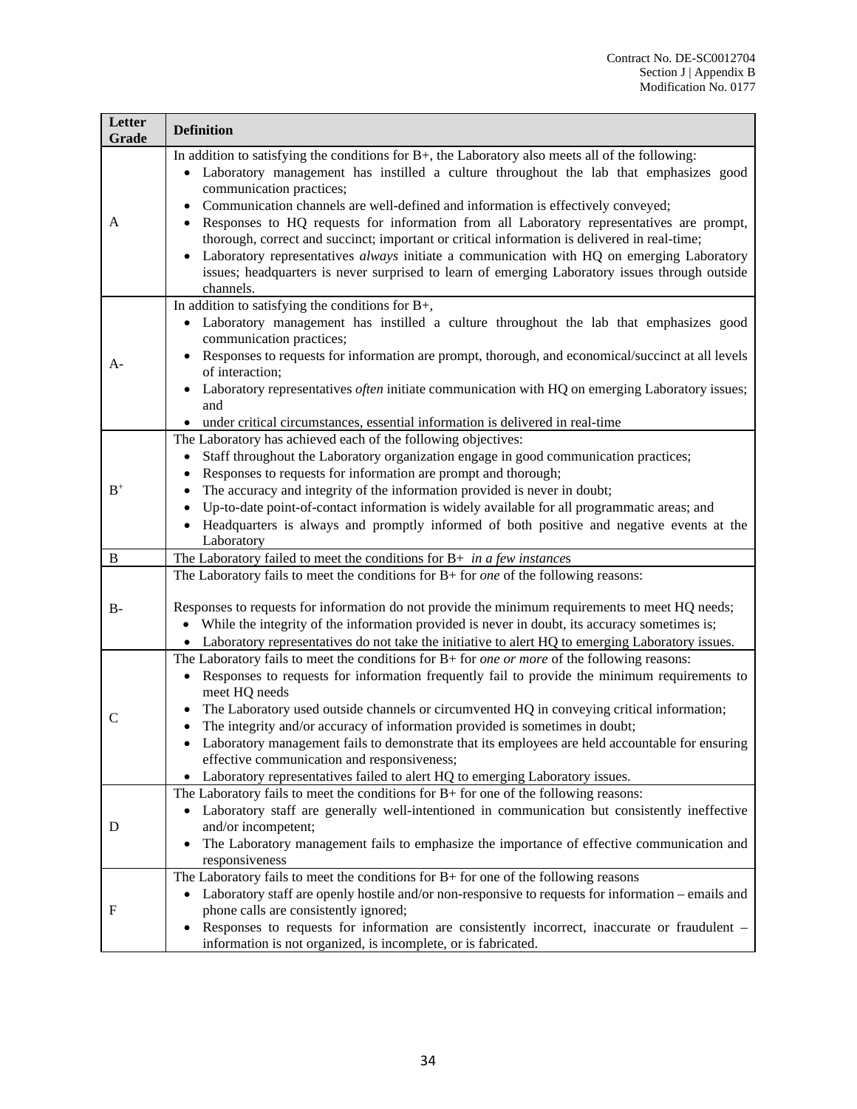| Letter<br>Grade | <b>Definition</b>                                                                                                                                                                                                                                                                                                                                                                                                                                                                                                                                                                                                                                                                                                             |
|-----------------|-------------------------------------------------------------------------------------------------------------------------------------------------------------------------------------------------------------------------------------------------------------------------------------------------------------------------------------------------------------------------------------------------------------------------------------------------------------------------------------------------------------------------------------------------------------------------------------------------------------------------------------------------------------------------------------------------------------------------------|
| A               | In addition to satisfying the conditions for $B+$ , the Laboratory also meets all of the following:<br>• Laboratory management has instilled a culture throughout the lab that emphasizes good<br>communication practices;<br>Communication channels are well-defined and information is effectively conveyed;<br>Responses to HQ requests for information from all Laboratory representatives are prompt,<br>thorough, correct and succinct; important or critical information is delivered in real-time;<br>Laboratory representatives <i>always</i> initiate a communication with HQ on emerging Laboratory<br>issues; headquarters is never surprised to learn of emerging Laboratory issues through outside<br>channels. |
| A-              | In addition to satisfying the conditions for $B_{+}$ ,<br>Laboratory management has instilled a culture throughout the lab that emphasizes good<br>$\bullet$<br>communication practices;<br>Responses to requests for information are prompt, thorough, and economical/succinct at all levels<br>of interaction;<br>Laboratory representatives <i>often</i> initiate communication with HQ on emerging Laboratory issues;<br>$\bullet$<br>and<br>under critical circumstances, essential information is delivered in real-time                                                                                                                                                                                                |
| $B^+$           | The Laboratory has achieved each of the following objectives:<br>Staff throughout the Laboratory organization engage in good communication practices;<br>$\bullet$<br>Responses to requests for information are prompt and thorough;<br>The accuracy and integrity of the information provided is never in doubt;<br>Up-to-date point-of-contact information is widely available for all programmatic areas; and<br>Headquarters is always and promptly informed of both positive and negative events at the<br>Laboratory                                                                                                                                                                                                    |
| B               | The Laboratory failed to meet the conditions for $B+$ in a few instances                                                                                                                                                                                                                                                                                                                                                                                                                                                                                                                                                                                                                                                      |
| $B -$           | The Laboratory fails to meet the conditions for $B+$ for <i>one</i> of the following reasons:<br>Responses to requests for information do not provide the minimum requirements to meet HQ needs;<br>While the integrity of the information provided is never in doubt, its accuracy sometimes is;<br>$\bullet$<br>Laboratory representatives do not take the initiative to alert HQ to emerging Laboratory issues.                                                                                                                                                                                                                                                                                                            |
| $\mathsf{C}$    | The Laboratory fails to meet the conditions for $B+$ for one or more of the following reasons:<br>Responses to requests for information frequently fail to provide the minimum requirements to<br>$\bullet$<br>meet HQ needs<br>The Laboratory used outside channels or circumvented HQ in conveying critical information;<br>The integrity and/or accuracy of information provided is sometimes in doubt;<br>Laboratory management fails to demonstrate that its employees are held accountable for ensuring<br>effective communication and responsiveness;<br>Laboratory representatives failed to alert HQ to emerging Laboratory issues.<br>$\bullet$                                                                     |
| D               | The Laboratory fails to meet the conditions for $B+$ for one of the following reasons:<br>Laboratory staff are generally well-intentioned in communication but consistently ineffective<br>$\bullet$<br>and/or incompetent;<br>The Laboratory management fails to emphasize the importance of effective communication and<br>responsiveness                                                                                                                                                                                                                                                                                                                                                                                   |
| F               | The Laboratory fails to meet the conditions for $B+$ for one of the following reasons<br>Laboratory staff are openly hostile and/or non-responsive to requests for information – emails and<br>$\bullet$<br>phone calls are consistently ignored;<br>Responses to requests for information are consistently incorrect, inaccurate or fraudulent -<br>$\bullet$<br>information is not organized, is incomplete, or is fabricated.                                                                                                                                                                                                                                                                                              |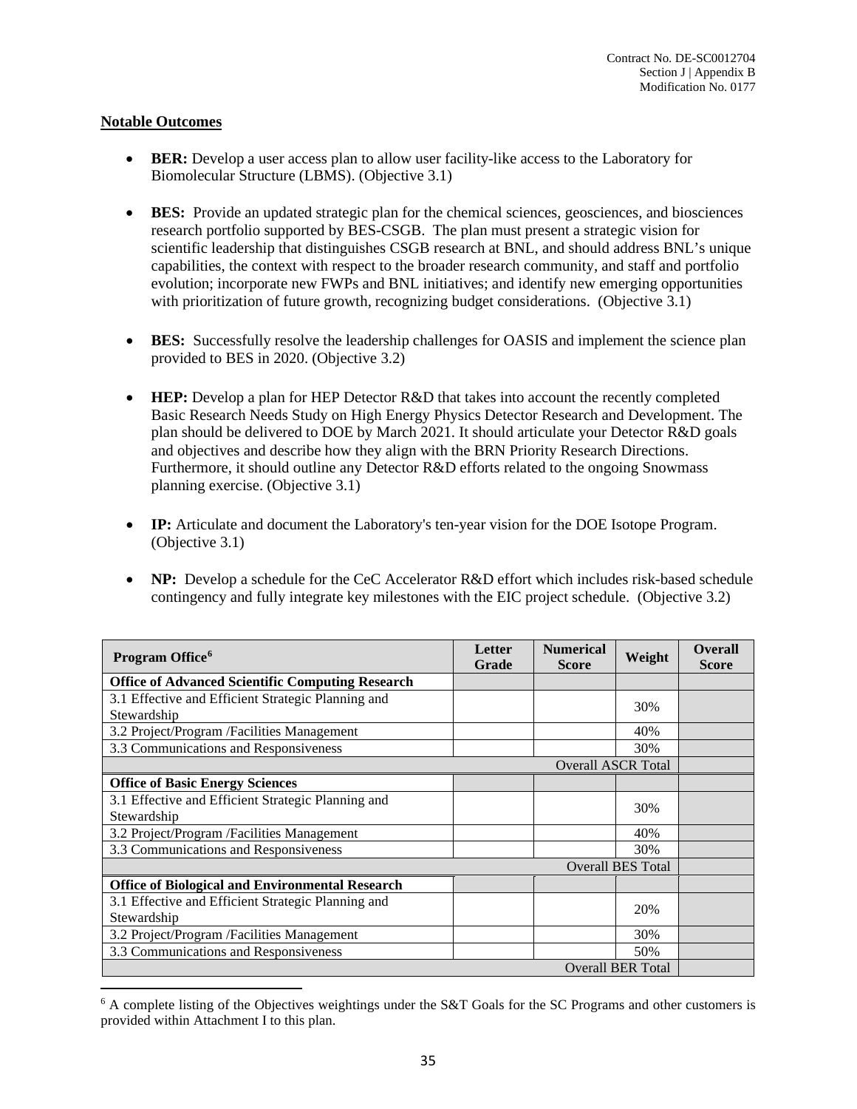- **BER:** Develop a user access plan to allow user facility-like access to the Laboratory for Biomolecular Structure (LBMS). (Objective 3.1)
- **BES:** Provide an updated strategic plan for the chemical sciences, geosciences, and biosciences research portfolio supported by BES-CSGB. The plan must present a strategic vision for scientific leadership that distinguishes CSGB research at BNL, and should address BNL's unique capabilities, the context with respect to the broader research community, and staff and portfolio evolution; incorporate new FWPs and BNL initiatives; and identify new emerging opportunities with prioritization of future growth, recognizing budget considerations. (Objective 3.1)
- **BES:** Successfully resolve the leadership challenges for OASIS and implement the science plan provided to BES in 2020. (Objective 3.2)
- **HEP:** Develop a plan for HEP Detector R&D that takes into account the recently completed Basic Research Needs Study on High Energy Physics Detector Research and Development. The plan should be delivered to DOE by March 2021. It should articulate your Detector R&D goals and objectives and describe how they align with the BRN Priority Research Directions. Furthermore, it should outline any Detector R&D efforts related to the ongoing Snowmass planning exercise. (Objective 3.1)
- **IP:** Articulate and document the Laboratory's ten-year vision for the DOE Isotope Program. (Objective 3.1)
- **NP:** Develop a schedule for the CeC Accelerator R&D effort which includes risk-based schedule contingency and fully integrate key milestones with the EIC project schedule. (Objective 3.2)

| Program Office <sup>6</sup>                             | Letter<br>Grade | <b>Numerical</b><br><b>Score</b> | Weight                   | <b>Overall</b><br><b>Score</b> |
|---------------------------------------------------------|-----------------|----------------------------------|--------------------------|--------------------------------|
| <b>Office of Advanced Scientific Computing Research</b> |                 |                                  |                          |                                |
| 3.1 Effective and Efficient Strategic Planning and      |                 |                                  | 30%                      |                                |
| Stewardship                                             |                 |                                  |                          |                                |
| 3.2 Project/Program /Facilities Management              |                 |                                  | 40%                      |                                |
| 3.3 Communications and Responsiveness                   |                 |                                  | 30%                      |                                |
|                                                         |                 | <b>Overall ASCR Total</b>        |                          |                                |
| <b>Office of Basic Energy Sciences</b>                  |                 |                                  |                          |                                |
| 3.1 Effective and Efficient Strategic Planning and      |                 |                                  |                          |                                |
| Stewardship                                             |                 |                                  | 30%                      |                                |
| 3.2 Project/Program /Facilities Management              |                 |                                  | 40%                      |                                |
| 3.3 Communications and Responsiveness                   |                 |                                  | 30%                      |                                |
|                                                         |                 |                                  | <b>Overall BES Total</b> |                                |
| <b>Office of Biological and Environmental Research</b>  |                 |                                  |                          |                                |
| 3.1 Effective and Efficient Strategic Planning and      |                 |                                  | 20%                      |                                |
| Stewardship                                             |                 |                                  |                          |                                |
| 3.2 Project/Program /Facilities Management              |                 |                                  | 30%                      |                                |
| 3.3 Communications and Responsiveness                   |                 | 50%                              |                          |                                |
| <b>Overall BER Total</b>                                |                 |                                  |                          |                                |

<span id="page-52-0"></span><sup>&</sup>lt;sup>6</sup> A complete listing of the Objectives weightings under the S&T Goals for the SC Programs and other customers is provided within Attachment I to this plan.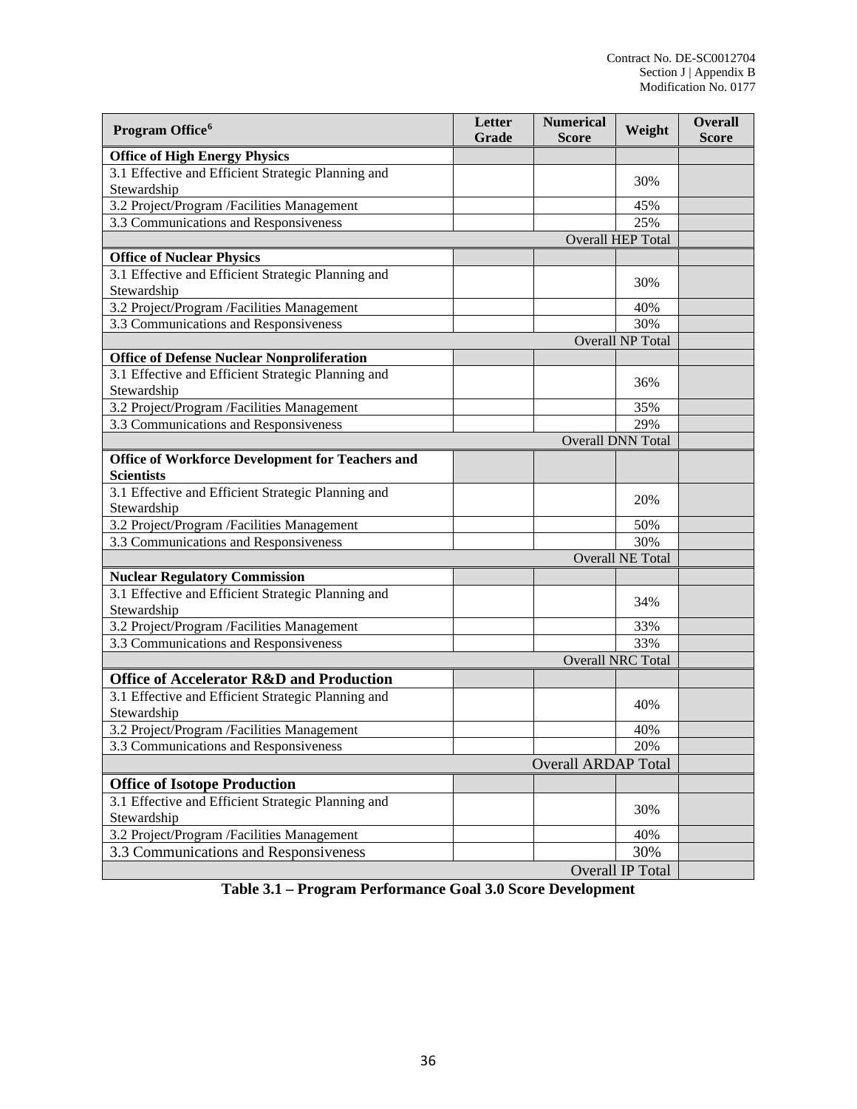| Program Office <sup>6</sup>                                                  | Letter<br>Grade | <b>Numerical</b><br><b>Score</b> | Weight                   | <b>Overall</b><br><b>Score</b> |
|------------------------------------------------------------------------------|-----------------|----------------------------------|--------------------------|--------------------------------|
| <b>Office of High Energy Physics</b>                                         |                 |                                  |                          |                                |
| 3.1 Effective and Efficient Strategic Planning and                           |                 |                                  |                          |                                |
| Stewardship                                                                  |                 |                                  | 30%                      |                                |
| 3.2 Project/Program /Facilities Management                                   |                 |                                  | 45%                      |                                |
| 3.3 Communications and Responsiveness                                        |                 |                                  | 25%                      |                                |
|                                                                              |                 |                                  | <b>Overall HEP Total</b> |                                |
| <b>Office of Nuclear Physics</b>                                             |                 |                                  |                          |                                |
| 3.1 Effective and Efficient Strategic Planning and                           |                 |                                  | 30%                      |                                |
| Stewardship                                                                  |                 |                                  |                          |                                |
| 3.2 Project/Program /Facilities Management                                   |                 |                                  | 40%                      |                                |
| 3.3 Communications and Responsiveness                                        |                 |                                  | 30%                      |                                |
|                                                                              |                 |                                  | Overall NP Total         |                                |
| <b>Office of Defense Nuclear Nonproliferation</b>                            |                 |                                  |                          |                                |
| 3.1 Effective and Efficient Strategic Planning and                           |                 |                                  | 36%                      |                                |
| Stewardship                                                                  |                 |                                  |                          |                                |
| 3.2 Project/Program /Facilities Management                                   |                 |                                  | 35%                      |                                |
| 3.3 Communications and Responsiveness                                        |                 |                                  | 29%                      |                                |
|                                                                              |                 |                                  | <b>Overall DNN Total</b> |                                |
| <b>Office of Workforce Development for Teachers and</b><br><b>Scientists</b> |                 |                                  |                          |                                |
| 3.1 Effective and Efficient Strategic Planning and                           |                 |                                  |                          |                                |
| Stewardship                                                                  |                 |                                  | 20%                      |                                |
| 3.2 Project/Program /Facilities Management                                   |                 |                                  | 50%                      |                                |
| 3.3 Communications and Responsiveness                                        |                 |                                  | 30%                      |                                |
|                                                                              |                 |                                  | Overall NE Total         |                                |
| <b>Nuclear Regulatory Commission</b>                                         |                 |                                  |                          |                                |
| 3.1 Effective and Efficient Strategic Planning and                           |                 |                                  |                          |                                |
| Stewardship                                                                  |                 |                                  | 34%                      |                                |
| 3.2 Project/Program /Facilities Management                                   |                 |                                  | 33%                      |                                |
| 3.3 Communications and Responsiveness                                        |                 |                                  | 33%                      |                                |
|                                                                              |                 |                                  | <b>Overall NRC Total</b> |                                |
| <b>Office of Accelerator R&amp;D and Production</b>                          |                 |                                  |                          |                                |
| 3.1 Effective and Efficient Strategic Planning and                           |                 |                                  |                          |                                |
| Stewardship                                                                  |                 |                                  | 40%                      |                                |
| 3.2 Project/Program /Facilities Management                                   |                 |                                  | 40%                      |                                |
| 3.3 Communications and Responsiveness                                        |                 |                                  | 20%                      |                                |
|                                                                              |                 | <b>Overall ARDAP Total</b>       |                          |                                |
| <b>Office of Isotope Production</b>                                          |                 |                                  |                          |                                |
| 3.1 Effective and Efficient Strategic Planning and                           |                 |                                  |                          |                                |
| Stewardship                                                                  |                 |                                  | 30%                      |                                |
| 3.2 Project/Program /Facilities Management                                   |                 |                                  | 40%                      |                                |
| 3.3 Communications and Responsiveness                                        |                 |                                  | 30%                      |                                |
|                                                                              |                 |                                  | <b>Overall IP Total</b>  |                                |

**Table 3.1 – Program Performance Goal 3.0 Score Development**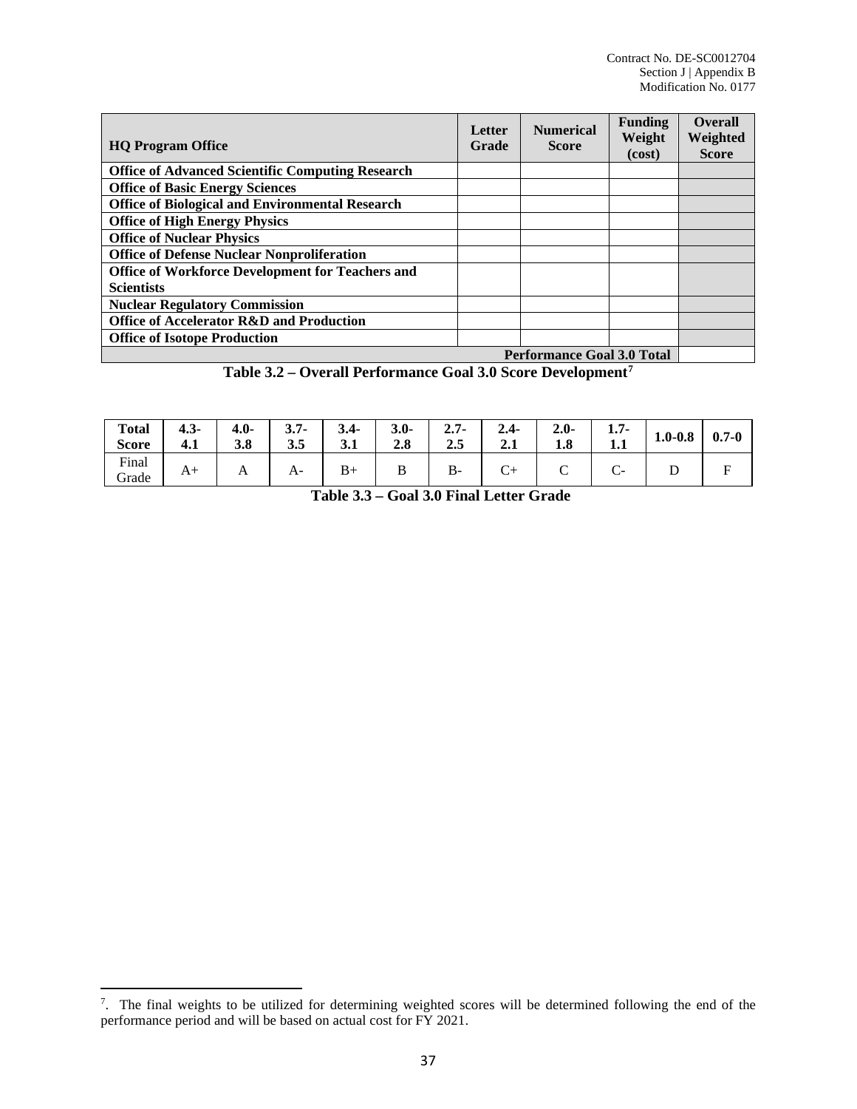| <b>HQ Program Office</b>                                | Letter<br>Grade | <b>Numerical</b><br><b>Score</b> | <b>Funding</b><br>Weight<br>(cost) | <b>Overall</b><br>Weighted<br><b>Score</b> |
|---------------------------------------------------------|-----------------|----------------------------------|------------------------------------|--------------------------------------------|
| <b>Office of Advanced Scientific Computing Research</b> |                 |                                  |                                    |                                            |
| <b>Office of Basic Energy Sciences</b>                  |                 |                                  |                                    |                                            |
| <b>Office of Biological and Environmental Research</b>  |                 |                                  |                                    |                                            |
| <b>Office of High Energy Physics</b>                    |                 |                                  |                                    |                                            |
| <b>Office of Nuclear Physics</b>                        |                 |                                  |                                    |                                            |
| <b>Office of Defense Nuclear Nonproliferation</b>       |                 |                                  |                                    |                                            |
| Office of Workforce Development for Teachers and        |                 |                                  |                                    |                                            |
| <b>Scientists</b>                                       |                 |                                  |                                    |                                            |
| <b>Nuclear Regulatory Commission</b>                    |                 |                                  |                                    |                                            |
| <b>Office of Accelerator R&amp;D and Production</b>     |                 |                                  |                                    |                                            |
| <b>Office of Isotope Production</b>                     |                 |                                  |                                    |                                            |
| <b>Performance Goal 3.0 Total</b>                       |                 |                                  |                                    |                                            |

| Table 3.2 – Overall Performance Goal 3.0 Score Development <sup>7</sup> |  |  |  |
|-------------------------------------------------------------------------|--|--|--|
|-------------------------------------------------------------------------|--|--|--|

| <b>Total</b><br><b>Score</b> | $4.3 -$<br>4.1 | $4.0-$<br>э.о | $3.7 -$<br>3.5 | $3.4 -$<br>J.L      | $3.0 -$<br>20<br>4.0 | $2.7 -$<br>∠.ວ | $2.4 -$<br>4.L | $2.0 -$<br>1.8 | $1.1 -$<br>1.1 | $1.0 - 0.8$ | $0.7 - 0$ |
|------------------------------|----------------|---------------|----------------|---------------------|----------------------|----------------|----------------|----------------|----------------|-------------|-----------|
| Final<br>Grade               | A+             | $\mathbf{L}$  | д.             | D<br>$\mathbf{D}^+$ |                      | ь-             |                |                |                | ້           |           |

**Table 3.3 – Goal 3.0 Final Letter Grade**

<span id="page-54-0"></span><sup>7</sup> . The final weights to be utilized for determining weighted scores will be determined following the end of the performance period and will be based on actual cost for FY 2021.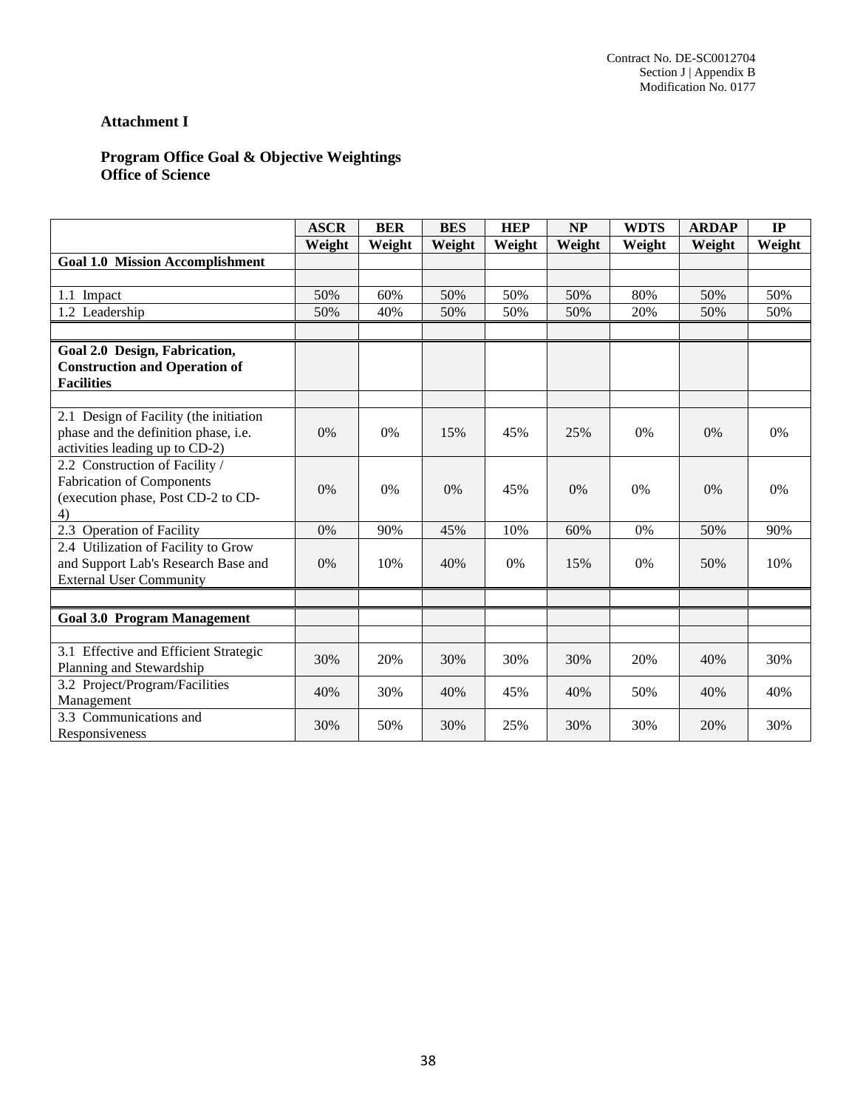# **Attachment I**

# **Program Office Goal & Objective Weightings Office of Science**

|                                                                                                                  | <b>ASCR</b> | <b>BER</b> | <b>BES</b> | <b>HEP</b> | NP     | <b>WDTS</b> | <b>ARDAP</b> | IP     |
|------------------------------------------------------------------------------------------------------------------|-------------|------------|------------|------------|--------|-------------|--------------|--------|
|                                                                                                                  | Weight      | Weight     | Weight     | Weight     | Weight | Weight      | Weight       | Weight |
| <b>Goal 1.0 Mission Accomplishment</b>                                                                           |             |            |            |            |        |             |              |        |
|                                                                                                                  |             |            |            |            |        |             |              |        |
| 1.1 Impact                                                                                                       | 50%         | 60%        | 50%        | 50%        | 50%    | 80%         | 50%          | 50%    |
| 1.2 Leadership                                                                                                   | 50%         | 40%        | 50%        | 50%        | 50%    | 20%         | 50%          | 50%    |
|                                                                                                                  |             |            |            |            |        |             |              |        |
| Goal 2.0 Design, Fabrication,<br><b>Construction and Operation of</b><br><b>Facilities</b>                       |             |            |            |            |        |             |              |        |
|                                                                                                                  |             |            |            |            |        |             |              |        |
| 2.1 Design of Facility (the initiation<br>phase and the definition phase, i.e.<br>activities leading up to CD-2) | $0\%$       | 0%         | 15%        | 45%        | 25%    | 0%          | 0%           | 0%     |
| 2.2 Construction of Facility /<br><b>Fabrication of Components</b><br>(execution phase, Post CD-2 to CD-<br>4)   | 0%          | 0%         | 0%         | 45%        | 0%     | 0%          | 0%           | 0%     |
| 2.3 Operation of Facility                                                                                        | 0%          | 90%        | 45%        | 10%        | 60%    | 0%          | 50%          | 90%    |
| 2.4 Utilization of Facility to Grow<br>and Support Lab's Research Base and<br><b>External User Community</b>     | 0%          | 10%        | 40%        | 0%         | 15%    | 0%          | 50%          | 10%    |
|                                                                                                                  |             |            |            |            |        |             |              |        |
| <b>Goal 3.0 Program Management</b>                                                                               |             |            |            |            |        |             |              |        |
|                                                                                                                  |             |            |            |            |        |             |              |        |
| 3.1 Effective and Efficient Strategic<br>Planning and Stewardship                                                | 30%         | 20%        | 30%        | 30%        | 30%    | 20%         | 40%          | 30%    |
| 3.2 Project/Program/Facilities<br>Management                                                                     | 40%         | 30%        | 40%        | 45%        | 40%    | 50%         | 40%          | 40%    |
| 3.3 Communications and<br>Responsiveness                                                                         | 30%         | 50%        | 30%        | 25%        | 30%    | 30%         | 20%          | 30%    |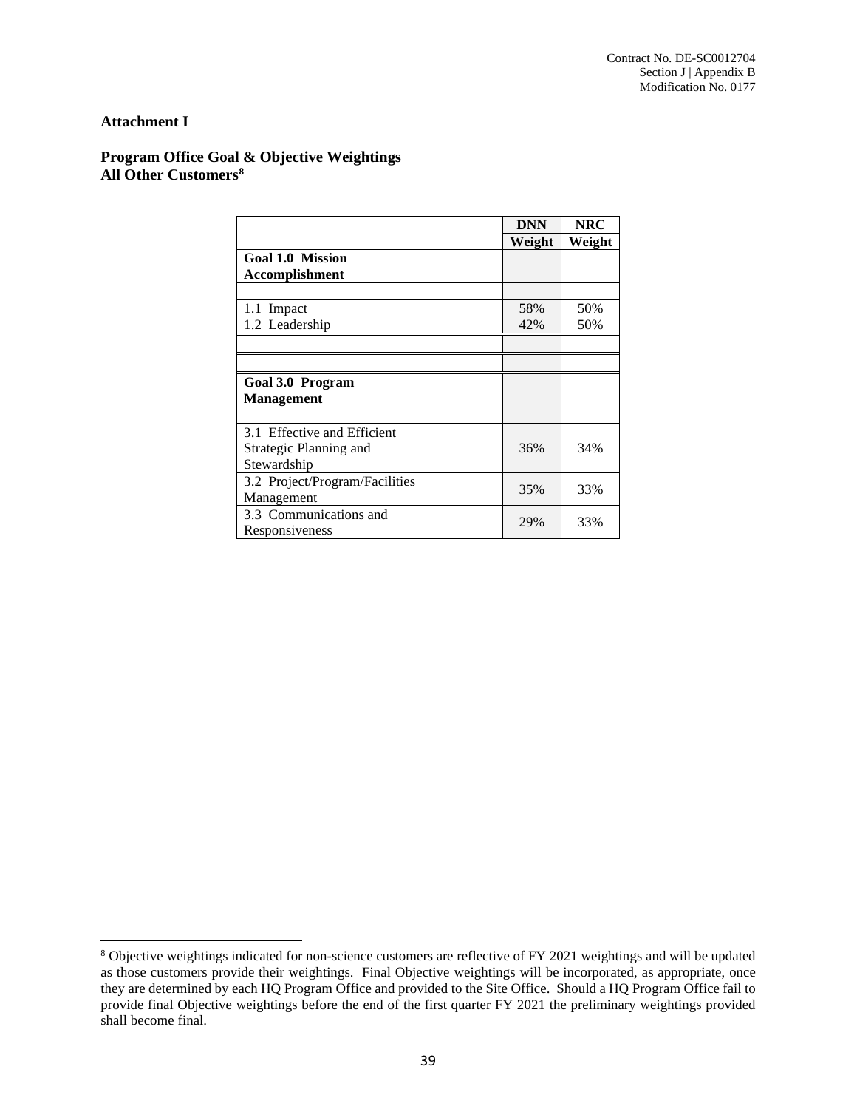#### **Attachment I**

## **Program Office Goal & Objective Weightings All Other Customers[8](#page-56-0)**

|                                | <b>DNN</b> | <b>NRC</b> |
|--------------------------------|------------|------------|
|                                | Weight     | Weight     |
| <b>Goal 1.0 Mission</b>        |            |            |
| Accomplishment                 |            |            |
|                                |            |            |
| 1.1 Impact                     | 58%        | 50%        |
| 1.2 Leadership                 | 42%        | 50%        |
|                                |            |            |
|                                |            |            |
| Goal 3.0 Program               |            |            |
| <b>Management</b>              |            |            |
|                                |            |            |
| 3.1 Effective and Efficient    |            |            |
| Strategic Planning and         | 36%        | 34%        |
| Stewardship                    |            |            |
| 3.2 Project/Program/Facilities | 35%        | 33%        |
| Management                     |            |            |
| 3.3 Communications and         | 29%        | 33%        |
| Responsiveness                 |            |            |

<span id="page-56-0"></span><sup>8</sup> Objective weightings indicated for non-science customers are reflective of FY 2021 weightings and will be updated as those customers provide their weightings. Final Objective weightings will be incorporated, as appropriate, once they are determined by each HQ Program Office and provided to the Site Office. Should a HQ Program Office fail to provide final Objective weightings before the end of the first quarter FY 2021 the preliminary weightings provided shall become final.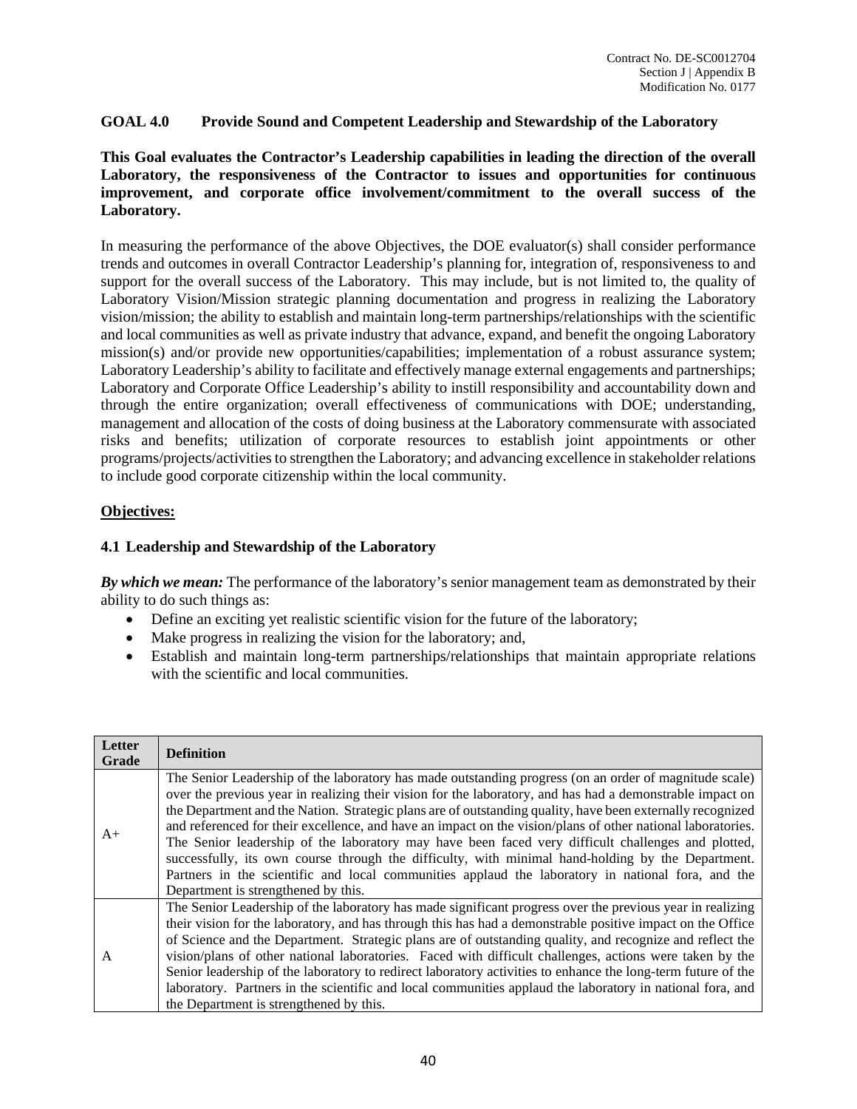# **GOAL 4.0 Provide Sound and Competent Leadership and Stewardship of the Laboratory**

**This Goal evaluates the Contractor's Leadership capabilities in leading the direction of the overall Laboratory, the responsiveness of the Contractor to issues and opportunities for continuous improvement, and corporate office involvement/commitment to the overall success of the Laboratory.**

In measuring the performance of the above Objectives, the DOE evaluator(s) shall consider performance trends and outcomes in overall Contractor Leadership's planning for, integration of, responsiveness to and support for the overall success of the Laboratory. This may include, but is not limited to, the quality of Laboratory Vision/Mission strategic planning documentation and progress in realizing the Laboratory vision/mission; the ability to establish and maintain long-term partnerships/relationships with the scientific and local communities as well as private industry that advance, expand, and benefit the ongoing Laboratory mission(s) and/or provide new opportunities/capabilities; implementation of a robust assurance system; Laboratory Leadership's ability to facilitate and effectively manage external engagements and partnerships; Laboratory and Corporate Office Leadership's ability to instill responsibility and accountability down and through the entire organization; overall effectiveness of communications with DOE; understanding, management and allocation of the costs of doing business at the Laboratory commensurate with associated risks and benefits; utilization of corporate resources to establish joint appointments or other programs/projects/activities to strengthen the Laboratory; and advancing excellence in stakeholder relations to include good corporate citizenship within the local community.

# **Objectives:**

# **4.1 Leadership and Stewardship of the Laboratory**

*By which we mean:* The performance of the laboratory's senior management team as demonstrated by their ability to do such things as:

- Define an exciting yet realistic scientific vision for the future of the laboratory;
- Make progress in realizing the vision for the laboratory; and,
- Establish and maintain long-term partnerships/relationships that maintain appropriate relations with the scientific and local communities.

| Letter<br>Grade | <b>Definition</b>                                                                                                                                                                                                                                                                                                                                                                                                                                                                                                                                                                                                                                                                                                                                                                                       |
|-----------------|---------------------------------------------------------------------------------------------------------------------------------------------------------------------------------------------------------------------------------------------------------------------------------------------------------------------------------------------------------------------------------------------------------------------------------------------------------------------------------------------------------------------------------------------------------------------------------------------------------------------------------------------------------------------------------------------------------------------------------------------------------------------------------------------------------|
| $A+$            | The Senior Leadership of the laboratory has made outstanding progress (on an order of magnitude scale)<br>over the previous year in realizing their vision for the laboratory, and has had a demonstrable impact on<br>the Department and the Nation. Strategic plans are of outstanding quality, have been externally recognized<br>and referenced for their excellence, and have an impact on the vision/plans of other national laboratories.<br>The Senior leadership of the laboratory may have been faced very difficult challenges and plotted,<br>successfully, its own course through the difficulty, with minimal hand-holding by the Department.<br>Partners in the scientific and local communities applaud the laboratory in national fora, and the<br>Department is strengthened by this. |
| A               | The Senior Leadership of the laboratory has made significant progress over the previous year in realizing<br>their vision for the laboratory, and has through this has had a demonstrable positive impact on the Office<br>of Science and the Department. Strategic plans are of outstanding quality, and recognize and reflect the<br>vision/plans of other national laboratories. Faced with difficult challenges, actions were taken by the<br>Senior leadership of the laboratory to redirect laboratory activities to enhance the long-term future of the<br>laboratory. Partners in the scientific and local communities applaud the laboratory in national fora, and<br>the Department is strengthened by this.                                                                                  |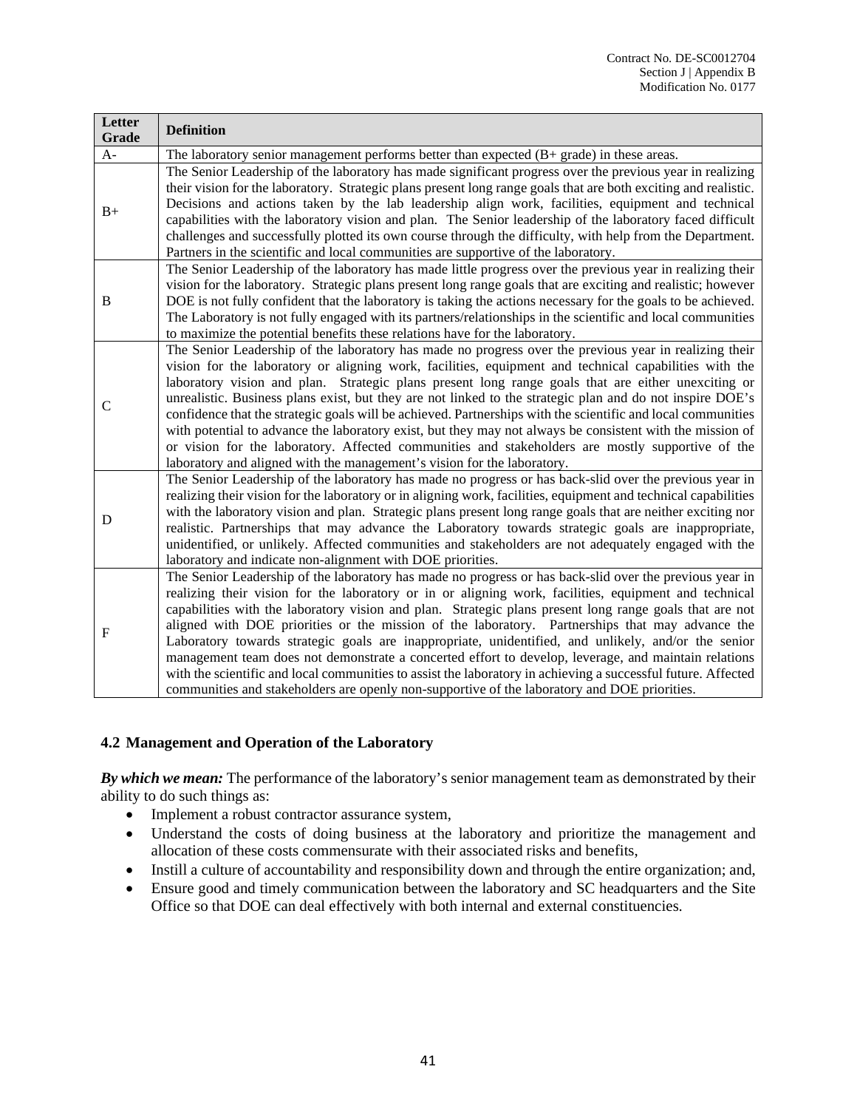| Letter<br>Grade | <b>Definition</b>                                                                                                                                                                                                                                                                                                                                                                                                                                                                                                                                                                                                                                                                                                                                                                                                                                              |
|-----------------|----------------------------------------------------------------------------------------------------------------------------------------------------------------------------------------------------------------------------------------------------------------------------------------------------------------------------------------------------------------------------------------------------------------------------------------------------------------------------------------------------------------------------------------------------------------------------------------------------------------------------------------------------------------------------------------------------------------------------------------------------------------------------------------------------------------------------------------------------------------|
| $A-$            | The laboratory senior management performs better than expected $(B + grade)$ in these areas.                                                                                                                                                                                                                                                                                                                                                                                                                                                                                                                                                                                                                                                                                                                                                                   |
| $B+$            | The Senior Leadership of the laboratory has made significant progress over the previous year in realizing<br>their vision for the laboratory. Strategic plans present long range goals that are both exciting and realistic.<br>Decisions and actions taken by the lab leadership align work, facilities, equipment and technical<br>capabilities with the laboratory vision and plan. The Senior leadership of the laboratory faced difficult<br>challenges and successfully plotted its own course through the difficulty, with help from the Department.<br>Partners in the scientific and local communities are supportive of the laboratory.                                                                                                                                                                                                              |
| $\, {\bf B}$    | The Senior Leadership of the laboratory has made little progress over the previous year in realizing their<br>vision for the laboratory. Strategic plans present long range goals that are exciting and realistic; however<br>DOE is not fully confident that the laboratory is taking the actions necessary for the goals to be achieved.<br>The Laboratory is not fully engaged with its partners/relationships in the scientific and local communities<br>to maximize the potential benefits these relations have for the laboratory.                                                                                                                                                                                                                                                                                                                       |
| $\mathcal{C}$   | The Senior Leadership of the laboratory has made no progress over the previous year in realizing their<br>vision for the laboratory or aligning work, facilities, equipment and technical capabilities with the<br>laboratory vision and plan. Strategic plans present long range goals that are either unexciting or<br>unrealistic. Business plans exist, but they are not linked to the strategic plan and do not inspire DOE's<br>confidence that the strategic goals will be achieved. Partnerships with the scientific and local communities<br>with potential to advance the laboratory exist, but they may not always be consistent with the mission of<br>or vision for the laboratory. Affected communities and stakeholders are mostly supportive of the<br>laboratory and aligned with the management's vision for the laboratory.                 |
| D               | The Senior Leadership of the laboratory has made no progress or has back-slid over the previous year in<br>realizing their vision for the laboratory or in aligning work, facilities, equipment and technical capabilities<br>with the laboratory vision and plan. Strategic plans present long range goals that are neither exciting nor<br>realistic. Partnerships that may advance the Laboratory towards strategic goals are inappropriate,<br>unidentified, or unlikely. Affected communities and stakeholders are not adequately engaged with the<br>laboratory and indicate non-alignment with DOE priorities.                                                                                                                                                                                                                                          |
| $\mathbf{F}$    | The Senior Leadership of the laboratory has made no progress or has back-slid over the previous year in<br>realizing their vision for the laboratory or in or aligning work, facilities, equipment and technical<br>capabilities with the laboratory vision and plan. Strategic plans present long range goals that are not<br>aligned with DOE priorities or the mission of the laboratory. Partnerships that may advance the<br>Laboratory towards strategic goals are inappropriate, unidentified, and unlikely, and/or the senior<br>management team does not demonstrate a concerted effort to develop, leverage, and maintain relations<br>with the scientific and local communities to assist the laboratory in achieving a successful future. Affected<br>communities and stakeholders are openly non-supportive of the laboratory and DOE priorities. |

# **4.2 Management and Operation of the Laboratory**

*By which we mean:* The performance of the laboratory's senior management team as demonstrated by their ability to do such things as:

- Implement a robust contractor assurance system,
- Understand the costs of doing business at the laboratory and prioritize the management and allocation of these costs commensurate with their associated risks and benefits,
- Instill a culture of accountability and responsibility down and through the entire organization; and,
- Ensure good and timely communication between the laboratory and SC headquarters and the Site Office so that DOE can deal effectively with both internal and external constituencies.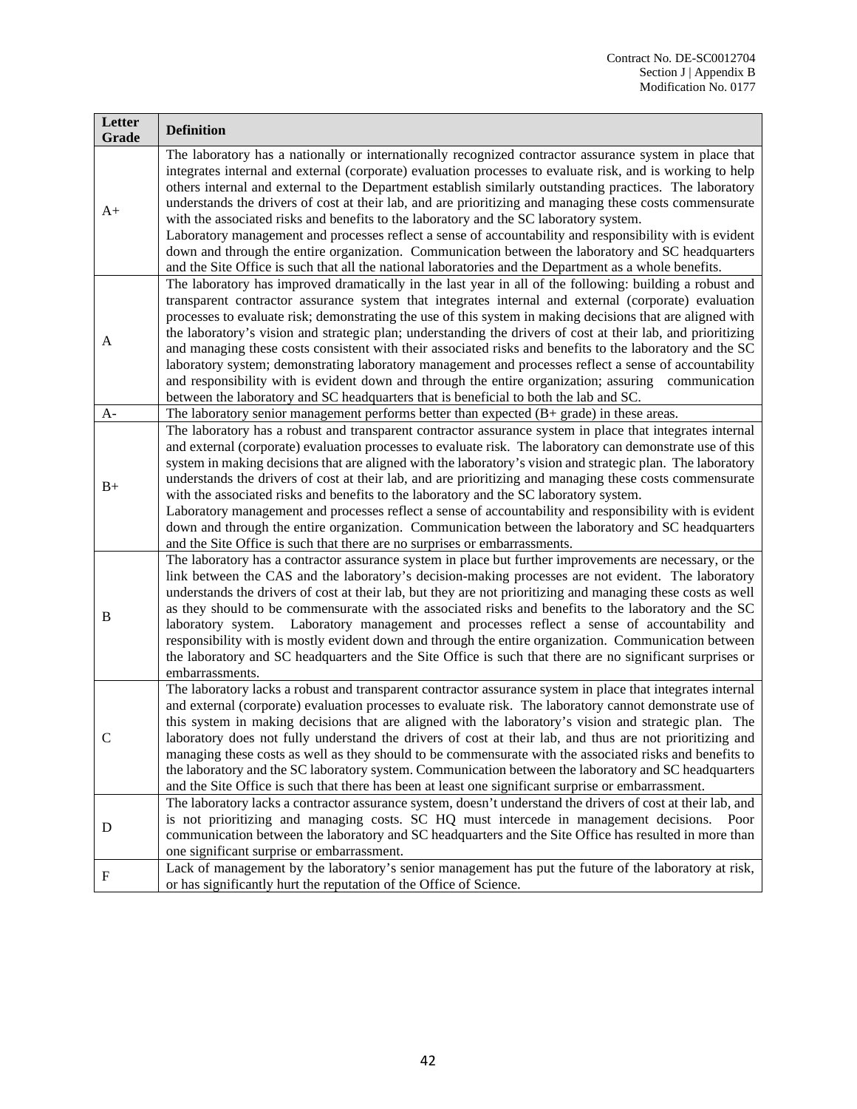| Letter<br>Grade           | <b>Definition</b>                                                                                                                                                                                                                                                                                                                                                                                                                                                                                                                                                                                                                                                                                                                                                                                                                                                     |
|---------------------------|-----------------------------------------------------------------------------------------------------------------------------------------------------------------------------------------------------------------------------------------------------------------------------------------------------------------------------------------------------------------------------------------------------------------------------------------------------------------------------------------------------------------------------------------------------------------------------------------------------------------------------------------------------------------------------------------------------------------------------------------------------------------------------------------------------------------------------------------------------------------------|
| A+                        | The laboratory has a nationally or internationally recognized contractor assurance system in place that<br>integrates internal and external (corporate) evaluation processes to evaluate risk, and is working to help<br>others internal and external to the Department establish similarly outstanding practices. The laboratory<br>understands the drivers of cost at their lab, and are prioritizing and managing these costs commensurate<br>with the associated risks and benefits to the laboratory and the SC laboratory system.<br>Laboratory management and processes reflect a sense of accountability and responsibility with is evident<br>down and through the entire organization. Communication between the laboratory and SC headquarters<br>and the Site Office is such that all the national laboratories and the Department as a whole benefits.   |
| A                         | The laboratory has improved dramatically in the last year in all of the following: building a robust and<br>transparent contractor assurance system that integrates internal and external (corporate) evaluation<br>processes to evaluate risk; demonstrating the use of this system in making decisions that are aligned with<br>the laboratory's vision and strategic plan; understanding the drivers of cost at their lab, and prioritizing<br>and managing these costs consistent with their associated risks and benefits to the laboratory and the SC<br>laboratory system; demonstrating laboratory management and processes reflect a sense of accountability<br>and responsibility with is evident down and through the entire organization; assuring communication<br>between the laboratory and SC headquarters that is beneficial to both the lab and SC. |
| $A-$                      | The laboratory senior management performs better than expected $(B + grade)$ in these areas.                                                                                                                                                                                                                                                                                                                                                                                                                                                                                                                                                                                                                                                                                                                                                                          |
| $B+$                      | The laboratory has a robust and transparent contractor assurance system in place that integrates internal<br>and external (corporate) evaluation processes to evaluate risk. The laboratory can demonstrate use of this<br>system in making decisions that are aligned with the laboratory's vision and strategic plan. The laboratory<br>understands the drivers of cost at their lab, and are prioritizing and managing these costs commensurate<br>with the associated risks and benefits to the laboratory and the SC laboratory system.<br>Laboratory management and processes reflect a sense of accountability and responsibility with is evident<br>down and through the entire organization. Communication between the laboratory and SC headquarters<br>and the Site Office is such that there are no surprises or embarrassments.                          |
| B                         | The laboratory has a contractor assurance system in place but further improvements are necessary, or the<br>link between the CAS and the laboratory's decision-making processes are not evident. The laboratory<br>understands the drivers of cost at their lab, but they are not prioritizing and managing these costs as well<br>as they should to be commensurate with the associated risks and benefits to the laboratory and the SC<br>laboratory system. Laboratory management and processes reflect a sense of accountability and<br>responsibility with is mostly evident down and through the entire organization. Communication between<br>the laboratory and SC headquarters and the Site Office is such that there are no significant surprises or<br>embarrassments.                                                                                     |
| $\mathcal{C}$             | The laboratory lacks a robust and transparent contractor assurance system in place that integrates internal<br>and external (corporate) evaluation processes to evaluate risk. The laboratory cannot demonstrate use of<br>this system in making decisions that are aligned with the laboratory's vision and strategic plan. The<br>laboratory does not fully understand the drivers of cost at their lab, and thus are not prioritizing and<br>managing these costs as well as they should to be commensurate with the associated risks and benefits to<br>the laboratory and the SC laboratory system. Communication between the laboratory and SC headquarters<br>and the Site Office is such that there has been at least one significant surprise or embarrassment.                                                                                              |
| $\mathbf D$               | The laboratory lacks a contractor assurance system, doesn't understand the drivers of cost at their lab, and<br>is not prioritizing and managing costs. SC HQ must intercede in management decisions.<br>Poor<br>communication between the laboratory and SC headquarters and the Site Office has resulted in more than<br>one significant surprise or embarrassment.                                                                                                                                                                                                                                                                                                                                                                                                                                                                                                 |
| $\boldsymbol{\mathrm{F}}$ | Lack of management by the laboratory's senior management has put the future of the laboratory at risk,<br>or has significantly hurt the reputation of the Office of Science.                                                                                                                                                                                                                                                                                                                                                                                                                                                                                                                                                                                                                                                                                          |

┱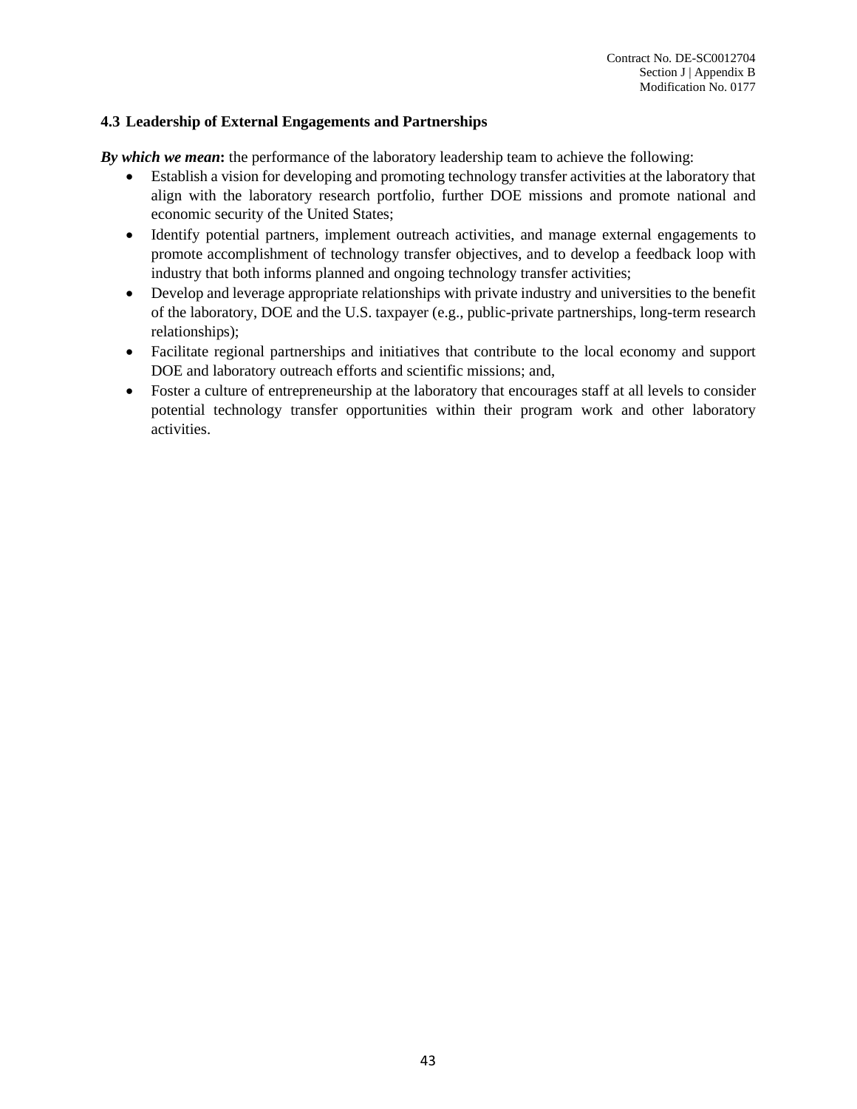# **4.3 Leadership of External Engagements and Partnerships**

*By which we mean***:** the performance of the laboratory leadership team to achieve the following:

- Establish a vision for developing and promoting technology transfer activities at the laboratory that align with the laboratory research portfolio, further DOE missions and promote national and economic security of the United States;
- Identify potential partners, implement outreach activities, and manage external engagements to promote accomplishment of technology transfer objectives, and to develop a feedback loop with industry that both informs planned and ongoing technology transfer activities;
- Develop and leverage appropriate relationships with private industry and universities to the benefit of the laboratory, DOE and the U.S. taxpayer (e.g., public-private partnerships, long-term research relationships);
- Facilitate regional partnerships and initiatives that contribute to the local economy and support DOE and laboratory outreach efforts and scientific missions; and,
- Foster a culture of entrepreneurship at the laboratory that encourages staff at all levels to consider potential technology transfer opportunities within their program work and other laboratory activities.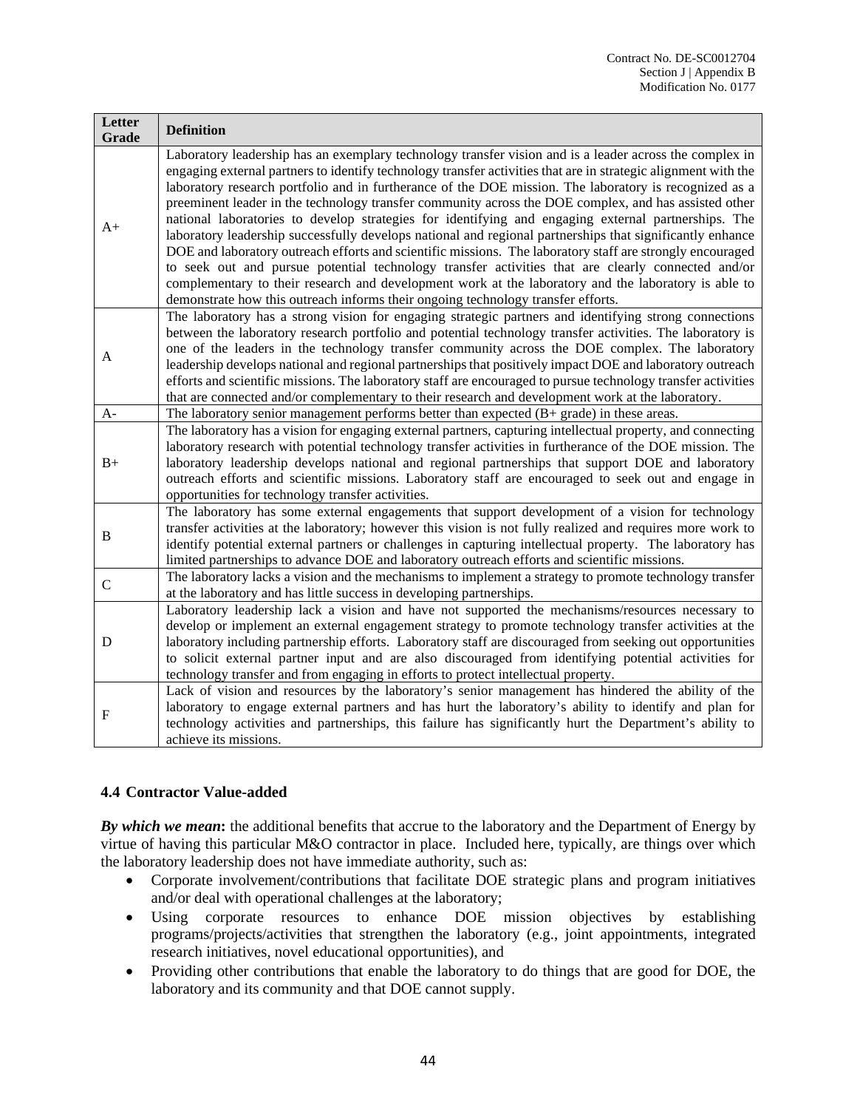| Letter<br>Grade | <b>Definition</b>                                                                                                                                                                                                                                                                                                                                                                                                                                                                                                                                                                                                                                                                                                                                                                                                                                                                                                                                                                                                                                                              |
|-----------------|--------------------------------------------------------------------------------------------------------------------------------------------------------------------------------------------------------------------------------------------------------------------------------------------------------------------------------------------------------------------------------------------------------------------------------------------------------------------------------------------------------------------------------------------------------------------------------------------------------------------------------------------------------------------------------------------------------------------------------------------------------------------------------------------------------------------------------------------------------------------------------------------------------------------------------------------------------------------------------------------------------------------------------------------------------------------------------|
| $A+$            | Laboratory leadership has an exemplary technology transfer vision and is a leader across the complex in<br>engaging external partners to identify technology transfer activities that are in strategic alignment with the<br>laboratory research portfolio and in furtherance of the DOE mission. The laboratory is recognized as a<br>preeminent leader in the technology transfer community across the DOE complex, and has assisted other<br>national laboratories to develop strategies for identifying and engaging external partnerships. The<br>laboratory leadership successfully develops national and regional partnerships that significantly enhance<br>DOE and laboratory outreach efforts and scientific missions. The laboratory staff are strongly encouraged<br>to seek out and pursue potential technology transfer activities that are clearly connected and/or<br>complementary to their research and development work at the laboratory and the laboratory is able to<br>demonstrate how this outreach informs their ongoing technology transfer efforts. |
| A               | between the laboratory research portfolio and potential technology transfer activities. The laboratory is<br>one of the leaders in the technology transfer community across the DOE complex. The laboratory<br>leadership develops national and regional partnerships that positively impact DOE and laboratory outreach<br>efforts and scientific missions. The laboratory staff are encouraged to pursue technology transfer activities<br>that are connected and/or complementary to their research and development work at the laboratory.                                                                                                                                                                                                                                                                                                                                                                                                                                                                                                                                 |
| $A-$            | The laboratory senior management performs better than expected $(B + grade)$ in these areas.                                                                                                                                                                                                                                                                                                                                                                                                                                                                                                                                                                                                                                                                                                                                                                                                                                                                                                                                                                                   |
| $B+$            | laboratory research with potential technology transfer activities in furtherance of the DOE mission. The<br>laboratory leadership develops national and regional partnerships that support DOE and laboratory<br>outreach efforts and scientific missions. Laboratory staff are encouraged to seek out and engage in                                                                                                                                                                                                                                                                                                                                                                                                                                                                                                                                                                                                                                                                                                                                                           |
| $\, {\bf B}$    | The laboratory has some external engagements that support development of a vision for technology<br>transfer activities at the laboratory; however this vision is not fully realized and requires more work to<br>identify potential external partners or challenges in capturing intellectual property. The laboratory has<br>limited partnerships to advance DOE and laboratory outreach efforts and scientific missions.                                                                                                                                                                                                                                                                                                                                                                                                                                                                                                                                                                                                                                                    |
| $\mathcal{C}$   | at the laboratory and has little success in developing partnerships.                                                                                                                                                                                                                                                                                                                                                                                                                                                                                                                                                                                                                                                                                                                                                                                                                                                                                                                                                                                                           |
| D               | Laboratory leadership lack a vision and have not supported the mechanisms/resources necessary to<br>develop or implement an external engagement strategy to promote technology transfer activities at the<br>laboratory including partnership efforts. Laboratory staff are discouraged from seeking out opportunities<br>to solicit external partner input and are also discouraged from identifying potential activities for<br>technology transfer and from engaging in efforts to protect intellectual property.                                                                                                                                                                                                                                                                                                                                                                                                                                                                                                                                                           |
| $\mathbf F$     | Lack of vision and resources by the laboratory's senior management has hindered the ability of the<br>laboratory to engage external partners and has hurt the laboratory's ability to identify and plan for<br>technology activities and partnerships, this failure has significantly hurt the Department's ability to<br>achieve its missions.                                                                                                                                                                                                                                                                                                                                                                                                                                                                                                                                                                                                                                                                                                                                |
|                 | The laboratory has a strong vision for engaging strategic partners and identifying strong connections<br>The laboratory has a vision for engaging external partners, capturing intellectual property, and connecting<br>opportunities for technology transfer activities.<br>The laboratory lacks a vision and the mechanisms to implement a strategy to promote technology transfer                                                                                                                                                                                                                                                                                                                                                                                                                                                                                                                                                                                                                                                                                           |

# **4.4 Contractor Value-added**

*By which we mean***:** the additional benefits that accrue to the laboratory and the Department of Energy by virtue of having this particular M&O contractor in place. Included here, typically, are things over which the laboratory leadership does not have immediate authority, such as:

- Corporate involvement/contributions that facilitate DOE strategic plans and program initiatives and/or deal with operational challenges at the laboratory;
- Using corporate resources to enhance DOE mission objectives by establishing programs/projects/activities that strengthen the laboratory (e.g., joint appointments, integrated research initiatives, novel educational opportunities), and
- Providing other contributions that enable the laboratory to do things that are good for DOE, the laboratory and its community and that DOE cannot supply.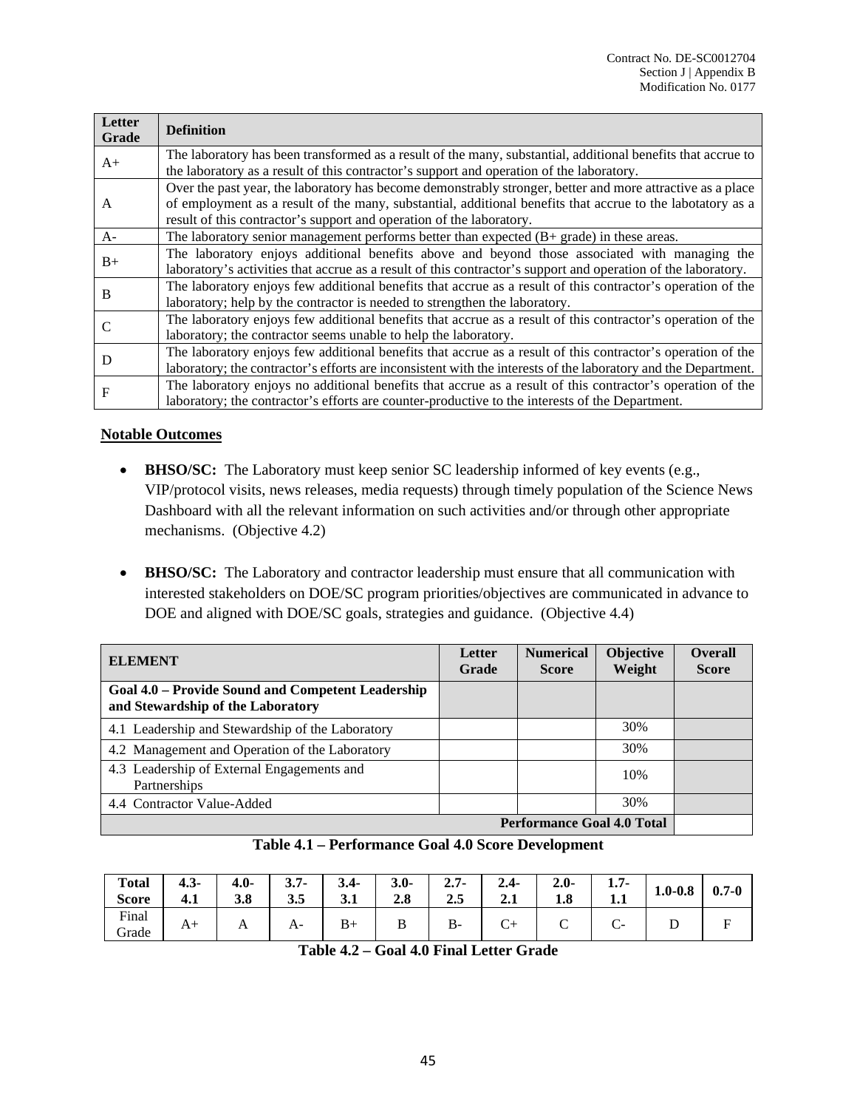| Letter<br>Grade | <b>Definition</b>                                                                                              |
|-----------------|----------------------------------------------------------------------------------------------------------------|
| $A+$            | The laboratory has been transformed as a result of the many, substantial, additional benefits that accrue to   |
|                 | the laboratory as a result of this contractor's support and operation of the laboratory.                       |
|                 | Over the past year, the laboratory has become demonstrably stronger, better and more attractive as a place     |
| A               | of employment as a result of the many, substantial, additional benefits that accrue to the labotatory as a     |
|                 | result of this contractor's support and operation of the laboratory.                                           |
| $A-$            | The laboratory senior management performs better than expected $(B + grade)$ in these areas.                   |
| $B+$            | The laboratory enjoys additional benefits above and beyond those associated with managing the                  |
|                 | laboratory's activities that accrue as a result of this contractor's support and operation of the laboratory.  |
| B               | The laboratory enjoys few additional benefits that accrue as a result of this contractor's operation of the    |
|                 | laboratory; help by the contractor is needed to strengthen the laboratory.                                     |
|                 | The laboratory enjoys few additional benefits that accrue as a result of this contractor's operation of the    |
|                 | laboratory; the contractor seems unable to help the laboratory.                                                |
| D               | The laboratory enjoys few additional benefits that accrue as a result of this contractor's operation of the    |
|                 | laboratory; the contractor's efforts are inconsistent with the interests of the laboratory and the Department. |
| F               | The laboratory enjoys no additional benefits that accrue as a result of this contractor's operation of the     |
|                 | laboratory; the contractor's efforts are counter-productive to the interests of the Department.                |

- **BHSO/SC:** The Laboratory must keep senior SC leadership informed of key events (e.g., VIP/protocol visits, news releases, media requests) through timely population of the Science News Dashboard with all the relevant information on such activities and/or through other appropriate mechanisms. (Objective 4.2)
- **BHSO/SC:** The Laboratory and contractor leadership must ensure that all communication with interested stakeholders on DOE/SC program priorities/objectives are communicated in advance to DOE and aligned with DOE/SC goals, strategies and guidance. (Objective 4.4)

| <b>ELEMENT</b>                                                                         | Letter<br>Grade | <b>Numerical</b><br><b>Score</b> | Objective<br>Weight | <b>Overall</b><br><b>Score</b> |  |  |  |
|----------------------------------------------------------------------------------------|-----------------|----------------------------------|---------------------|--------------------------------|--|--|--|
| Goal 4.0 – Provide Sound and Competent Leadership<br>and Stewardship of the Laboratory |                 |                                  |                     |                                |  |  |  |
| 4.1 Leadership and Stewardship of the Laboratory                                       |                 |                                  | 30%                 |                                |  |  |  |
| 4.2 Management and Operation of the Laboratory                                         |                 |                                  | 30%                 |                                |  |  |  |
| 4.3 Leadership of External Engagements and<br>Partnerships                             |                 |                                  | 10%                 |                                |  |  |  |
| 4.4 Contractor Value-Added                                                             |                 |                                  | 30%                 |                                |  |  |  |
| <b>Performance Goal 4.0 Total</b>                                                      |                 |                                  |                     |                                |  |  |  |

**Table 4.1 – Performance Goal 4.0 Score Development**

| <b>Total</b><br><b>Score</b> | $4.3 -$<br>4.1 | $4.0-$<br>э.о | $3.7 -$<br>ა.ა | $3.4 -$<br>J.I | $3.0 -$<br>$\bullet$<br>4.0 | $2.7 -$<br>4.J | $2.4 -$<br>◠<br>4. L | $2.0 -$<br>1.0 | $\overline{ }$<br>$1.7 -$<br>1.1 | $1.0 - 0.8$ | $0.7 - 0$ |
|------------------------------|----------------|---------------|----------------|----------------|-----------------------------|----------------|----------------------|----------------|----------------------------------|-------------|-----------|
| Final<br>Grade               | $A+$           | A             | $A-$           | $B+$           | ≖                           | ь-             |                      | ◡              |                                  |             |           |

**Table 4.2 – Goal 4.0 Final Letter Grade**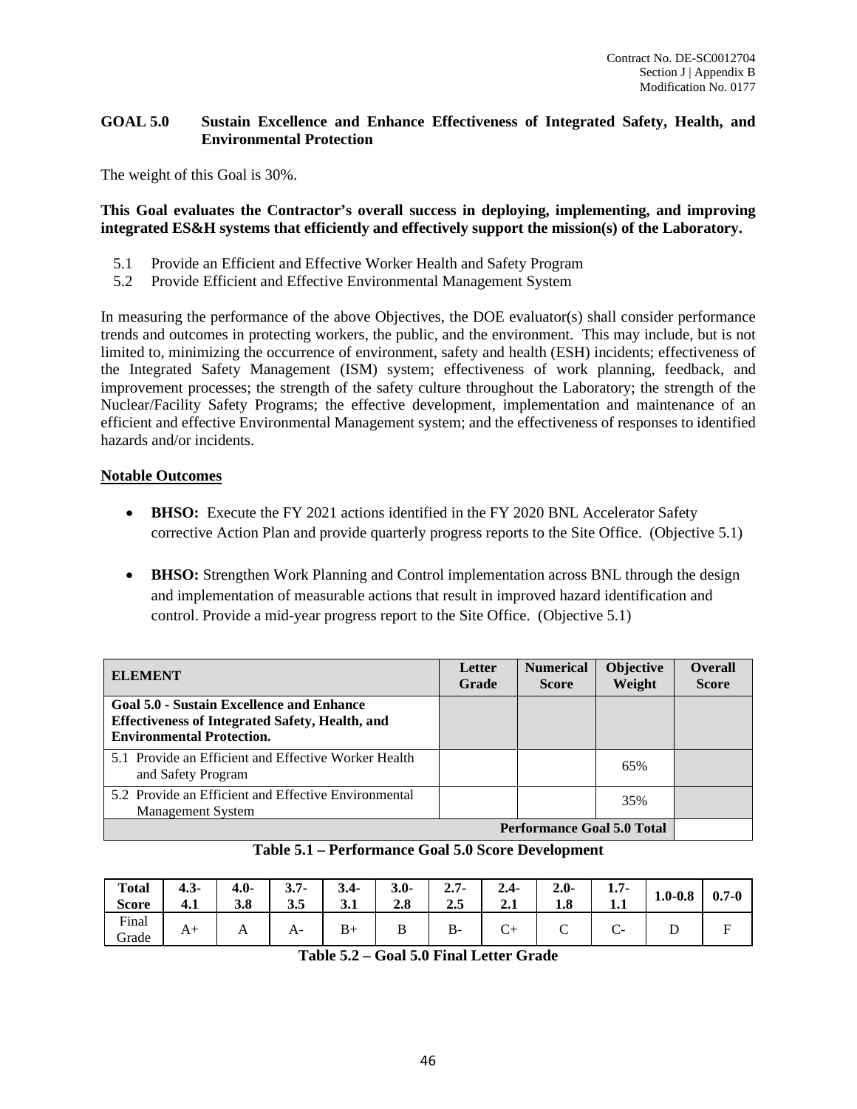# **GOAL 5.0 Sustain Excellence and Enhance Effectiveness of Integrated Safety, Health, and Environmental Protection**

The weight of this Goal is 30%.

# **This Goal evaluates the Contractor's overall success in deploying, implementing, and improving integrated ES&H systems that efficiently and effectively support the mission(s) of the Laboratory.**

- 5.1 Provide an Efficient and Effective Worker Health and Safety Program
- 5.2 Provide Efficient and Effective Environmental Management System

In measuring the performance of the above Objectives, the DOE evaluator(s) shall consider performance trends and outcomes in protecting workers, the public, and the environment. This may include, but is not limited to, minimizing the occurrence of environment, safety and health (ESH) incidents; effectiveness of the Integrated Safety Management (ISM) system; effectiveness of work planning, feedback, and improvement processes; the strength of the safety culture throughout the Laboratory; the strength of the Nuclear/Facility Safety Programs; the effective development, implementation and maintenance of an efficient and effective Environmental Management system; and the effectiveness of responses to identified hazards and/or incidents.

- **BHSO:** Execute the FY 2021 actions identified in the FY 2020 BNL Accelerator Safety corrective Action Plan and provide quarterly progress reports to the Site Office. (Objective 5.1)
- **BHSO:** Strengthen Work Planning and Control implementation across BNL through the design and implementation of measurable actions that result in improved hazard identification and control. Provide a mid-year progress report to the Site Office. (Objective 5.1)

| <b>ELEMENT</b>                                                                                                                          | Letter<br>Grade | <b>Numerical</b><br><b>Score</b> | Objective<br>Weight | <b>Overall</b><br><b>Score</b> |  |  |
|-----------------------------------------------------------------------------------------------------------------------------------------|-----------------|----------------------------------|---------------------|--------------------------------|--|--|
| Goal 5.0 - Sustain Excellence and Enhance<br><b>Effectiveness of Integrated Safety, Health, and</b><br><b>Environmental Protection.</b> |                 |                                  |                     |                                |  |  |
| 5.1 Provide an Efficient and Effective Worker Health<br>and Safety Program                                                              |                 |                                  | 65%                 |                                |  |  |
| 5.2 Provide an Efficient and Effective Environmental<br><b>Management System</b>                                                        |                 |                                  | 35%                 |                                |  |  |
| <b>Performance Goal 5.0 Total</b>                                                                                                       |                 |                                  |                     |                                |  |  |

**Table 5.1 – Performance Goal 5.0 Score Development**

| <b>Total</b><br><b>Score</b> | $4.3 -$<br>4.1 | $4.0-$<br>3.8 | $3.7 -$<br>3.5 | $3.4 -$<br>3.1 | $3.0 -$<br>2.8 | $2.7 -$<br>2.5 | $2.4 -$<br>2.1 | $2.0 -$<br>1.8 | $1.7 -$<br>1.1 | $1.0 - 0.8$ | $0.7 - 0$ |
|------------------------------|----------------|---------------|----------------|----------------|----------------|----------------|----------------|----------------|----------------|-------------|-----------|
| Final<br>Grade               | A+             | n             | $A-$           | $B+$           | ָט             | D-             |                |                |                | ◡           |           |

**Table 5.2 – Goal 5.0 Final Letter Grade**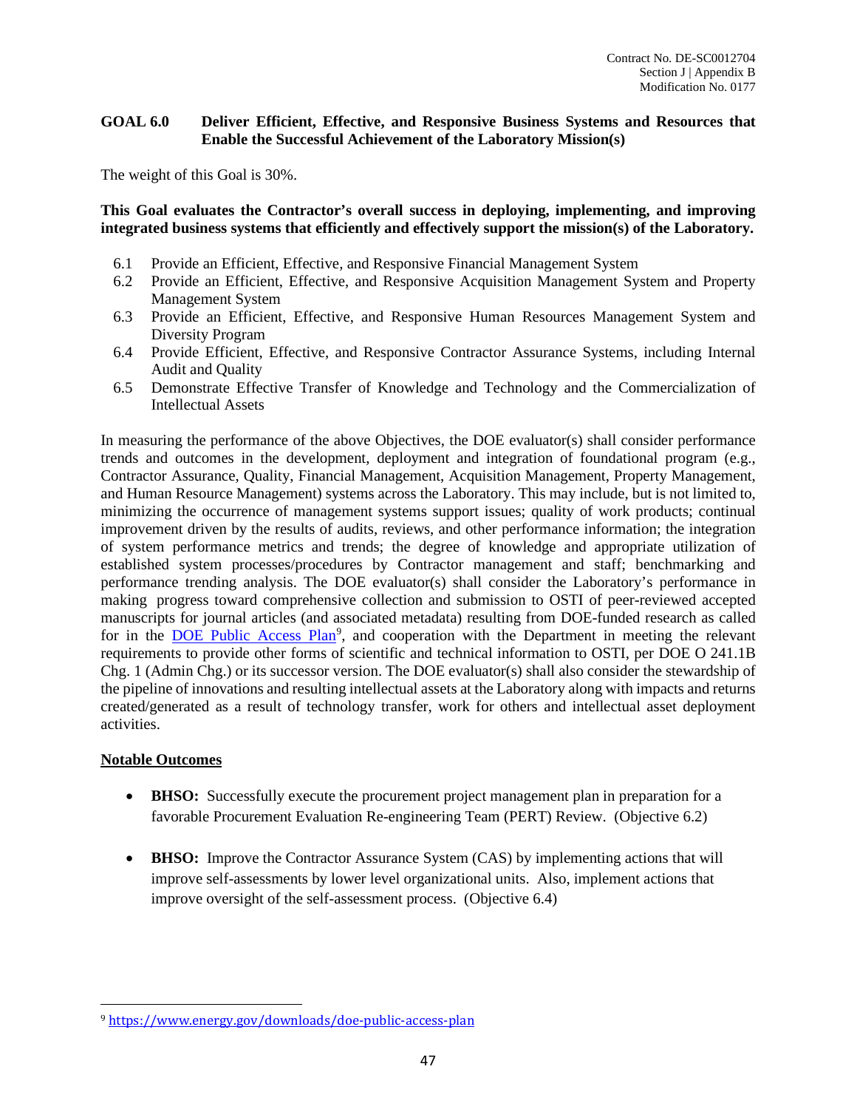# **GOAL 6.0 Deliver Efficient, Effective, and Responsive Business Systems and Resources that Enable the Successful Achievement of the Laboratory Mission(s)**

The weight of this Goal is 30%.

# **This Goal evaluates the Contractor's overall success in deploying, implementing, and improving integrated business systems that efficiently and effectively support the mission(s) of the Laboratory.**

- 6.1 Provide an Efficient, Effective, and Responsive Financial Management System
- 6.2 Provide an Efficient, Effective, and Responsive Acquisition Management System and Property Management System
- 6.3 Provide an Efficient, Effective, and Responsive Human Resources Management System and Diversity Program
- 6.4 Provide Efficient, Effective, and Responsive Contractor Assurance Systems, including Internal Audit and Quality
- 6.5 Demonstrate Effective Transfer of Knowledge and Technology and the Commercialization of Intellectual Assets

In measuring the performance of the above Objectives, the DOE evaluator(s) shall consider performance trends and outcomes in the development, deployment and integration of foundational program (e.g., Contractor Assurance, Quality, Financial Management, Acquisition Management, Property Management, and Human Resource Management) systems across the Laboratory. This may include, but is not limited to, minimizing the occurrence of management systems support issues; quality of work products; continual improvement driven by the results of audits, reviews, and other performance information; the integration of system performance metrics and trends; the degree of knowledge and appropriate utilization of established system processes/procedures by Contractor management and staff; benchmarking and performance trending analysis. The DOE evaluator(s) shall consider the Laboratory's performance in making progress toward comprehensive collection and submission to OSTI of peer-reviewed accepted manuscripts for journal articles (and associated metadata) resulting from DOE-funded research as called for in the **DOE Public Access Plan**<sup>[9](#page-64-0)</sup>, and cooperation with the Department in meeting the relevant requirements to provide other forms of scientific and technical information to OSTI, per DOE O 241.1B Chg. 1 (Admin Chg.) or its successor version. The DOE evaluator(s) shall also consider the stewardship of the pipeline of innovations and resulting intellectual assets at the Laboratory along with impacts and returns created/generated as a result of technology transfer, work for others and intellectual asset deployment activities.

- **BHSO:** Successfully execute the procurement project management plan in preparation for a favorable Procurement Evaluation Re-engineering Team (PERT) Review. (Objective 6.2)
- **BHSO:** Improve the Contractor Assurance System (CAS) by implementing actions that will improve self-assessments by lower level organizational units. Also, implement actions that improve oversight of the self-assessment process. (Objective 6.4)

<span id="page-64-0"></span><sup>9</sup> <https://www.energy.gov/downloads/doe-public-access-plan>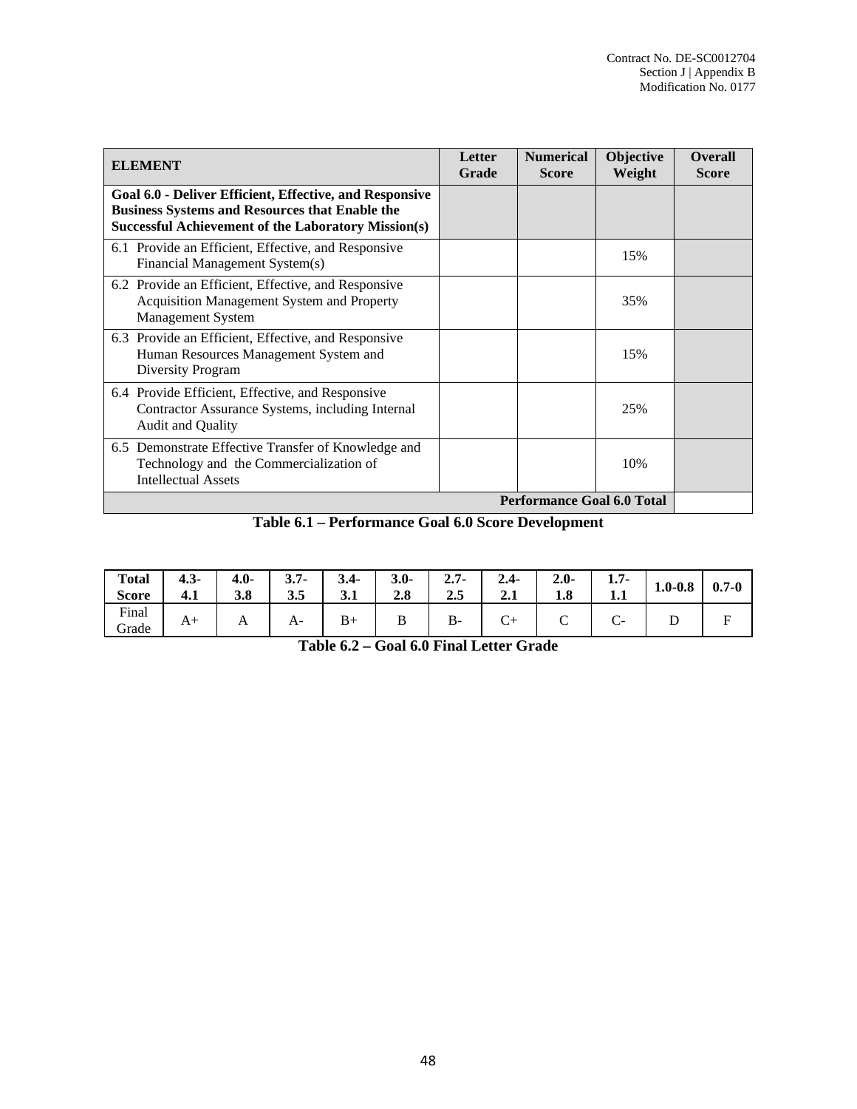| <b>ELEMENT</b>                                                                                                                                                                 | Letter<br>Grade | <b>Numerical</b><br><b>Score</b>  | Objective<br>Weight | <b>Overall</b><br><b>Score</b> |
|--------------------------------------------------------------------------------------------------------------------------------------------------------------------------------|-----------------|-----------------------------------|---------------------|--------------------------------|
| Goal 6.0 - Deliver Efficient, Effective, and Responsive<br><b>Business Systems and Resources that Enable the</b><br><b>Successful Achievement of the Laboratory Mission(s)</b> |                 |                                   |                     |                                |
| 6.1 Provide an Efficient, Effective, and Responsive<br>Financial Management System(s)                                                                                          |                 |                                   | 15%                 |                                |
| 6.2 Provide an Efficient, Effective, and Responsive<br>Acquisition Management System and Property<br><b>Management System</b>                                                  |                 |                                   | 35%                 |                                |
| 6.3 Provide an Efficient, Effective, and Responsive<br>Human Resources Management System and<br>Diversity Program                                                              |                 |                                   | 15%                 |                                |
| 6.4 Provide Efficient, Effective, and Responsive<br>Contractor Assurance Systems, including Internal<br>Audit and Quality                                                      |                 |                                   | 25%                 |                                |
| 6.5 Demonstrate Effective Transfer of Knowledge and<br>Technology and the Commercialization of<br><b>Intellectual Assets</b>                                                   |                 |                                   | 10%                 |                                |
|                                                                                                                                                                                |                 | <b>Performance Goal 6.0 Total</b> |                     |                                |

**Table 6.1 – Performance Goal 6.0 Score Development**

| <b>Total</b><br><b>Score</b> | $4.3 -$<br>4.1 | $4.0-$<br>ാ െ<br>J.O | $3.7 -$<br>3.5 | $3.4 -$<br>J.I | $3.0 -$<br>2.8 | $2.7 -$<br>∠.ວ | $2.4 -$<br>4.L | $2.0 -$<br>1.0 | $\overline{ }$<br>$\blacksquare$ . $\blacksquare$<br>1.1 | $1.0 - 0.8$ | $0.7 - 0$ |
|------------------------------|----------------|----------------------|----------------|----------------|----------------|----------------|----------------|----------------|----------------------------------------------------------|-------------|-----------|
| Final<br>Grade               | $A+$           | A                    | $A^-$          | $_{\rm B+}$    | ◡              | В-             |                |                |                                                          |             |           |

**Table 6.2 – Goal 6.0 Final Letter Grade**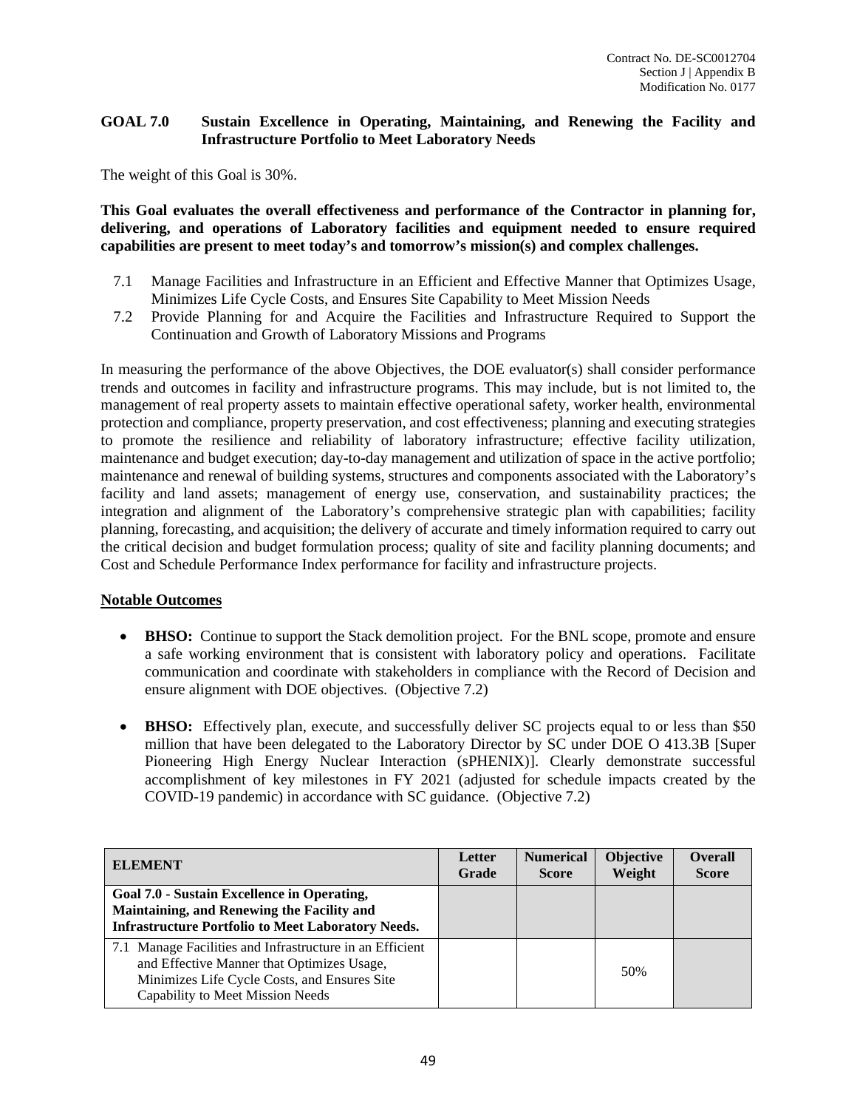# **GOAL 7.0 Sustain Excellence in Operating, Maintaining, and Renewing the Facility and Infrastructure Portfolio to Meet Laboratory Needs**

The weight of this Goal is 30%.

# **This Goal evaluates the overall effectiveness and performance of the Contractor in planning for, delivering, and operations of Laboratory facilities and equipment needed to ensure required capabilities are present to meet today's and tomorrow's mission(s) and complex challenges.**

- 7.1 Manage Facilities and Infrastructure in an Efficient and Effective Manner that Optimizes Usage, Minimizes Life Cycle Costs, and Ensures Site Capability to Meet Mission Needs
- 7.2 Provide Planning for and Acquire the Facilities and Infrastructure Required to Support the Continuation and Growth of Laboratory Missions and Programs

In measuring the performance of the above Objectives, the DOE evaluator(s) shall consider performance trends and outcomes in facility and infrastructure programs. This may include, but is not limited to, the management of real property assets to maintain effective operational safety, worker health, environmental protection and compliance, property preservation, and cost effectiveness; planning and executing strategies to promote the resilience and reliability of laboratory infrastructure; effective facility utilization, maintenance and budget execution; day-to-day management and utilization of space in the active portfolio; maintenance and renewal of building systems, structures and components associated with the Laboratory's facility and land assets; management of energy use, conservation, and sustainability practices; the integration and alignment of the Laboratory's comprehensive strategic plan with capabilities; facility planning, forecasting, and acquisition; the delivery of accurate and timely information required to carry out the critical decision and budget formulation process; quality of site and facility planning documents; and Cost and Schedule Performance Index performance for facility and infrastructure projects.

- **BHSO:** Continue to support the Stack demolition project. For the BNL scope, promote and ensure a safe working environment that is consistent with laboratory policy and operations. Facilitate communication and coordinate with stakeholders in compliance with the Record of Decision and ensure alignment with DOE objectives. (Objective 7.2)
- **BHSO:** Effectively plan, execute, and successfully deliver SC projects equal to or less than \$50 million that have been delegated to the Laboratory Director by SC under DOE O 413.3B [Super Pioneering High Energy Nuclear Interaction (sPHENIX)]. Clearly demonstrate successful accomplishment of key milestones in FY 2021 (adjusted for schedule impacts created by the COVID-19 pandemic) in accordance with SC guidance. (Objective 7.2)

| <b>ELEMENT</b>                                                                                                                                                                             | Letter<br>Grade | <b>Numerical</b><br><b>Score</b> | <b>Objective</b><br>Weight | <b>Overall</b><br><b>Score</b> |
|--------------------------------------------------------------------------------------------------------------------------------------------------------------------------------------------|-----------------|----------------------------------|----------------------------|--------------------------------|
| Goal 7.0 - Sustain Excellence in Operating,<br>Maintaining, and Renewing the Facility and<br><b>Infrastructure Portfolio to Meet Laboratory Needs.</b>                                     |                 |                                  |                            |                                |
| 7.1 Manage Facilities and Infrastructure in an Efficient<br>and Effective Manner that Optimizes Usage,<br>Minimizes Life Cycle Costs, and Ensures Site<br>Capability to Meet Mission Needs |                 |                                  | 50%                        |                                |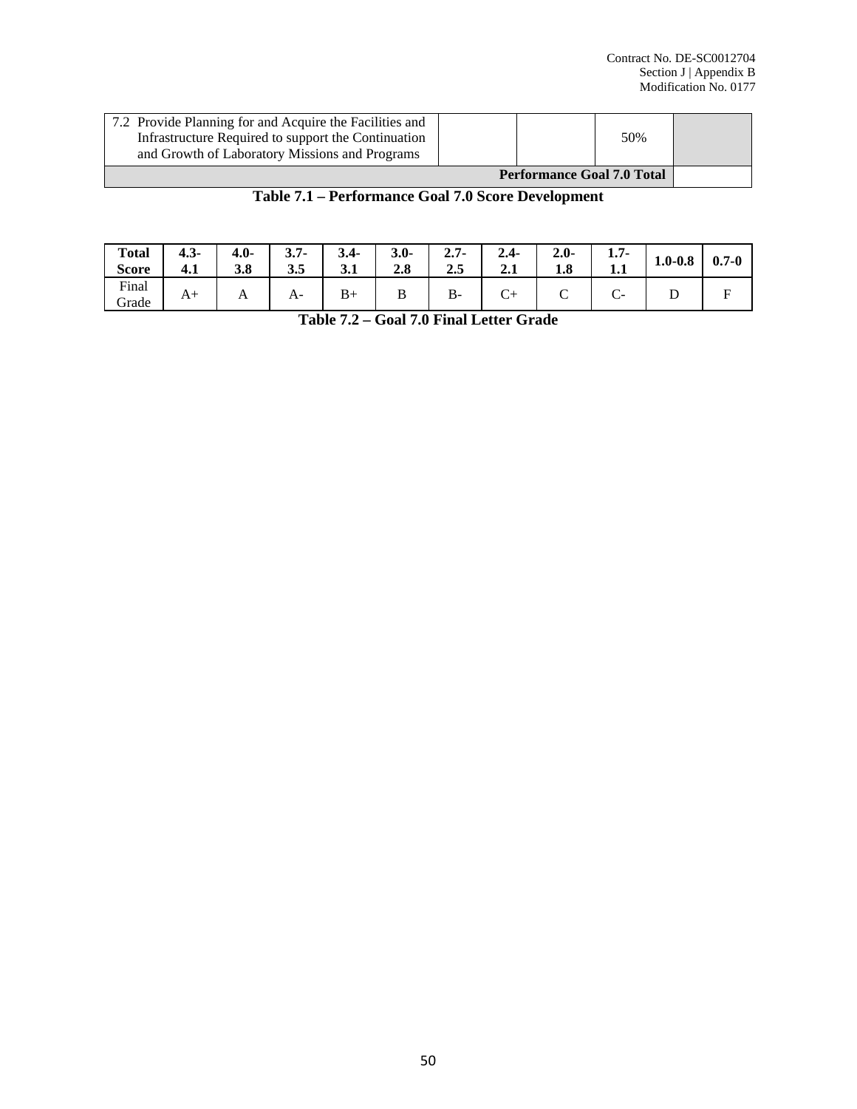| 7.2 Provide Planning for and Acquire the Facilities and<br>Infrastructure Required to support the Continuation<br>and Growth of Laboratory Missions and Programs |                                   | 50% |  |
|------------------------------------------------------------------------------------------------------------------------------------------------------------------|-----------------------------------|-----|--|
|                                                                                                                                                                  | <b>Performance Goal 7.0 Total</b> |     |  |

# **Table 7.1 – Performance Goal 7.0 Score Development**

| <b>Total</b><br><b>Score</b> | $4.3 -$<br><b>4.1</b> | $4.0-$<br>э.о | $3.7 -$<br>3.5 | $3.4 -$<br>$J \cdot I$ | $3.0 -$<br>20<br>∠.ठ | $2.7 -$<br>∠.ວ | $2.4 -$<br>4.L | $2.0 -$<br>1.8 | $\overline{ }$<br>$1.7 -$<br>1.1 | $1.0 - 0.8$ | $0.7 - 0$ |
|------------------------------|-----------------------|---------------|----------------|------------------------|----------------------|----------------|----------------|----------------|----------------------------------|-------------|-----------|
| Final<br>Grade               | $A+$                  | A             | д.             | $B+$                   |                      | ь-             |                | ◡              |                                  | ້           |           |

**Table 7.2 – Goal 7.0 Final Letter Grade**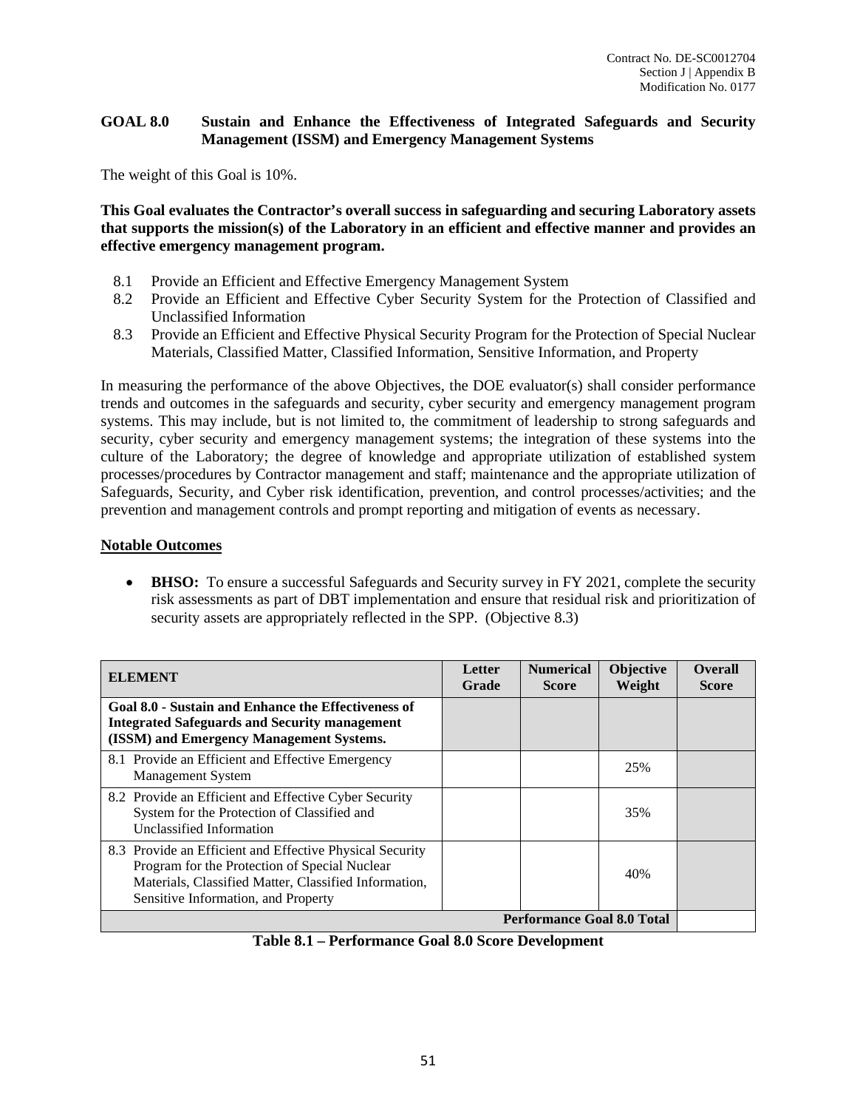# **GOAL 8.0 Sustain and Enhance the Effectiveness of Integrated Safeguards and Security Management (ISSM) and Emergency Management Systems**

The weight of this Goal is 10%.

**This Goal evaluates the Contractor's overall success in safeguarding and securing Laboratory assets that supports the mission(s) of the Laboratory in an efficient and effective manner and provides an effective emergency management program.**

- 8.1 Provide an Efficient and Effective Emergency Management System
- 8.2 Provide an Efficient and Effective Cyber Security System for the Protection of Classified and Unclassified Information
- 8.3 Provide an Efficient and Effective Physical Security Program for the Protection of Special Nuclear Materials, Classified Matter, Classified Information, Sensitive Information, and Property

In measuring the performance of the above Objectives, the DOE evaluator(s) shall consider performance trends and outcomes in the safeguards and security, cyber security and emergency management program systems. This may include, but is not limited to, the commitment of leadership to strong safeguards and security, cyber security and emergency management systems; the integration of these systems into the culture of the Laboratory; the degree of knowledge and appropriate utilization of established system processes/procedures by Contractor management and staff; maintenance and the appropriate utilization of Safeguards, Security, and Cyber risk identification, prevention, and control processes/activities; and the prevention and management controls and prompt reporting and mitigation of events as necessary.

# **Notable Outcomes**

• **BHSO:** To ensure a successful Safeguards and Security survey in FY 2021, complete the security risk assessments as part of DBT implementation and ensure that residual risk and prioritization of security assets are appropriately reflected in the SPP. (Objective 8.3)

| <b>ELEMENT</b>                                                                                                                                                                                            | Letter<br>Grade | <b>Numerical</b><br><b>Score</b> | <b>Objective</b><br>Weight | <b>Overall</b><br><b>Score</b> |  |  |  |  |
|-----------------------------------------------------------------------------------------------------------------------------------------------------------------------------------------------------------|-----------------|----------------------------------|----------------------------|--------------------------------|--|--|--|--|
| Goal 8.0 - Sustain and Enhance the Effectiveness of<br><b>Integrated Safeguards and Security management</b><br>(ISSM) and Emergency Management Systems.                                                   |                 |                                  |                            |                                |  |  |  |  |
| 8.1 Provide an Efficient and Effective Emergency<br><b>Management System</b>                                                                                                                              |                 |                                  | 25%                        |                                |  |  |  |  |
| 8.2 Provide an Efficient and Effective Cyber Security<br>System for the Protection of Classified and<br>Unclassified Information                                                                          |                 |                                  | 35%                        |                                |  |  |  |  |
| 8.3 Provide an Efficient and Effective Physical Security<br>Program for the Protection of Special Nuclear<br>Materials, Classified Matter, Classified Information,<br>Sensitive Information, and Property |                 |                                  | 40%                        |                                |  |  |  |  |
| <b>Performance Goal 8.0 Total</b>                                                                                                                                                                         |                 |                                  |                            |                                |  |  |  |  |

**Table 8.1 – Performance Goal 8.0 Score Development**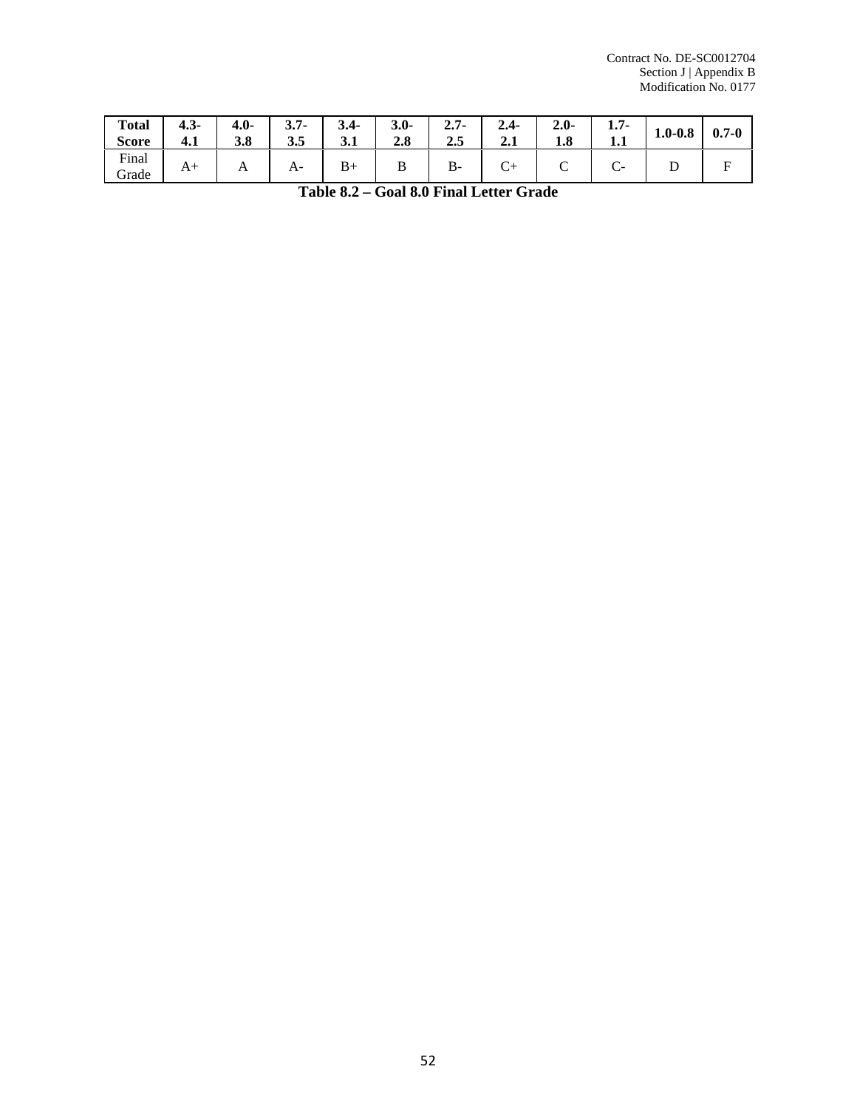| <b>Total</b><br><b>Score</b> | $4.3 -$<br>4.I | $4.0-$<br>3.8 | 2 <sub>7</sub><br>$3.1 -$<br>J.J | $3.4 -$<br>J.L | $3.0 -$<br>4.0 | $2.7 -$<br>∠.ວ | $2.4 -$<br>4.L | $2.0 -$<br>1.8 | $\pm 1.7$<br>1.1 | $1.0 - 0.8$ | $0.7 - 0$ |
|------------------------------|----------------|---------------|----------------------------------|----------------|----------------|----------------|----------------|----------------|------------------|-------------|-----------|
| Final<br>Grade               | $_{\rm A+}$    | A             | $A^-$                            | $B+$           |                | В-             |                |                |                  |             |           |

**Table 8.2 – Goal 8.0 Final Letter Grade**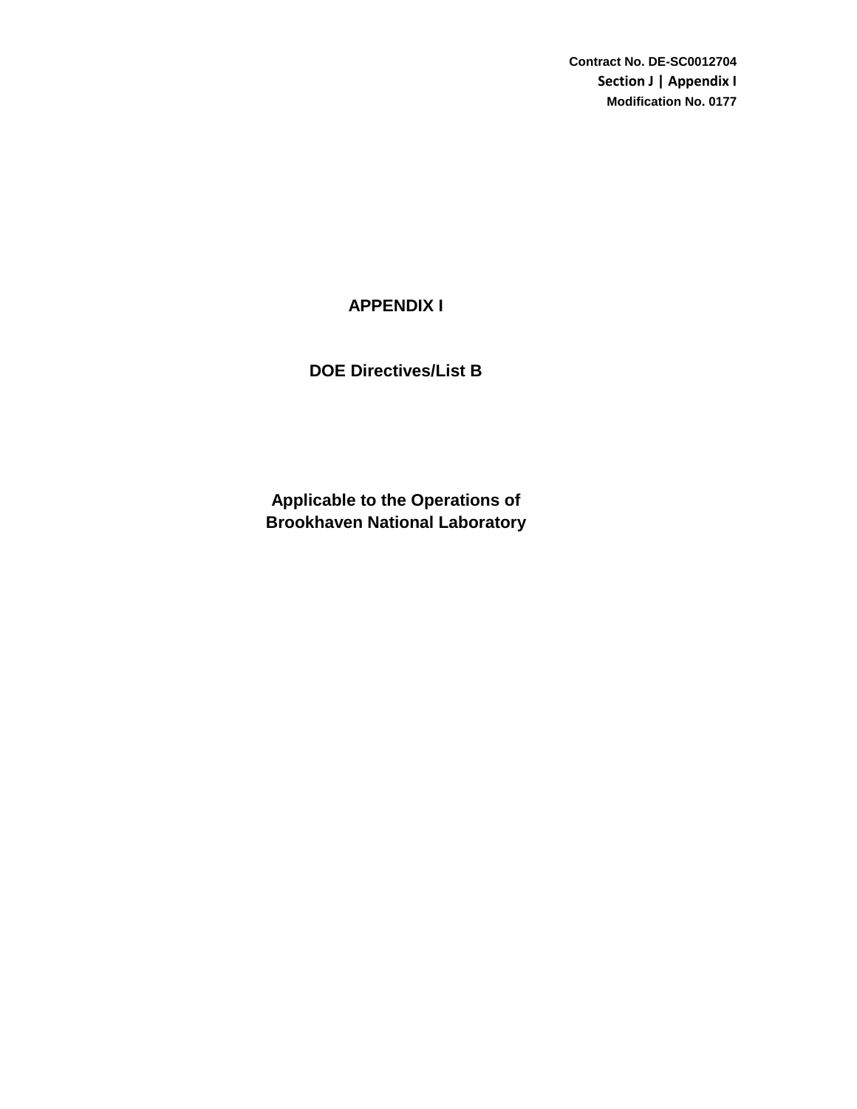**Contract No. DE-SC0012704 Section J | Appendix I Modification No. 0177**

# **APPENDIX I**

# **DOE Directives/List B**

**Brookhaven National Laboratory Applicable to the Operations of**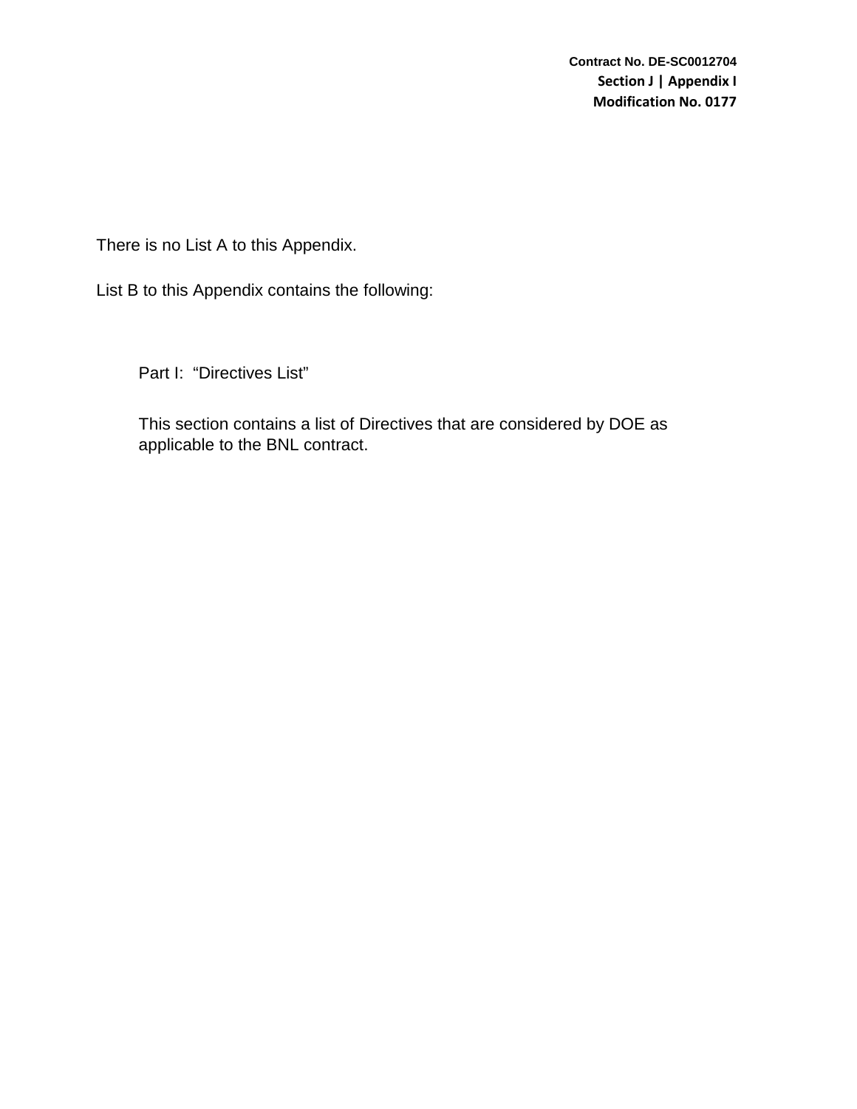There is no List A to this Appendix.

List B to this Appendix contains the following:

Part I: "Directives List"

This section contains a list of Directives that are considered by DOE as applicable to the BNL contract.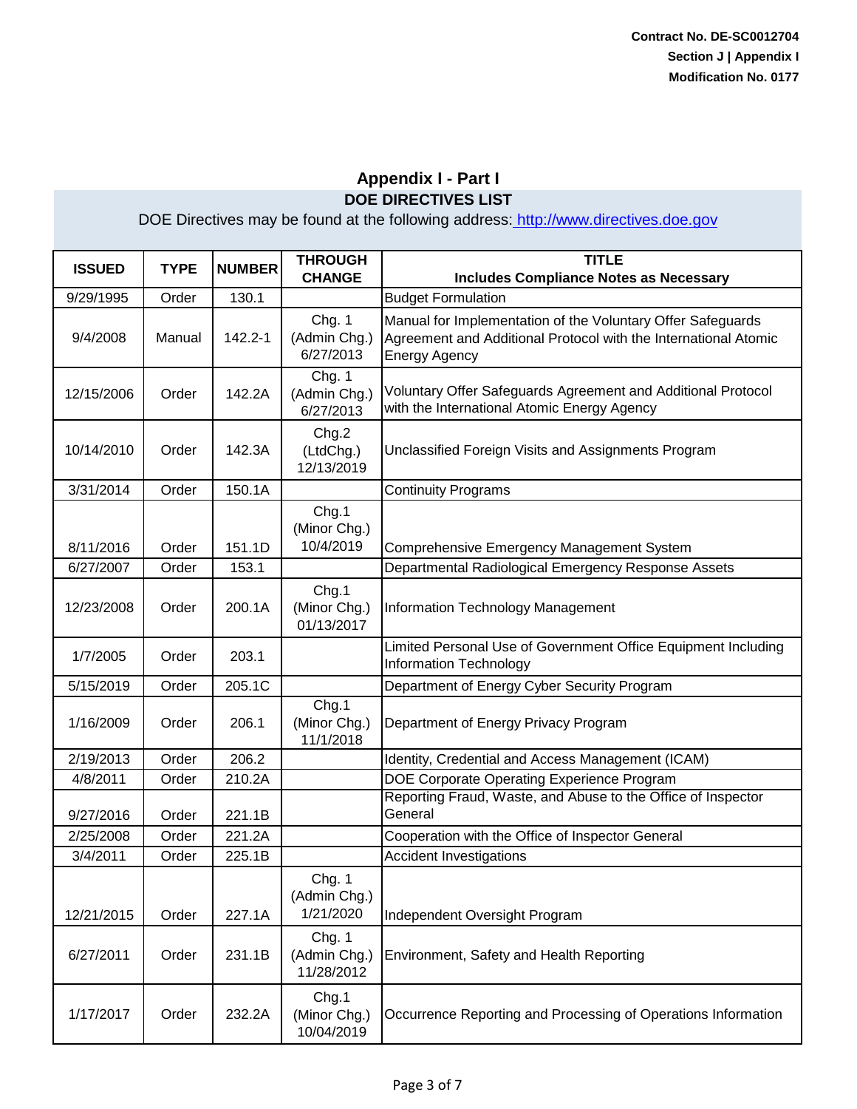| <b>ISSUED</b> | <b>TYPE</b> | <b>NUMBER</b> | <b>THROUGH</b><br><b>CHANGE</b>      | <b>TITLE</b><br><b>Includes Compliance Notes as Necessary</b>                                                                                          |
|---------------|-------------|---------------|--------------------------------------|--------------------------------------------------------------------------------------------------------------------------------------------------------|
| 9/29/1995     | Order       | 130.1         |                                      | <b>Budget Formulation</b>                                                                                                                              |
| 9/4/2008      | Manual      | 142.2-1       | Chg. 1<br>(Admin Chg.)<br>6/27/2013  | Manual for Implementation of the Voluntary Offer Safeguards<br>Agreement and Additional Protocol with the International Atomic<br><b>Energy Agency</b> |
| 12/15/2006    | Order       | 142.2A        | Chg. 1<br>(Admin Chg.)<br>6/27/2013  | Voluntary Offer Safeguards Agreement and Additional Protocol<br>with the International Atomic Energy Agency                                            |
| 10/14/2010    | Order       | 142.3A        | Chg.2<br>(LtdChg.)<br>12/13/2019     | Unclassified Foreign Visits and Assignments Program                                                                                                    |
| 3/31/2014     | Order       | 150.1A        |                                      | <b>Continuity Programs</b>                                                                                                                             |
| 8/11/2016     | Order       | 151.1D        | Chg.1<br>(Minor Chg.)<br>10/4/2019   | Comprehensive Emergency Management System                                                                                                              |
| 6/27/2007     | Order       | 153.1         |                                      | Departmental Radiological Emergency Response Assets                                                                                                    |
| 12/23/2008    | Order       | 200.1A        | Chg.1<br>(Minor Chg.)<br>01/13/2017  | Information Technology Management                                                                                                                      |
| 1/7/2005      | Order       | 203.1         |                                      | Limited Personal Use of Government Office Equipment Including<br><b>Information Technology</b>                                                         |
| 5/15/2019     | Order       | 205.1C        |                                      | Department of Energy Cyber Security Program                                                                                                            |
| 1/16/2009     | Order       | 206.1         | Chg.1<br>(Minor Chg.)<br>11/1/2018   | Department of Energy Privacy Program                                                                                                                   |
| 2/19/2013     | Order       | 206.2         |                                      | Identity, Credential and Access Management (ICAM)                                                                                                      |
| 4/8/2011      | Order       | 210.2A        |                                      | DOE Corporate Operating Experience Program                                                                                                             |
| 9/27/2016     | Order       | 221.1B        |                                      | Reporting Fraud, Waste, and Abuse to the Office of Inspector<br>General                                                                                |
| 2/25/2008     | Order       | 221.2A        |                                      | Cooperation with the Office of Inspector General                                                                                                       |
| 3/4/2011      | Order       | 225.1B        |                                      | <b>Accident Investigations</b>                                                                                                                         |
| 12/21/2015    | Order       | 227.1A        | Chg. 1<br>(Admin Chg.)<br>1/21/2020  | Independent Oversight Program                                                                                                                          |
| 6/27/2011     | Order       | 231.1B        | Chg. 1<br>(Admin Chg.)<br>11/28/2012 | Environment, Safety and Health Reporting                                                                                                               |
| 1/17/2017     | Order       | 232.2A        | Chg.1<br>(Minor Chg.)<br>10/04/2019  | Occurrence Reporting and Processing of Operations Information                                                                                          |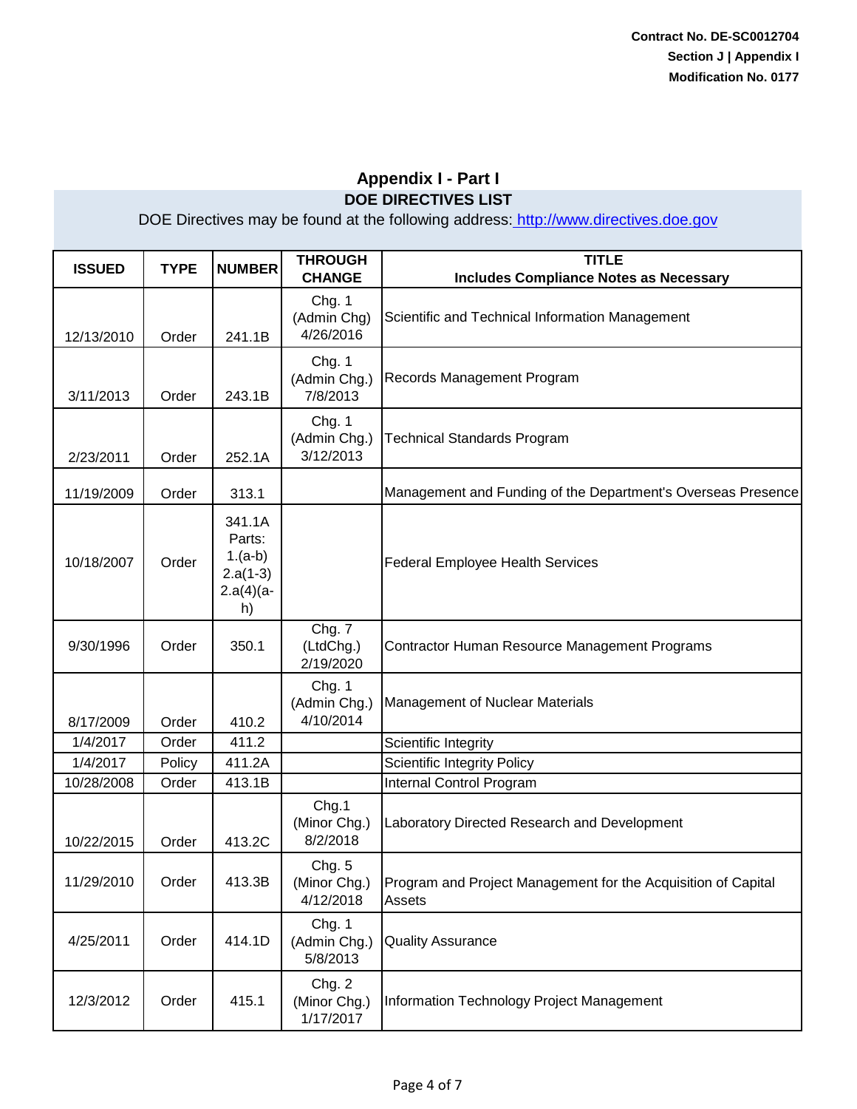| <b>ISSUED</b> | <b>TYPE</b> | <b>NUMBER</b>                                                     | <b>THROUGH</b><br><b>CHANGE</b>     | <b>TITLE</b><br><b>Includes Compliance Notes as Necessary</b>           |
|---------------|-------------|-------------------------------------------------------------------|-------------------------------------|-------------------------------------------------------------------------|
| 12/13/2010    | Order       | 241.1B                                                            | Chg. 1<br>(Admin Chg)<br>4/26/2016  | Scientific and Technical Information Management                         |
| 3/11/2013     | Order       | 243.1B                                                            | Chg. 1<br>(Admin Chg.)<br>7/8/2013  | Records Management Program                                              |
| 2/23/2011     | Order       | 252.1A                                                            | Chg. 1<br>(Admin Chg.)<br>3/12/2013 | <b>Technical Standards Program</b>                                      |
| 11/19/2009    | Order       | 313.1                                                             |                                     | Management and Funding of the Department's Overseas Presence            |
| 10/18/2007    | Order       | 341.1A<br>Parts:<br>$1.(a-b)$<br>$2.a(1-3)$<br>$2.a(4)(a -$<br>h) |                                     | <b>Federal Employee Health Services</b>                                 |
| 9/30/1996     | Order       | 350.1                                                             | Chg. 7<br>(LtdChg.)<br>2/19/2020    | Contractor Human Resource Management Programs                           |
| 8/17/2009     | Order       | 410.2                                                             | Chg. 1<br>(Admin Chg.)<br>4/10/2014 | Management of Nuclear Materials                                         |
| 1/4/2017      | Order       | 411.2                                                             |                                     | Scientific Integrity                                                    |
| 1/4/2017      | Policy      | 411.2A                                                            |                                     | <b>Scientific Integrity Policy</b>                                      |
| 10/28/2008    | Order       | 413.1B                                                            |                                     | Internal Control Program                                                |
| 10/22/2015    | Order       | 413.2C                                                            | Chg.1<br>(Minor Chg.)<br>8/2/2018   | Laboratory Directed Research and Development                            |
| 11/29/2010    | Order       | 413.3B                                                            | Chg. 5<br>(Minor Chg.)<br>4/12/2018 | Program and Project Management for the Acquisition of Capital<br>Assets |
| 4/25/2011     | Order       | 414.1D                                                            | Chg. 1<br>(Admin Chg.)<br>5/8/2013  | <b>Quality Assurance</b>                                                |
| 12/3/2012     | Order       | 415.1                                                             | Chg. 2<br>(Minor Chg.)<br>1/17/2017 | Information Technology Project Management                               |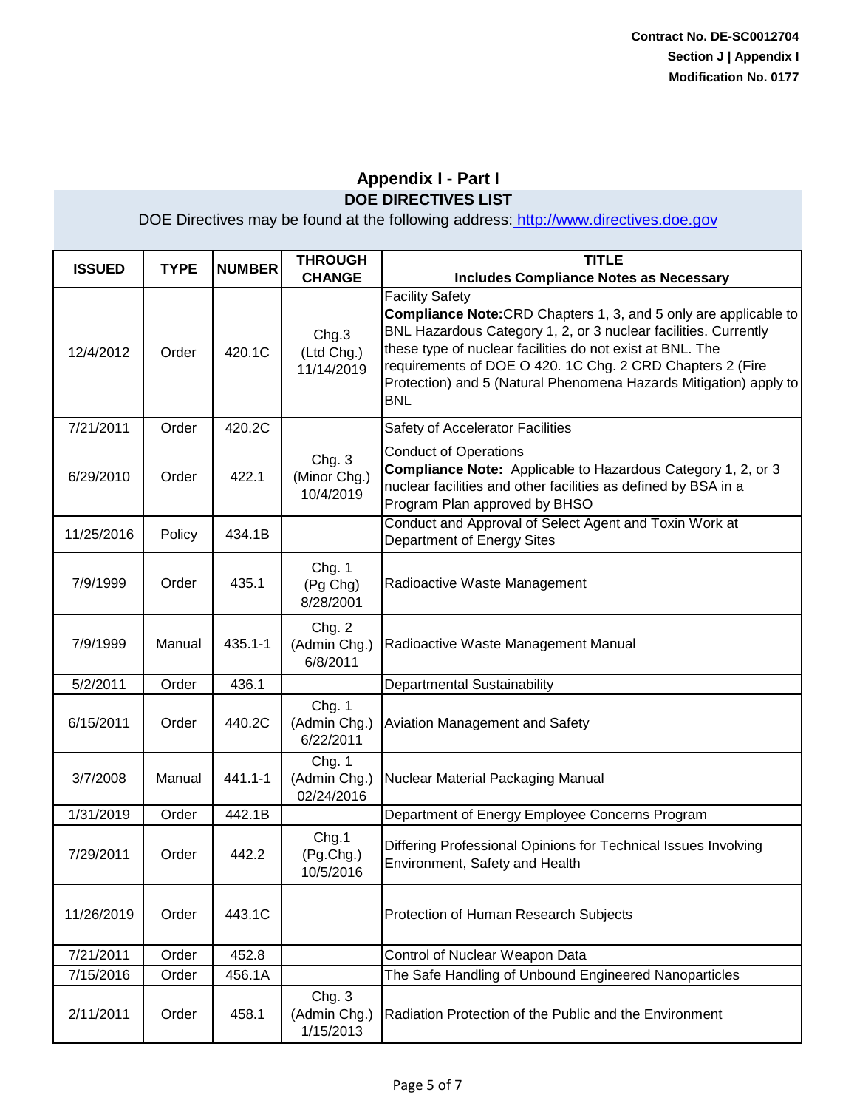| <b>ISSUED</b> | <b>TYPE</b> | <b>NUMBER</b> | <b>THROUGH</b><br><b>CHANGE</b>      | <b>TITLE</b><br><b>Includes Compliance Notes as Necessary</b>                                                                                                                                                                                                                                                                                                                     |
|---------------|-------------|---------------|--------------------------------------|-----------------------------------------------------------------------------------------------------------------------------------------------------------------------------------------------------------------------------------------------------------------------------------------------------------------------------------------------------------------------------------|
| 12/4/2012     | Order       | 420.1C        | Chg.3<br>(Ltd Chg.)<br>11/14/2019    | <b>Facility Safety</b><br><b>Compliance Note:</b> CRD Chapters 1, 3, and 5 only are applicable to<br>BNL Hazardous Category 1, 2, or 3 nuclear facilities. Currently<br>these type of nuclear facilities do not exist at BNL. The<br>requirements of DOE O 420. 1C Chg. 2 CRD Chapters 2 (Fire<br>Protection) and 5 (Natural Phenomena Hazards Mitigation) apply to<br><b>BNL</b> |
| 7/21/2011     | Order       | 420.2C        |                                      | Safety of Accelerator Facilities                                                                                                                                                                                                                                                                                                                                                  |
| 6/29/2010     | Order       | 422.1         | Chg. 3<br>(Minor Chg.)<br>10/4/2019  | <b>Conduct of Operations</b><br><b>Compliance Note:</b> Applicable to Hazardous Category 1, 2, or 3<br>nuclear facilities and other facilities as defined by BSA in a<br>Program Plan approved by BHSO                                                                                                                                                                            |
| 11/25/2016    | Policy      | 434.1B        |                                      | Conduct and Approval of Select Agent and Toxin Work at<br>Department of Energy Sites                                                                                                                                                                                                                                                                                              |
| 7/9/1999      | Order       | 435.1         | Chg. 1<br>(Pg Chg)<br>8/28/2001      | Radioactive Waste Management                                                                                                                                                                                                                                                                                                                                                      |
| 7/9/1999      | Manual      | $435.1 - 1$   | Chg. 2<br>(Admin Chg.)<br>6/8/2011   | Radioactive Waste Management Manual                                                                                                                                                                                                                                                                                                                                               |
| 5/2/2011      | Order       | 436.1         |                                      | Departmental Sustainability                                                                                                                                                                                                                                                                                                                                                       |
| 6/15/2011     | Order       | 440.2C        | Chg. 1<br>(Admin Chg.)<br>6/22/2011  | <b>Aviation Management and Safety</b>                                                                                                                                                                                                                                                                                                                                             |
| 3/7/2008      | Manual      | 441.1-1       | Chg. 1<br>(Admin Chg.)<br>02/24/2016 | Nuclear Material Packaging Manual                                                                                                                                                                                                                                                                                                                                                 |
| 1/31/2019     | Order       | 442.1B        |                                      | Department of Energy Employee Concerns Program                                                                                                                                                                                                                                                                                                                                    |
| 7/29/2011     | Order       | 442.2         | Chg.1<br>(Pg.Chg.)<br>10/5/2016      | Differing Professional Opinions for Technical Issues Involving<br>Environment, Safety and Health                                                                                                                                                                                                                                                                                  |
| 11/26/2019    | Order       | 443.1C        |                                      | Protection of Human Research Subjects                                                                                                                                                                                                                                                                                                                                             |
| 7/21/2011     | Order       | 452.8         |                                      | Control of Nuclear Weapon Data                                                                                                                                                                                                                                                                                                                                                    |
| 7/15/2016     | Order       | 456.1A        |                                      | The Safe Handling of Unbound Engineered Nanoparticles                                                                                                                                                                                                                                                                                                                             |
| 2/11/2011     | Order       | 458.1         | Chg. 3<br>(Admin Chg.)<br>1/15/2013  | Radiation Protection of the Public and the Environment                                                                                                                                                                                                                                                                                                                            |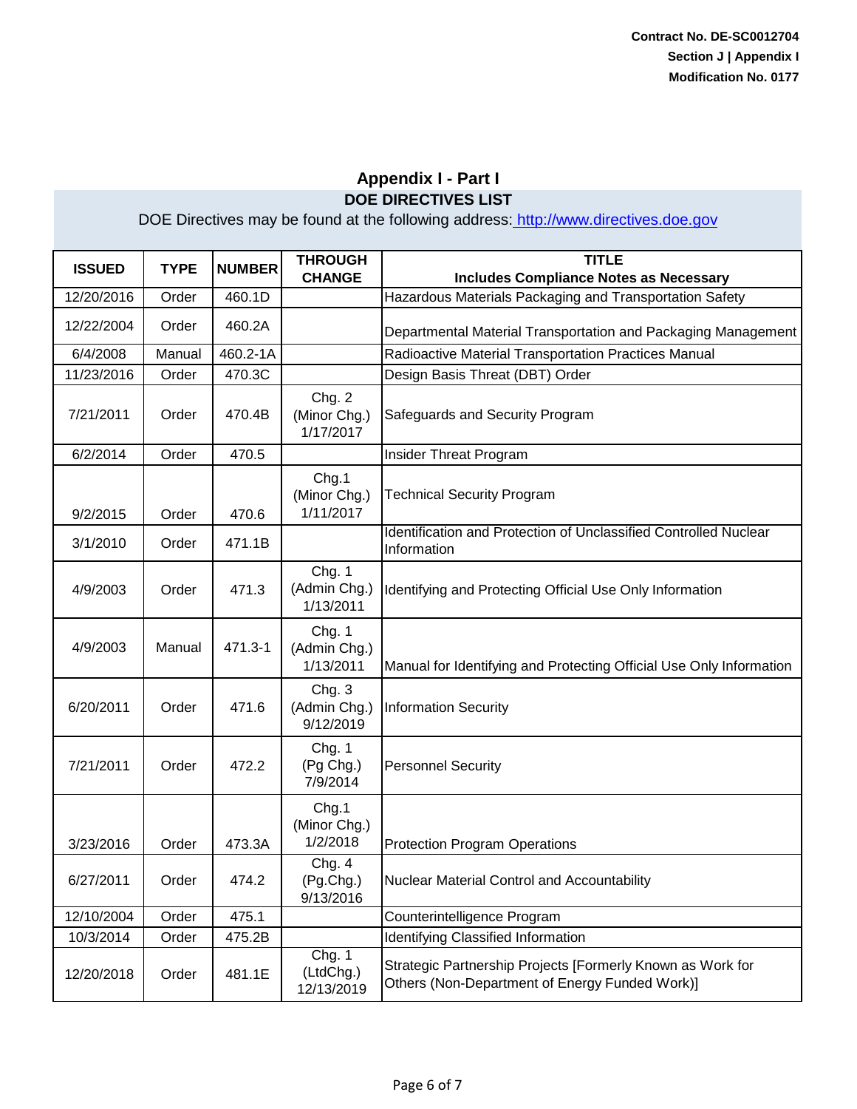| <b>ISSUED</b> | <b>TYPE</b> | <b>NUMBER</b> | <b>THROUGH</b><br><b>CHANGE</b>     | <b>TITLE</b><br><b>Includes Compliance Notes as Necessary</b>                                                |
|---------------|-------------|---------------|-------------------------------------|--------------------------------------------------------------------------------------------------------------|
| 12/20/2016    | Order       | 460.1D        |                                     | Hazardous Materials Packaging and Transportation Safety                                                      |
| 12/22/2004    | Order       | 460.2A        |                                     | Departmental Material Transportation and Packaging Management                                                |
| 6/4/2008      | Manual      | 460.2-1A      |                                     | Radioactive Material Transportation Practices Manual                                                         |
| 11/23/2016    | Order       | 470.3C        |                                     | Design Basis Threat (DBT) Order                                                                              |
| 7/21/2011     | Order       | 470.4B        | Chg. 2<br>(Minor Chg.)<br>1/17/2017 | Safeguards and Security Program                                                                              |
| 6/2/2014      | Order       | 470.5         |                                     | Insider Threat Program                                                                                       |
| 9/2/2015      | Order       | 470.6         | Chg.1<br>(Minor Chg.)<br>1/11/2017  | <b>Technical Security Program</b>                                                                            |
| 3/1/2010      | Order       | 471.1B        |                                     | Identification and Protection of Unclassified Controlled Nuclear<br>Information                              |
| 4/9/2003      | Order       | 471.3         | Chg. 1<br>(Admin Chg.)<br>1/13/2011 | Identifying and Protecting Official Use Only Information                                                     |
| 4/9/2003      | Manual      | 471.3-1       | Chg. 1<br>(Admin Chg.)<br>1/13/2011 | Manual for Identifying and Protecting Official Use Only Information                                          |
| 6/20/2011     | Order       | 471.6         | Chg. 3<br>(Admin Chg.)<br>9/12/2019 | <b>Information Security</b>                                                                                  |
| 7/21/2011     | Order       | 472.2         | Chg. 1<br>(Pg Chg.)<br>7/9/2014     | <b>Personnel Security</b>                                                                                    |
| 3/23/2016     | Order       | 473.3A        | Chg.1<br>(Minor Chg.)<br>1/2/2018   | <b>Protection Program Operations</b>                                                                         |
| 6/27/2011     | Order       | 474.2         | Chg. 4<br>(Pg.Chg.)<br>9/13/2016    | Nuclear Material Control and Accountability                                                                  |
| 12/10/2004    | Order       | 475.1         |                                     | Counterintelligence Program                                                                                  |
| 10/3/2014     | Order       | 475.2B        |                                     | <b>Identifying Classified Information</b>                                                                    |
| 12/20/2018    | Order       | 481.1E        | Chg. 1<br>(LtdChg.)<br>12/13/2019   | Strategic Partnership Projects [Formerly Known as Work for<br>Others (Non-Department of Energy Funded Work)] |